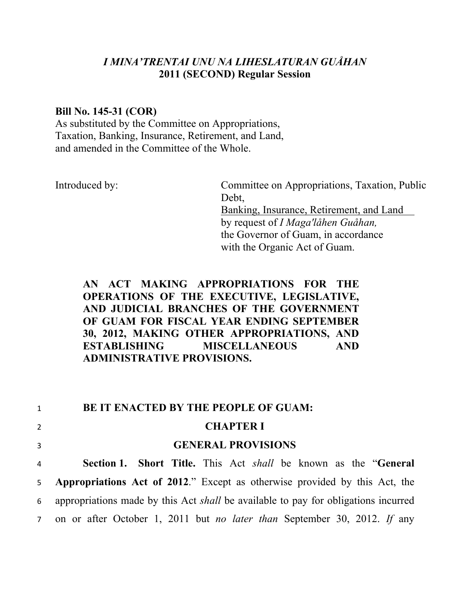# *I MINA'TRENTAI UNU NA LIHESLATURAN GUÅHAN*  **2011 (SECOND) Regular Session**

### **Bill No. 145-31 (COR)**

As substituted by the Committee on Appropriations, Taxation, Banking, Insurance, Retirement, and Land, and amended in the Committee of the Whole.

Introduced by: Committee on Appropriations, Taxation, Public Debt. Banking, Insurance, Retirement, and Land by request of *I Maga'låhen Guåhan,* the Governor of Guam, in accordance with the Organic Act of Guam.

# **AN ACT MAKING APPROPRIATIONS FOR THE OPERATIONS OF THE EXECUTIVE, LEGISLATIVE, AND JUDICIAL BRANCHES OF THE GOVERNMENT OF GUAM FOR FISCAL YEAR ENDING SEPTEMBER 30, 2012, MAKING OTHER APPROPRIATIONS, AND ESTABLISHING MISCELLANEOUS AND ADMINISTRATIVE PROVISIONS.**

1 **BE IT ENACTED BY THE PEOPLE OF GUAM:** 

|                | BE IT ENACTED BY THE PEOPLE OF GUAM:                                                      |
|----------------|-------------------------------------------------------------------------------------------|
| $\overline{2}$ | <b>CHAPTER I</b>                                                                          |
| $\overline{3}$ | <b>GENERAL PROVISIONS</b>                                                                 |
| 4              | <b>Section 1. Short Title.</b> This Act <i>shall</i> be known as the " <b>General</b>     |
|                | 5 <b>Appropriations Act of 2012</b> ." Except as otherwise provided by this Act, the      |
| $6\degree$     | appropriations made by this Act <i>shall</i> be available to pay for obligations incurred |
|                | 7 on or after October 1, 2011 but <i>no later than</i> September 30, 2012. If any         |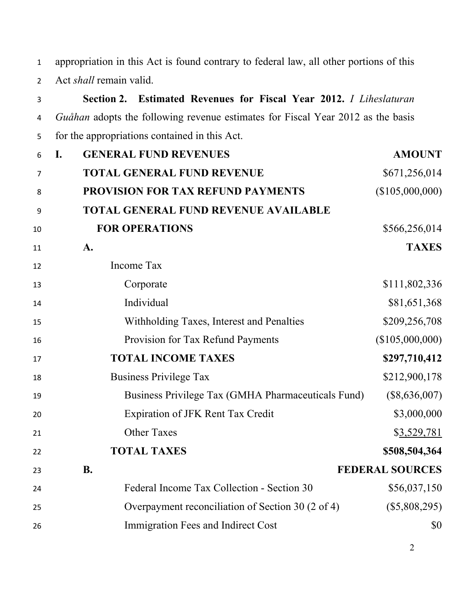appropriation in this Act is found contrary to federal law, all other portions of this Act *shall* remain valid.

| 3  | Section 2. Estimated Revenues for Fiscal Year 2012. I Liheslaturan              |                        |
|----|---------------------------------------------------------------------------------|------------------------|
| 4  | Guåhan adopts the following revenue estimates for Fiscal Year 2012 as the basis |                        |
| 5  | for the appropriations contained in this Act.                                   |                        |
| 6  | <b>GENERAL FUND REVENUES</b><br>$\mathbf{I}$ .                                  | <b>AMOUNT</b>          |
| 7  | <b>TOTAL GENERAL FUND REVENUE</b>                                               | \$671,256,014          |
| 8  | PROVISION FOR TAX REFUND PAYMENTS                                               | (\$105,000,000)        |
| 9  | <b>TOTAL GENERAL FUND REVENUE AVAILABLE</b>                                     |                        |
| 10 | <b>FOR OPERATIONS</b>                                                           | \$566,256,014          |
| 11 | A.                                                                              | <b>TAXES</b>           |
| 12 | Income Tax                                                                      |                        |
| 13 | Corporate                                                                       | \$111,802,336          |
| 14 | Individual                                                                      | \$81,651,368           |
| 15 | Withholding Taxes, Interest and Penalties                                       | \$209,256,708          |
| 16 | Provision for Tax Refund Payments                                               | (\$105,000,000)        |
| 17 | <b>TOTAL INCOME TAXES</b>                                                       | \$297,710,412          |
| 18 | <b>Business Privilege Tax</b>                                                   | \$212,900,178          |
| 19 | Business Privilege Tax (GMHA Pharmaceuticals Fund)                              | $(\$8,636,007)$        |
| 20 | <b>Expiration of JFK Rent Tax Credit</b>                                        | \$3,000,000            |
| 21 | <b>Other Taxes</b>                                                              | \$3,529,781            |
| 22 | <b>TOTAL TAXES</b>                                                              | \$508,504,364          |
| 23 | <b>B.</b>                                                                       | <b>FEDERAL SOURCES</b> |
| 24 | Federal Income Tax Collection - Section 30                                      | \$56,037,150           |
| 25 | Overpayment reconciliation of Section 30 (2 of 4)                               | $(\$5,808,295)$        |
| 26 | Immigration Fees and Indirect Cost                                              | \$0                    |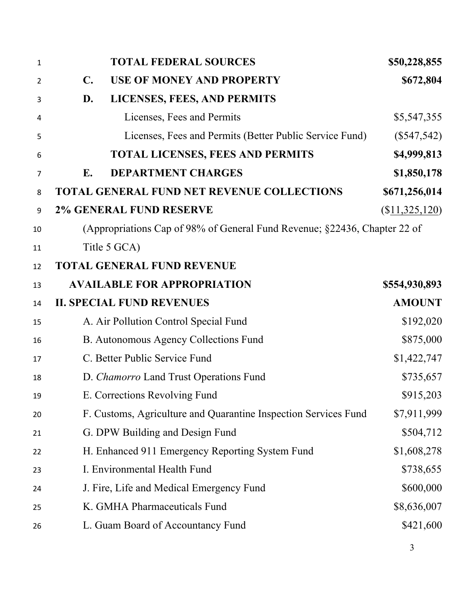| $\mathbf{1}$   |                | <b>TOTAL FEDERAL SOURCES</b>                                              | \$50,228,855     |
|----------------|----------------|---------------------------------------------------------------------------|------------------|
| $\overline{2}$ | $\mathbf{C}$ . | <b>USE OF MONEY AND PROPERTY</b>                                          | \$672,804        |
| 3              | D.             | LICENSES, FEES, AND PERMITS                                               |                  |
| 4              |                | Licenses, Fees and Permits                                                | \$5,547,355      |
| 5              |                | Licenses, Fees and Permits (Better Public Service Fund)                   | $(\$547,542)$    |
| 6              |                | <b>TOTAL LICENSES, FEES AND PERMITS</b>                                   | \$4,999,813      |
| 7              | Е.             | <b>DEPARTMENT CHARGES</b>                                                 | \$1,850,178      |
| 8              |                | TOTAL GENERAL FUND NET REVENUE COLLECTIONS                                | \$671,256,014    |
| 9              |                | <b>2% GENERAL FUND RESERVE</b>                                            | $(\$11,325,120)$ |
| 10             |                | (Appropriations Cap of 98% of General Fund Revenue; §22436, Chapter 22 of |                  |
| 11             |                | Title 5 GCA)                                                              |                  |
| 12             |                | <b>TOTAL GENERAL FUND REVENUE</b>                                         |                  |
| 13             |                | <b>AVAILABLE FOR APPROPRIATION</b>                                        | \$554,930,893    |
| 14             |                | <b>II. SPECIAL FUND REVENUES</b>                                          | <b>AMOUNT</b>    |
| 15             |                | A. Air Pollution Control Special Fund                                     | \$192,020        |
| 16             |                | B. Autonomous Agency Collections Fund                                     | \$875,000        |
| 17             |                | C. Better Public Service Fund                                             | \$1,422,747      |
| 18             |                | D. Chamorro Land Trust Operations Fund                                    | \$735,657        |
| 19             |                | E. Corrections Revolving Fund                                             | \$915,203        |
| 20             |                | F. Customs, Agriculture and Quarantine Inspection Services Fund           | \$7,911,999      |
| 21             |                | G. DPW Building and Design Fund                                           | \$504,712        |
| 22             |                | H. Enhanced 911 Emergency Reporting System Fund                           | \$1,608,278      |
| 23             |                | I. Environmental Health Fund                                              | \$738,655        |
| 24             |                | J. Fire, Life and Medical Emergency Fund                                  | \$600,000        |
| 25             |                | K. GMHA Pharmaceuticals Fund                                              | \$8,636,007      |
| 26             |                | L. Guam Board of Accountancy Fund                                         | \$421,600        |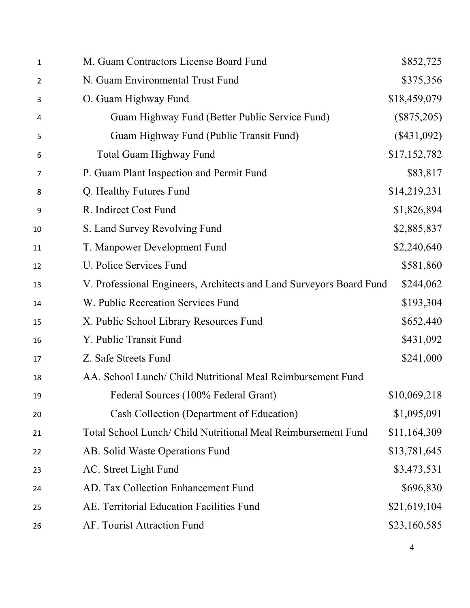| M. Guam Contractors License Board Fund                              | \$852,725     |
|---------------------------------------------------------------------|---------------|
| N. Guam Environmental Trust Fund                                    | \$375,356     |
| O. Guam Highway Fund                                                | \$18,459,079  |
| Guam Highway Fund (Better Public Service Fund)                      | $(\$875,205)$ |
| Guam Highway Fund (Public Transit Fund)                             | $(\$431,092)$ |
| <b>Total Guam Highway Fund</b>                                      | \$17,152,782  |
| P. Guam Plant Inspection and Permit Fund                            | \$83,817      |
| Q. Healthy Futures Fund                                             | \$14,219,231  |
| R. Indirect Cost Fund                                               | \$1,826,894   |
| S. Land Survey Revolving Fund                                       | \$2,885,837   |
| T. Manpower Development Fund                                        | \$2,240,640   |
| U. Police Services Fund                                             | \$581,860     |
| V. Professional Engineers, Architects and Land Surveyors Board Fund | \$244,062     |
| W. Public Recreation Services Fund                                  | \$193,304     |
| X. Public School Library Resources Fund                             | \$652,440     |
| Y. Public Transit Fund                                              | \$431,092     |
| Z. Safe Streets Fund                                                | \$241,000     |
| AA. School Lunch/ Child Nutritional Meal Reimbursement Fund         |               |
| Federal Sources (100% Federal Grant)                                | \$10,069,218  |
| Cash Collection (Department of Education)                           | \$1,095,091   |
| Total School Lunch/ Child Nutritional Meal Reimbursement Fund       | \$11,164,309  |
| AB. Solid Waste Operations Fund                                     | \$13,781,645  |
| AC. Street Light Fund                                               | \$3,473,531   |
| AD. Tax Collection Enhancement Fund                                 | \$696,830     |
| AE. Territorial Education Facilities Fund                           | \$21,619,104  |
| AF. Tourist Attraction Fund                                         | \$23,160,585  |
|                                                                     |               |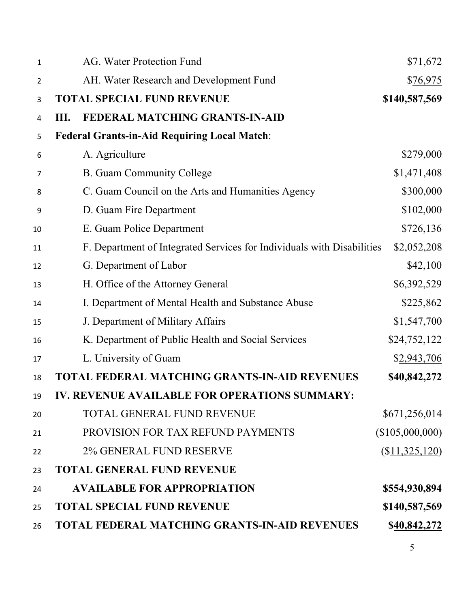| $\mathbf{1}$   | AG. Water Protection Fund                                              | \$71,672         |
|----------------|------------------------------------------------------------------------|------------------|
| $\overline{2}$ | AH. Water Research and Development Fund                                | \$76,975         |
| 3              | <b>TOTAL SPECIAL FUND REVENUE</b>                                      | \$140,587,569    |
| 4              | FEDERAL MATCHING GRANTS-IN-AID<br>Ш.                                   |                  |
| 5              | <b>Federal Grants-in-Aid Requiring Local Match:</b>                    |                  |
| 6              | A. Agriculture                                                         | \$279,000        |
| $\overline{7}$ | <b>B.</b> Guam Community College                                       | \$1,471,408      |
| 8              | C. Guam Council on the Arts and Humanities Agency                      | \$300,000        |
| 9              | D. Guam Fire Department                                                | \$102,000        |
| 10             | E. Guam Police Department                                              | \$726,136        |
| 11             | F. Department of Integrated Services for Individuals with Disabilities | \$2,052,208      |
| 12             | G. Department of Labor                                                 | \$42,100         |
| 13             | H. Office of the Attorney General                                      | \$6,392,529      |
| 14             | I. Department of Mental Health and Substance Abuse                     | \$225,862        |
| 15             | J. Department of Military Affairs                                      | \$1,547,700      |
| 16             | K. Department of Public Health and Social Services                     | \$24,752,122     |
| 17             | L. University of Guam                                                  | \$2,943,706      |
| 18             | TOTAL FEDERAL MATCHING GRANTS-IN-AID REVENUES                          | \$40,842,272     |
| 19             | <b>IV. REVENUE AVAILABLE FOR OPERATIONS SUMMARY:</b>                   |                  |
| 20             | TOTAL GENERAL FUND REVENUE                                             | \$671,256,014    |
| 21             | PROVISION FOR TAX REFUND PAYMENTS                                      | (\$105,000,000)  |
| 22             | 2% GENERAL FUND RESERVE                                                | $(\$11,325,120)$ |
| 23             | <b>TOTAL GENERAL FUND REVENUE</b>                                      |                  |
| 24             | <b>AVAILABLE FOR APPROPRIATION</b>                                     | \$554,930,894    |
| 25             | <b>TOTAL SPECIAL FUND REVENUE</b>                                      | \$140,587,569    |
| 26             | <b>TOTAL FEDERAL MATCHING GRANTS-IN-AID REVENUES</b>                   | \$40,842,272     |
|                |                                                                        |                  |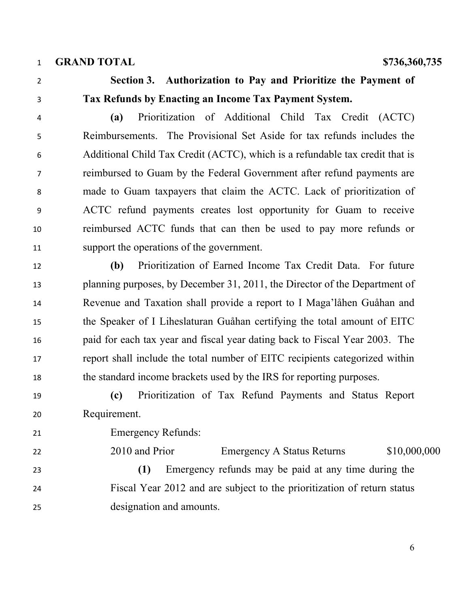**GRAND TOTAL \$736,360,735** 

# **Section 3. Authorization to Pay and Prioritize the Payment of Tax Refunds by Enacting an Income Tax Payment System.**

 **(a)** Prioritization of Additional Child Tax Credit (ACTC) Reimbursements. The Provisional Set Aside for tax refunds includes the Additional Child Tax Credit (ACTC), which is a refundable tax credit that is reimbursed to Guam by the Federal Government after refund payments are made to Guam taxpayers that claim the ACTC. Lack of prioritization of ACTC refund payments creates lost opportunity for Guam to receive reimbursed ACTC funds that can then be used to pay more refunds or support the operations of the government.

 **(b)** Prioritization of Earned Income Tax Credit Data. For future planning purposes, by December 31, 2011, the Director of the Department of Revenue and Taxation shall provide a report to I Maga'låhen Guåhan and the Speaker of I Liheslaturan Guåhan certifying the total amount of EITC paid for each tax year and fiscal year dating back to Fiscal Year 2003. The report shall include the total number of EITC recipients categorized within the standard income brackets used by the IRS for reporting purposes.

 **(c)** Prioritization of Tax Refund Payments and Status Report Requirement.

Emergency Refunds:

22 2010 and Prior Emergency A Status Returns \$10,000,000

 **(1)** Emergency refunds may be paid at any time during the Fiscal Year 2012 and are subject to the prioritization of return status designation and amounts.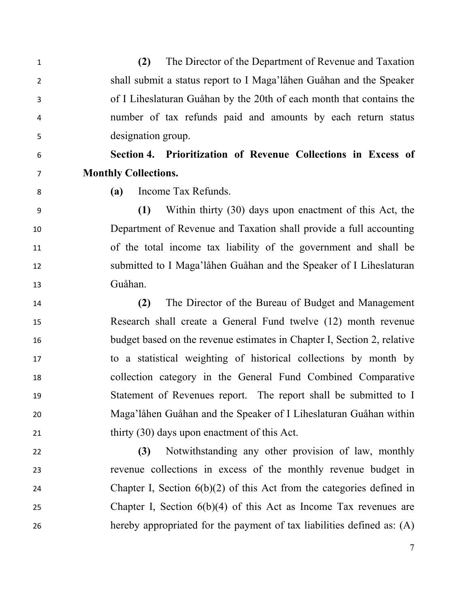**(2)** The Director of the Department of Revenue and Taxation shall submit a status report to I Maga'låhen Guåhan and the Speaker of I Liheslaturan Guåhan by the 20th of each month that contains the number of tax refunds paid and amounts by each return status designation group.

- **Section 4. Prioritization of Revenue Collections in Excess of**
- 

# **Monthly Collections. (a)** Income Tax Refunds.

 **(1)** Within thirty (30) days upon enactment of this Act, the Department of Revenue and Taxation shall provide a full accounting of the total income tax liability of the government and shall be submitted to I Maga'låhen Guåhan and the Speaker of I Liheslaturan Guåhan.

 **(2)** The Director of the Bureau of Budget and Management Research shall create a General Fund twelve (12) month revenue budget based on the revenue estimates in Chapter I, Section 2, relative to a statistical weighting of historical collections by month by collection category in the General Fund Combined Comparative Statement of Revenues report. The report shall be submitted to I Maga'låhen Guåhan and the Speaker of I Liheslaturan Guåhan within thirty (30) days upon enactment of this Act.

 **(3)** Notwithstanding any other provision of law, monthly revenue collections in excess of the monthly revenue budget in Chapter I, Section 6(b)(2) of this Act from the categories defined in Chapter I, Section 6(b)(4) of this Act as Income Tax revenues are hereby appropriated for the payment of tax liabilities defined as: (A)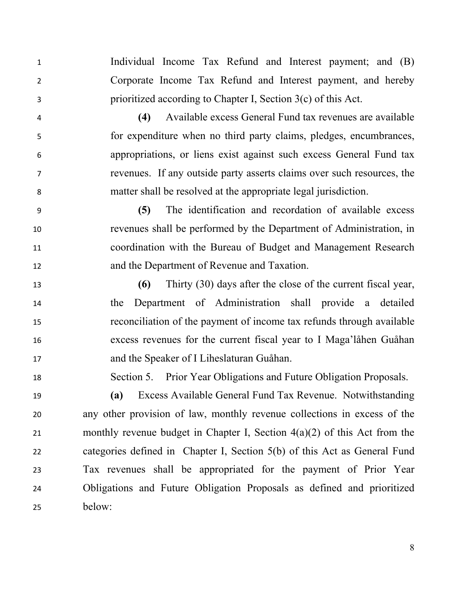Individual Income Tax Refund and Interest payment; and (B) Corporate Income Tax Refund and Interest payment, and hereby prioritized according to Chapter I, Section 3(c) of this Act.

 **(4)** Available excess General Fund tax revenues are available for expenditure when no third party claims, pledges, encumbrances, appropriations, or liens exist against such excess General Fund tax revenues. If any outside party asserts claims over such resources, the matter shall be resolved at the appropriate legal jurisdiction.

 **(5)** The identification and recordation of available excess revenues shall be performed by the Department of Administration, in coordination with the Bureau of Budget and Management Research and the Department of Revenue and Taxation.

 **(6)** Thirty (30) days after the close of the current fiscal year, the Department of Administration shall provide a detailed reconciliation of the payment of income tax refunds through available excess revenues for the current fiscal year to I Maga'låhen Guåhan and the Speaker of I Liheslaturan Guåhan.

Section 5. Prior Year Obligations and Future Obligation Proposals.

 **(a)** Excess Available General Fund Tax Revenue. Notwithstanding any other provision of law, monthly revenue collections in excess of the monthly revenue budget in Chapter I, Section 4(a)(2) of this Act from the categories defined in Chapter I, Section 5(b) of this Act as General Fund Tax revenues shall be appropriated for the payment of Prior Year Obligations and Future Obligation Proposals as defined and prioritized below: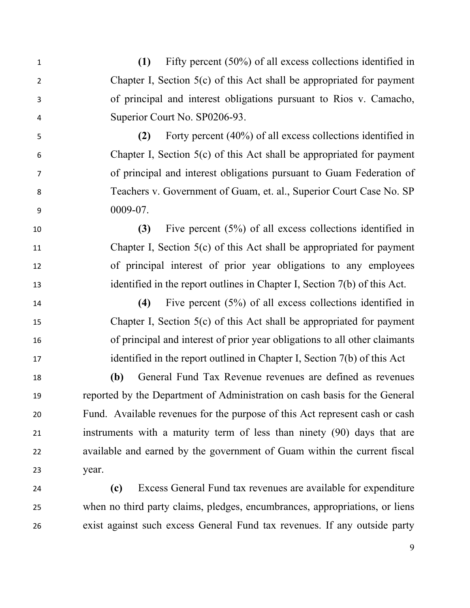**(1)** Fifty percent (50%) of all excess collections identified in Chapter I, Section 5(c) of this Act shall be appropriated for payment of principal and interest obligations pursuant to Rios v. Camacho, Superior Court No. SP0206-93.

 **(2)** Forty percent (40%) of all excess collections identified in Chapter I, Section 5(c) of this Act shall be appropriated for payment of principal and interest obligations pursuant to Guam Federation of Teachers v. Government of Guam, et. al., Superior Court Case No. SP 0009-07.

 **(3)** Five percent (5%) of all excess collections identified in Chapter I, Section 5(c) of this Act shall be appropriated for payment of principal interest of prior year obligations to any employees identified in the report outlines in Chapter I, Section 7(b) of this Act.

 **(4)** Five percent (5%) of all excess collections identified in Chapter I, Section 5(c) of this Act shall be appropriated for payment of principal and interest of prior year obligations to all other claimants identified in the report outlined in Chapter I, Section 7(b) of this Act

 **(b)** General Fund Tax Revenue revenues are defined as revenues reported by the Department of Administration on cash basis for the General Fund. Available revenues for the purpose of this Act represent cash or cash instruments with a maturity term of less than ninety (90) days that are available and earned by the government of Guam within the current fiscal year.

 **(c)** Excess General Fund tax revenues are available for expenditure when no third party claims, pledges, encumbrances, appropriations, or liens exist against such excess General Fund tax revenues. If any outside party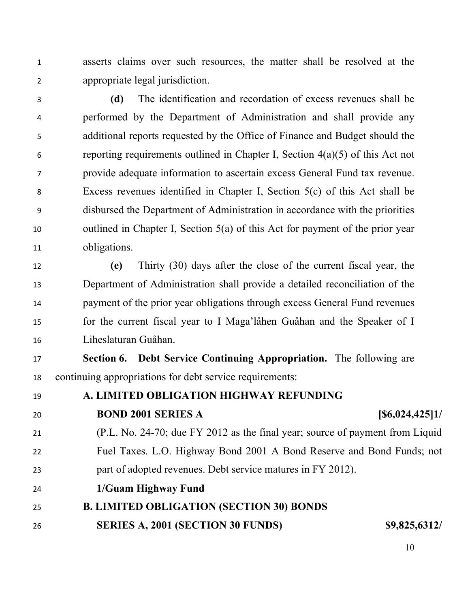asserts claims over such resources, the matter shall be resolved at the appropriate legal jurisdiction.

 **(d)** The identification and recordation of excess revenues shall be performed by the Department of Administration and shall provide any additional reports requested by the Office of Finance and Budget should the reporting requirements outlined in Chapter I, Section 4(a)(5) of this Act not provide adequate information to ascertain excess General Fund tax revenue. Excess revenues identified in Chapter I, Section 5(c) of this Act shall be disbursed the Department of Administration in accordance with the priorities outlined in Chapter I, Section 5(a) of this Act for payment of the prior year obligations.

 **(e)** Thirty (30) days after the close of the current fiscal year, the Department of Administration shall provide a detailed reconciliation of the payment of the prior year obligations through excess General Fund revenues for the current fiscal year to I Maga'låhen Guåhan and the Speaker of I Liheslaturan Guåhan.

 **Section 6. Debt Service Continuing Appropriation.** The following are continuing appropriations for debt service requirements:

 **A. LIMITED OBLIGATION HIGHWAY REFUNDING BOND 2001 SERIES A [\$6,024,425]1/**  (P.L. No. 24-70; due FY 2012 as the final year; source of payment from Liquid Fuel Taxes. L.O. Highway Bond 2001 A Bond Reserve and Bond Funds; not part of adopted revenues. Debt service matures in FY 2012). **1/Guam Highway Fund B. LIMITED OBLIGATION (SECTION 30) BONDS SERIES A, 2001 (SECTION 30 FUNDS) \$9,825,6312/**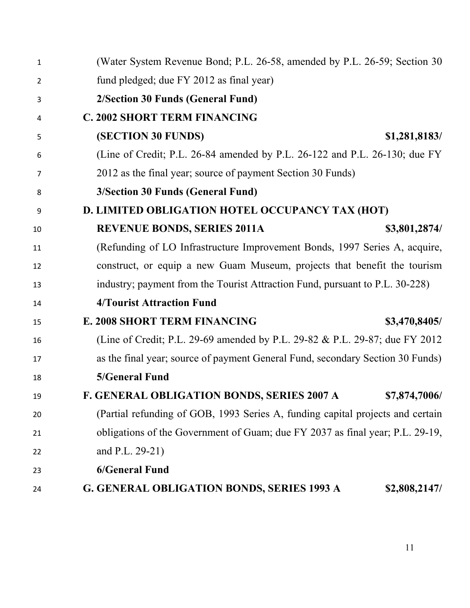| $\mathbf{1}$   | (Water System Revenue Bond; P.L. 26-58, amended by P.L. 26-59; Section 30      |
|----------------|--------------------------------------------------------------------------------|
| $\overline{2}$ | fund pledged; due FY 2012 as final year)                                       |
| 3              | 2/Section 30 Funds (General Fund)                                              |
| 4              | <b>C. 2002 SHORT TERM FINANCING</b>                                            |
| 5              | <b>(SECTION 30 FUNDS)</b><br>\$1,281,8183/                                     |
| 6              | (Line of Credit; P.L. 26-84 amended by P.L. 26-122 and P.L. 26-130; due FY     |
| 7              | 2012 as the final year; source of payment Section 30 Funds)                    |
| 8              | 3/Section 30 Funds (General Fund)                                              |
| 9              | D. LIMITED OBLIGATION HOTEL OCCUPANCY TAX (HOT)                                |
| 10             | <b>REVENUE BONDS, SERIES 2011A</b><br>\$3,801,2874/                            |
| 11             | (Refunding of LO Infrastructure Improvement Bonds, 1997 Series A, acquire,     |
| 12             | construct, or equip a new Guam Museum, projects that benefit the tourism       |
| 13             | industry; payment from the Tourist Attraction Fund, pursuant to P.L. 30-228)   |
| 14             | <b>4/Tourist Attraction Fund</b>                                               |
| 15             | <b>E. 2008 SHORT TERM FINANCING</b><br>\$3,470,8405/                           |
| 16             | (Line of Credit; P.L. 29-69 amended by P.L. 29-82 & P.L. 29-87; due FY 2012)   |
| 17             | as the final year; source of payment General Fund, secondary Section 30 Funds) |
| 18             | 5/General Fund                                                                 |
| 19             | <b>F. GENERAL OBLIGATION BONDS, SERIES 2007 A</b><br>\$7,874,7006/             |
| 20             | (Partial refunding of GOB, 1993 Series A, funding capital projects and certain |
| 21             | obligations of the Government of Guam; due FY 2037 as final year; P.L. 29-19,  |
| 22             | and P.L. 29-21)                                                                |
| 23             | <b>6/General Fund</b>                                                          |
| 24             | <b>G. GENERAL OBLIGATION BONDS, SERIES 1993 A</b><br>\$2,808,2147/             |
|                |                                                                                |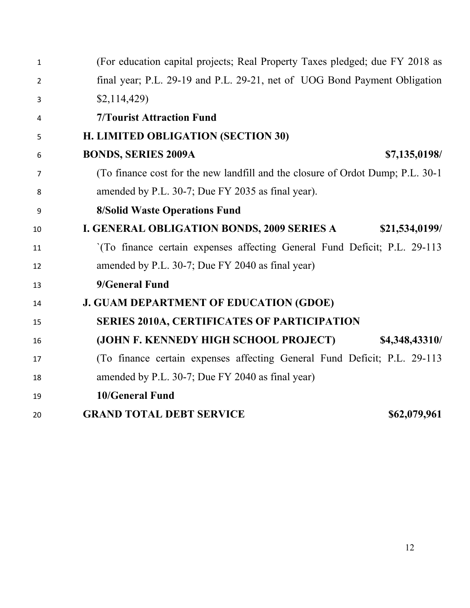| $\mathbf{1}$ | (For education capital projects; Real Property Taxes pledged; due FY 2018 as   |
|--------------|--------------------------------------------------------------------------------|
| 2            | final year; P.L. 29-19 and P.L. 29-21, net of UOG Bond Payment Obligation      |
| 3            | \$2,114,429                                                                    |
| 4            | <b>7/Tourist Attraction Fund</b>                                               |
| 5            | H. LIMITED OBLIGATION (SECTION 30)                                             |
| 6            | <b>BONDS, SERIES 2009A</b><br>\$7,135,0198/                                    |
| 7            | (To finance cost for the new landfill and the closure of Ordot Dump; P.L. 30-1 |
| 8            | amended by P.L. 30-7; Due FY 2035 as final year).                              |
| 9            | <b>8/Solid Waste Operations Fund</b>                                           |
| 10           | I. GENERAL OBLIGATION BONDS, 2009 SERIES A<br>\$21,534,0199/                   |
| 11           | '(To finance certain expenses affecting General Fund Deficit; P.L. 29-113)     |
| 12           | amended by P.L. 30-7; Due FY 2040 as final year)                               |
| 13           | 9/General Fund                                                                 |
| 14           | <b>J. GUAM DEPARTMENT OF EDUCATION (GDOE)</b>                                  |
| 15           | <b>SERIES 2010A, CERTIFICATES OF PARTICIPATION</b>                             |
| 16           | (JOHN F. KENNEDY HIGH SCHOOL PROJECT)<br>\$4,348,43310/                        |
| 17           | (To finance certain expenses affecting General Fund Deficit; P.L. 29-113       |
| 18           | amended by P.L. 30-7; Due FY 2040 as final year)                               |
| 19           | <b>10/General Fund</b>                                                         |
| 20           | <b>GRAND TOTAL DEBT SERVICE</b><br>\$62,079,961                                |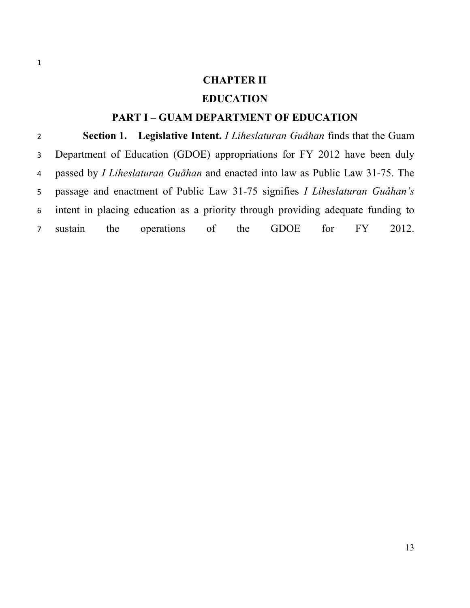# **CHAPTER II**

### **EDUCATION**

## **PART I – GUAM DEPARTMENT OF EDUCATION**

 **Section 1. Legislative Intent.** *I Liheslaturan Guåhan* finds that the Guam Department of Education (GDOE) appropriations for FY 2012 have been duly passed by *I Liheslaturan Guåhan* and enacted into law as Public Law 31-75. The passage and enactment of Public Law 31-75 signifies *I Liheslaturan Guåhan's*  intent in placing education as a priority through providing adequate funding to sustain the operations of the GDOE for FY 2012.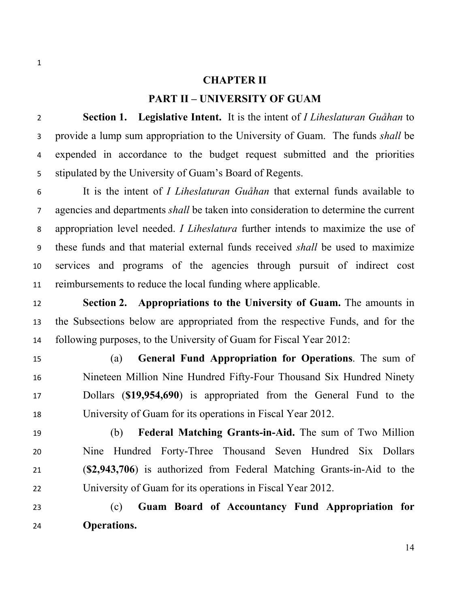#### **CHAPTER II**

#### **PART II – UNIVERSITY OF GUAM**

 **Section 1. Legislative Intent.** It is the intent of *I Liheslaturan Guåhan* to provide a lump sum appropriation to the University of Guam. The funds *shall* be expended in accordance to the budget request submitted and the priorities stipulated by the University of Guam's Board of Regents.

 It is the intent of *I Liheslaturan Guåhan* that external funds available to agencies and departments *shall* be taken into consideration to determine the current appropriation level needed. *I Liheslatura* further intends to maximize the use of these funds and that material external funds received *shall* be used to maximize services and programs of the agencies through pursuit of indirect cost reimbursements to reduce the local funding where applicable.

 **Section 2. Appropriations to the University of Guam.** The amounts in the Subsections below are appropriated from the respective Funds, and for the following purposes, to the University of Guam for Fiscal Year 2012:

 (a) **General Fund Appropriation for Operations**. The sum of Nineteen Million Nine Hundred Fifty-Four Thousand Six Hundred Ninety Dollars (**\$19,954,690**) is appropriated from the General Fund to the University of Guam for its operations in Fiscal Year 2012.

 (b) **Federal Matching Grants-in-Aid.** The sum of Two Million Nine Hundred Forty-Three Thousand Seven Hundred Six Dollars (**\$2,943,706**) is authorized from Federal Matching Grants-in-Aid to the University of Guam for its operations in Fiscal Year 2012.

 (c) **Guam Board of Accountancy Fund Appropriation for Operations.**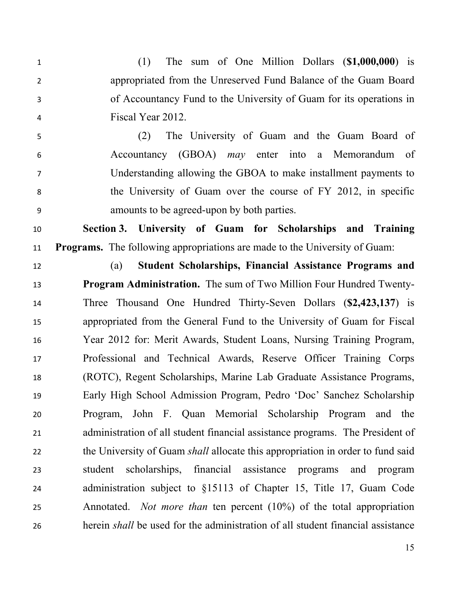(1) The sum of One Million Dollars (**\$1,000,000**) is appropriated from the Unreserved Fund Balance of the Guam Board of Accountancy Fund to the University of Guam for its operations in Fiscal Year 2012.

 (2) The University of Guam and the Guam Board of Accountancy (GBOA) *may* enter into a Memorandum of Understanding allowing the GBOA to make installment payments to the University of Guam over the course of FY 2012, in specific amounts to be agreed-upon by both parties.

 **Section 3. University of Guam for Scholarships and Training Programs.** The following appropriations are made to the University of Guam:

 (a) **Student Scholarships, Financial Assistance Programs and Program Administration.** The sum of Two Million Four Hundred Twenty- Three Thousand One Hundred Thirty-Seven Dollars (**\$2,423,137**) is appropriated from the General Fund to the University of Guam for Fiscal Year 2012 for: Merit Awards, Student Loans, Nursing Training Program, Professional and Technical Awards, Reserve Officer Training Corps (ROTC), Regent Scholarships, Marine Lab Graduate Assistance Programs, Early High School Admission Program, Pedro 'Doc' Sanchez Scholarship Program, John F. Quan Memorial Scholarship Program and the administration of all student financial assistance programs. The President of the University of Guam *shall* allocate this appropriation in order to fund said student scholarships, financial assistance programs and program administration subject to §15113 of Chapter 15, Title 17, Guam Code Annotated. *Not more than* ten percent (10%) of the total appropriation

herein *shall* be used for the administration of all student financial assistance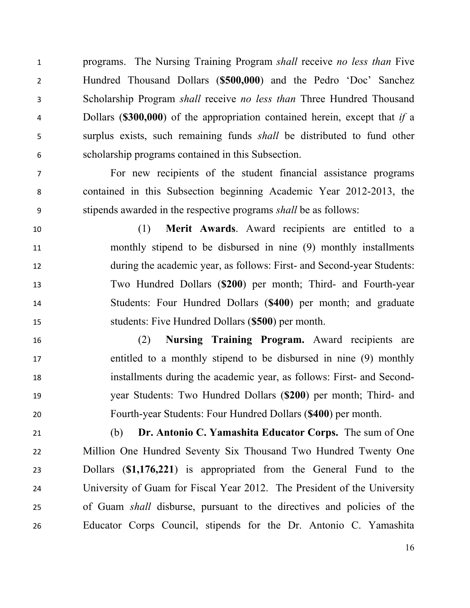programs. The Nursing Training Program *shall* receive *no less than* Five Hundred Thousand Dollars (**\$500,000**) and the Pedro 'Doc' Sanchez Scholarship Program *shall* receive *no less than* Three Hundred Thousand Dollars (**\$300,000**) of the appropriation contained herein, except that *if* a surplus exists, such remaining funds *shall* be distributed to fund other scholarship programs contained in this Subsection.

 For new recipients of the student financial assistance programs contained in this Subsection beginning Academic Year 2012-2013, the stipends awarded in the respective programs *shall* be as follows:

 (1) **Merit Awards**. Award recipients are entitled to a monthly stipend to be disbursed in nine (9) monthly installments during the academic year, as follows: First- and Second-year Students: Two Hundred Dollars (**\$200**) per month; Third- and Fourth-year Students: Four Hundred Dollars (**\$400**) per month; and graduate students: Five Hundred Dollars (**\$500**) per month.

 (2) **Nursing Training Program.** Award recipients are entitled to a monthly stipend to be disbursed in nine (9) monthly installments during the academic year, as follows: First- and Second- year Students: Two Hundred Dollars (**\$200**) per month; Third- and Fourth-year Students: Four Hundred Dollars (**\$400**) per month.

 (b) **Dr. Antonio C. Yamashita Educator Corps.** The sum of One Million One Hundred Seventy Six Thousand Two Hundred Twenty One Dollars (**\$1,176,221**) is appropriated from the General Fund to the University of Guam for Fiscal Year 2012. The President of the University of Guam *shall* disburse, pursuant to the directives and policies of the Educator Corps Council, stipends for the Dr. Antonio C. Yamashita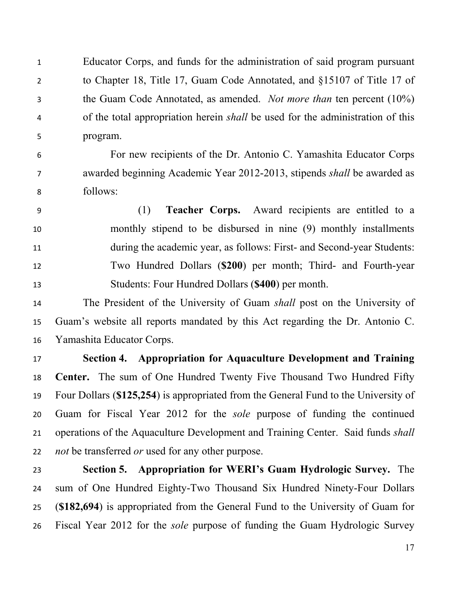Educator Corps, and funds for the administration of said program pursuant to Chapter 18, Title 17, Guam Code Annotated, and §15107 of Title 17 of the Guam Code Annotated, as amended. *Not more than* ten percent (10%) of the total appropriation herein *shall* be used for the administration of this program.

 For new recipients of the Dr. Antonio C. Yamashita Educator Corps awarded beginning Academic Year 2012-2013, stipends *shall* be awarded as follows:

 (1) **Teacher Corps.** Award recipients are entitled to a monthly stipend to be disbursed in nine (9) monthly installments during the academic year, as follows: First- and Second-year Students: Two Hundred Dollars (**\$200**) per month; Third- and Fourth-year Students: Four Hundred Dollars (**\$400**) per month.

 The President of the University of Guam *shall* post on the University of Guam's website all reports mandated by this Act regarding the Dr. Antonio C. Yamashita Educator Corps.

 **Section 4. Appropriation for Aquaculture Development and Training Center.** The sum of One Hundred Twenty Five Thousand Two Hundred Fifty Four Dollars (**\$125,254**) is appropriated from the General Fund to the University of Guam for Fiscal Year 2012 for the *sole* purpose of funding the continued operations of the Aquaculture Development and Training Center. Said funds *shall not* be transferred *or* used for any other purpose.

 **Section 5. Appropriation for WERI's Guam Hydrologic Survey.** The sum of One Hundred Eighty-Two Thousand Six Hundred Ninety-Four Dollars (**\$182,694**) is appropriated from the General Fund to the University of Guam for Fiscal Year 2012 for the *sole* purpose of funding the Guam Hydrologic Survey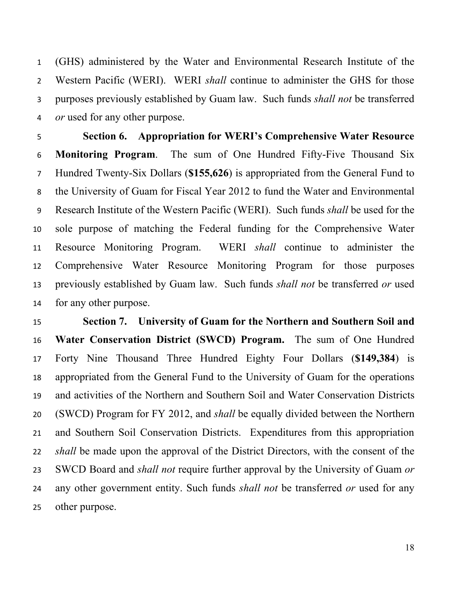(GHS) administered by the Water and Environmental Research Institute of the Western Pacific (WERI). WERI *shall* continue to administer the GHS for those purposes previously established by Guam law. Such funds *shall not* be transferred *or* used for any other purpose.

 **Section 6. Appropriation for WERI's Comprehensive Water Resource Monitoring Program**. The sum of One Hundred Fifty-Five Thousand Six Hundred Twenty-Six Dollars (**\$155,626**) is appropriated from the General Fund to the University of Guam for Fiscal Year 2012 to fund the Water and Environmental Research Institute of the Western Pacific (WERI). Such funds *shall* be used for the sole purpose of matching the Federal funding for the Comprehensive Water Resource Monitoring Program. WERI *shall* continue to administer the Comprehensive Water Resource Monitoring Program for those purposes previously established by Guam law. Such funds *shall not* be transferred *or* used for any other purpose.

 **Section 7. University of Guam for the Northern and Southern Soil and Water Conservation District (SWCD) Program.** The sum of One Hundred Forty Nine Thousand Three Hundred Eighty Four Dollars (**\$149,384**) is appropriated from the General Fund to the University of Guam for the operations and activities of the Northern and Southern Soil and Water Conservation Districts (SWCD) Program for FY 2012, and *shall* be equally divided between the Northern and Southern Soil Conservation Districts. Expenditures from this appropriation *shall* be made upon the approval of the District Directors, with the consent of the SWCD Board and *shall not* require further approval by the University of Guam *or* any other government entity. Such funds *shall not* be transferred *or* used for any other purpose.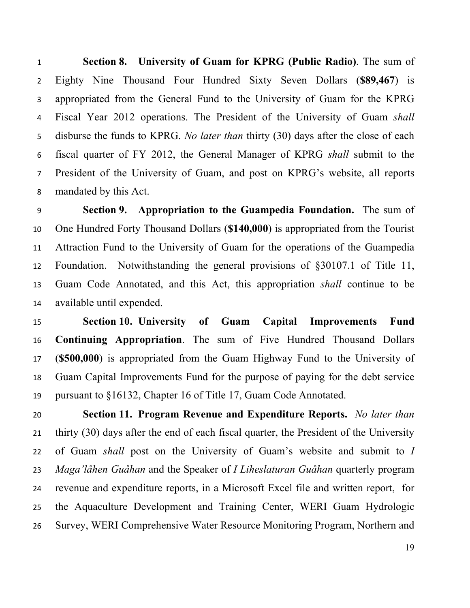**Section 8. University of Guam for KPRG (Public Radio)**. The sum of Eighty Nine Thousand Four Hundred Sixty Seven Dollars (**\$89,467**) is appropriated from the General Fund to the University of Guam for the KPRG Fiscal Year 2012 operations. The President of the University of Guam *shall* disburse the funds to KPRG. *No later than* thirty (30) days after the close of each fiscal quarter of FY 2012, the General Manager of KPRG *shall* submit to the President of the University of Guam, and post on KPRG's website, all reports mandated by this Act.

 **Section 9. Appropriation to the Guampedia Foundation.** The sum of One Hundred Forty Thousand Dollars (**\$140,000**) is appropriated from the Tourist Attraction Fund to the University of Guam for the operations of the Guampedia Foundation. Notwithstanding the general provisions of §30107.1 of Title 11, Guam Code Annotated, and this Act, this appropriation *shall* continue to be available until expended.

 **Section 10. University of Guam Capital Improvements Fund Continuing Appropriation**. The sum of Five Hundred Thousand Dollars (**\$500,000**) is appropriated from the Guam Highway Fund to the University of Guam Capital Improvements Fund for the purpose of paying for the debt service pursuant to §16132, Chapter 16 of Title 17, Guam Code Annotated.

 **Section 11. Program Revenue and Expenditure Reports.** *No later than* thirty (30) days after the end of each fiscal quarter, the President of the University of Guam *shall* post on the University of Guam's website and submit to *I Maga'låhen Guåhan* and the Speaker of *I Liheslaturan Guåhan* quarterly program revenue and expenditure reports, in a Microsoft Excel file and written report, for the Aquaculture Development and Training Center, WERI Guam Hydrologic Survey, WERI Comprehensive Water Resource Monitoring Program, Northern and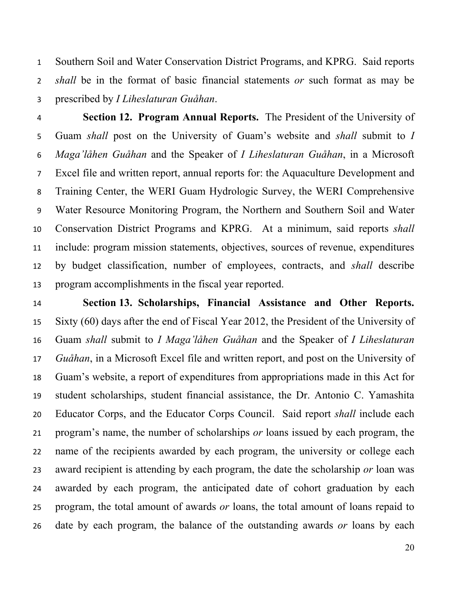Southern Soil and Water Conservation District Programs, and KPRG. Said reports *shall* be in the format of basic financial statements *or* such format as may be prescribed by *I Liheslaturan Guåhan*.

 **Section 12. Program Annual Reports.** The President of the University of Guam *shall* post on the University of Guam's website and *shall* submit to *I Maga'låhen Guåhan* and the Speaker of *I Liheslaturan Guåhan*, in a Microsoft Excel file and written report, annual reports for: the Aquaculture Development and Training Center, the WERI Guam Hydrologic Survey, the WERI Comprehensive Water Resource Monitoring Program, the Northern and Southern Soil and Water Conservation District Programs and KPRG. At a minimum, said reports *shall* include: program mission statements, objectives, sources of revenue, expenditures by budget classification, number of employees, contracts, and *shall* describe program accomplishments in the fiscal year reported.

 **Section 13. Scholarships, Financial Assistance and Other Reports.** Sixty (60) days after the end of Fiscal Year 2012, the President of the University of Guam *shall* submit to *I Maga'låhen Guåhan* and the Speaker of *I Liheslaturan Guåhan*, in a Microsoft Excel file and written report, and post on the University of Guam's website, a report of expenditures from appropriations made in this Act for student scholarships, student financial assistance, the Dr. Antonio C. Yamashita Educator Corps, and the Educator Corps Council. Said report *shall* include each program's name, the number of scholarships *or* loans issued by each program, the name of the recipients awarded by each program, the university or college each award recipient is attending by each program, the date the scholarship *or* loan was awarded by each program, the anticipated date of cohort graduation by each program, the total amount of awards *or* loans, the total amount of loans repaid to date by each program, the balance of the outstanding awards *or* loans by each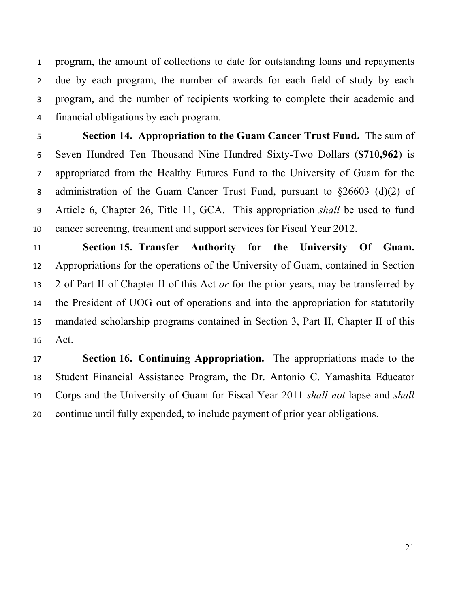program, the amount of collections to date for outstanding loans and repayments due by each program, the number of awards for each field of study by each program, and the number of recipients working to complete their academic and financial obligations by each program.

 **Section 14. Appropriation to the Guam Cancer Trust Fund.** The sum of Seven Hundred Ten Thousand Nine Hundred Sixty-Two Dollars (**\$710,962**) is appropriated from the Healthy Futures Fund to the University of Guam for the administration of the Guam Cancer Trust Fund, pursuant to §26603 (d)(2) of Article 6, Chapter 26, Title 11, GCA. This appropriation *shall* be used to fund cancer screening, treatment and support services for Fiscal Year 2012.

 **Section 15. Transfer Authority for the University Of Guam.** Appropriations for the operations of the University of Guam, contained in Section 2 of Part II of Chapter II of this Act *or* for the prior years, may be transferred by the President of UOG out of operations and into the appropriation for statutorily mandated scholarship programs contained in Section 3, Part II, Chapter II of this Act.

 **Section 16. Continuing Appropriation.** The appropriations made to the Student Financial Assistance Program, the Dr. Antonio C. Yamashita Educator Corps and the University of Guam for Fiscal Year 2011 *shall not* lapse and *shall* continue until fully expended, to include payment of prior year obligations.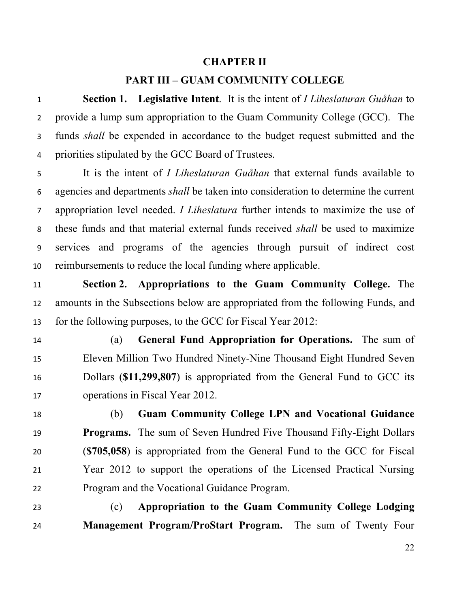#### **CHAPTER II**

### **PART III – GUAM COMMUNITY COLLEGE**

 **Section 1. Legislative Intent**. It is the intent of *I Liheslaturan Guåhan* to provide a lump sum appropriation to the Guam Community College (GCC). The funds *shall* be expended in accordance to the budget request submitted and the priorities stipulated by the GCC Board of Trustees.

 It is the intent of *I Liheslaturan Guåhan* that external funds available to agencies and departments *shall* be taken into consideration to determine the current appropriation level needed. *I Liheslatura* further intends to maximize the use of these funds and that material external funds received *shall* be used to maximize services and programs of the agencies through pursuit of indirect cost reimbursements to reduce the local funding where applicable.

 **Section 2. Appropriations to the Guam Community College.** The amounts in the Subsections below are appropriated from the following Funds, and for the following purposes, to the GCC for Fiscal Year 2012:

 (a) **General Fund Appropriation for Operations.** The sum of Eleven Million Two Hundred Ninety-Nine Thousand Eight Hundred Seven Dollars (**\$11,299,807**) is appropriated from the General Fund to GCC its operations in Fiscal Year 2012.

 (b) **Guam Community College LPN and Vocational Guidance Programs.** The sum of Seven Hundred Five Thousand Fifty-Eight Dollars (**\$705,058**) is appropriated from the General Fund to the GCC for Fiscal Year 2012 to support the operations of the Licensed Practical Nursing Program and the Vocational Guidance Program.

 (c) **Appropriation to the Guam Community College Lodging Management Program/ProStart Program.** The sum of Twenty Four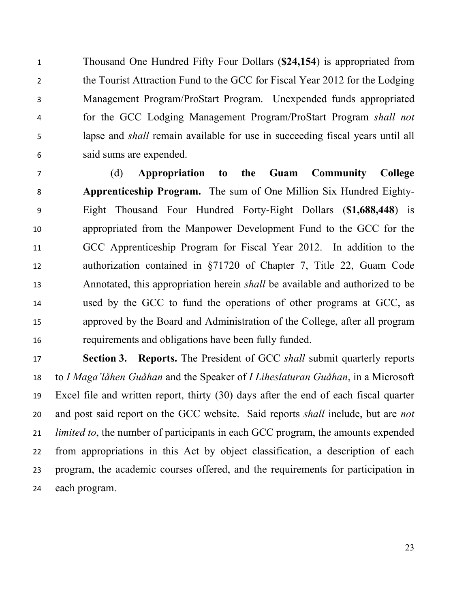Thousand One Hundred Fifty Four Dollars (**\$24,154**) is appropriated from the Tourist Attraction Fund to the GCC for Fiscal Year 2012 for the Lodging Management Program/ProStart Program. Unexpended funds appropriated for the GCC Lodging Management Program/ProStart Program *shall not* lapse and *shall* remain available for use in succeeding fiscal years until all said sums are expended.

 (d) **Appropriation to the Guam Community College Apprenticeship Program.** The sum of One Million Six Hundred Eighty- Eight Thousand Four Hundred Forty-Eight Dollars (**\$1,688,448**) is appropriated from the Manpower Development Fund to the GCC for the GCC Apprenticeship Program for Fiscal Year 2012. In addition to the authorization contained in §71720 of Chapter 7, Title 22, Guam Code Annotated, this appropriation herein *shall* be available and authorized to be used by the GCC to fund the operations of other programs at GCC, as approved by the Board and Administration of the College, after all program requirements and obligations have been fully funded.

 **Section 3. Reports.** The President of GCC *shall* submit quarterly reports to *I Maga'låhen Guåhan* and the Speaker of *I Liheslaturan Guåhan*, in a Microsoft Excel file and written report, thirty (30) days after the end of each fiscal quarter and post said report on the GCC website. Said reports *shall* include, but are *not limited to*, the number of participants in each GCC program, the amounts expended from appropriations in this Act by object classification, a description of each program, the academic courses offered, and the requirements for participation in each program.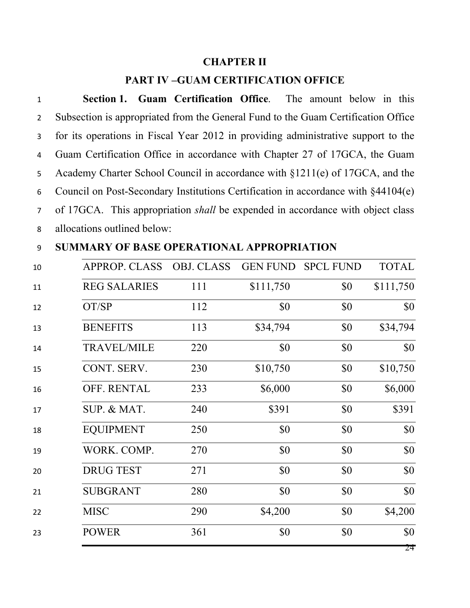# **CHAPTER II**

## **PART IV –GUAM CERTIFICATION OFFICE**

| $\mathbf{1}$   | <b>Section 1. Guam Certification Office.</b> The amount below in this                 |
|----------------|---------------------------------------------------------------------------------------|
| $2^{\circ}$    | Subsection is appropriated from the General Fund to the Guam Certification Office     |
| 3 <sup>7</sup> | for its operations in Fiscal Year 2012 in providing administrative support to the     |
| $4 \quad$      | Guam Certification Office in accordance with Chapter 27 of 17GCA, the Guam            |
|                | 5 Academy Charter School Council in accordance with §1211(e) of 17GCA, and the        |
|                | 6 Council on Post-Secondary Institutions Certification in accordance with §44104(e)   |
| $7^{\circ}$    | of 17GCA. This appropriation <i>shall</i> be expended in accordance with object class |
| 8              | allocations outlined below:                                                           |

# **SUMMARY OF BASE OPERATIONAL APPROPRIATION**

| 10 | <b>APPROP. CLASS</b> | <b>OBJ. CLASS</b> |           | <b>GEN FUND SPCL FUND</b> | <b>TOTAL</b> |
|----|----------------------|-------------------|-----------|---------------------------|--------------|
| 11 | <b>REG SALARIES</b>  | 111               | \$111,750 | \$0                       | \$111,750    |
| 12 | OT/SP                | 112               | \$0       | \$0                       | \$0          |
| 13 | <b>BENEFITS</b>      | 113               | \$34,794  | \$0                       | \$34,794     |
| 14 | <b>TRAVEL/MILE</b>   | 220               | \$0       | \$0                       | \$0          |
| 15 | CONT. SERV.          | 230               | \$10,750  | \$0                       | \$10,750     |
| 16 | OFF. RENTAL          | 233               | \$6,000   | \$0                       | \$6,000      |
| 17 | SUP. & MAT.          | 240               | \$391     | \$0                       | \$391        |
| 18 | <b>EQUIPMENT</b>     | 250               | \$0       | \$0                       | \$0          |
| 19 | WORK. COMP.          | 270               | \$0       | \$0                       | \$0          |
| 20 | <b>DRUG TEST</b>     | 271               | \$0       | \$0                       | \$0          |
| 21 | <b>SUBGRANT</b>      | 280               | \$0       | \$0                       | \$0          |
| 22 | <b>MISC</b>          | 290               | \$4,200   | \$0                       | \$4,200      |
| 23 | <b>POWER</b>         | 361               | \$0       | \$0                       | \$0          |
|    |                      |                   |           |                           | 24           |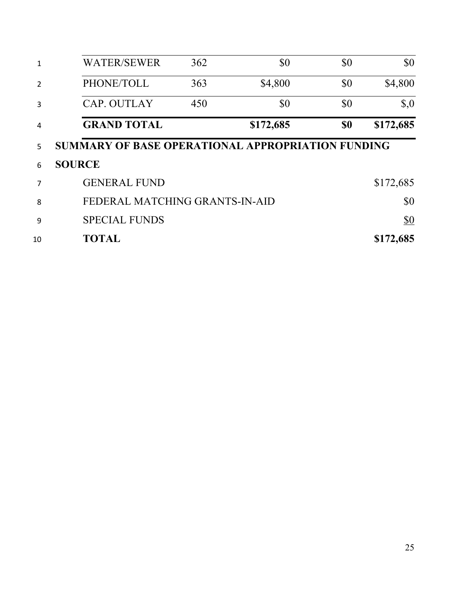|                | <b>WATER/SEWER</b>                                | 362 | \$0       | \$0 | \$0                                |
|----------------|---------------------------------------------------|-----|-----------|-----|------------------------------------|
| $\overline{2}$ | PHONE/TOLL                                        | 363 | \$4,800   | \$0 | \$4,800                            |
| 3              | <b>CAP. OUTLAY</b>                                | 450 | \$0       | \$0 | $\boldsymbol{\mathsf{S}}\text{,}0$ |
| 4              | <b>GRAND TOTAL</b>                                |     | \$172,685 | \$0 | \$172,685                          |
| 5              | SUMMARY OF BASE OPERATIONAL APPROPRIATION FUNDING |     |           |     |                                    |
| 6              | <b>SOURCE</b>                                     |     |           |     |                                    |
| 7              | <b>GENERAL FUND</b>                               |     |           |     | \$172,685                          |
| 8              | FEDERAL MATCHING GRANTS-IN-AID                    |     |           |     | \$0                                |
| 9              | <b>SPECIAL FUNDS</b>                              |     |           |     | <u>\$0</u>                         |
| 10             | <b>TOTAL</b>                                      |     |           |     | \$172,685                          |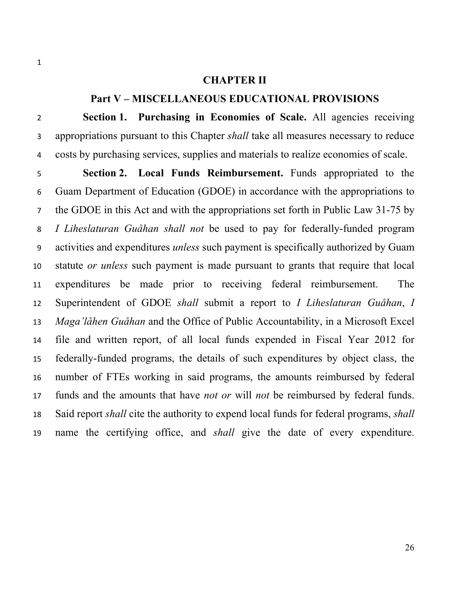#### **CHAPTER II**

# **Part V – MISCELLANEOUS EDUCATIONAL PROVISIONS**

 **Section 1. Purchasing in Economies of Scale.** All agencies receiving appropriations pursuant to this Chapter *shall* take all measures necessary to reduce costs by purchasing services, supplies and materials to realize economies of scale.

 **Section 2. Local Funds Reimbursement.** Funds appropriated to the Guam Department of Education (GDOE) in accordance with the appropriations to the GDOE in this Act and with the appropriations set forth in Public Law 31-75 by *I Liheslaturan Guåhan shall not* be used to pay for federally-funded program activities and expenditures *unless* such payment is specifically authorized by Guam statute *or unless* such payment is made pursuant to grants that require that local expenditures be made prior to receiving federal reimbursement. The Superintendent of GDOE *shall* submit a report to *I Liheslaturan Guåhan*, *I Maga'låhen Guåhan* and the Office of Public Accountability, in a Microsoft Excel file and written report, of all local funds expended in Fiscal Year 2012 for federally-funded programs, the details of such expenditures by object class, the number of FTEs working in said programs, the amounts reimbursed by federal funds and the amounts that have *not or* will *not* be reimbursed by federal funds. Said report *shall* cite the authority to expend local funds for federal programs, *shall* name the certifying office, and *shall* give the date of every expenditure.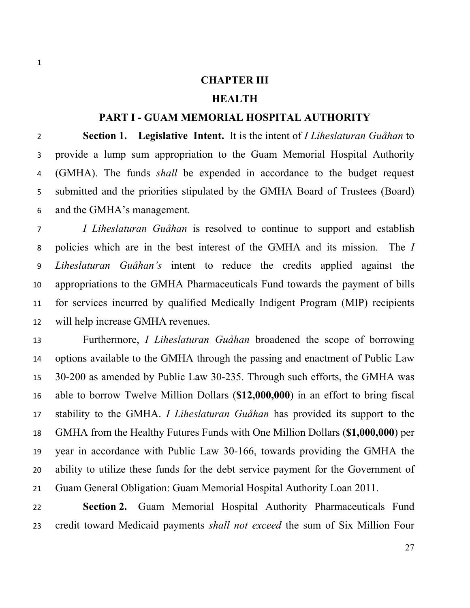#### **CHAPTER III**

### **HEALTH**

#### **PART I - GUAM MEMORIAL HOSPITAL AUTHORITY**

 **Section 1. Legislative Intent.** It is the intent of *I Liheslaturan Guåhan* to provide a lump sum appropriation to the Guam Memorial Hospital Authority (GMHA). The funds *shall* be expended in accordance to the budget request submitted and the priorities stipulated by the GMHA Board of Trustees (Board) and the GMHA's management.

 *I Liheslaturan Guåhan* is resolved to continue to support and establish policies which are in the best interest of the GMHA and its mission. The *I Liheslaturan Guåhan's* intent to reduce the credits applied against the appropriations to the GMHA Pharmaceuticals Fund towards the payment of bills for services incurred by qualified Medically Indigent Program (MIP) recipients will help increase GMHA revenues.

 Furthermore, *I Liheslaturan Guåhan* broadened the scope of borrowing options available to the GMHA through the passing and enactment of Public Law 30-200 as amended by Public Law 30-235. Through such efforts, the GMHA was able to borrow Twelve Million Dollars (**\$12,000,000**) in an effort to bring fiscal stability to the GMHA. *I Liheslaturan Guåhan* has provided its support to the GMHA from the Healthy Futures Funds with One Million Dollars (**\$1,000,000**) per year in accordance with Public Law 30-166, towards providing the GMHA the ability to utilize these funds for the debt service payment for the Government of Guam General Obligation: Guam Memorial Hospital Authority Loan 2011.

 **Section 2.** Guam Memorial Hospital Authority Pharmaceuticals Fund credit toward Medicaid payments *shall not exceed* the sum of Six Million Four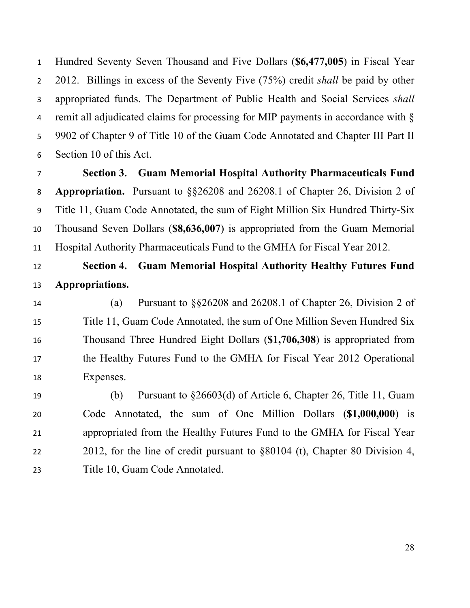Hundred Seventy Seven Thousand and Five Dollars (**\$6,477,005**) in Fiscal Year 2012. Billings in excess of the Seventy Five (75%) credit *shall* be paid by other appropriated funds. The Department of Public Health and Social Services *shall* remit all adjudicated claims for processing for MIP payments in accordance with § 9902 of Chapter 9 of Title 10 of the Guam Code Annotated and Chapter III Part II Section 10 of this Act.

 **Section 3. Guam Memorial Hospital Authority Pharmaceuticals Fund Appropriation.** Pursuant to §§26208 and 26208.1 of Chapter 26, Division 2 of Title 11, Guam Code Annotated, the sum of Eight Million Six Hundred Thirty-Six Thousand Seven Dollars (**\$8,636,007**) is appropriated from the Guam Memorial Hospital Authority Pharmaceuticals Fund to the GMHA for Fiscal Year 2012.

# **Section 4. Guam Memorial Hospital Authority Healthy Futures Fund Appropriations.**

 (a) Pursuant to §§26208 and 26208.1 of Chapter 26, Division 2 of Title 11, Guam Code Annotated, the sum of One Million Seven Hundred Six Thousand Three Hundred Eight Dollars (**\$1,706,308**) is appropriated from the Healthy Futures Fund to the GMHA for Fiscal Year 2012 Operational Expenses.

 (b) Pursuant to §26603(d) of Article 6, Chapter 26, Title 11, Guam Code Annotated, the sum of One Million Dollars (**\$1,000,000**) is appropriated from the Healthy Futures Fund to the GMHA for Fiscal Year 2012, for the line of credit pursuant to §80104 (t), Chapter 80 Division 4, Title 10, Guam Code Annotated.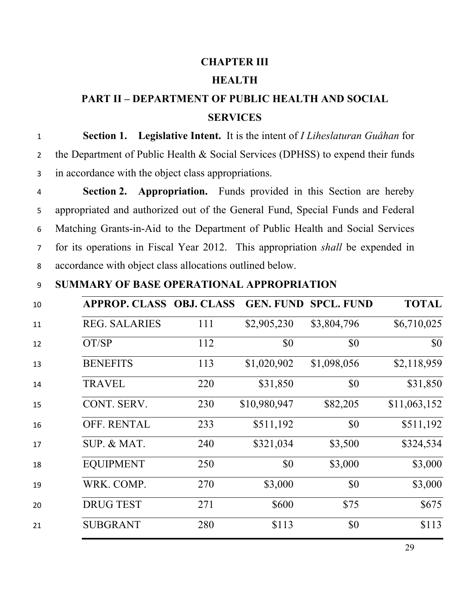#### **CHAPTER III**

### **HEALTH**

# **PART II – DEPARTMENT OF PUBLIC HEALTH AND SOCIAL SERVICES**

 **Section 1. Legislative Intent.** It is the intent of *I Liheslaturan Guåhan* for the Department of Public Health & Social Services (DPHSS) to expend their funds in accordance with the object class appropriations.

 **Section 2. Appropriation.** Funds provided in this Section are hereby appropriated and authorized out of the General Fund, Special Funds and Federal Matching Grants-in-Aid to the Department of Public Health and Social Services for its operations in Fiscal Year 2012. This appropriation *shall* be expended in accordance with object class allocations outlined below.

### **SUMMARY OF BASE OPERATIONAL APPROPRIATION**

|                      | <b>APPROP. CLASS OBJ. CLASS</b> | <b>GEN. FUND</b> | <b>SPCL. FUND</b> | <b>TOTAL</b> |
|----------------------|---------------------------------|------------------|-------------------|--------------|
| <b>REG. SALARIES</b> | 111                             | \$2,905,230      | \$3,804,796       | \$6,710,025  |
| OT/SP                | 112                             | \$0              | \$0               | \$0          |
| <b>BENEFITS</b>      | 113                             | \$1,020,902      | \$1,098,056       | \$2,118,959  |
| <b>TRAVEL</b>        | 220                             | \$31,850         | \$0               | \$31,850     |
| CONT. SERV.          | 230                             | \$10,980,947     | \$82,205          | \$11,063,152 |
| <b>OFF. RENTAL</b>   | 233                             | \$511,192        | \$0               | \$511,192    |
| SUP. & MAT.          | 240                             | \$321,034        | \$3,500           | \$324,534    |
| <b>EQUIPMENT</b>     | 250                             | \$0              | \$3,000           | \$3,000      |
| WRK. COMP.           | 270                             | \$3,000          | \$0               | \$3,000      |
| <b>DRUG TEST</b>     | 271                             | \$600            | \$75              | \$675        |
| <b>SUBGRANT</b>      | 280                             | \$113            | \$0               | \$113        |
|                      |                                 |                  |                   |              |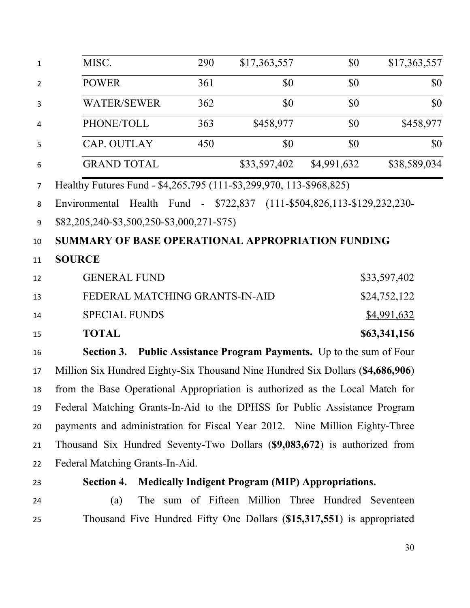| $\mathbf{1}$   | MISC.                                                                          | 290 | \$17,363,557                                              | \$0         | \$17,363,557 |
|----------------|--------------------------------------------------------------------------------|-----|-----------------------------------------------------------|-------------|--------------|
| $\overline{2}$ | <b>POWER</b>                                                                   | 361 | \$0                                                       | \$0         | \$0          |
| 3              | <b>WATER/SEWER</b>                                                             | 362 | \$0                                                       | \$0         | \$0          |
| 4              | PHONE/TOLL                                                                     | 363 | \$458,977                                                 | \$0         | \$458,977    |
| 5              | CAP. OUTLAY                                                                    | 450 | \$0                                                       | \$0         | \$0          |
| 6              | <b>GRAND TOTAL</b>                                                             |     | \$33,597,402                                              | \$4,991,632 | \$38,589,034 |
| $\overline{7}$ | Healthy Futures Fund - \$4,265,795 (111-\$3,299,970, 113-\$968,825)            |     |                                                           |             |              |
| 8              | Environmental                                                                  |     | Health Fund - \$722,837 (111-\$504,826,113-\$129,232,230- |             |              |
| 9              | \$82,205,240-\$3,500,250-\$3,000,271-\$75)                                     |     |                                                           |             |              |
| 10             | SUMMARY OF BASE OPERATIONAL APPROPRIATION FUNDING                              |     |                                                           |             |              |
| 11             | <b>SOURCE</b>                                                                  |     |                                                           |             |              |
| 12             | <b>GENERAL FUND</b>                                                            |     |                                                           |             | \$33,597,402 |
| 13             | FEDERAL MATCHING GRANTS-IN-AID                                                 |     |                                                           |             | \$24,752,122 |
| 14             | <b>SPECIAL FUNDS</b>                                                           |     |                                                           |             | \$4,991,632  |
| 15             | <b>TOTAL</b>                                                                   |     |                                                           |             | \$63,341,156 |
| 16             | <b>Section 3. Public Assistance Program Payments.</b> Up to the sum of Four    |     |                                                           |             |              |
| 17             | Million Six Hundred Eighty-Six Thousand Nine Hundred Six Dollars (\$4,686,906) |     |                                                           |             |              |
| 18             | from the Base Operational Appropriation is authorized as the Local Match for   |     |                                                           |             |              |
| 19             | Federal Matching Grants-In-Aid to the DPHSS for Public Assistance Program      |     |                                                           |             |              |
| 20             | payments and administration for Fiscal Year 2012. Nine Million Eighty-Three    |     |                                                           |             |              |
| 21             | Thousand Six Hundred Seventy-Two Dollars (\$9,083,672) is authorized from      |     |                                                           |             |              |
| 22             | Federal Matching Grants-In-Aid.                                                |     |                                                           |             |              |
| 23             | <b>Section 4.</b>                                                              |     | <b>Medically Indigent Program (MIP) Appropriations.</b>   |             |              |
| 24             | (a)                                                                            |     | The sum of Fifteen Million Three Hundred Seventeen        |             |              |
| 25             | Thousand Five Hundred Fifty One Dollars (\$15,317,551) is appropriated         |     |                                                           |             |              |
|                |                                                                                |     |                                                           |             |              |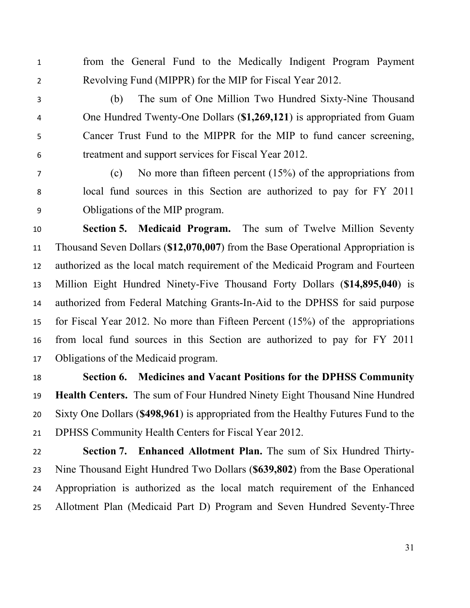from the General Fund to the Medically Indigent Program Payment Revolving Fund (MIPPR) for the MIP for Fiscal Year 2012.

- (b) The sum of One Million Two Hundred Sixty-Nine Thousand One Hundred Twenty-One Dollars (**\$1,269,121**) is appropriated from Guam Cancer Trust Fund to the MIPPR for the MIP to fund cancer screening, treatment and support services for Fiscal Year 2012.
- 

 (c) No more than fifteen percent (15%) of the appropriations from local fund sources in this Section are authorized to pay for FY 2011 Obligations of the MIP program.

 **Section 5. Medicaid Program.** The sum of Twelve Million Seventy Thousand Seven Dollars (**\$12,070,007**) from the Base Operational Appropriation is authorized as the local match requirement of the Medicaid Program and Fourteen Million Eight Hundred Ninety-Five Thousand Forty Dollars (**\$14,895,040**) is authorized from Federal Matching Grants-In-Aid to the DPHSS for said purpose for Fiscal Year 2012. No more than Fifteen Percent (15%) of the appropriations from local fund sources in this Section are authorized to pay for FY 2011 Obligations of the Medicaid program.

 **Section 6. Medicines and Vacant Positions for the DPHSS Community Health Centers.** The sum of Four Hundred Ninety Eight Thousand Nine Hundred Sixty One Dollars (**\$498,961**) is appropriated from the Healthy Futures Fund to the DPHSS Community Health Centers for Fiscal Year 2012.

 **Section 7. Enhanced Allotment Plan.** The sum of Six Hundred Thirty- Nine Thousand Eight Hundred Two Dollars (**\$639,802**) from the Base Operational Appropriation is authorized as the local match requirement of the Enhanced Allotment Plan (Medicaid Part D) Program and Seven Hundred Seventy-Three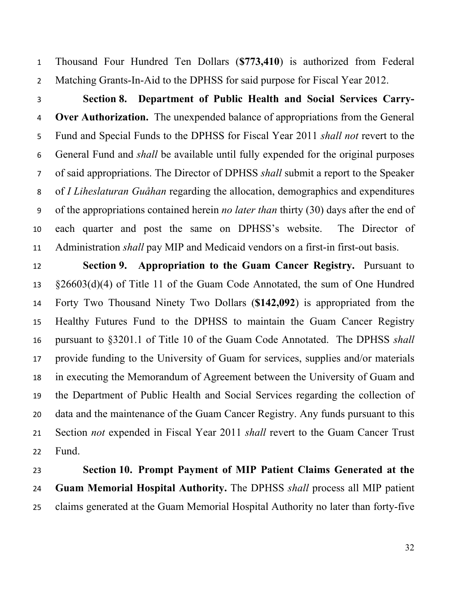Thousand Four Hundred Ten Dollars (**\$773,410**) is authorized from Federal Matching Grants-In-Aid to the DPHSS for said purpose for Fiscal Year 2012.

 **Section 8. Department of Public Health and Social Services Carry- Over Authorization.** The unexpended balance of appropriations from the General Fund and Special Funds to the DPHSS for Fiscal Year 2011 *shall not* revert to the General Fund and *shall* be available until fully expended for the original purposes of said appropriations. The Director of DPHSS *shall* submit a report to the Speaker of *I Liheslaturan Guåhan* regarding the allocation, demographics and expenditures of the appropriations contained herein *no later than* thirty (30) days after the end of each quarter and post the same on DPHSS's website. The Director of Administration *shall* pay MIP and Medicaid vendors on a first-in first-out basis.

 **Section 9. Appropriation to the Guam Cancer Registry.** Pursuant to §26603(d)(4) of Title 11 of the Guam Code Annotated, the sum of One Hundred Forty Two Thousand Ninety Two Dollars (**\$142,092**) is appropriated from the Healthy Futures Fund to the DPHSS to maintain the Guam Cancer Registry pursuant to §3201.1 of Title 10 of the Guam Code Annotated. The DPHSS *shall* provide funding to the University of Guam for services, supplies and/or materials in executing the Memorandum of Agreement between the University of Guam and the Department of Public Health and Social Services regarding the collection of data and the maintenance of the Guam Cancer Registry. Any funds pursuant to this Section *not* expended in Fiscal Year 2011 *shall* revert to the Guam Cancer Trust Fund.

 **Section 10. Prompt Payment of MIP Patient Claims Generated at the Guam Memorial Hospital Authority.** The DPHSS *shall* process all MIP patient claims generated at the Guam Memorial Hospital Authority no later than forty-five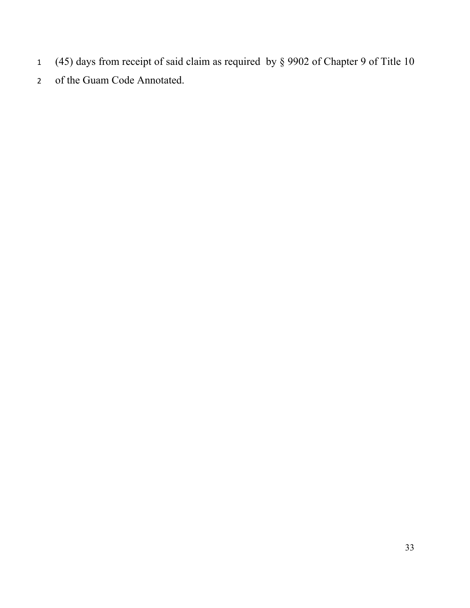- (45) days from receipt of said claim as required by § 9902 of Chapter 9 of Title 10
- of the Guam Code Annotated.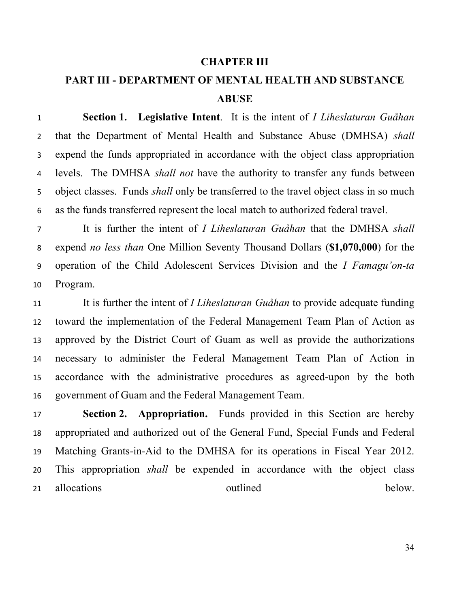#### **CHAPTER III**

# **PART III - DEPARTMENT OF MENTAL HEALTH AND SUBSTANCE ABUSE**

 **Section 1. Legislative Intent**. It is the intent of *I Liheslaturan Guåhan* that the Department of Mental Health and Substance Abuse (DMHSA) *shall* expend the funds appropriated in accordance with the object class appropriation levels. The DMHSA *shall not* have the authority to transfer any funds between object classes. Funds *shall* only be transferred to the travel object class in so much as the funds transferred represent the local match to authorized federal travel.

 It is further the intent of *I Liheslaturan Guåhan* that the DMHSA *shall* expend *no less than* One Million Seventy Thousand Dollars (**\$1,070,000**) for the operation of the Child Adolescent Services Division and the *I Famagu'on-ta* Program.

 It is further the intent of *I Liheslaturan Guåhan* to provide adequate funding toward the implementation of the Federal Management Team Plan of Action as approved by the District Court of Guam as well as provide the authorizations necessary to administer the Federal Management Team Plan of Action in accordance with the administrative procedures as agreed-upon by the both government of Guam and the Federal Management Team.

 **Section 2. Appropriation.** Funds provided in this Section are hereby appropriated and authorized out of the General Fund, Special Funds and Federal Matching Grants-in-Aid to the DMHSA for its operations in Fiscal Year 2012. This appropriation *shall* be expended in accordance with the object class 21 allocations outlined below.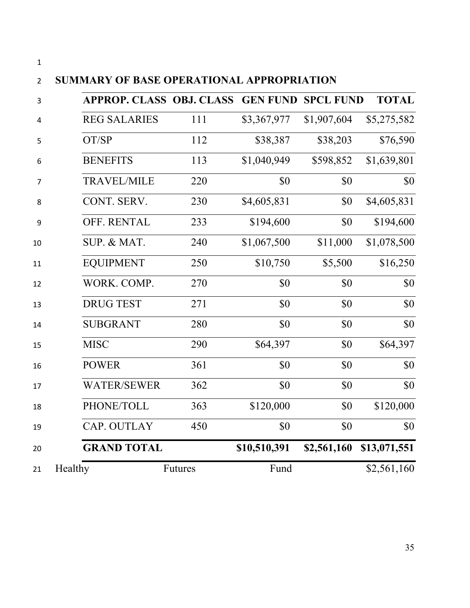| ۰, |     |
|----|-----|
|    | . . |
|    |     |

# **SUMMARY OF BASE OPERATIONAL APPROPRIATION**

|         | <b>APPROP. CLASS OBJ. CLASS</b> |                |              | <b>GEN FUND SPCL FUND</b> | <b>TOTAL</b> |
|---------|---------------------------------|----------------|--------------|---------------------------|--------------|
|         | <b>REG SALARIES</b>             | 111            | \$3,367,977  | \$1,907,604               | \$5,275,582  |
|         | OT/SP                           | 112            | \$38,387     | \$38,203                  | \$76,590     |
|         | <b>BENEFITS</b>                 | 113            | \$1,040,949  | \$598,852                 | \$1,639,801  |
|         | <b>TRAVEL/MILE</b>              | 220            | \$0          | \$0                       | \$0          |
|         | CONT. SERV.                     | 230            | \$4,605,831  | \$0                       | \$4,605,831  |
|         | OFF. RENTAL                     | 233            | \$194,600    | \$0                       | \$194,600    |
|         | SUP. & MAT.                     | 240            | \$1,067,500  | \$11,000                  | \$1,078,500  |
|         | <b>EQUIPMENT</b>                | 250            | \$10,750     | \$5,500                   | \$16,250     |
|         | WORK. COMP.                     | 270            | \$0          | \$0                       | \$0          |
|         | <b>DRUG TEST</b>                | 271            | \$0          | \$0                       | \$0          |
|         | <b>SUBGRANT</b>                 | 280            | \$0          | \$0                       | \$0          |
|         | <b>MISC</b>                     | 290            | \$64,397     | \$0                       | \$64,397     |
|         | <b>POWER</b>                    | 361            | \$0          | \$0                       | \$0          |
|         | <b>WATER/SEWER</b>              | 362            | \$0          | \$0                       | \$0          |
|         | PHONE/TOLL                      | 363            | \$120,000    | \$0                       | \$120,000    |
|         | CAP. OUTLAY                     | 450            | \$0          | \$0                       | \$0          |
|         | <b>GRAND TOTAL</b>              |                | \$10,510,391 | \$2,561,160               | \$13,071,551 |
| Healthy |                                 | <b>Futures</b> | Fund         |                           | \$2,561,160  |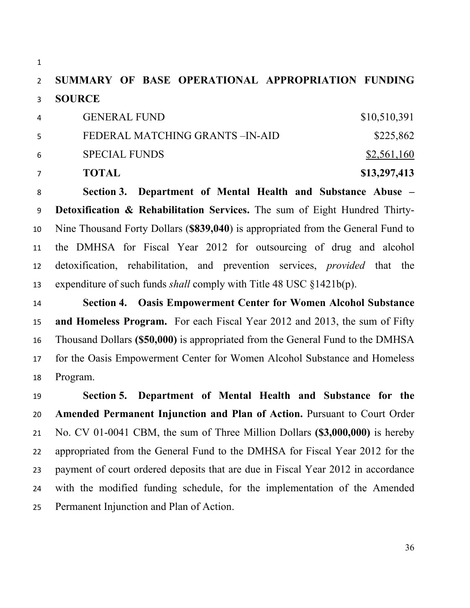**SUMMARY OF BASE OPERATIONAL APPROPRIATION FUNDING SOURCE** 

|   | <b>TOTAL</b>                   | \$13,297,413 |
|---|--------------------------------|--------------|
| 6 | <b>SPECIAL FUNDS</b>           | \$2,561,160  |
| 5 | FEDERAL MATCHING GRANTS-IN-AID | \$225,862    |
| 4 | <b>GENERAL FUND</b>            | \$10,510,391 |

 **Section 3. Department of Mental Health and Substance Abuse – Detoxification & Rehabilitation Services.** The sum of Eight Hundred Thirty- Nine Thousand Forty Dollars (**\$839,040**) is appropriated from the General Fund to the DMHSA for Fiscal Year 2012 for outsourcing of drug and alcohol detoxification, rehabilitation, and prevention services, *provided* that the expenditure of such funds *shall* comply with Title 48 USC §1421b(p).

 **Section 4. Oasis Empowerment Center for Women Alcohol Substance and Homeless Program.** For each Fiscal Year 2012 and 2013, the sum of Fifty Thousand Dollars **(\$50,000)** is appropriated from the General Fund to the DMHSA for the Oasis Empowerment Center for Women Alcohol Substance and Homeless Program.

 **Section 5. Department of Mental Health and Substance for the Amended Permanent Injunction and Plan of Action.** Pursuant to Court Order No. CV 01-0041 CBM, the sum of Three Million Dollars **(\$3,000,000)** is hereby appropriated from the General Fund to the DMHSA for Fiscal Year 2012 for the payment of court ordered deposits that are due in Fiscal Year 2012 in accordance with the modified funding schedule, for the implementation of the Amended Permanent Injunction and Plan of Action.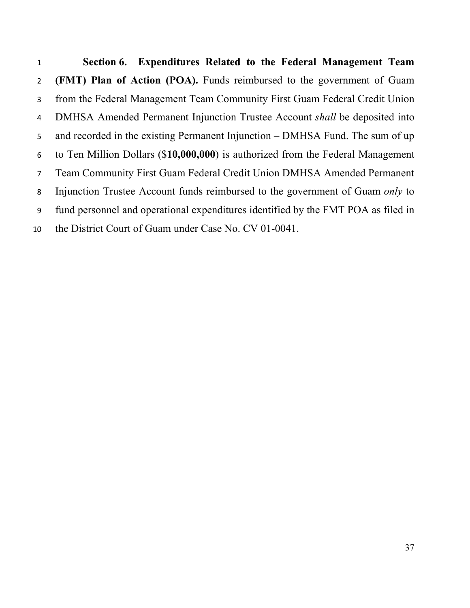**Section 6. Expenditures Related to the Federal Management Team (FMT) Plan of Action (POA).** Funds reimbursed to the government of Guam from the Federal Management Team Community First Guam Federal Credit Union DMHSA Amended Permanent Injunction Trustee Account *shall* be deposited into and recorded in the existing Permanent Injunction – DMHSA Fund. The sum of up to Ten Million Dollars (\$**10,000,000**) is authorized from the Federal Management Team Community First Guam Federal Credit Union DMHSA Amended Permanent Injunction Trustee Account funds reimbursed to the government of Guam *only* to fund personnel and operational expenditures identified by the FMT POA as filed in the District Court of Guam under Case No. CV 01-0041.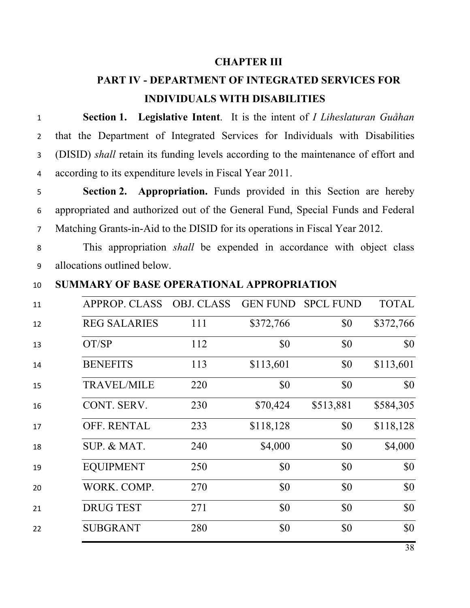#### **CHAPTER III**

### **PART IV - DEPARTMENT OF INTEGRATED SERVICES FOR INDIVIDUALS WITH DISABILITIES**

 **Section 1. Legislative Intent**. It is the intent of *I Liheslaturan Guåhan* that the Department of Integrated Services for Individuals with Disabilities (DISID) *shall* retain its funding levels according to the maintenance of effort and according to its expenditure levels in Fiscal Year 2011.

 **Section 2. Appropriation.** Funds provided in this Section are hereby appropriated and authorized out of the General Fund, Special Funds and Federal Matching Grants-in-Aid to the DISID for its operations in Fiscal Year 2012.

 This appropriation *shall* be expended in accordance with object class allocations outlined below.

**SUMMARY OF BASE OPERATIONAL APPROPRIATION** 

| 11 | <b>APPROP. CLASS</b> | <b>OBJ. CLASS</b> |           | <b>GEN FUND SPCL FUND</b> | <b>TOTAL</b> |
|----|----------------------|-------------------|-----------|---------------------------|--------------|
| 12 | <b>REG SALARIES</b>  | 111               | \$372,766 | \$0                       | \$372,766    |
| 13 | OT/SP                | 112               | \$0       | \$0                       | \$0          |
| 14 | <b>BENEFITS</b>      | 113               | \$113,601 | \$0                       | \$113,601    |
| 15 | <b>TRAVEL/MILE</b>   | 220               | \$0       | \$0                       | \$0          |
| 16 | CONT. SERV.          | 230               | \$70,424  | \$513,881                 | \$584,305    |
| 17 | OFF. RENTAL          | 233               | \$118,128 | \$0                       | \$118,128    |
| 18 | SUP. & MAT.          | 240               | \$4,000   | \$0                       | \$4,000      |
| 19 | <b>EQUIPMENT</b>     | 250               | \$0       | \$0                       | \$0          |
| 20 | WORK. COMP.          | 270               | \$0       | \$0                       | \$0          |
| 21 | <b>DRUG TEST</b>     | 271               | \$0       | \$0                       | \$0          |
| 22 | <b>SUBGRANT</b>      | 280               | \$0       | \$0                       | \$0          |
|    |                      |                   |           |                           |              |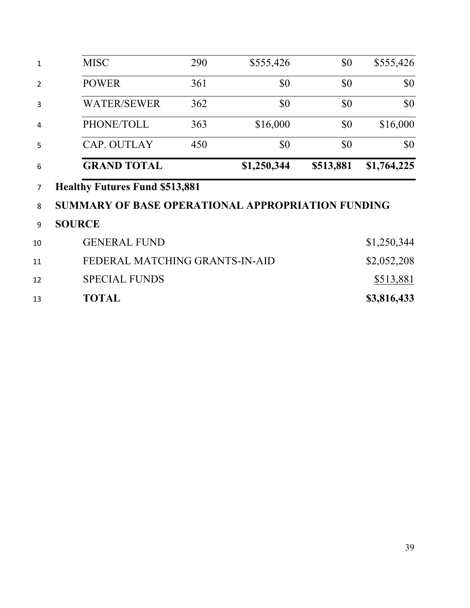| 1              | <b>MISC</b>                                       | 290 | \$555,426   | \$0       | \$555,426   |
|----------------|---------------------------------------------------|-----|-------------|-----------|-------------|
| $\overline{2}$ | <b>POWER</b>                                      | 361 | \$0         | \$0       | \$0         |
| 3              | <b>WATER/SEWER</b>                                | 362 | \$0         | \$0       | \$0         |
| 4              | PHONE/TOLL                                        | 363 | \$16,000    | \$0       | \$16,000    |
| 5              | CAP. OUTLAY                                       | 450 | \$0         | \$0       | \$0         |
| 6              | <b>GRAND TOTAL</b>                                |     | \$1,250,344 | \$513,881 | \$1,764,225 |
| 7              | <b>Healthy Futures Fund \$513,881</b>             |     |             |           |             |
| 8              | SUMMARY OF BASE OPERATIONAL APPROPRIATION FUNDING |     |             |           |             |
| 9              | <b>SOURCE</b>                                     |     |             |           |             |
| 10             | <b>GENERAL FUND</b><br>\$1,250,344                |     |             |           |             |
| 11             | FEDERAL MATCHING GRANTS-IN-AID                    |     |             |           | \$2,052,208 |
| 12             | <b>SPECIAL FUNDS</b>                              |     |             |           | \$513,881   |
| 13             | <b>TOTAL</b>                                      |     |             |           | \$3,816,433 |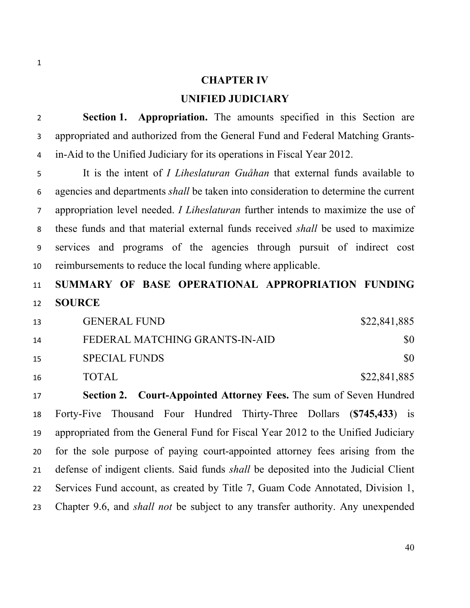## **CHAPTER IV**

#### **UNIFIED JUDICIARY**

 **Section 1. Appropriation.** The amounts specified in this Section are appropriated and authorized from the General Fund and Federal Matching Grants-in-Aid to the Unified Judiciary for its operations in Fiscal Year 2012.

 It is the intent of *I Liheslaturan Guåhan* that external funds available to agencies and departments *shall* be taken into consideration to determine the current appropriation level needed. *I Liheslaturan* further intends to maximize the use of these funds and that material external funds received *shall* be used to maximize services and programs of the agencies through pursuit of indirect cost reimbursements to reduce the local funding where applicable.

## **SUMMARY OF BASE OPERATIONAL APPROPRIATION FUNDING SOURCE**

| 13 | <b>GENERAL FUND</b>            | \$22,841,885 |
|----|--------------------------------|--------------|
| 14 | FEDERAL MATCHING GRANTS-IN-AID | \$0          |
| 15 | <b>SPECIAL FUNDS</b>           | \$0          |
| 16 | <b>TOTAL</b>                   | \$22,841,885 |

 **Section 2. Court-Appointed Attorney Fees.** The sum of Seven Hundred Forty-Five Thousand Four Hundred Thirty-Three Dollars (**\$745,433**) is appropriated from the General Fund for Fiscal Year 2012 to the Unified Judiciary for the sole purpose of paying court-appointed attorney fees arising from the defense of indigent clients. Said funds *shall* be deposited into the Judicial Client Services Fund account, as created by Title 7, Guam Code Annotated, Division 1, Chapter 9.6, and *shall not* be subject to any transfer authority. Any unexpended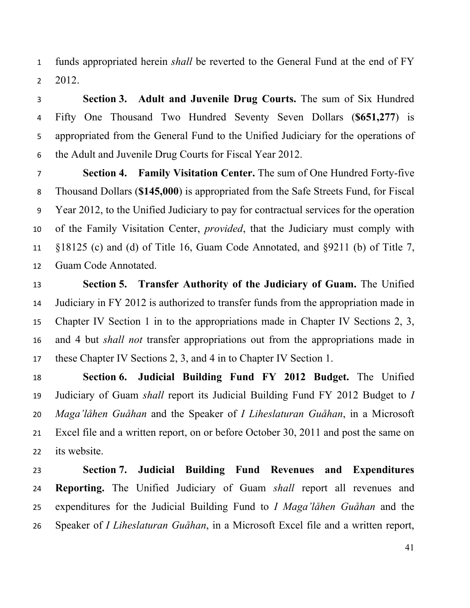funds appropriated herein *shall* be reverted to the General Fund at the end of FY 2012.

 **Section 3. Adult and Juvenile Drug Courts.** The sum of Six Hundred Fifty One Thousand Two Hundred Seventy Seven Dollars (**\$651,277**) is appropriated from the General Fund to the Unified Judiciary for the operations of the Adult and Juvenile Drug Courts for Fiscal Year 2012.

 **Section 4. Family Visitation Center.** The sum of One Hundred Forty-five Thousand Dollars (**\$145,000**) is appropriated from the Safe Streets Fund, for Fiscal Year 2012, to the Unified Judiciary to pay for contractual services for the operation of the Family Visitation Center, *provided*, that the Judiciary must comply with §18125 (c) and (d) of Title 16, Guam Code Annotated, and §9211 (b) of Title 7, Guam Code Annotated.

 **Section 5. Transfer Authority of the Judiciary of Guam.** The Unified Judiciary in FY 2012 is authorized to transfer funds from the appropriation made in Chapter IV Section 1 in to the appropriations made in Chapter IV Sections 2, 3, and 4 but *shall not* transfer appropriations out from the appropriations made in these Chapter IV Sections 2, 3, and 4 in to Chapter IV Section 1.

 **Section 6. Judicial Building Fund FY 2012 Budget.** The Unified Judiciary of Guam *shall* report its Judicial Building Fund FY 2012 Budget to *I Maga'låhen Guåhan* and the Speaker of *I Liheslaturan Guåhan*, in a Microsoft Excel file and a written report, on or before October 30, 2011 and post the same on its website.

 **Section 7. Judicial Building Fund Revenues and Expenditures Reporting.** The Unified Judiciary of Guam *shall* report all revenues and expenditures for the Judicial Building Fund to *I Maga'låhen Guåhan* and the Speaker of *I Liheslaturan Guåhan*, in a Microsoft Excel file and a written report,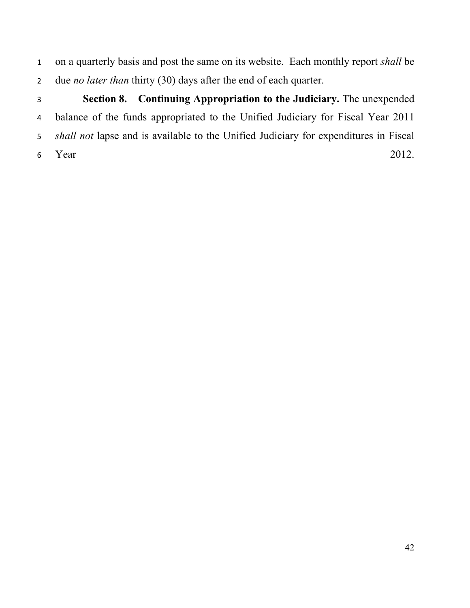on a quarterly basis and post the same on its website. Each monthly report *shall* be due *no later than* thirty (30) days after the end of each quarter.

 **Section 8. Continuing Appropriation to the Judiciary.** The unexpended balance of the funds appropriated to the Unified Judiciary for Fiscal Year 2011 *shall not* lapse and is available to the Unified Judiciary for expenditures in Fiscal Year 2012.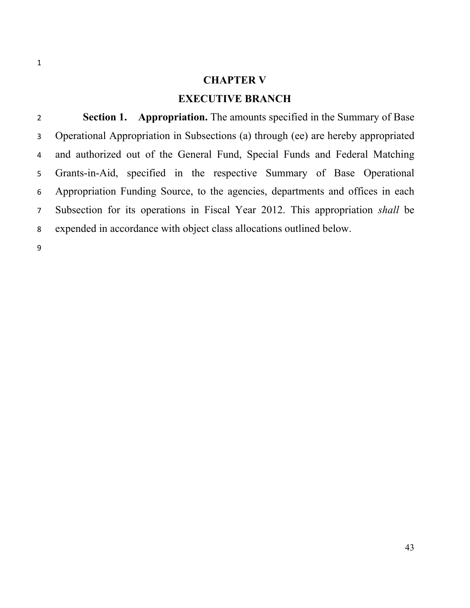#### **CHAPTER V**

### **EXECUTIVE BRANCH**

**Section 1. Appropriation.** The amounts specified in the Summary of Base Operational Appropriation in Subsections (a) through (ee) are hereby appropriated and authorized out of the General Fund, Special Funds and Federal Matching Grants-in-Aid, specified in the respective Summary of Base Operational Appropriation Funding Source, to the agencies, departments and offices in each Subsection for its operations in Fiscal Year 2012. This appropriation *shall* be expended in accordance with object class allocations outlined below.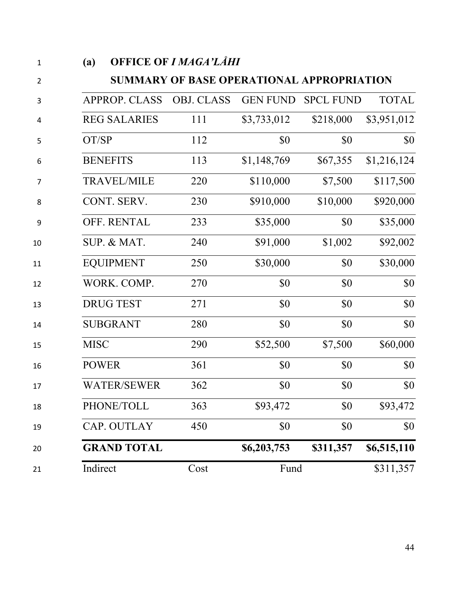| (a)                  | <b>OFFICE OF I MAGA'LÅHI</b>              |                 |                  |              |
|----------------------|-------------------------------------------|-----------------|------------------|--------------|
|                      | SUMMARY OF BASE OPERATIONAL APPROPRIATION |                 |                  |              |
| <b>APPROP. CLASS</b> | <b>OBJ. CLASS</b>                         | <b>GEN FUND</b> | <b>SPCL FUND</b> | <b>TOTAL</b> |
| <b>REG SALARIES</b>  | 111                                       | \$3,733,012     | \$218,000        | \$3,951,012  |
| OT/SP                | 112                                       | \$0             | \$0              | \$0          |
| <b>BENEFITS</b>      | 113                                       | \$1,148,769     | \$67,355         | \$1,216,124  |
| <b>TRAVEL/MILE</b>   | 220                                       | \$110,000       | \$7,500          | \$117,500    |
| CONT. SERV.          | 230                                       | \$910,000       | \$10,000         | \$920,000    |
| OFF. RENTAL          | 233                                       | \$35,000        | \$0              | \$35,000     |
| SUP. & MAT.          | 240                                       | \$91,000        | \$1,002          | \$92,002     |
| <b>EQUIPMENT</b>     | 250                                       | \$30,000        | \$0              | \$30,000     |
| WORK. COMP.          | 270                                       | \$0             | \$0              | \$0          |
| <b>DRUG TEST</b>     | 271                                       | \$0             | \$0              | \$0          |
| <b>SUBGRANT</b>      | 280                                       | \$0             | \$0              | \$0          |
| <b>MISC</b>          | 290                                       | \$52,500        | \$7,500          | \$60,000     |
| <b>POWER</b>         | 361                                       | \$0             | \$0              | \$0          |
| <b>WATER/SEWER</b>   | 362                                       | \$0             | \$0              | \$0          |
| PHONE/TOLL           | 363                                       | \$93,472        | \$0              | \$93,472     |
| CAP. OUTLAY          | 450                                       | \$0             | \$0              | \$0          |
| <b>GRAND TOTAL</b>   |                                           | \$6,203,753     | \$311,357        | \$6,515,110  |
| Indirect             | Cost                                      | Fund            |                  | \$311,357    |
|                      |                                           |                 |                  |              |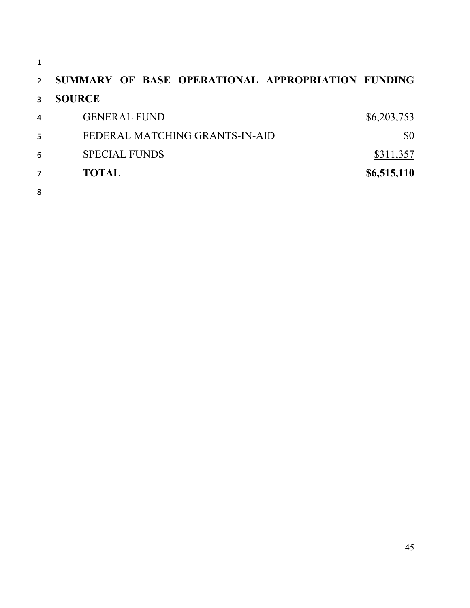**SUMMARY OF BASE OPERATIONAL APPROPRIATION FUNDING SOURCE**  4 GENERAL FUND \$6,203,753 5 FEDERAL MATCHING GRANTS-IN-AID \$0 6 SPECIAL FUNDS \$311,357 **TOTAL \$6,515,110**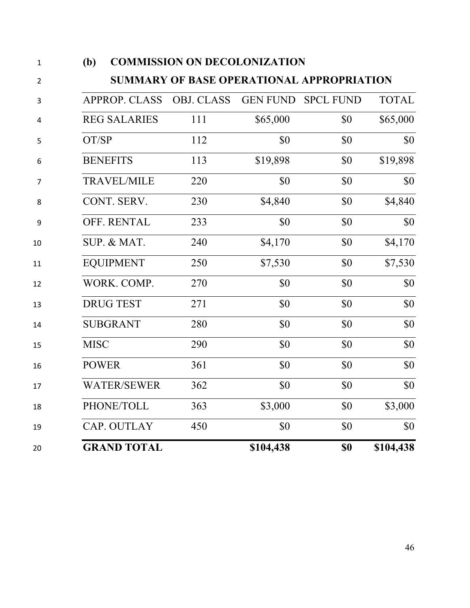| IV)                  | COMMISSION ON DECOLONIZATION              |                 |                  |              |
|----------------------|-------------------------------------------|-----------------|------------------|--------------|
|                      | SUMMARY OF BASE OPERATIONAL APPROPRIATION |                 |                  |              |
| <b>APPROP. CLASS</b> | <b>OBJ. CLASS</b>                         | <b>GEN FUND</b> | <b>SPCL FUND</b> | <b>TOTAL</b> |
| <b>REG SALARIES</b>  | 111                                       | \$65,000        | \$0              | \$65,000     |
| OT/SP                | 112                                       | \$0             | \$0              | \$0          |
| <b>BENEFITS</b>      | 113                                       | \$19,898        | \$0              | \$19,898     |
| <b>TRAVEL/MILE</b>   | 220                                       | \$0             | \$0              | \$0          |
| CONT. SERV.          | 230                                       | \$4,840         | \$0              | \$4,840      |
| OFF. RENTAL          | 233                                       | \$0             | \$0              | \$0          |
| SUP. & MAT.          | 240                                       | \$4,170         | \$0              | \$4,170      |
| <b>EQUIPMENT</b>     | 250                                       | \$7,530         | \$0              | \$7,530      |
| WORK. COMP.          | 270                                       | \$0             | \$0              | \$0          |
| <b>DRUG TEST</b>     | 271                                       | \$0             | \$0              | \$0          |
| <b>SUBGRANT</b>      | 280                                       | \$0             | \$0              | \$0          |
| <b>MISC</b>          | 290                                       | \$0             | \$0              | \$0          |
| <b>POWER</b>         | 361                                       | \$0             | \$0              | \$0          |
| <b>WATER/SEWER</b>   | 362                                       | \$0             | \$0              | \$0          |
| PHONE/TOLL           | 363                                       | \$3,000         | \$0              | \$3,000      |
| CAP. OUTLAY          | 450                                       | \$0             | \$0              | \$0          |
| <b>GRAND TOTAL</b>   |                                           | \$104,438       | \$0              | \$104,438    |

### **(b) COMMISSION ON DECOLONIZATION**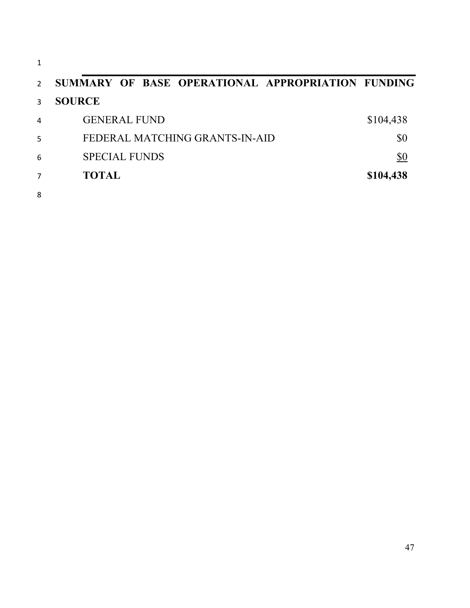| 1              |                                                   |           |
|----------------|---------------------------------------------------|-----------|
| $\mathcal{P}$  | SUMMARY OF BASE OPERATIONAL APPROPRIATION FUNDING |           |
| 3              | <b>SOURCE</b>                                     |           |
| $\overline{4}$ | <b>GENERAL FUND</b>                               | \$104,438 |
| 5              | FEDERAL MATCHING GRANTS-IN-AID                    | \$0       |
| 6              | <b>SPECIAL FUNDS</b>                              | \$0       |
| 7              | <b>TOTAL</b>                                      | \$104,438 |
| 8              |                                                   |           |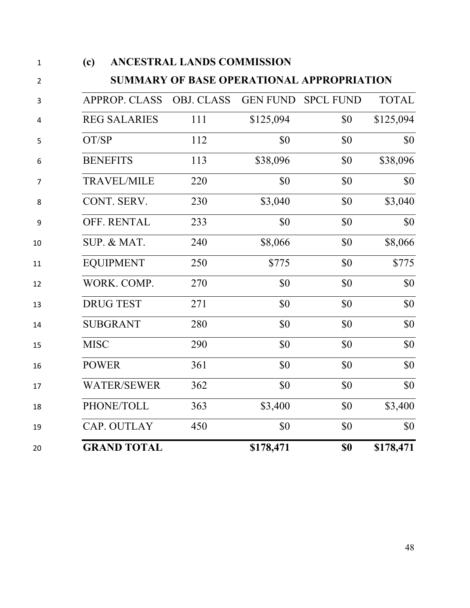| 1              | (c)                  | ANCESTRAL LANDS COMMISSION                |                 |                  |              |  |  |
|----------------|----------------------|-------------------------------------------|-----------------|------------------|--------------|--|--|
| $\overline{2}$ |                      | SUMMARY OF BASE OPERATIONAL APPROPRIATION |                 |                  |              |  |  |
| 3              | <b>APPROP. CLASS</b> | <b>OBJ. CLASS</b>                         | <b>GEN FUND</b> | <b>SPCL FUND</b> | <b>TOTAL</b> |  |  |
| 4              | <b>REG SALARIES</b>  | 111                                       | \$125,094       | \$0              | \$125,094    |  |  |
| 5              | OT/SP                | 112                                       | \$0             | \$0              | \$0          |  |  |
| 6              | <b>BENEFITS</b>      | 113                                       | \$38,096        | \$0              | \$38,096     |  |  |
| 7              | <b>TRAVEL/MILE</b>   | 220                                       | \$0             | \$0              | \$0          |  |  |
| 8              | CONT. SERV.          | 230                                       | \$3,040         | \$0              | \$3,040      |  |  |
| 9              | OFF. RENTAL          | 233                                       | \$0             | \$0              | \$0          |  |  |
| 10             | SUP. & MAT.          | 240                                       | \$8,066         | \$0              | \$8,066      |  |  |
| 11             | <b>EQUIPMENT</b>     | 250                                       | \$775           | \$0              | \$775        |  |  |
| 12             | WORK. COMP.          | 270                                       | \$0             | \$0              | \$0          |  |  |
| 13             | <b>DRUG TEST</b>     | 271                                       | \$0             | \$0              | \$0          |  |  |
| 14             | <b>SUBGRANT</b>      | 280                                       | \$0             | \$0              | \$0          |  |  |
| 15             | <b>MISC</b>          | 290                                       | \$0             | \$0              | \$0          |  |  |
| 16             | <b>POWER</b>         | 361                                       | \$0             | \$0              | \$0          |  |  |
| 17             | <b>WATER/SEWER</b>   | 362                                       | \$0             | \$0              | \$0          |  |  |
| 18             | PHONE/TOLL           | 363                                       | \$3,400         | \$0              | \$3,400      |  |  |
| 19             | CAP. OUTLAY          | 450                                       | \$0             | \$0              | \$0          |  |  |
| 20             | <b>GRAND TOTAL</b>   |                                           | \$178,471       | \$0              | \$178,471    |  |  |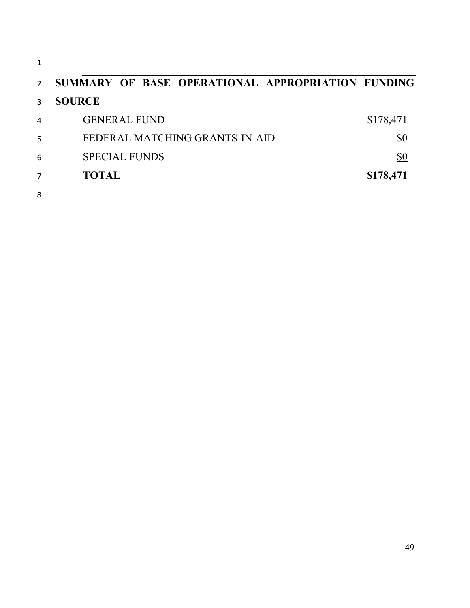| $\mathbf{1}$   |                                                   |           |
|----------------|---------------------------------------------------|-----------|
| $\overline{2}$ | SUMMARY OF BASE OPERATIONAL APPROPRIATION FUNDING |           |
| 3              | <b>SOURCE</b>                                     |           |
| $\overline{4}$ | <b>GENERAL FUND</b>                               | \$178,471 |
| 5              | FEDERAL MATCHING GRANTS-IN-AID                    | \$0       |
| 6              | <b>SPECIAL FUNDS</b>                              | \$0       |
| $\overline{7}$ | <b>TOTAL</b>                                      | \$178,471 |
| 8              |                                                   |           |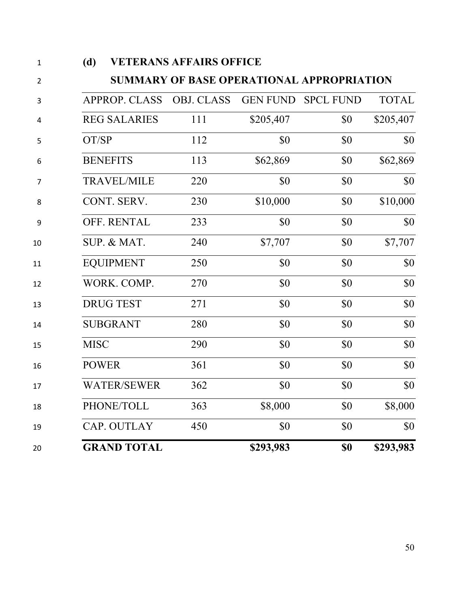|                      | <b>VETERANS AFFAIRS OFFICE</b><br>(d)            |                 |                  |              |  |
|----------------------|--------------------------------------------------|-----------------|------------------|--------------|--|
|                      | <b>SUMMARY OF BASE OPERATIONAL APPROPRIATION</b> |                 |                  |              |  |
| <b>APPROP. CLASS</b> | <b>OBJ. CLASS</b>                                | <b>GEN FUND</b> | <b>SPCL FUND</b> | <b>TOTAL</b> |  |
| <b>REG SALARIES</b>  | 111                                              | \$205,407       | \$0              | \$205,407    |  |
| OT/SP                | 112                                              | \$0             | \$0              | \$0          |  |
| <b>BENEFITS</b>      | 113                                              | \$62,869        | \$0              | \$62,869     |  |
| <b>TRAVEL/MILE</b>   | 220                                              | \$0             | \$0              | \$0          |  |
| CONT. SERV.          | 230                                              | \$10,000        | \$0              | \$10,000     |  |
| OFF. RENTAL          | 233                                              | \$0             | \$0              | \$0          |  |
| SUP. & MAT.          | 240                                              | \$7,707         | \$0              | \$7,707      |  |
| <b>EQUIPMENT</b>     | 250                                              | \$0             | \$0              | \$0          |  |
| WORK. COMP.          | 270                                              | \$0             | \$0              | \$0          |  |
| <b>DRUG TEST</b>     | 271                                              | \$0             | \$0              | \$0          |  |
| <b>SUBGRANT</b>      | 280                                              | \$0             | \$0              | \$0          |  |
| <b>MISC</b>          | 290                                              | \$0             | \$0              | \$0          |  |
| <b>POWER</b>         | 361                                              | \$0             | \$0              | \$0          |  |
| <b>WATER/SEWER</b>   | 362                                              | \$0             | \$0              | \$0          |  |
| PHONE/TOLL           | 363                                              | \$8,000         | \$0              | \$8,000      |  |
| CAP. OUTLAY          | 450                                              | \$0             | \$0              | \$0          |  |
| <b>GRAND TOTAL</b>   |                                                  | \$293,983       | \$0              | \$293,983    |  |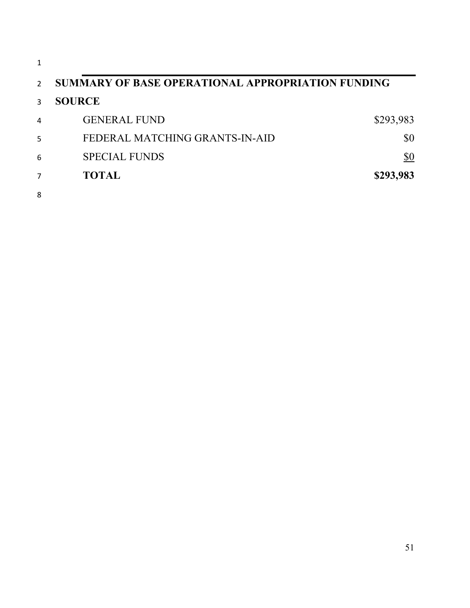| 1             |                                                   |            |
|---------------|---------------------------------------------------|------------|
| $\mathcal{P}$ | SUMMARY OF BASE OPERATIONAL APPROPRIATION FUNDING |            |
| 3             | <b>SOURCE</b>                                     |            |
| 4             | <b>GENERAL FUND</b>                               | \$293,983  |
| 5             | FEDERAL MATCHING GRANTS-IN-AID                    | \$0        |
| 6             | <b>SPECIAL FUNDS</b>                              | <u>\$0</u> |
| 7             | <b>TOTAL</b>                                      | \$293,983  |
| 8             |                                                   |            |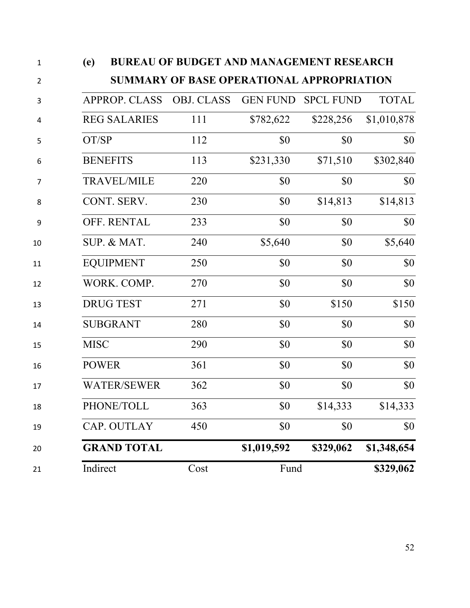| $\mathbf{1}$   | (e)          | <b>BUREAU OF BUDGET AND MANAGEMENT RESEARCH</b> |                   |                 |                  |              |  |
|----------------|--------------|-------------------------------------------------|-------------------|-----------------|------------------|--------------|--|
| $\overline{2}$ |              | SUMMARY OF BASE OPERATIONAL APPROPRIATION       |                   |                 |                  |              |  |
| 3              |              | <b>APPROP. CLASS</b>                            | <b>OBJ. CLASS</b> | <b>GEN FUND</b> | <b>SPCL FUND</b> | <b>TOTAL</b> |  |
| 4              |              | <b>REG SALARIES</b>                             | 111               | \$782,622       | \$228,256        | \$1,010,878  |  |
| 5              | OT/SP        |                                                 | 112               | \$0             | \$0              | \$0          |  |
| 6              |              | <b>BENEFITS</b>                                 | 113               | \$231,330       | \$71,510         | \$302,840    |  |
| 7              |              | <b>TRAVEL/MILE</b>                              | 220               | \$0             | \$0              | \$0          |  |
| 8              |              | CONT. SERV.                                     | 230               | \$0             | \$14,813         | \$14,813     |  |
| 9              |              | OFF. RENTAL                                     | 233               | \$0             | \$0              | \$0          |  |
| 10             |              | SUP. & MAT.                                     | 240               | \$5,640         | \$0              | \$5,640      |  |
| 11             |              | <b>EQUIPMENT</b>                                | 250               | \$0             | \$0              | \$0          |  |
| 12             |              | WORK. COMP.                                     | 270               | \$0             | \$0              | \$0          |  |
| 13             |              | <b>DRUG TEST</b>                                | 271               | \$0             | \$150            | \$150        |  |
| 14             |              | <b>SUBGRANT</b>                                 | 280               | \$0             | \$0              | \$0          |  |
| 15             | <b>MISC</b>  |                                                 | 290               | \$0             | \$0              | \$0          |  |
| 16             | <b>POWER</b> |                                                 | 361               | \$0             | \$0              | \$0          |  |
| 17             |              | <b>WATER/SEWER</b>                              | 362               | \$0             | \$0              | \$0          |  |
| 18             |              | PHONE/TOLL                                      | 363               | \$0             | \$14,333         | \$14,333     |  |
| 19             |              | CAP. OUTLAY                                     | 450               | \$0             | \$0              | \$0          |  |
| 20             |              | <b>GRAND TOTAL</b>                              |                   | \$1,019,592     | \$329,062        | \$1,348,654  |  |
| 21             | Indirect     |                                                 | Cost              | Fund            |                  | \$329,062    |  |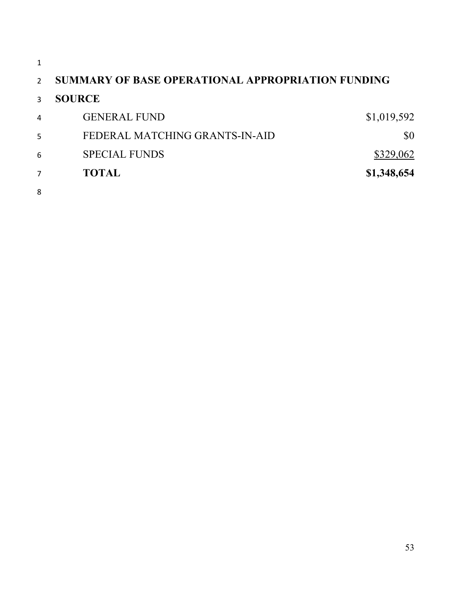|   | SUMMARY OF BASE OPERATIONAL APPROPRIATION FUNDING |             |
|---|---------------------------------------------------|-------------|
|   | <b>SOURCE</b>                                     |             |
| 4 | <b>GENERAL FUND</b>                               | \$1,019,592 |
| 5 | FEDERAL MATCHING GRANTS-IN-AID                    | \$0         |
| 6 | <b>SPECIAL FUNDS</b>                              | \$329,062   |
|   | <b>TOTAL</b>                                      | \$1,348,654 |
| 8 |                                                   |             |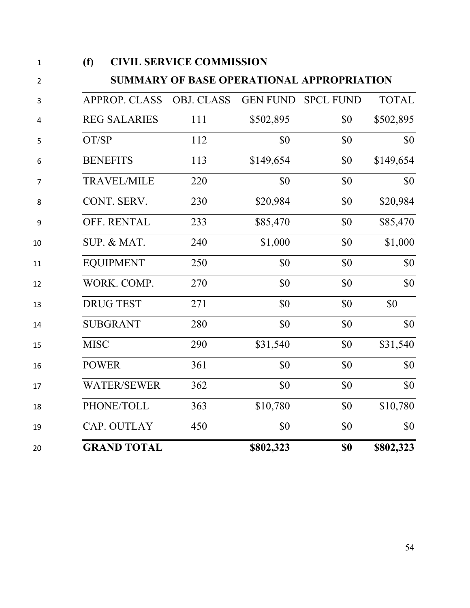| (f)                  | <b>CIVIL SERVICE COMMISSION</b>           |                 |                  |              |
|----------------------|-------------------------------------------|-----------------|------------------|--------------|
|                      | SUMMARY OF BASE OPERATIONAL APPROPRIATION |                 |                  |              |
| <b>APPROP. CLASS</b> | <b>OBJ. CLASS</b>                         | <b>GEN FUND</b> | <b>SPCL FUND</b> | <b>TOTAL</b> |
| <b>REG SALARIES</b>  | 111                                       | \$502,895       | \$0              | \$502,895    |
| OT/SP                | 112                                       | \$0             | \$0              | \$0          |
| <b>BENEFITS</b>      | 113                                       | \$149,654       | \$0              | \$149,654    |
| <b>TRAVEL/MILE</b>   | 220                                       | \$0             | \$0              | \$0          |
| CONT. SERV.          | 230                                       | \$20,984        | \$0              | \$20,984     |
| OFF. RENTAL          | 233                                       | \$85,470        | \$0              | \$85,470     |
| SUP. & MAT.          | 240                                       | \$1,000         | \$0              | \$1,000      |
| <b>EQUIPMENT</b>     | 250                                       | \$0             | \$0              | \$0          |
| WORK. COMP.          | 270                                       | \$0             | \$0              | \$0          |
| <b>DRUG TEST</b>     | 271                                       | \$0             | \$0              | \$0          |
| <b>SUBGRANT</b>      | 280                                       | \$0             | \$0              | \$0          |
| <b>MISC</b>          | 290                                       | \$31,540        | \$0              | \$31,540     |
| <b>POWER</b>         | 361                                       | \$0             | \$0              | $\$0$        |
| <b>WATER/SEWER</b>   | 362                                       | \$0             | \$0              | \$0          |
| PHONE/TOLL           | 363                                       | \$10,780        | \$0              | \$10,780     |
| CAP. OUTLAY          | 450                                       | \$0             | \$0              | \$0          |
| <b>GRAND TOTAL</b>   |                                           | \$802,323       | \$0              | \$802,323    |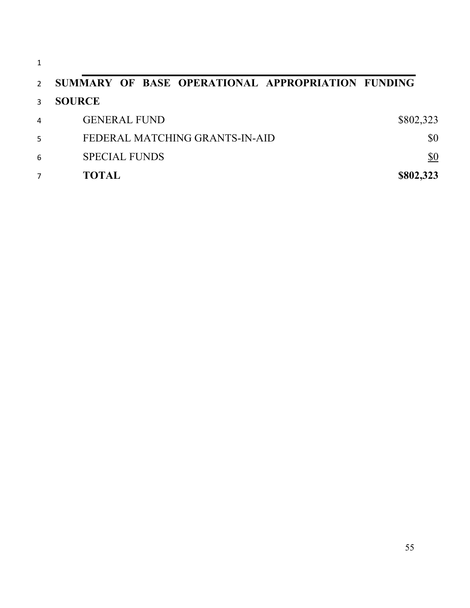| 1             |                                                   |           |
|---------------|---------------------------------------------------|-----------|
| $\mathcal{P}$ | SUMMARY OF BASE OPERATIONAL APPROPRIATION FUNDING |           |
| $\mathbf{R}$  | <b>SOURCE</b>                                     |           |
| 4             | <b>GENERAL FUND</b>                               | \$802,323 |
| 5             | FEDERAL MATCHING GRANTS-IN-AID                    | \$0       |
| 6             | <b>SPECIAL FUNDS</b>                              | \$0       |
|               | <b>TOTAL</b>                                      | \$802,323 |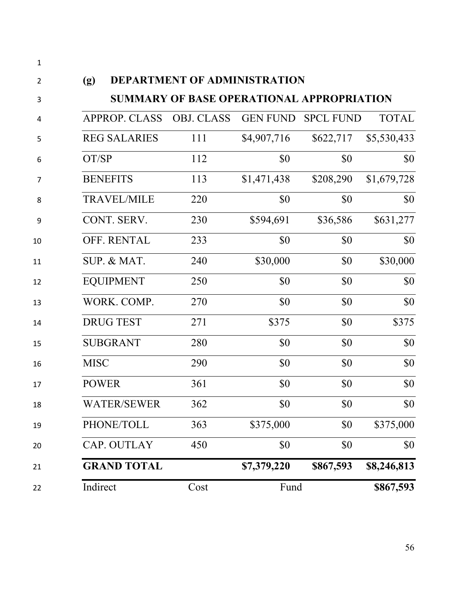| 1              |                          |                                           |             |                    |              |
|----------------|--------------------------|-------------------------------------------|-------------|--------------------|--------------|
| 2              | (g)                      | DEPARTMENT OF ADMINISTRATION              |             |                    |              |
| 3              |                          | SUMMARY OF BASE OPERATIONAL APPROPRIATION |             |                    |              |
| 4              | APPROP. CLASS OBJ. CLASS |                                           |             | GEN FUND SPCL FUND | <b>TOTAL</b> |
| 5              | <b>REG SALARIES</b>      | 111                                       | \$4,907,716 | \$622,717          | \$5,530,433  |
| 6              | OT/SP                    | 112                                       | \$0         | \$0                | \$0          |
| $\overline{7}$ | <b>BENEFITS</b>          | 113                                       | \$1,471,438 | \$208,290          | \$1,679,728  |
| 8              | <b>TRAVEL/MILE</b>       | 220                                       | \$0         | \$0                | \$0          |
| 9              | CONT. SERV.              | 230                                       | \$594,691   | \$36,586           | \$631,277    |
| 10             | <b>OFF. RENTAL</b>       | 233                                       | \$0         | \$0                | \$0          |
| 11             | SUP. & MAT.              | 240                                       | \$30,000    | \$0                | \$30,000     |
| 12             | <b>EQUIPMENT</b>         | 250                                       | \$0         | \$0                | \$0          |
| 13             | WORK. COMP.              | 270                                       | \$0         | \$0                | \$0          |
| 14             | <b>DRUG TEST</b>         | 271                                       | \$375       | \$0                | \$375        |
| 15             | <b>SUBGRANT</b>          | 280                                       | \$0         | \$0                | \$0          |
| 16             | <b>MISC</b>              | 290                                       | \$0         | \$0                | \$0          |
| 17             | <b>POWER</b>             | 361                                       | \$0         | \$0                | \$0          |
| 18             | WATER/SEWER              | 362                                       | \$0         | \$0                | \$0          |
| 19             | PHONE/TOLL               | 363                                       | \$375,000   | \$0                | \$375,000    |
| 20             | CAP. OUTLAY              | 450                                       | \$0         | \$0                | \$0          |
| 21             | <b>GRAND TOTAL</b>       |                                           | \$7,379,220 | \$867,593          | \$8,246,813  |
| 22             | Indirect                 | Cost                                      | Fund        |                    | \$867,593    |
|                |                          |                                           |             |                    |              |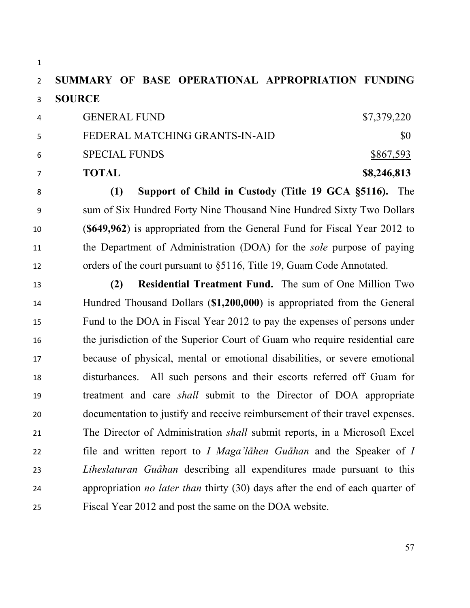# **SUMMARY OF BASE OPERATIONAL APPROPRIATION FUNDING SOURCE**

|                | <b>TOTAL</b>                   | \$8,246,813 |
|----------------|--------------------------------|-------------|
| -6             | <b>SPECIAL FUNDS</b>           | \$867,593   |
| -5.            | FEDERAL MATCHING GRANTS-IN-AID | SO.         |
| $\overline{4}$ | <b>GENERAL FUND</b>            | \$7,379,220 |

 **(1) Support of Child in Custody (Title 19 GCA §5116).** The sum of Six Hundred Forty Nine Thousand Nine Hundred Sixty Two Dollars (**\$649,962**) is appropriated from the General Fund for Fiscal Year 2012 to the Department of Administration (DOA) for the *sole* purpose of paying orders of the court pursuant to §5116, Title 19, Guam Code Annotated.

**(2) Residential Treatment Fund.** The sum of One Million Two

 Hundred Thousand Dollars (**\$1,200,000**) is appropriated from the General Fund to the DOA in Fiscal Year 2012 to pay the expenses of persons under the jurisdiction of the Superior Court of Guam who require residential care because of physical, mental or emotional disabilities, or severe emotional disturbances. All such persons and their escorts referred off Guam for treatment and care *shall* submit to the Director of DOA appropriate documentation to justify and receive reimbursement of their travel expenses. The Director of Administration *shall* submit reports, in a Microsoft Excel file and written report to *I Maga'låhen Guåhan* and the Speaker of *I Liheslaturan Guåhan* describing all expenditures made pursuant to this appropriation *no later than* thirty (30) days after the end of each quarter of Fiscal Year 2012 and post the same on the DOA website.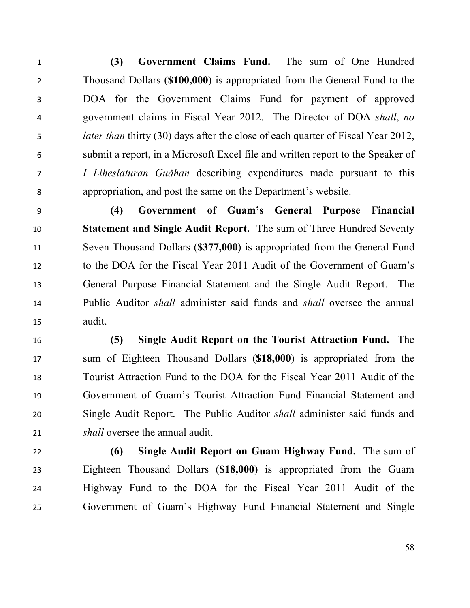**(3) Government Claims Fund.** The sum of One Hundred Thousand Dollars (**\$100,000**) is appropriated from the General Fund to the DOA for the Government Claims Fund for payment of approved government claims in Fiscal Year 2012. The Director of DOA *shall*, *no later than* thirty (30) days after the close of each quarter of Fiscal Year 2012, submit a report, in a Microsoft Excel file and written report to the Speaker of *I Liheslaturan Guåhan* describing expenditures made pursuant to this appropriation, and post the same on the Department's website.

 **(4) Government of Guam's General Purpose Financial Statement and Single Audit Report.** The sum of Three Hundred Seventy Seven Thousand Dollars (**\$377,000**) is appropriated from the General Fund to the DOA for the Fiscal Year 2011 Audit of the Government of Guam's General Purpose Financial Statement and the Single Audit Report. The Public Auditor *shall* administer said funds and *shall* oversee the annual audit.

 **(5) Single Audit Report on the Tourist Attraction Fund.** The sum of Eighteen Thousand Dollars (**\$18,000**) is appropriated from the Tourist Attraction Fund to the DOA for the Fiscal Year 2011 Audit of the Government of Guam's Tourist Attraction Fund Financial Statement and Single Audit Report. The Public Auditor *shall* administer said funds and *shall* oversee the annual audit.

 **(6) Single Audit Report on Guam Highway Fund.** The sum of Eighteen Thousand Dollars (**\$18,000**) is appropriated from the Guam Highway Fund to the DOA for the Fiscal Year 2011 Audit of the Government of Guam's Highway Fund Financial Statement and Single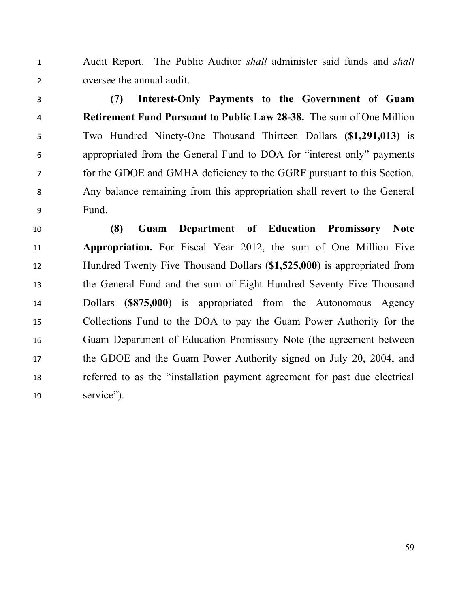Audit Report. The Public Auditor *shall* administer said funds and *shall* oversee the annual audit.

 **(7) Interest-Only Payments to the Government of Guam Retirement Fund Pursuant to Public Law 28-38.** The sum of One Million Two Hundred Ninety-One Thousand Thirteen Dollars **(\$1,291,013)** is appropriated from the General Fund to DOA for "interest only" payments for the GDOE and GMHA deficiency to the GGRF pursuant to this Section. Any balance remaining from this appropriation shall revert to the General Fund.

 **(8) Guam Department of Education Promissory Note Appropriation.** For Fiscal Year 2012, the sum of One Million Five Hundred Twenty Five Thousand Dollars (**\$1,525,000**) is appropriated from the General Fund and the sum of Eight Hundred Seventy Five Thousand Dollars (**\$875,000**) is appropriated from the Autonomous Agency Collections Fund to the DOA to pay the Guam Power Authority for the Guam Department of Education Promissory Note (the agreement between the GDOE and the Guam Power Authority signed on July 20, 2004, and referred to as the "installation payment agreement for past due electrical service").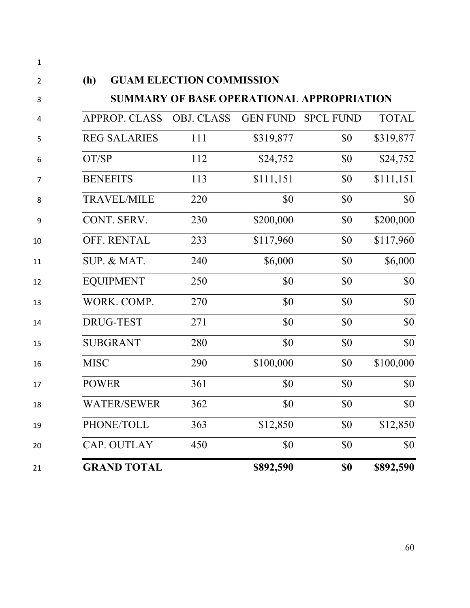| <b>APPROP. CLASS</b> | <b>OBJ. CLASS</b> | <b>GEN FUND</b> | <b>SPCL FUND</b> | <b>TOTAL</b> |
|----------------------|-------------------|-----------------|------------------|--------------|
| <b>REG SALARIES</b>  | 111               | \$319,877       | \$0              | \$319,877    |
| OT/SP                | 112               | \$24,752        | \$0              | \$24,752     |
| <b>BENEFITS</b>      | 113               | \$111,151       | \$0              | \$111,151    |
| <b>TRAVEL/MILE</b>   | 220               | \$0             | \$0              | \$0          |
| CONT. SERV.          | 230               | \$200,000       | \$0              | \$200,000    |
| OFF. RENTAL          | 233               | \$117,960       | \$0              | \$117,960    |
| SUP. & MAT.          | 240               | \$6,000         | \$0              | \$6,000      |
| <b>EQUIPMENT</b>     | 250               | \$0             | \$0              | \$0          |
| WORK. COMP.          | 270               | \$0             | \$0              | \$0          |
| <b>DRUG-TEST</b>     | 271               | \$0             | \$0              | \$0          |
| <b>SUBGRANT</b>      | 280               | \$0             | \$0              | \$0          |
| <b>MISC</b>          | 290               | \$100,000       | \$0              | \$100,000    |
| <b>POWER</b>         | 361               | \$0             | \$0              | \$0          |
| <b>WATER/SEWER</b>   | 362               | \$0             | \$0              | \$0          |
| PHONE/TOLL           | 363               | \$12,850        | \$0              | \$12,850     |
| CAP. OUTLAY          | 450               | \$0             | \$0              | \$0          |
| <b>GRAND TOTAL</b>   |                   | \$892,590       | \$0              | \$892,590    |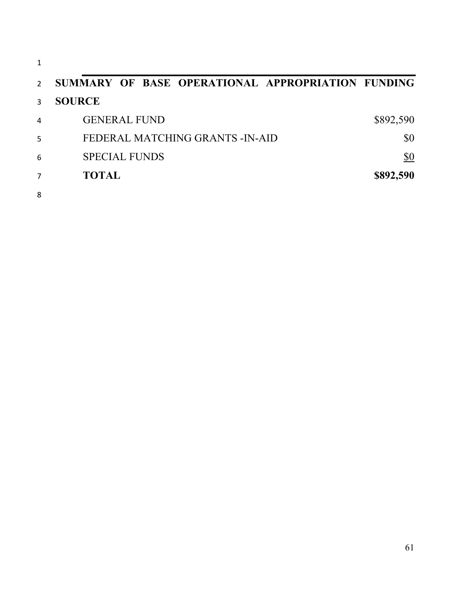| $\mathcal{P}$ | SUMMARY OF BASE OPERATIONAL APPROPRIATION FUNDING |            |
|---------------|---------------------------------------------------|------------|
| 3             | <b>SOURCE</b>                                     |            |
| 4             | <b>GENERAL FUND</b>                               | \$892,590  |
| 5             | FEDERAL MATCHING GRANTS - IN-AID                  | \$0        |
| 6             | <b>SPECIAL FUNDS</b>                              | <u>\$0</u> |
|               | <b>TOTAL</b>                                      | \$892,590  |
| 8             |                                                   |            |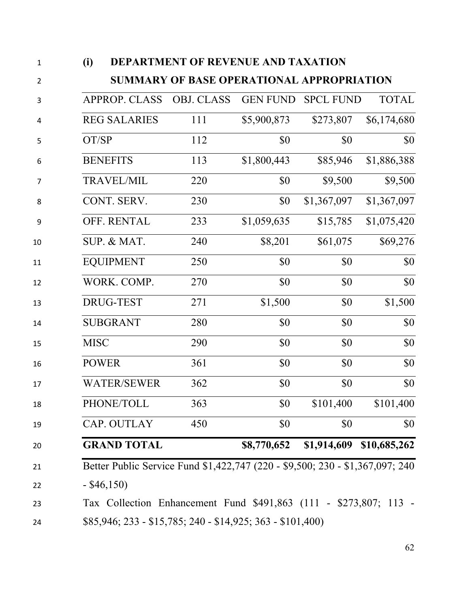| (i)                                                                           | <b>DEPARTMENT OF REVENUE AND TAXATION</b>        |                 |                  |              |
|-------------------------------------------------------------------------------|--------------------------------------------------|-----------------|------------------|--------------|
|                                                                               | <b>SUMMARY OF BASE OPERATIONAL APPROPRIATION</b> |                 |                  |              |
| <b>APPROP. CLASS</b>                                                          | <b>OBJ. CLASS</b>                                | <b>GEN FUND</b> | <b>SPCL FUND</b> | <b>TOTAL</b> |
| <b>REG SALARIES</b>                                                           | 111                                              | \$5,900,873     | \$273,807        | \$6,174,680  |
| OT/SP                                                                         | 112                                              | \$0             | \$0              | \$0          |
| <b>BENEFITS</b>                                                               | 113                                              | \$1,800,443     | \$85,946         | \$1,886,388  |
| <b>TRAVEL/MIL</b>                                                             | 220                                              | \$0             | \$9,500          | \$9,500      |
| CONT. SERV.                                                                   | 230                                              | \$0             | \$1,367,097      | \$1,367,097  |
| OFF. RENTAL                                                                   | 233                                              | \$1,059,635     | \$15,785         | \$1,075,420  |
| SUP. & MAT.                                                                   | 240                                              | \$8,201         | \$61,075         | \$69,276     |
| <b>EQUIPMENT</b>                                                              | 250                                              | \$0             | \$0              | \$0          |
| WORK. COMP.                                                                   | 270                                              | \$0             | \$0              | \$0          |
| DRUG-TEST                                                                     | 271                                              | \$1,500         | \$0              | \$1,500      |
| <b>SUBGRANT</b>                                                               | 280                                              | \$0             | \$0              | \$0          |
| <b>MISC</b>                                                                   | 290                                              | \$0             | \$0              | \$0          |
| <b>POWER</b>                                                                  | 361                                              | \$0             | \$0              | \$0          |
| <b>WATER/SEWER</b>                                                            | 362                                              | \$0             | \$0              | \$0          |
| PHONE/TOLL                                                                    | 363                                              | \$0             | \$101,400        | \$101,400    |
| CAP. OUTLAY                                                                   | 450                                              | \$0             | \$0              | \$0          |
| <b>GRAND TOTAL</b>                                                            |                                                  | \$8,770,652     | \$1,914,609      | \$10,685,262 |
| Better Public Service Fund \$1,422,747 (220 - \$9,500; 230 - \$1,367,097; 240 |                                                  |                 |                  |              |
| $-$ \$46,150)                                                                 |                                                  |                 |                  |              |
| Tax Collection Enhancement Fund \$491,863 (111 - \$273,807; 113 -             |                                                  |                 |                  |              |
| $$85,946; 233 - $15,785; 240 - $14,925; 363 - $101,400)$                      |                                                  |                 |                  |              |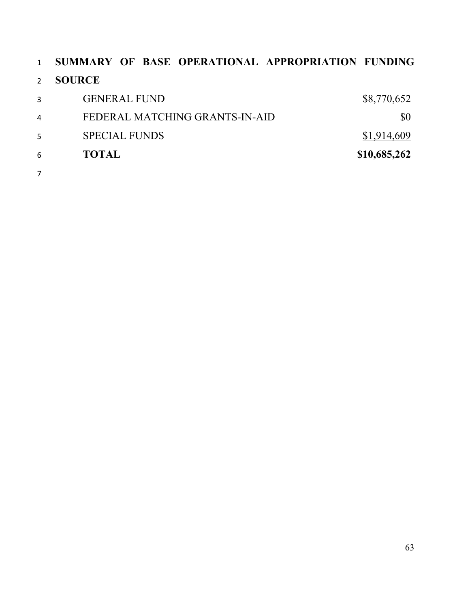| $\mathbf{1}$  | SUMMARY OF BASE OPERATIONAL APPROPRIATION FUNDING |              |
|---------------|---------------------------------------------------|--------------|
| $\mathcal{P}$ | <b>SOURCE</b>                                     |              |
| 3             | <b>GENERAL FUND</b>                               | \$8,770,652  |
| 4             | FEDERAL MATCHING GRANTS-IN-AID                    | \$0          |
| 5             | <b>SPECIAL FUNDS</b>                              | \$1,914,609  |
| 6             | <b>TOTAL</b>                                      | \$10,685,262 |
| 7             |                                                   |              |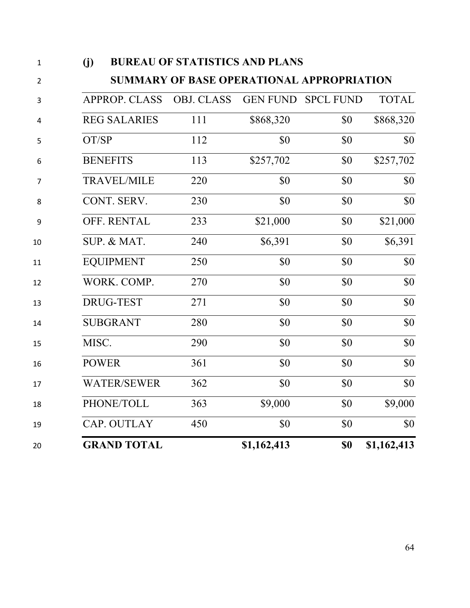| $\mathbf{1}$   | (j)                  | <b>BUREAU OF STATISTICS AND PLANS</b>            |                 |                  |              |
|----------------|----------------------|--------------------------------------------------|-----------------|------------------|--------------|
| $\overline{2}$ |                      | <b>SUMMARY OF BASE OPERATIONAL APPROPRIATION</b> |                 |                  |              |
| 3              | <b>APPROP. CLASS</b> | <b>OBJ. CLASS</b>                                | <b>GEN FUND</b> | <b>SPCL FUND</b> | <b>TOTAL</b> |
| 4              | <b>REG SALARIES</b>  | 111                                              | \$868,320       | \$0              | \$868,320    |
| 5              | OT/SP                | 112                                              | \$0             | \$0              | \$0          |
| 6              | <b>BENEFITS</b>      | 113                                              | \$257,702       | \$0              | \$257,702    |
| 7              | <b>TRAVEL/MILE</b>   | 220                                              | \$0             | \$0              | \$0          |
| 8              | CONT. SERV.          | 230                                              | \$0             | \$0              | \$0          |
| 9              | OFF. RENTAL          | 233                                              | \$21,000        | \$0              | \$21,000     |
| 10             | SUP. & MAT.          | 240                                              | \$6,391         | \$0              | \$6,391      |
| 11             | <b>EQUIPMENT</b>     | 250                                              | \$0             | \$0              | \$0          |
| 12             | WORK. COMP.          | 270                                              | \$0             | \$0              | \$0          |
| 13             | <b>DRUG-TEST</b>     | 271                                              | \$0             | \$0              | \$0          |
| 14             | <b>SUBGRANT</b>      | 280                                              | \$0             | \$0              | \$0          |
| 15             | MISC.                | 290                                              | \$0             | \$0              | \$0          |
| 16             | <b>POWER</b>         | 361                                              | \$0             | \$0              | \$0          |
| 17             | <b>WATER/SEWER</b>   | 362                                              | \$0             | \$0              | \$0          |
| 18             | PHONE/TOLL           | 363                                              | \$9,000         | \$0              | \$9,000      |
| 19             | CAP. OUTLAY          | 450                                              | \$0             | \$0              | \$0          |
| 20             | <b>GRAND TOTAL</b>   |                                                  | \$1,162,413     | \$0              | \$1,162,413  |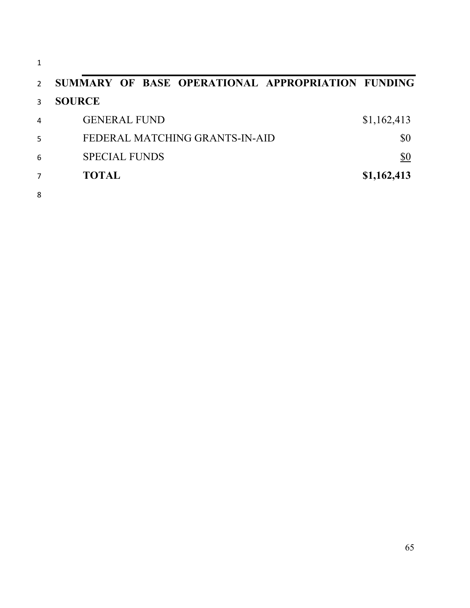| $\mathcal{P}$ | SUMMARY OF BASE OPERATIONAL APPROPRIATION FUNDING |             |
|---------------|---------------------------------------------------|-------------|
|               | <b>SOURCE</b>                                     |             |
| 4             | <b>GENERAL FUND</b>                               | \$1,162,413 |
| 5             | FEDERAL MATCHING GRANTS-IN-AID                    | \$0         |
| 6             | <b>SPECIAL FUNDS</b>                              | \$0         |
|               | <b>TOTAL</b>                                      | \$1,162,413 |
| 8             |                                                   |             |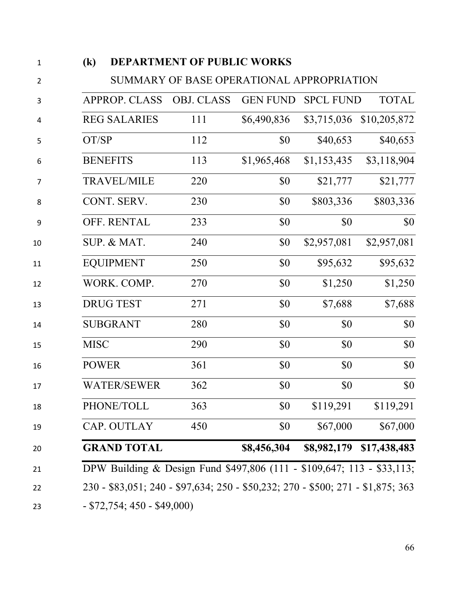| $\left( \mathbf{k}\right)$ | DEPARTMENT OF PUBLIC WORKS                |                 |                  |              |
|----------------------------|-------------------------------------------|-----------------|------------------|--------------|
|                            | SUMMARY OF BASE OPERATIONAL APPROPRIATION |                 |                  |              |
| <b>APPROP. CLASS</b>       | <b>OBJ. CLASS</b>                         | <b>GEN FUND</b> | <b>SPCL FUND</b> | <b>TOTAL</b> |
| <b>REG SALARIES</b>        | 111                                       | \$6,490,836     | \$3,715,036      | \$10,205,872 |
| OT/SP                      | 112                                       | \$0             | \$40,653         | \$40,653     |
| <b>BENEFITS</b>            | 113                                       | \$1,965,468     | \$1,153,435      | \$3,118,904  |
| <b>TRAVEL/MILE</b>         | 220                                       | \$0             | \$21,777         | \$21,777     |
| CONT. SERV.                | 230                                       | \$0             | \$803,336        | \$803,336    |
| OFF. RENTAL                | 233                                       | \$0             | \$0              | \$0          |
| SUP. & MAT.                | 240                                       | \$0             | \$2,957,081      | \$2,957,081  |
| <b>EQUIPMENT</b>           | 250                                       | \$0             | \$95,632         | \$95,632     |
| WORK. COMP.                | 270                                       | \$0             | \$1,250          | \$1,250      |
| <b>DRUG TEST</b>           | 271                                       | \$0             | \$7,688          | \$7,688      |
| <b>SUBGRANT</b>            | 280                                       | \$0             | \$0              | \$0          |
| <b>MISC</b>                | 290                                       | \$0             | \$0              | \$0          |
| <b>POWER</b>               | 361                                       | \$0             | \$0              | \$0          |
| <b>WATER/SEWER</b>         | 362                                       | \$0             | \$0              | \$0          |
| PHONE/TOLL                 | 363                                       | \$0             | \$119,291        | \$119,291    |
| CAP. OUTLAY                | 450                                       | \$0             | \$67,000         | \$67,000     |
|                            | <b>GRAND TOTAL</b>                        | \$8,456,304     | \$8,982,179      | \$17,438,483 |

- \$72,754; 450 - \$49,000)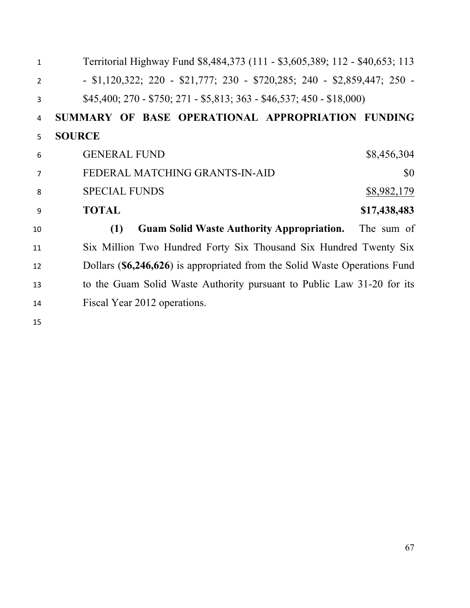| $\mathbf{1}$   | Territorial Highway Fund \$8,484,373 (111 - \$3,605,389; 112 - \$40,653; 113       |
|----------------|------------------------------------------------------------------------------------|
| $\overline{2}$ | $-$ \$1,120,322; 220 $-$ \$21,777; 230 $-$ \$720,285; 240 $-$ \$2,859,447; 250 $-$ |
| 3              | $$45,400; 270 - $750; 271 - $5,813; 363 - $46,537; 450 - $18,000$                  |
| 4              | SUMMARY OF BASE OPERATIONAL APPROPRIATION FUNDING                                  |
| 5              | <b>SOURCE</b>                                                                      |
| 6              | <b>GENERAL FUND</b><br>\$8,456,304                                                 |
| 7              | FEDERAL MATCHING GRANTS-IN-AID<br>\$0                                              |
| 8              | <b>SPECIAL FUNDS</b><br>\$8,982,179                                                |
| 9              | <b>TOTAL</b><br>\$17,438,483                                                       |
| 10             | <b>Guam Solid Waste Authority Appropriation.</b> The sum of<br>(1)                 |
| 11             | Six Million Two Hundred Forty Six Thousand Six Hundred Twenty Six                  |
| 12             | Dollars (\$6,246,626) is appropriated from the Solid Waste Operations Fund         |
| 13             | to the Guam Solid Waste Authority pursuant to Public Law 31-20 for its             |
| 14             | Fiscal Year 2012 operations.                                                       |
| 15             |                                                                                    |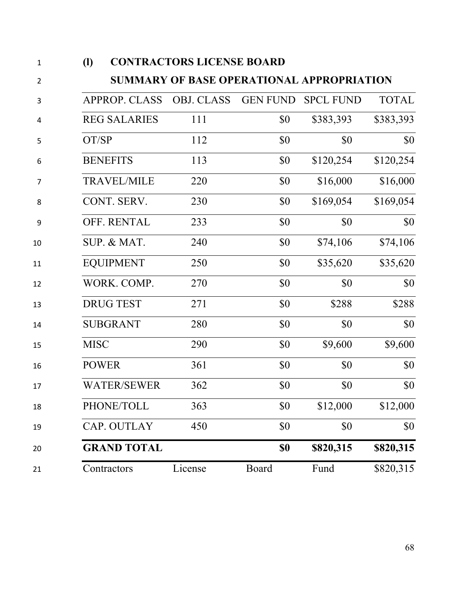| $\mathbf{1}$ | $\left( \mathbf{l} \right)$ |                      | <b>CONTRACTORS LICENSE BOARD</b>                 |                 |                  |              |
|--------------|-----------------------------|----------------------|--------------------------------------------------|-----------------|------------------|--------------|
| 2            |                             |                      | <b>SUMMARY OF BASE OPERATIONAL APPROPRIATION</b> |                 |                  |              |
| 3            |                             | <b>APPROP. CLASS</b> | <b>OBJ. CLASS</b>                                | <b>GEN FUND</b> | <b>SPCL FUND</b> | <b>TOTAL</b> |
| 4            |                             | <b>REG SALARIES</b>  | 111                                              | \$0             | \$383,393        | \$383,393    |
| 5            | OT/SP                       |                      | 112                                              | \$0             | \$0              | \$0          |
| 6            |                             | <b>BENEFITS</b>      | 113                                              | \$0             | \$120,254        | \$120,254    |
| 7            |                             | <b>TRAVEL/MILE</b>   | 220                                              | \$0             | \$16,000         | \$16,000     |
| 8            |                             | CONT. SERV.          | 230                                              | \$0             | \$169,054        | \$169,054    |
| 9            |                             | OFF. RENTAL          | 233                                              | \$0             | \$0              | \$0          |
| 10           |                             | SUP. & MAT.          | 240                                              | \$0             | \$74,106         | \$74,106     |
| 11           |                             | <b>EQUIPMENT</b>     | 250                                              | \$0             | \$35,620         | \$35,620     |
| 12           |                             | WORK. COMP.          | 270                                              | \$0             | \$0              | \$0          |
| 13           |                             | <b>DRUG TEST</b>     | 271                                              | \$0             | \$288            | \$288        |
| 14           |                             | <b>SUBGRANT</b>      | 280                                              | \$0             | \$0              | \$0          |
| 15           | <b>MISC</b>                 |                      | 290                                              | \$0             | \$9,600          | \$9,600      |
| 16           | <b>POWER</b>                |                      | 361                                              | \$0             | \$0              | \$0          |
| 17           |                             | <b>WATER/SEWER</b>   | 362                                              | \$0             | \$0              | \$0          |
| 18           |                             | PHONE/TOLL           | 363                                              | \$0             | \$12,000         | \$12,000     |
| 19           |                             | CAP. OUTLAY          | 450                                              | \$0             | \$0              | \$0          |
| 20           |                             | <b>GRAND TOTAL</b>   |                                                  | \$0             | \$820,315        | \$820,315    |
| 21           |                             | Contractors          | License                                          | Board           | Fund             | \$820,315    |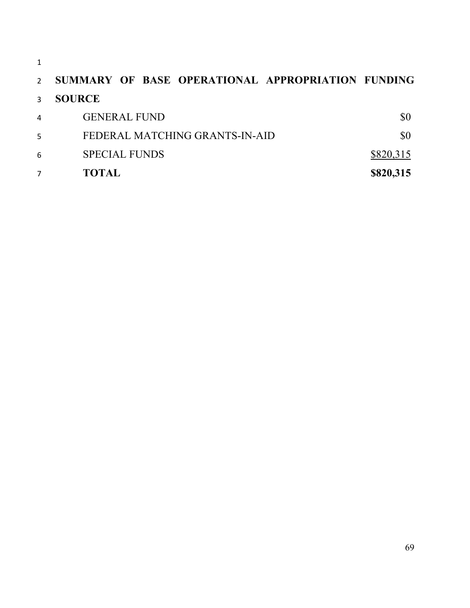| ۰, |
|----|
|    |

| $\overline{2}$ | SUMMARY OF BASE OPERATIONAL APPROPRIATION FUNDING |           |
|----------------|---------------------------------------------------|-----------|
| $\mathcal{R}$  | <b>SOURCE</b>                                     |           |
| 4              | <b>GENERAL FUND</b>                               | \$0       |
| 5              | FEDERAL MATCHING GRANTS-IN-AID                    | \$0       |
| 6              | <b>SPECIAL FUNDS</b>                              | \$820,315 |
|                | <b>TOTAL</b>                                      | \$820,315 |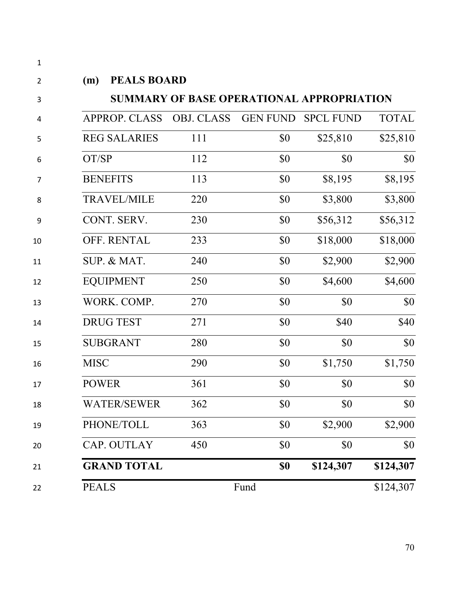| (m)         | <b>PEALS BOARD</b>   |                                                  |                 |                  |              |
|-------------|----------------------|--------------------------------------------------|-----------------|------------------|--------------|
|             |                      | <b>SUMMARY OF BASE OPERATIONAL APPROPRIATION</b> |                 |                  |              |
|             | <b>APPROP. CLASS</b> | <b>OBJ. CLASS</b>                                | <b>GEN FUND</b> | <b>SPCL FUND</b> | <b>TOTAL</b> |
|             | <b>REG SALARIES</b>  | 111                                              | \$0             | \$25,810         | \$25,810     |
|             | OT/SP                | 112                                              | \$0             | \$0              | \$0          |
|             | <b>BENEFITS</b>      | 113                                              | \$0             | \$8,195          | \$8,195      |
|             | <b>TRAVEL/MILE</b>   | 220                                              | \$0             | \$3,800          | \$3,800      |
|             | CONT. SERV.          | 230                                              | \$0             | \$56,312         | \$56,312     |
|             | OFF. RENTAL          | 233                                              | \$0             | \$18,000         | \$18,000     |
|             | SUP. & MAT.          | 240                                              | \$0             | \$2,900          | \$2,900      |
|             | <b>EQUIPMENT</b>     | 250                                              | \$0             | \$4,600          | \$4,600      |
|             | WORK. COMP.          | 270                                              | \$0             | \$0              | \$0          |
|             | <b>DRUG TEST</b>     | 271                                              | \$0             | \$40             | \$40         |
|             | <b>SUBGRANT</b>      | 280                                              | \$0             | \$0              | \$0          |
| <b>MISC</b> |                      | 290                                              | \$0             | \$1,750          | \$1,750      |
|             | <b>POWER</b>         | 361                                              | \$0             | \$0              | \$0          |
|             | <b>WATER/SEWER</b>   | 362                                              | \$0             | \$0              | \$0          |
|             | PHONE/TOLL           | 363                                              | \$0             | \$2,900          | \$2,900      |
|             | CAP. OUTLAY          | 450                                              | \$0             | \$0              | \$0          |
|             | <b>GRAND TOTAL</b>   |                                                  | \$0             | \$124,307        | \$124,307    |
|             | <b>PEALS</b>         |                                                  | Fund            |                  | \$124,307    |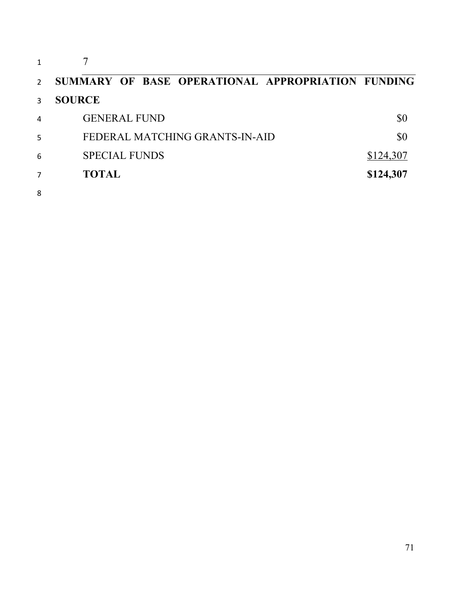| $\mathcal{P}$  | SUMMARY OF BASE OPERATIONAL APPROPRIATION FUNDING |           |
|----------------|---------------------------------------------------|-----------|
| 3              | <b>SOURCE</b>                                     |           |
| $\overline{4}$ | <b>GENERAL FUND</b>                               | \$0       |
| 5              | FEDERAL MATCHING GRANTS-IN-AID                    | \$0       |
| 6              | <b>SPECIAL FUNDS</b>                              | \$124,307 |
| 7              | <b>TOTAL</b>                                      | \$124,307 |
| 8              |                                                   |           |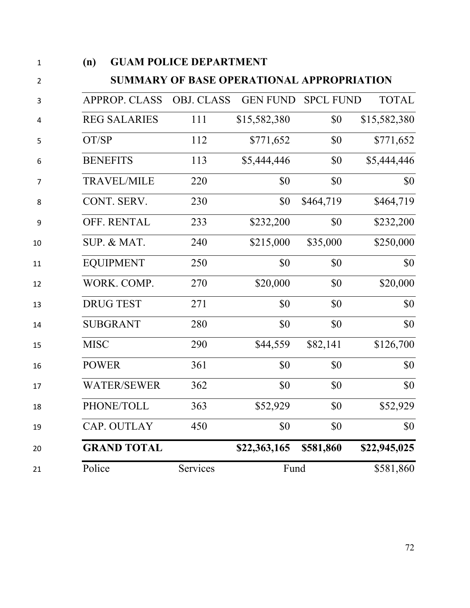| (n)          |                      | <b>GUAM POLICE DEPARTMENT</b>             |                 |                  |              |
|--------------|----------------------|-------------------------------------------|-----------------|------------------|--------------|
|              |                      | SUMMARY OF BASE OPERATIONAL APPROPRIATION |                 |                  |              |
|              | <b>APPROP. CLASS</b> | <b>OBJ. CLASS</b>                         | <b>GEN FUND</b> | <b>SPCL FUND</b> | <b>TOTAL</b> |
|              | <b>REG SALARIES</b>  | 111                                       | \$15,582,380    | \$0              | \$15,582,380 |
| OT/SP        |                      | 112                                       | \$771,652       | \$0              | \$771,652    |
|              | <b>BENEFITS</b>      | 113                                       | \$5,444,446     | \$0              | \$5,444,446  |
|              | <b>TRAVEL/MILE</b>   | 220                                       | \$0             | \$0              | \$0          |
|              | CONT. SERV.          | 230                                       | \$0             | \$464,719        | \$464,719    |
|              | OFF. RENTAL          | 233                                       | \$232,200       | \$0              | \$232,200    |
|              | SUP. & MAT.          | 240                                       | \$215,000       | \$35,000         | \$250,000    |
|              | <b>EQUIPMENT</b>     | 250                                       | \$0             | \$0              | \$0          |
|              | WORK. COMP.          | 270                                       | \$20,000        | \$0              | \$20,000     |
|              | <b>DRUG TEST</b>     | 271                                       | \$0             | \$0              | \$0          |
|              | <b>SUBGRANT</b>      | 280                                       | \$0             | \$0              | \$0          |
| <b>MISC</b>  |                      | 290                                       | \$44,559        | \$82,141         | \$126,700    |
| <b>POWER</b> |                      | 361                                       | \$0             | \$0              | \$0          |
|              | <b>WATER/SEWER</b>   | 362                                       | \$0             | \$0              | \$0          |
|              | PHONE/TOLL           | 363                                       | \$52,929        | \$0              | \$52,929     |
|              | CAP. OUTLAY          | 450                                       | \$0             | \$0              | \$0          |
|              | <b>GRAND TOTAL</b>   |                                           | \$22,363,165    | \$581,860        | \$22,945,025 |
| Police       |                      | Services                                  | Fund            |                  | \$581,860    |
|              |                      |                                           |                 |                  |              |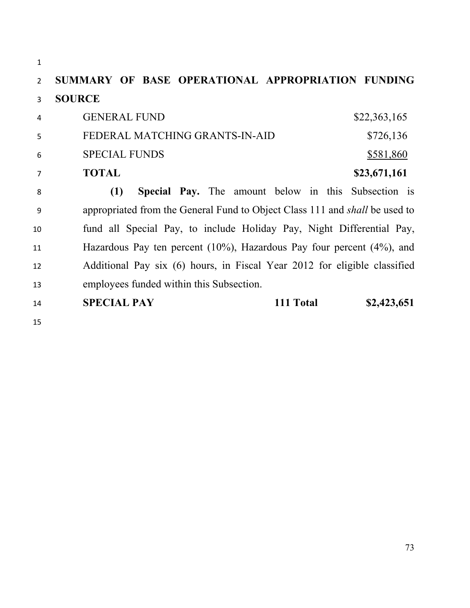**SUMMARY OF BASE OPERATIONAL APPROPRIATION FUNDING SOURCE**  4 GENERAL FUND \$22,363,165 5 FEDERAL MATCHING GRANTS-IN-AID \$726,136 6 SPECIAL FUNDS \$581,860 **TOTAL \$23,671,161 (1) Special Pay.** The amount below in this Subsection is appropriated from the General Fund to Object Class 111 and *shall* be used to fund all Special Pay, to include Holiday Pay, Night Differential Pay, Hazardous Pay ten percent (10%), Hazardous Pay four percent (4%), and Additional Pay six (6) hours, in Fiscal Year 2012 for eligible classified employees funded within this Subsection. **SPECIAL PAY 111 Total \$2,423,651**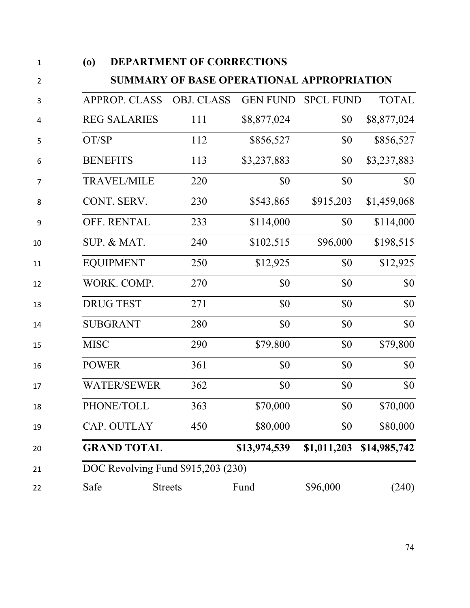| (0)             |                      | <b>DEPARTMENT OF CORRECTIONS</b>   |                                           |                           |              |
|-----------------|----------------------|------------------------------------|-------------------------------------------|---------------------------|--------------|
|                 |                      |                                    | SUMMARY OF BASE OPERATIONAL APPROPRIATION |                           |              |
|                 | <b>APPROP. CLASS</b> | <b>OBJ. CLASS</b>                  |                                           | <b>GEN FUND SPCL FUND</b> | <b>TOTAL</b> |
|                 | <b>REG SALARIES</b>  | 111                                | \$8,877,024                               | \$0                       | \$8,877,024  |
| OT/SP           |                      | 112                                | \$856,527                                 | \$0                       | \$856,527    |
| <b>BENEFITS</b> |                      | 113                                | \$3,237,883                               | \$0                       | \$3,237,883  |
|                 | <b>TRAVEL/MILE</b>   | 220                                | \$0                                       | \$0                       | \$0          |
|                 | CONT. SERV.          | 230                                | \$543,865                                 | \$915,203                 | \$1,459,068  |
|                 | <b>OFF. RENTAL</b>   | 233                                | \$114,000                                 | \$0                       | \$114,000    |
|                 | SUP. & MAT.          | 240                                | \$102,515                                 | \$96,000                  | \$198,515    |
|                 | <b>EQUIPMENT</b>     | 250                                | \$12,925                                  | \$0                       | \$12,925     |
|                 | WORK. COMP.          | 270                                | \$0                                       | \$0                       | \$0          |
|                 | <b>DRUG TEST</b>     | 271                                | \$0                                       | \$0                       | \$0          |
| <b>SUBGRANT</b> |                      | 280                                | \$0                                       | \$0                       | \$0          |
| <b>MISC</b>     |                      | 290                                | \$79,800                                  | \$0                       | \$79,800     |
| <b>POWER</b>    |                      | 361                                | \$0                                       | \$0                       | \$0          |
|                 | <b>WATER/SEWER</b>   | 362                                | \$0                                       | \$0                       | \$0          |
|                 | PHONE/TOLL           | 363                                | \$70,000                                  | \$0                       | \$70,000     |
|                 | CAP. OUTLAY          | 450                                | \$80,000                                  | \$0                       | \$80,000     |
|                 | <b>GRAND TOTAL</b>   |                                    | \$13,974,539                              | \$1,011,203               | \$14,985,742 |
|                 |                      | DOC Revolving Fund \$915,203 (230) |                                           |                           |              |
| Safe            |                      | <b>Streets</b>                     | Fund                                      | \$96,000                  | (240)        |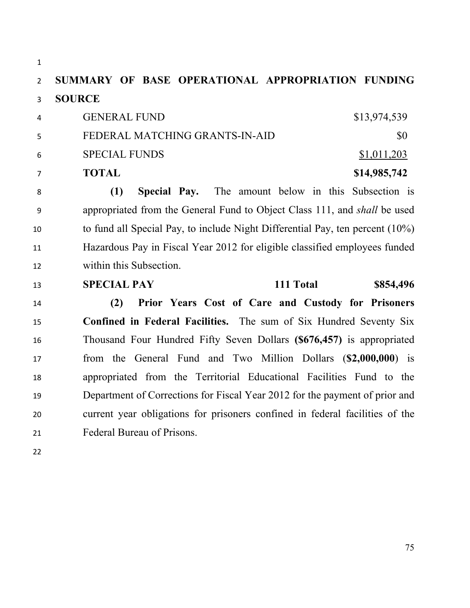**SUMMARY OF BASE OPERATIONAL APPROPRIATION FUNDING SOURCE**  4 GENERAL FUND \$13,974,539 5 FEDERAL MATCHING GRANTS-IN-AID \$0 6 SPECIAL FUNDS \$1,011,203 **TOTAL \$14,985,742 (1) Special Pay.** The amount below in this Subsection is appropriated from the General Fund to Object Class 111, and *shall* be used to fund all Special Pay, to include Night Differential Pay, ten percent (10%) Hazardous Pay in Fiscal Year 2012 for eligible classified employees funded within this Subsection. **SPECIAL PAY 111 Total \$854,496 (2) Prior Years Cost of Care and Custody for Prisoners Confined in Federal Facilities.** The sum of Six Hundred Seventy Six Thousand Four Hundred Fifty Seven Dollars **(\$676,457)** is appropriated from the General Fund and Two Million Dollars (**\$2,000,000**) is

 appropriated from the Territorial Educational Facilities Fund to the Department of Corrections for Fiscal Year 2012 for the payment of prior and current year obligations for prisoners confined in federal facilities of the Federal Bureau of Prisons.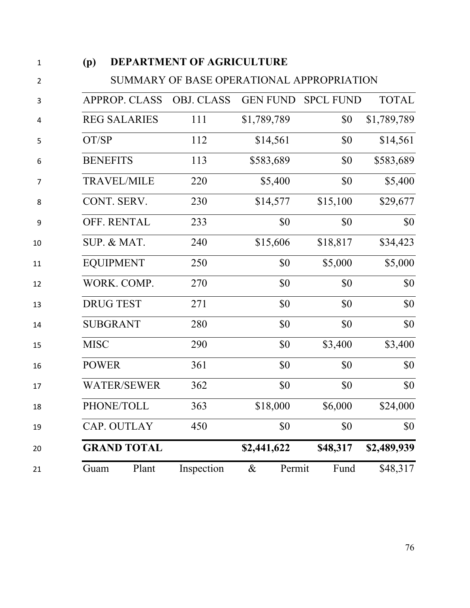| (p)         |                      | <b>DEPARTMENT OF AGRICULTURE</b>          |                 |                  |              |
|-------------|----------------------|-------------------------------------------|-----------------|------------------|--------------|
|             |                      | SUMMARY OF BASE OPERATIONAL APPROPRIATION |                 |                  |              |
|             | <b>APPROP. CLASS</b> | <b>OBJ. CLASS</b>                         | <b>GEN FUND</b> | <b>SPCL FUND</b> | <b>TOTAL</b> |
|             | <b>REG SALARIES</b>  | 111                                       | \$1,789,789     | \$0              | \$1,789,789  |
| OT/SP       |                      | 112                                       | \$14,561        | \$0              | \$14,561     |
|             | <b>BENEFITS</b>      | 113                                       | \$583,689       | \$0              | \$583,689    |
|             | <b>TRAVEL/MILE</b>   | 220                                       | \$5,400         | \$0              | \$5,400      |
|             | CONT. SERV.          | 230                                       | \$14,577        | \$15,100         | \$29,677     |
|             | OFF. RENTAL          | 233                                       | \$0             | \$0              | \$0          |
|             | SUP. & MAT.          | 240                                       | \$15,606        | \$18,817         | \$34,423     |
|             | <b>EQUIPMENT</b>     | 250                                       | \$0             | \$5,000          | \$5,000      |
|             | WORK. COMP.          | 270                                       | \$0             | \$0              | \$0          |
|             | <b>DRUG TEST</b>     | 271                                       | \$0             | \$0              | \$0          |
|             | <b>SUBGRANT</b>      | 280                                       | \$0             | \$0              | \$0          |
| <b>MISC</b> |                      | 290                                       | \$0             | \$3,400          | \$3,400      |
|             | <b>POWER</b>         | 361                                       | \$0             | \$0              | \$0          |
|             | <b>WATER/SEWER</b>   | 362                                       | \$0             | \$0              | \$0          |
|             | PHONE/TOLL           | 363                                       | \$18,000        | \$6,000          | \$24,000     |
|             | CAP. OUTLAY          | 450                                       | \$0             | \$0              | \$0          |
|             | <b>GRAND TOTAL</b>   |                                           | \$2,441,622     | \$48,317         | \$2,489,939  |
| Guam        | Plant                | Inspection                                | Permit<br>$\&$  | Fund             | \$48,317     |
|             |                      |                                           |                 |                  |              |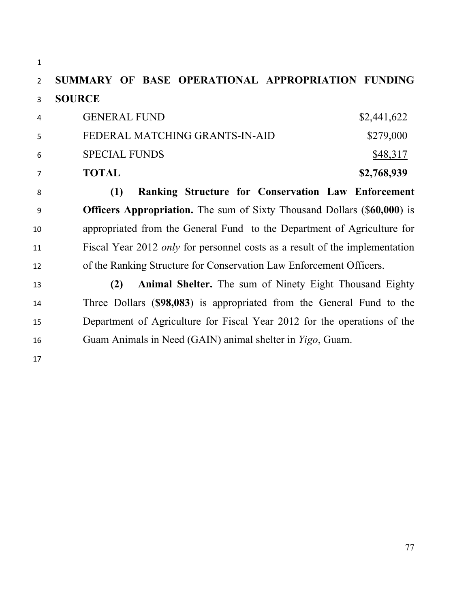**SUMMARY OF BASE OPERATIONAL APPROPRIATION FUNDING SOURCE**  4 GENERAL FUND \$2,441,622 5 FEDERAL MATCHING GRANTS-IN-AID \$279,000 6 SPECIAL FUNDS \$48,317 **TOTAL \$2,768,939 (1) Ranking Structure for Conservation Law Enforcement Officers Appropriation.** The sum of Sixty Thousand Dollars (\$**60,000**) is appropriated from the General Fund to the Department of Agriculture for Fiscal Year 2012 *only* for personnel costs as a result of the implementation of the Ranking Structure for Conservation Law Enforcement Officers. **(2) Animal Shelter.** The sum of Ninety Eight Thousand Eighty Three Dollars (**\$98,083**) is appropriated from the General Fund to the Department of Agriculture for Fiscal Year 2012 for the operations of the Guam Animals in Need (GAIN) animal shelter in *Yigo*, Guam.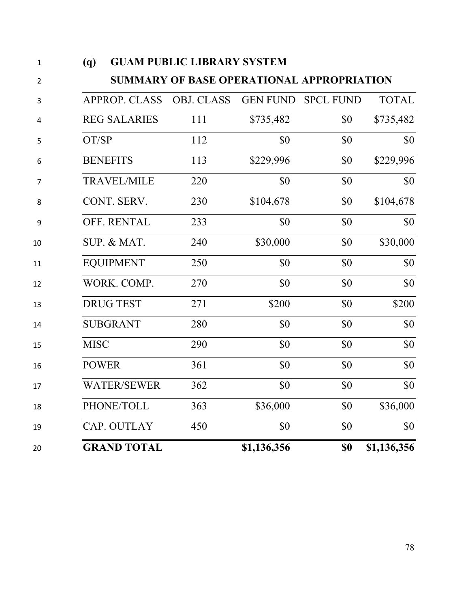| Ŧ              | WУ<br><b>OUAM I UDLIU LIDRAN I STSTEM</b>        |                   |                 |                  |              |  |
|----------------|--------------------------------------------------|-------------------|-----------------|------------------|--------------|--|
| $\overline{2}$ | <b>SUMMARY OF BASE OPERATIONAL APPROPRIATION</b> |                   |                 |                  |              |  |
| 3              | <b>APPROP. CLASS</b>                             | <b>OBJ. CLASS</b> | <b>GEN FUND</b> | <b>SPCL FUND</b> | <b>TOTAL</b> |  |
| $\pmb{4}$      | <b>REG SALARIES</b>                              | 111               | \$735,482       | \$0              | \$735,482    |  |
| 5              | OT/SP                                            | 112               | \$0             | \$0              | \$0          |  |
| 6              | <b>BENEFITS</b>                                  | 113               | \$229,996       | \$0              | \$229,996    |  |
| $\overline{7}$ | <b>TRAVEL/MILE</b>                               | 220               | \$0             | \$0              | \$0          |  |
| 8              | CONT. SERV.                                      | 230               | \$104,678       | \$0              | \$104,678    |  |
| 9              | OFF. RENTAL                                      | 233               | \$0             | \$0              | \$0\$        |  |
| 10             | SUP. & MAT.                                      | 240               | \$30,000        | \$0              | \$30,000     |  |
| 11             | <b>EQUIPMENT</b>                                 | 250               | \$0             | \$0              | \$0          |  |
| 12             | WORK. COMP.                                      | 270               | \$0             | \$0              | \$0          |  |
| 13             | <b>DRUG TEST</b>                                 | 271               | \$200           | \$0              | \$200        |  |
| 14             | <b>SUBGRANT</b>                                  | 280               | \$0             | \$0              | \$0          |  |
| 15             | <b>MISC</b>                                      | 290               | \$0             | \$0              | \$0          |  |
| 16             | <b>POWER</b>                                     | 361               | \$0             | \$0              | \$0          |  |
| 17             | <b>WATER/SEWER</b>                               | 362               | \$0             | \$0              | \$0          |  |
| 18             | PHONE/TOLL                                       | 363               | \$36,000        | \$0              | \$36,000     |  |
| 19             | CAP. OUTLAY                                      | 450               | \$0             | \$0              | \$0          |  |
| 20             | <b>GRAND TOTAL</b>                               |                   | \$1,136,356     | \$0              | \$1,136,356  |  |
|                |                                                  |                   |                 |                  |              |  |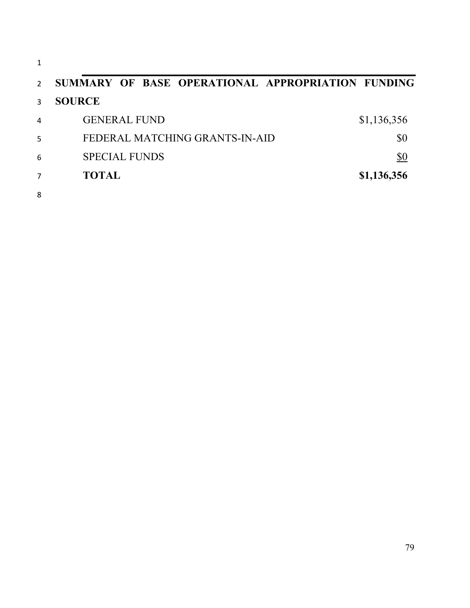| 1              |                                                   |             |
|----------------|---------------------------------------------------|-------------|
| $\mathcal{P}$  | SUMMARY OF BASE OPERATIONAL APPROPRIATION FUNDING |             |
| 3              | <b>SOURCE</b>                                     |             |
| $\overline{4}$ | <b>GENERAL FUND</b>                               | \$1,136,356 |
| 5              | FEDERAL MATCHING GRANTS-IN-AID                    | \$0         |
| 6              | <b>SPECIAL FUNDS</b>                              | \$0         |
| 7              | <b>TOTAL</b>                                      | \$1,136,356 |
| 8              |                                                   |             |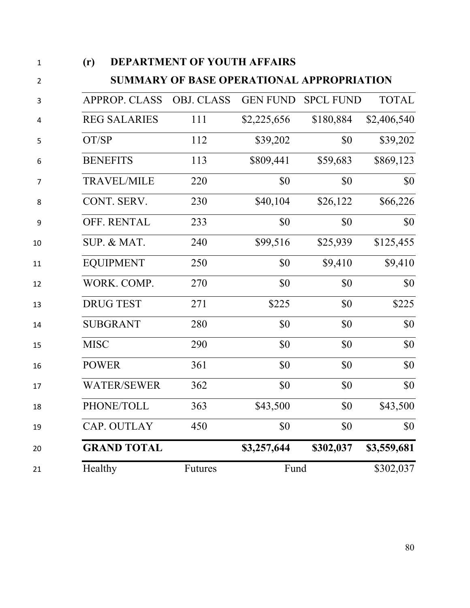| (r)                  | <b>DEPARTMENT OF YOUTH AFFAIRS</b>               |                 |                  |              |
|----------------------|--------------------------------------------------|-----------------|------------------|--------------|
|                      | <b>SUMMARY OF BASE OPERATIONAL APPROPRIATION</b> |                 |                  |              |
| <b>APPROP. CLASS</b> | <b>OBJ. CLASS</b>                                | <b>GEN FUND</b> | <b>SPCL FUND</b> | <b>TOTAL</b> |
| <b>REG SALARIES</b>  | 111                                              | \$2,225,656     | \$180,884        | \$2,406,540  |
| OT/SP                | 112                                              | \$39,202        | \$0              | \$39,202     |
| <b>BENEFITS</b>      | 113                                              | \$809,441       | \$59,683         | \$869,123    |
| <b>TRAVEL/MILE</b>   | 220                                              | \$0             | \$0              | \$0          |
| CONT. SERV.          | 230                                              | \$40,104        | \$26,122         | \$66,226     |
| <b>OFF. RENTAL</b>   | 233                                              | \$0             | \$0              | \$0          |
| SUP. & MAT.          | 240                                              | \$99,516        | \$25,939         | \$125,455    |
| <b>EQUIPMENT</b>     | 250                                              | \$0             | \$9,410          | \$9,410      |
| WORK. COMP.          | 270                                              | \$0             | \$0              | \$0          |
| <b>DRUG TEST</b>     | 271                                              | \$225           | \$0              | \$225        |
| <b>SUBGRANT</b>      | 280                                              | \$0             | \$0              | \$0          |
| <b>MISC</b>          | 290                                              | \$0             | \$0              | \$0          |
| <b>POWER</b>         | 361                                              | \$0             | \$0              | \$0          |
| <b>WATER/SEWER</b>   | 362                                              | \$0             | \$0              | \$0          |
| PHONE/TOLL           | 363                                              | \$43,500        | \$0              | \$43,500     |
| CAP. OUTLAY          | 450                                              | \$0             | \$0              | \$0          |
| <b>GRAND TOTAL</b>   |                                                  | \$3,257,644     | \$302,037        | \$3,559,681  |
| Healthy              | Futures                                          | Fund            |                  | \$302,037    |
|                      |                                                  |                 |                  |              |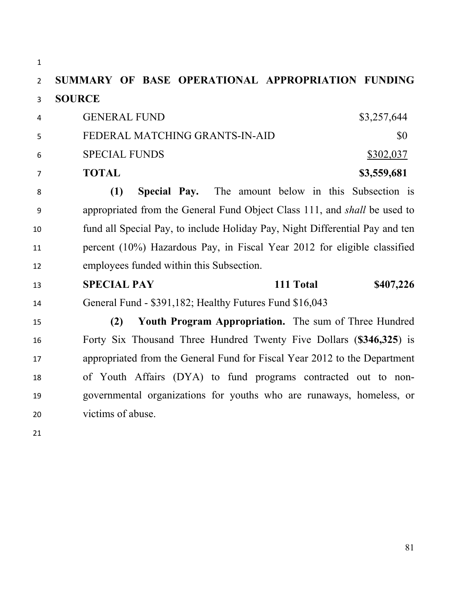| $\mathbf{1}$   |                                                                                  |
|----------------|----------------------------------------------------------------------------------|
| $\overline{2}$ | SUMMARY OF BASE OPERATIONAL APPROPRIATION FUNDING                                |
| 3              | <b>SOURCE</b>                                                                    |
| 4              | <b>GENERAL FUND</b><br>\$3,257,644                                               |
| 5              | FEDERAL MATCHING GRANTS-IN-AID<br>\$0                                            |
| 6              | <b>SPECIAL FUNDS</b><br>\$302,037                                                |
| 7              | <b>TOTAL</b><br>\$3,559,681                                                      |
| 8              | The amount below in this Subsection is<br>(1)<br>Special Pay.                    |
| 9              | appropriated from the General Fund Object Class 111, and <i>shall</i> be used to |
| 10             | fund all Special Pay, to include Holiday Pay, Night Differential Pay and ten     |
| 11             | percent (10%) Hazardous Pay, in Fiscal Year 2012 for eligible classified         |
| 12             | employees funded within this Subsection.                                         |
| 13             | <b>SPECIAL PAY</b><br>111 Total<br>\$407,226                                     |
| 14             | General Fund - \$391,182; Healthy Futures Fund \$16,043                          |
| 15             | Youth Program Appropriation. The sum of Three Hundred<br>(2)                     |
| 16             | Forty Six Thousand Three Hundred Twenty Five Dollars (\$346,325) is              |
| 17             | appropriated from the General Fund for Fiscal Year 2012 to the Department        |
| 18             | of Youth Affairs (DYA) to fund programs contracted out to non-                   |
| 19             | governmental organizations for youths who are runaways, homeless, or             |
| 20             | victims of abuse.                                                                |
|                |                                                                                  |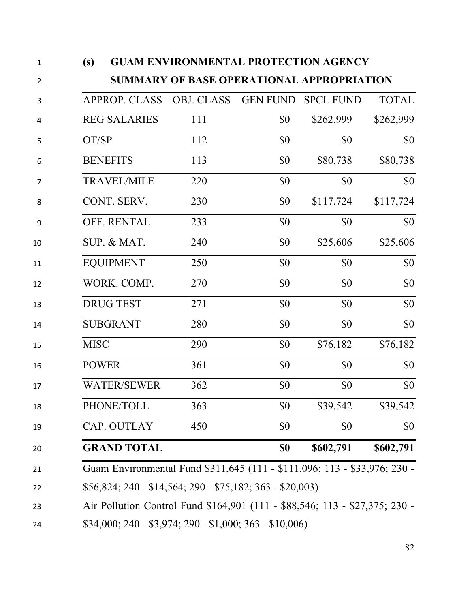| (s)                                                                         | <b>GUAM ENVIRONMENTAL PROTECTION AGENCY</b>      |                 |                  |              |  |
|-----------------------------------------------------------------------------|--------------------------------------------------|-----------------|------------------|--------------|--|
|                                                                             | <b>SUMMARY OF BASE OPERATIONAL APPROPRIATION</b> |                 |                  |              |  |
| <b>APPROP. CLASS</b>                                                        | <b>OBJ. CLASS</b>                                | <b>GEN FUND</b> | <b>SPCL FUND</b> | <b>TOTAL</b> |  |
| <b>REG SALARIES</b>                                                         | 111                                              | \$0             | \$262,999        | \$262,999    |  |
| OT/SP                                                                       | 112                                              | \$0             | \$0              | \$0          |  |
| <b>BENEFITS</b>                                                             | 113                                              | \$0             | \$80,738         | \$80,738     |  |
| <b>TRAVEL/MILE</b>                                                          | 220                                              | \$0             | \$0              | \$0          |  |
| CONT. SERV.                                                                 | 230                                              | \$0             | \$117,724        | \$117,724    |  |
| OFF. RENTAL                                                                 | 233                                              | \$0             | \$0              | \$0          |  |
| SUP. & MAT.                                                                 | 240                                              | \$0             | \$25,606         | \$25,606     |  |
| <b>EQUIPMENT</b>                                                            | 250                                              | \$0             | \$0              | \$0          |  |
| WORK. COMP.                                                                 | 270                                              | \$0             | \$0              | \$0          |  |
| <b>DRUG TEST</b>                                                            | 271                                              | \$0             | \$0              | \$0          |  |
| <b>SUBGRANT</b>                                                             | 280                                              | \$0             | \$0              | \$0          |  |
| <b>MISC</b>                                                                 | 290                                              | \$0             | \$76,182         | \$76,182     |  |
| <b>POWER</b>                                                                | 361                                              | \$0             | \$0              | \$0          |  |
| <b>WATER/SEWER</b>                                                          | 362                                              | \$0             | \$0              | \$0          |  |
| PHONE/TOLL                                                                  | 363                                              | \$0             | \$39,542         | \$39,542     |  |
| CAP. OUTLAY                                                                 | 450                                              | \$0             | \$0              | \$0          |  |
| <b>GRAND TOTAL</b>                                                          |                                                  | \$0             | \$602,791        | \$602,791    |  |
| Guam Environmental Fund \$311,645 (111 - \$111,096; 113 - \$33,976; 230 -   |                                                  |                 |                  |              |  |
| \$56,824; 240 - \$14,564; 290 - \$75,182; 363 - \$20,003)                   |                                                  |                 |                  |              |  |
| Air Pollution Control Fund \$164,901 (111 - \$88,546; 113 - \$27,375; 230 - |                                                  |                 |                  |              |  |
|                                                                             |                                                  |                 |                  |              |  |

\$34,000; 240 - \$3,974; 290 - \$1,000; 363 - \$10,006)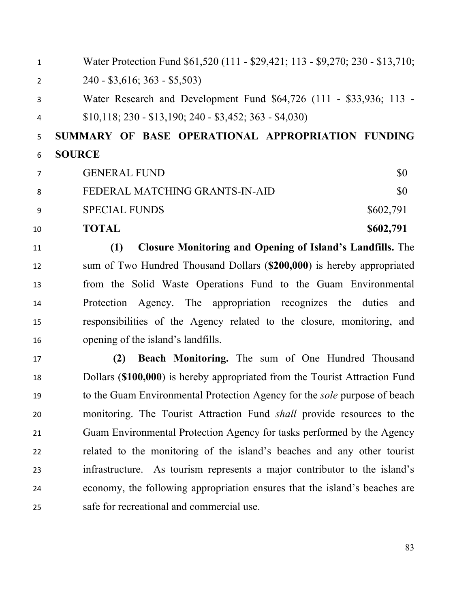1 Water Protection Fund \$61,520 (111 - \$29,421; 113 - \$9,270; 230 - \$13,710; 2 240 - \$3,616; 363 - \$5,503) Water Research and Development Fund \$64,726 (111 - \$33,936; 113 - \$10,118; 230 - \$13,190; 240 - \$3,452; 363 - \$4,030) **SUMMARY OF BASE OPERATIONAL APPROPRIATION FUNDING SOURCE**  7 GENERAL FUND \$0 8 FEDERAL MATCHING GRANTS-IN-AID \$0 9 SPECIAL FUNDS \$602,791 **TOTAL** \$602,791 **(1) Closure Monitoring and Opening of Island's Landfills.** The sum of Two Hundred Thousand Dollars (**\$200,000**) is hereby appropriated from the Solid Waste Operations Fund to the Guam Environmental Protection Agency. The appropriation recognizes the duties and responsibilities of the Agency related to the closure, monitoring, and opening of the island's landfills.  **(2) Beach Monitoring.** The sum of One Hundred Thousand Dollars (**\$100,000**) is hereby appropriated from the Tourist Attraction Fund to the Guam Environmental Protection Agency for the *sole* purpose of beach monitoring. The Tourist Attraction Fund *shall* provide resources to the

 Guam Environmental Protection Agency for tasks performed by the Agency related to the monitoring of the island's beaches and any other tourist infrastructure. As tourism represents a major contributor to the island's economy, the following appropriation ensures that the island's beaches are safe for recreational and commercial use.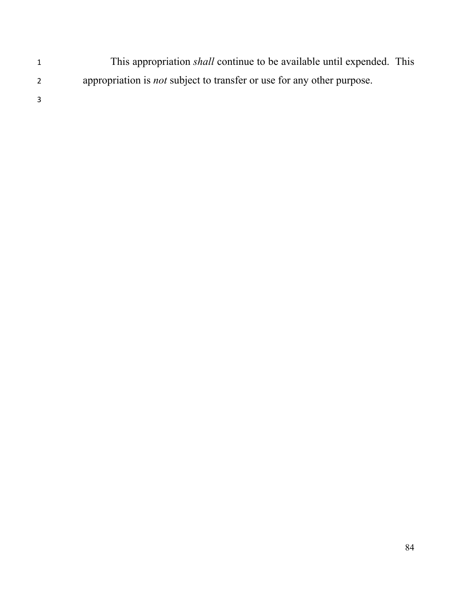- This appropriation *shall* continue to be available until expended. This appropriation is *not* subject to transfer or use for any other purpose.
-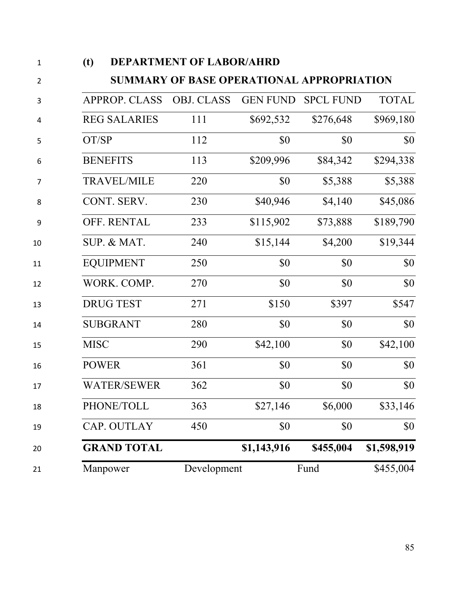| (t)          | <b>DEPARTMENT OF LABOR/AHRD</b> |                                           |                 |                  |              |  |
|--------------|---------------------------------|-------------------------------------------|-----------------|------------------|--------------|--|
|              |                                 | SUMMARY OF BASE OPERATIONAL APPROPRIATION |                 |                  |              |  |
|              | <b>APPROP. CLASS</b>            | <b>OBJ. CLASS</b>                         | <b>GEN FUND</b> | <b>SPCL FUND</b> | <b>TOTAL</b> |  |
|              | <b>REG SALARIES</b>             | 111                                       | \$692,532       | \$276,648        | \$969,180    |  |
| OT/SP        |                                 | 112                                       | \$0             | \$0              | \$0          |  |
|              | <b>BENEFITS</b>                 | 113                                       | \$209,996       | \$84,342         | \$294,338    |  |
|              | <b>TRAVEL/MILE</b>              | 220                                       | \$0             | \$5,388          | \$5,388      |  |
|              | CONT. SERV.                     | 230                                       | \$40,946        | \$4,140          | \$45,086     |  |
|              | OFF. RENTAL                     | 233                                       | \$115,902       | \$73,888         | \$189,790    |  |
|              | SUP. & MAT.                     | 240                                       | \$15,144        | \$4,200          | \$19,344     |  |
|              | <b>EQUIPMENT</b>                | 250                                       | \$0             | \$0              | \$0          |  |
|              | WORK. COMP.                     | 270                                       | \$0             | \$0              | \$0          |  |
|              | <b>DRUG TEST</b>                | 271                                       | \$150           | \$397            | \$547        |  |
|              | <b>SUBGRANT</b>                 | 280                                       | \$0             | \$0              | \$0          |  |
| <b>MISC</b>  |                                 | 290                                       | \$42,100        | \$0              | \$42,100     |  |
| <b>POWER</b> |                                 | 361                                       | \$0             | \$0              | \$0          |  |
|              | <b>WATER/SEWER</b>              | 362                                       | \$0             | \$0              | \$0          |  |
|              | PHONE/TOLL                      | 363                                       | \$27,146        | \$6,000          | \$33,146     |  |
|              | CAP. OUTLAY                     | 450                                       | \$0             | \$0              | \$0          |  |
|              | <b>GRAND TOTAL</b>              |                                           | \$1,143,916     | \$455,004        | \$1,598,919  |  |
|              | Manpower                        | Development                               |                 | Fund             | \$455,004    |  |
|              |                                 |                                           |                 |                  |              |  |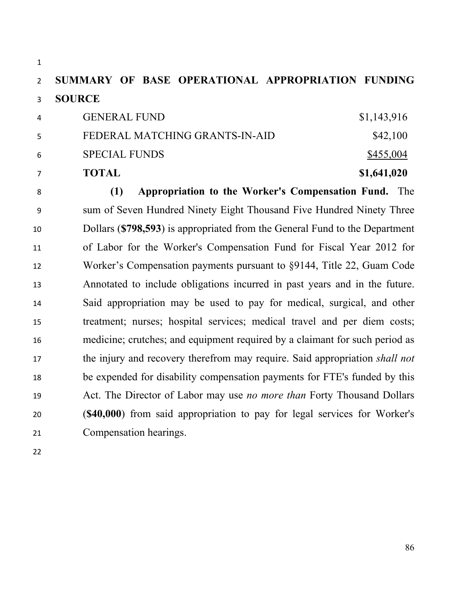## **SUMMARY OF BASE OPERATIONAL APPROPRIATION FUNDING SOURCE**

|                        | <b>TOTAL</b>                   | \$1,641,020 |
|------------------------|--------------------------------|-------------|
| -6                     | <b>SPECIAL FUNDS</b>           | \$455,004   |
|                        | FEDERAL MATCHING GRANTS-IN-AID | \$42,100    |
| $\boldsymbol{\Lambda}$ | <b>GENERAL FUND</b>            | \$1,143,916 |

 **(1) Appropriation to the Worker's Compensation Fund.** The sum of Seven Hundred Ninety Eight Thousand Five Hundred Ninety Three Dollars (**\$798,593**) is appropriated from the General Fund to the Department of Labor for the Worker's Compensation Fund for Fiscal Year 2012 for Worker's Compensation payments pursuant to §9144, Title 22, Guam Code Annotated to include obligations incurred in past years and in the future. Said appropriation may be used to pay for medical, surgical, and other treatment; nurses; hospital services; medical travel and per diem costs; medicine; crutches; and equipment required by a claimant for such period as the injury and recovery therefrom may require. Said appropriation *shall not* be expended for disability compensation payments for FTE's funded by this Act. The Director of Labor may use *no more than* Forty Thousand Dollars (**\$40,000**) from said appropriation to pay for legal services for Worker's Compensation hearings.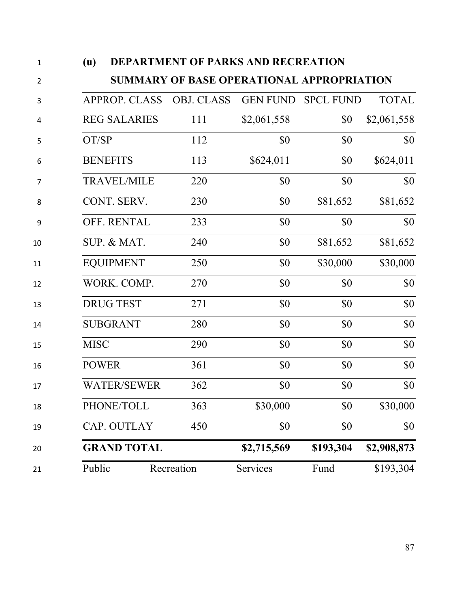| (u)         |                      | <b>DEPARTMENT OF PARKS AND RECREATION</b>        |             |                    |              |
|-------------|----------------------|--------------------------------------------------|-------------|--------------------|--------------|
|             |                      | <b>SUMMARY OF BASE OPERATIONAL APPROPRIATION</b> |             |                    |              |
|             | <b>APPROP. CLASS</b> | <b>OBJ. CLASS</b>                                |             | GEN FUND SPCL FUND | <b>TOTAL</b> |
|             | <b>REG SALARIES</b>  | 111                                              | \$2,061,558 | \$0                | \$2,061,558  |
| OT/SP       |                      | 112                                              | \$0         | \$0                | \$0          |
|             | <b>BENEFITS</b>      | 113                                              | \$624,011   | \$0                | \$624,011    |
|             | <b>TRAVEL/MILE</b>   | 220                                              | \$0         | \$0                | \$0          |
|             | CONT. SERV.          | 230                                              | \$0         | \$81,652           | \$81,652     |
|             | OFF. RENTAL          | 233                                              | \$0         | \$0                | \$0          |
|             | SUP. & MAT.          | 240                                              | \$0         | \$81,652           | \$81,652     |
|             | <b>EQUIPMENT</b>     | 250                                              | \$0         | \$30,000           | \$30,000     |
|             | WORK. COMP.          | 270                                              | \$0         | \$0                | \$0          |
|             | <b>DRUG TEST</b>     | 271                                              | \$0         | \$0                | \$0          |
|             | <b>SUBGRANT</b>      | 280                                              | \$0         | \$0                | \$0          |
| <b>MISC</b> |                      | 290                                              | \$0         | \$0                | \$0          |
|             | <b>POWER</b>         | 361                                              | \$0         | \$0                | \$0          |
|             | <b>WATER/SEWER</b>   | 362                                              | \$0         | \$0                | \$0          |
|             | PHONE/TOLL           | 363                                              | \$30,000    | \$0                | \$30,000     |
|             | CAP. OUTLAY          | 450                                              | \$0         | \$0                | \$0          |
|             | <b>GRAND TOTAL</b>   |                                                  | \$2,715,569 | \$193,304          | \$2,908,873  |
| Public      |                      | Recreation                                       | Services    | Fund               | \$193,304    |
|             |                      |                                                  |             |                    |              |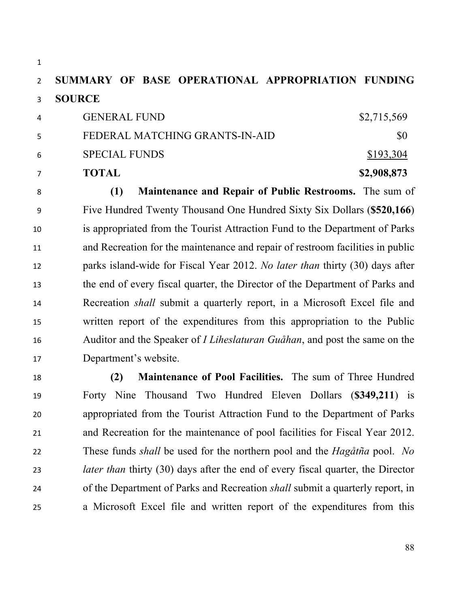### **SUMMARY OF BASE OPERATIONAL APPROPRIATION FUNDING SOURCE**

|     | <b>TOTAL</b>                   | \$2,908,873 |
|-----|--------------------------------|-------------|
| 6   | <b>SPECIAL FUNDS</b>           | \$193,304   |
| .5. | FEDERAL MATCHING GRANTS-IN-AID | \$0         |
| 4   | <b>GENERAL FUND</b>            | \$2,715,569 |

 **(1) Maintenance and Repair of Public Restrooms.** The sum of Five Hundred Twenty Thousand One Hundred Sixty Six Dollars (**\$520,166**) is appropriated from the Tourist Attraction Fund to the Department of Parks and Recreation for the maintenance and repair of restroom facilities in public parks island-wide for Fiscal Year 2012. *No later than* thirty (30) days after the end of every fiscal quarter, the Director of the Department of Parks and Recreation *shall* submit a quarterly report, in a Microsoft Excel file and written report of the expenditures from this appropriation to the Public Auditor and the Speaker of *I Liheslaturan Guåhan*, and post the same on the Department's website.

 **(2) Maintenance of Pool Facilities.** The sum of Three Hundred Forty Nine Thousand Two Hundred Eleven Dollars (**\$349,211**) is appropriated from the Tourist Attraction Fund to the Department of Parks and Recreation for the maintenance of pool facilities for Fiscal Year 2012. These funds *shall* be used for the northern pool and the *Hagåtña* pool. *No later than* thirty (30) days after the end of every fiscal quarter, the Director of the Department of Parks and Recreation *shall* submit a quarterly report, in a Microsoft Excel file and written report of the expenditures from this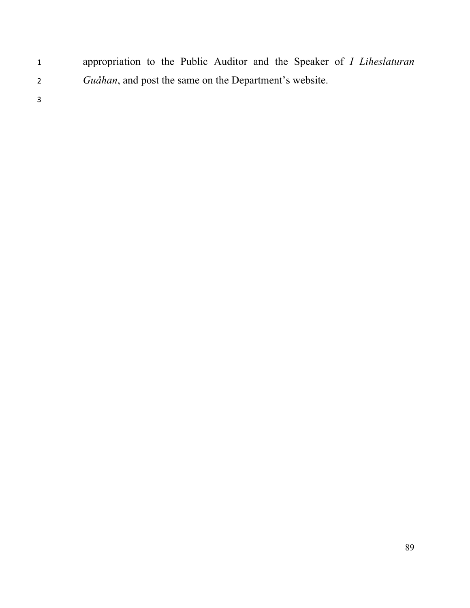appropriation to the Public Auditor and the Speaker of *I Liheslaturan Guåhan*, and post the same on the Department's website.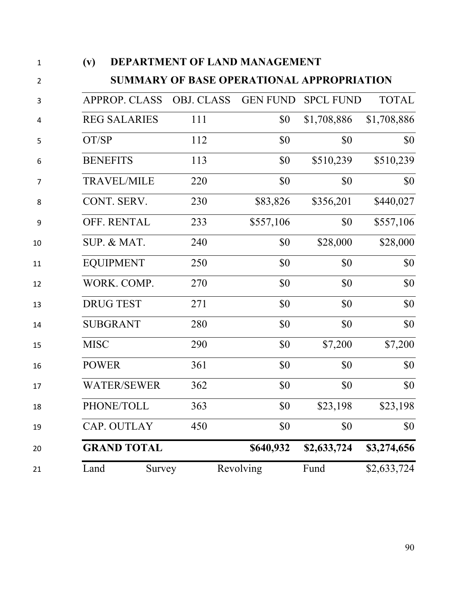| 1  | (v)                                       | DEPARTMENT OF LAND MANAGEMENT |                   |                 |                  |              |  |  |
|----|-------------------------------------------|-------------------------------|-------------------|-----------------|------------------|--------------|--|--|
| 2  | SUMMARY OF BASE OPERATIONAL APPROPRIATION |                               |                   |                 |                  |              |  |  |
| 3  |                                           | <b>APPROP. CLASS</b>          | <b>OBJ. CLASS</b> | <b>GEN FUND</b> | <b>SPCL FUND</b> | <b>TOTAL</b> |  |  |
| 4  |                                           | <b>REG SALARIES</b>           | 111               | \$0             | \$1,708,886      | \$1,708,886  |  |  |
| 5  | OT/SP                                     |                               | 112               | \$0             | \$0              | \$0          |  |  |
| 6  |                                           | <b>BENEFITS</b>               | 113               | \$0             | \$510,239        | \$510,239    |  |  |
| 7  |                                           | <b>TRAVEL/MILE</b>            | 220               | \$0             | \$0              | \$0          |  |  |
| 8  |                                           | CONT. SERV.                   | 230               | \$83,826        | \$356,201        | \$440,027    |  |  |
| 9  |                                           | <b>OFF. RENTAL</b>            | 233               | \$557,106       | \$0              | \$557,106    |  |  |
| 10 |                                           | SUP. & MAT.                   | 240               | \$0             | \$28,000         | \$28,000     |  |  |
| 11 |                                           | <b>EQUIPMENT</b>              | 250               | \$0             | \$0              | \$0          |  |  |
| 12 |                                           | WORK. COMP.                   | 270               | \$0             | \$0              | \$0          |  |  |
| 13 |                                           | <b>DRUG TEST</b>              | 271               | \$0             | \$0              | \$0          |  |  |
| 14 |                                           | <b>SUBGRANT</b>               | 280               | \$0             | \$0              | \$0          |  |  |
| 15 | <b>MISC</b>                               |                               | 290               | \$0             | \$7,200          | \$7,200      |  |  |
| 16 | <b>POWER</b>                              |                               | 361               | \$0             | \$0              | \$0          |  |  |
| 17 |                                           | <b>WATER/SEWER</b>            | 362               | \$0             | \$0              | \$0          |  |  |
| 18 |                                           | PHONE/TOLL                    | 363               | \$0             | \$23,198         | \$23,198     |  |  |
| 19 |                                           | CAP. OUTLAY                   | 450               | \$0             | \$0              | \$0          |  |  |
| 20 |                                           | <b>GRAND TOTAL</b>            |                   | \$640,932       | \$2,633,724      | \$3,274,656  |  |  |
| 21 | Land                                      | Survey                        |                   | Revolving       | Fund             | \$2,633,724  |  |  |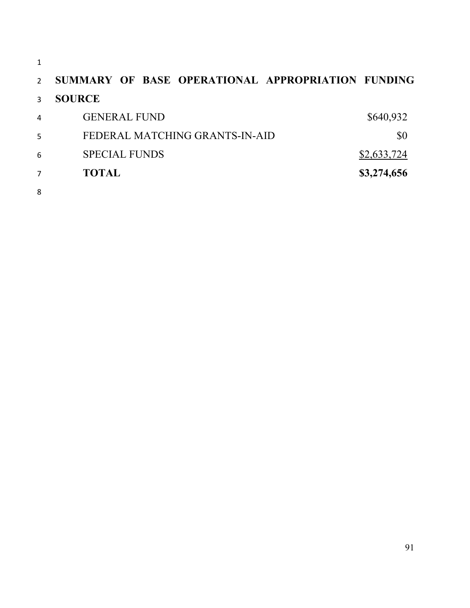|   | SUMMARY OF BASE OPERATIONAL APPROPRIATION FUNDING |             |
|---|---------------------------------------------------|-------------|
| ς | <b>SOURCE</b>                                     |             |
| 4 | <b>GENERAL FUND</b>                               | \$640,932   |
| 5 | FEDERAL MATCHING GRANTS-IN-AID                    | \$0         |
| 6 | <b>SPECIAL FUNDS</b>                              | \$2,633,724 |
|   | TOTAL                                             | \$3,274,656 |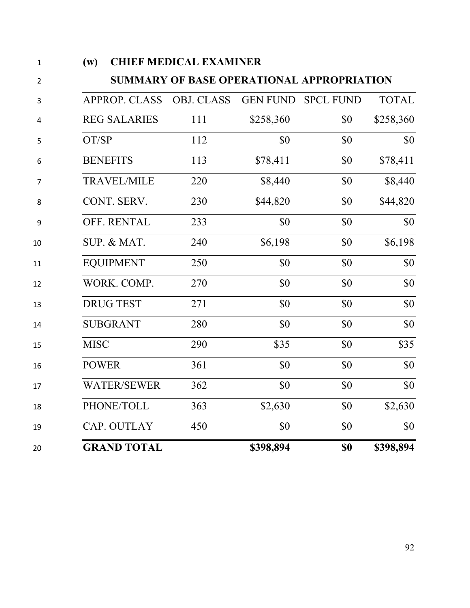| $\mathbf{1}$   | (w)                                              | <b>CHIEF MEDICAL EXAMINER</b> |                 |                  |              |  |  |  |
|----------------|--------------------------------------------------|-------------------------------|-----------------|------------------|--------------|--|--|--|
| $\overline{2}$ | <b>SUMMARY OF BASE OPERATIONAL APPROPRIATION</b> |                               |                 |                  |              |  |  |  |
| 3              | <b>APPROP. CLASS</b>                             | <b>OBJ. CLASS</b>             | <b>GEN FUND</b> | <b>SPCL FUND</b> | <b>TOTAL</b> |  |  |  |
| 4              | <b>REG SALARIES</b>                              | 111                           | \$258,360       | \$0              | \$258,360    |  |  |  |
| 5              | OT/SP                                            | 112                           | \$0             | \$0              | \$0          |  |  |  |
| 6              | <b>BENEFITS</b>                                  | 113                           | \$78,411        | \$0              | \$78,411     |  |  |  |
| 7              | <b>TRAVEL/MILE</b>                               | 220                           | \$8,440         | \$0              | \$8,440      |  |  |  |
| 8              | CONT. SERV.                                      | 230                           | \$44,820        | \$0              | \$44,820     |  |  |  |
| 9              | OFF. RENTAL                                      | 233                           | \$0             | \$0              | \$0          |  |  |  |
| 10             | SUP. & MAT.                                      | 240                           | \$6,198         | \$0              | \$6,198      |  |  |  |
| 11             | <b>EQUIPMENT</b>                                 | 250                           | \$0             | \$0              | \$0          |  |  |  |
| 12             | WORK. COMP.                                      | 270                           | \$0             | \$0              | \$0          |  |  |  |
| 13             | <b>DRUG TEST</b>                                 | 271                           | \$0             | \$0              | \$0          |  |  |  |
| 14             | <b>SUBGRANT</b>                                  | 280                           | \$0             | \$0              | \$0          |  |  |  |
| 15             | <b>MISC</b>                                      | 290                           | \$35            | \$0              | \$35         |  |  |  |
| 16             | <b>POWER</b>                                     | 361                           | \$0             | \$0              | \$0          |  |  |  |
| 17             | <b>WATER/SEWER</b>                               | 362                           | \$0             | \$0              | \$0          |  |  |  |
| 18             | PHONE/TOLL                                       | 363                           | \$2,630         | \$0              | \$2,630      |  |  |  |
| 19             | CAP. OUTLAY                                      | 450                           | \$0             | \$0              | \$0          |  |  |  |
| 20             | <b>GRAND TOTAL</b>                               |                               | \$398,894       | \$0              | \$398,894    |  |  |  |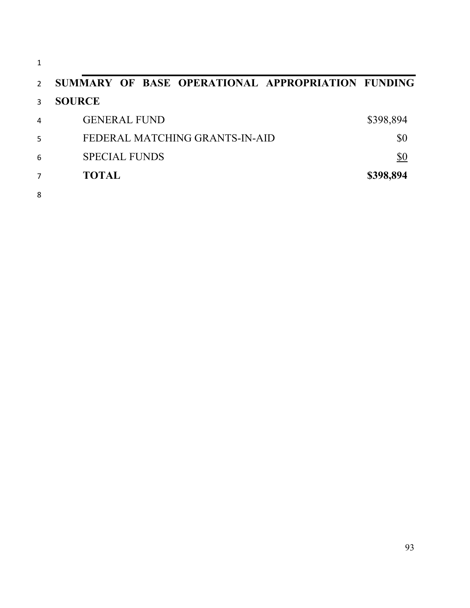| 1              |                                                   |           |
|----------------|---------------------------------------------------|-----------|
| $\mathcal{P}$  | SUMMARY OF BASE OPERATIONAL APPROPRIATION FUNDING |           |
| 3              | <b>SOURCE</b>                                     |           |
| $\overline{4}$ | <b>GENERAL FUND</b>                               | \$398,894 |
| 5              | FEDERAL MATCHING GRANTS-IN-AID                    | \$0       |
| 6              | <b>SPECIAL FUNDS</b>                              | \$0       |
| 7              | <b>TOTAL</b>                                      | \$398,894 |
| 8              |                                                   |           |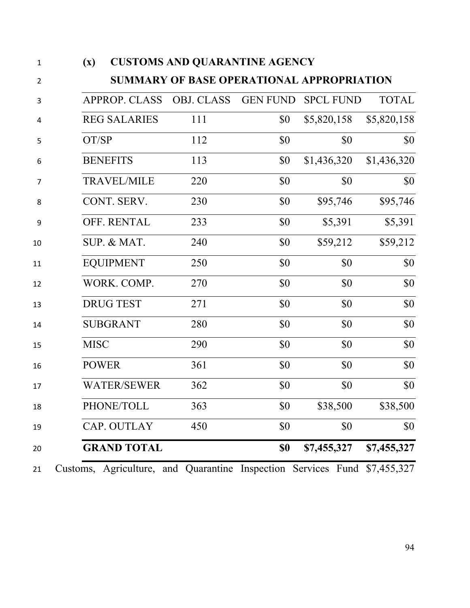| $\mathbf{1}$   | $(\mathbf{x})$ | <b>CUSTOMS AND QUARANTINE AGENCY</b> |                                                      |                 |                  |              |
|----------------|----------------|--------------------------------------|------------------------------------------------------|-----------------|------------------|--------------|
| $\overline{2}$ |                |                                      | <b>SUMMARY OF BASE OPERATIONAL APPROPRIATION</b>     |                 |                  |              |
| 3              |                | <b>APPROP. CLASS</b>                 | OBJ. CLASS                                           | <b>GEN FUND</b> | <b>SPCL FUND</b> | <b>TOTAL</b> |
| 4              |                | <b>REG SALARIES</b>                  | 111                                                  | \$0             | \$5,820,158      | \$5,820,158  |
| 5              | OT/SP          |                                      | 112                                                  | \$0             | \$0              | \$0          |
| 6              |                | <b>BENEFITS</b>                      | 113                                                  | \$0             | \$1,436,320      | \$1,436,320  |
| $\overline{7}$ |                | <b>TRAVEL/MILE</b>                   | 220                                                  | \$0             | \$0              | \$0          |
| 8              |                | CONT. SERV.                          | 230                                                  | \$0             | \$95,746         | \$95,746     |
| 9              |                | OFF. RENTAL                          | 233                                                  | \$0             | \$5,391          | \$5,391      |
| 10             |                | SUP. & MAT.                          | 240                                                  | \$0             | \$59,212         | \$59,212     |
| 11             |                | <b>EQUIPMENT</b>                     | 250                                                  | \$0             | \$0              | \$0          |
| 12             |                | WORK. COMP.                          | 270                                                  | \$0             | \$0              | \$0          |
| 13             |                | <b>DRUG TEST</b>                     | 271                                                  | \$0             | \$0              | \$0          |
| 14             |                | <b>SUBGRANT</b>                      | 280                                                  | \$0             | \$0              | \$0          |
| 15             | <b>MISC</b>    |                                      | 290                                                  | \$0             | \$0              | \$0          |
| 16             | <b>POWER</b>   |                                      | 361                                                  | \$0             | \$0              | \$0          |
| 17             |                | <b>WATER/SEWER</b>                   | 362                                                  | \$0             | \$0              | \$0          |
| 18             |                | PHONE/TOLL                           | 363                                                  | \$0             | \$38,500         | \$38,500     |
| 19             |                | CAP. OUTLAY                          | 450                                                  | \$0             | \$0              | \$0          |
| 20             |                | <b>GRAND TOTAL</b>                   |                                                      | \$0             | \$7,455,327      | \$7,455,327  |
| 21             | Customs,       |                                      | Agriculture, and Quarantine Inspection Services Fund |                 |                  | \$7,455,327  |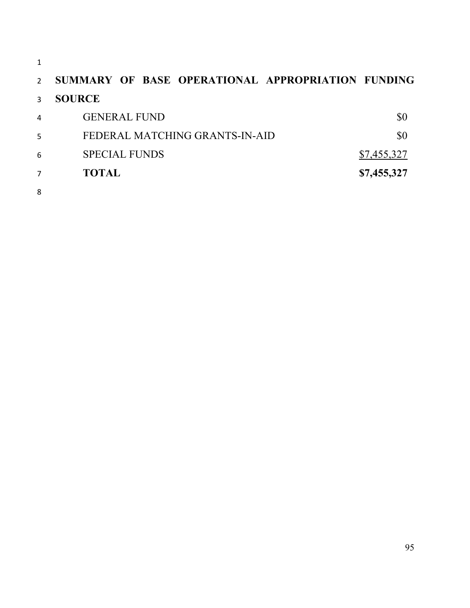# **SUMMARY OF BASE OPERATIONAL APPROPRIATION FUNDING SOURCE**

| $\overline{7}$ | <b>TOTAL</b>                   | \$7,455,327 |
|----------------|--------------------------------|-------------|
| 6              | <b>SPECIAL FUNDS</b>           | \$7,455,327 |
| 5              | FEDERAL MATCHING GRANTS-IN-AID | \$0         |
| 4              | <b>GENERAL FUND</b>            | \$0         |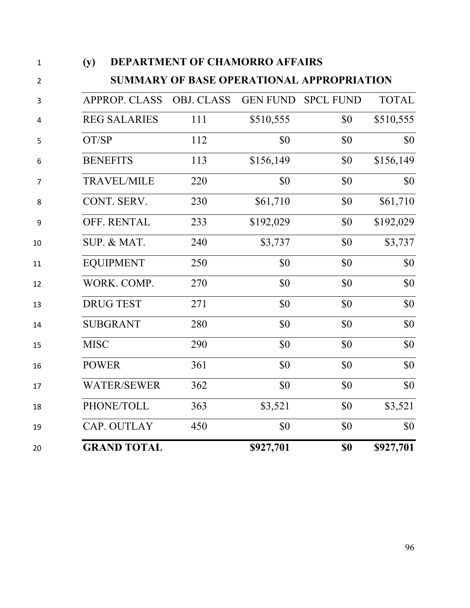| (y)         |                      | DEPARTMENT OF CHAMORRO AFFAIRS            |                 |                  |              |
|-------------|----------------------|-------------------------------------------|-----------------|------------------|--------------|
|             |                      | SUMMARY OF BASE OPERATIONAL APPROPRIATION |                 |                  |              |
|             | <b>APPROP. CLASS</b> | <b>OBJ. CLASS</b>                         | <b>GEN FUND</b> | <b>SPCL FUND</b> | <b>TOTAL</b> |
|             | <b>REG SALARIES</b>  | 111                                       | \$510,555       | \$0              | \$510,555    |
|             | OT/SP                | 112                                       | \$0             | \$0              | \$0          |
|             | <b>BENEFITS</b>      | 113                                       | \$156,149       | \$0              | \$156,149    |
|             | <b>TRAVEL/MILE</b>   | 220                                       | \$0             | \$0              | \$0          |
|             | CONT. SERV.          | 230                                       | \$61,710        | \$0              | \$61,710     |
|             | OFF. RENTAL          | 233                                       | \$192,029       | \$0              | \$192,029    |
|             | SUP. & MAT.          | 240                                       | \$3,737         | \$0              | \$3,737      |
|             | <b>EQUIPMENT</b>     | 250                                       | \$0             | \$0              | \$0          |
|             | WORK. COMP.          | 270                                       | \$0             | \$0              | \$0          |
|             | <b>DRUG TEST</b>     | 271                                       | \$0             | \$0              | \$0          |
|             | <b>SUBGRANT</b>      | 280                                       | \$0             | \$0              | \$0          |
| <b>MISC</b> |                      | 290                                       | \$0             | \$0              | \$0          |
|             | <b>POWER</b>         | 361                                       | \$0             | \$0              | \$0          |
|             | <b>WATER/SEWER</b>   | 362                                       | \$0             | \$0              | \$0          |
|             | PHONE/TOLL           | 363                                       | \$3,521         | \$0              | \$3,521      |
|             | CAP. OUTLAY          | 450                                       | \$0             | \$0              | \$0          |
|             | <b>GRAND TOTAL</b>   |                                           | \$927,701       | \$0              | \$927,701    |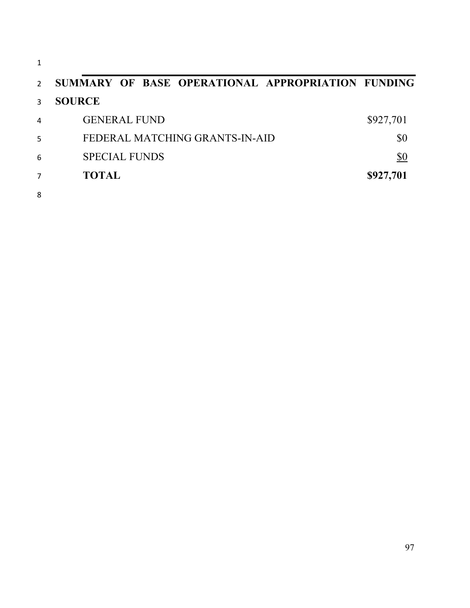| $\mathbf{1}$   |                                                   |           |
|----------------|---------------------------------------------------|-----------|
| $\mathcal{P}$  | SUMMARY OF BASE OPERATIONAL APPROPRIATION FUNDING |           |
| 3              | <b>SOURCE</b>                                     |           |
| $\overline{4}$ | <b>GENERAL FUND</b>                               | \$927,701 |
| 5              | FEDERAL MATCHING GRANTS-IN-AID                    | \$0       |
| 6              | <b>SPECIAL FUNDS</b>                              | \$0       |
| $\overline{7}$ | <b>TOTAL</b>                                      | \$927,701 |
| 8              |                                                   |           |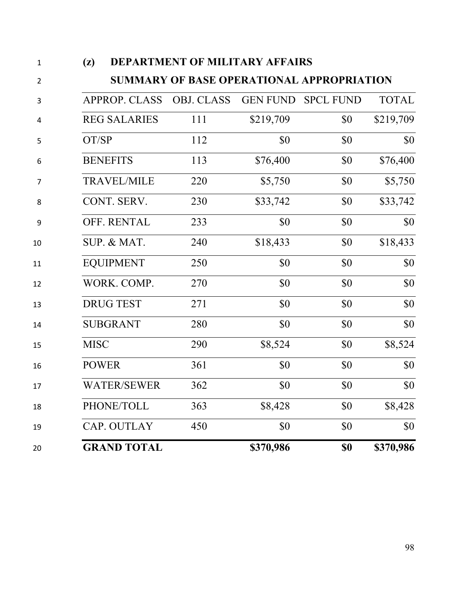| (L)                  | DEI ANTWENT OF MILITANT AFFAINS           |                 |                  |              |
|----------------------|-------------------------------------------|-----------------|------------------|--------------|
|                      | SUMMARY OF BASE OPERATIONAL APPROPRIATION |                 |                  |              |
| <b>APPROP. CLASS</b> | <b>OBJ. CLASS</b>                         | <b>GEN FUND</b> | <b>SPCL FUND</b> | <b>TOTAL</b> |
| <b>REG SALARIES</b>  | 111                                       | \$219,709       | \$0              | \$219,709    |
| OT/SP                | 112                                       | \$0             | \$0              | \$0          |
| <b>BENEFITS</b>      | 113                                       | \$76,400        | \$0              | \$76,400     |
| <b>TRAVEL/MILE</b>   | 220                                       | \$5,750         | \$0              | \$5,750      |
| CONT. SERV.          | 230                                       | \$33,742        | \$0              | \$33,742     |
| OFF. RENTAL          | 233                                       | \$0             | \$0              | \$0          |
| SUP. & MAT.          | 240                                       | \$18,433        | \$0              | \$18,433     |
| <b>EQUIPMENT</b>     | 250                                       | \$0             | \$0              | \$0          |
| WORK. COMP.          | 270                                       | \$0             | \$0              | \$0          |
| <b>DRUG TEST</b>     | 271                                       | \$0             | \$0              | \$0          |
| <b>SUBGRANT</b>      | 280                                       | \$0             | \$0              | \$0          |
| <b>MISC</b>          | 290                                       | \$8,524         | \$0              | \$8,524      |
| <b>POWER</b>         | 361                                       | \$0             | \$0              | \$0          |
| <b>WATER/SEWER</b>   | 362                                       | \$0             | \$0              | \$0          |
| PHONE/TOLL           | 363                                       | \$8,428         | \$0              | \$8,428      |
| CAP. OUTLAY          | 450                                       | \$0             | \$0              | \$0          |
| <b>GRAND TOTAL</b>   |                                           | \$370,986       | \$0              | \$370,986    |

#### **(z) DEPARTMENT OF MILITARY AFFAIRS**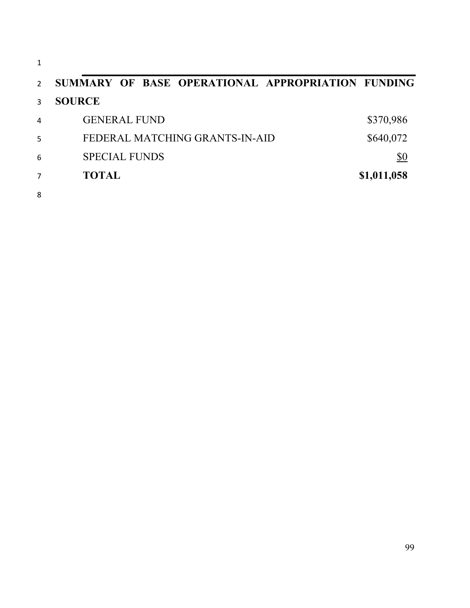| $\mathbf{1}$  |                                                   |             |
|---------------|---------------------------------------------------|-------------|
| $\mathcal{P}$ | SUMMARY OF BASE OPERATIONAL APPROPRIATION FUNDING |             |
| 3             | <b>SOURCE</b>                                     |             |
| 4             | <b>GENERAL FUND</b>                               | \$370,986   |
| 5             | FEDERAL MATCHING GRANTS-IN-AID                    | \$640,072   |
| 6             | <b>SPECIAL FUNDS</b>                              | \$0         |
| 7             | <b>TOTAL</b>                                      | \$1,011,058 |
| 8             |                                                   |             |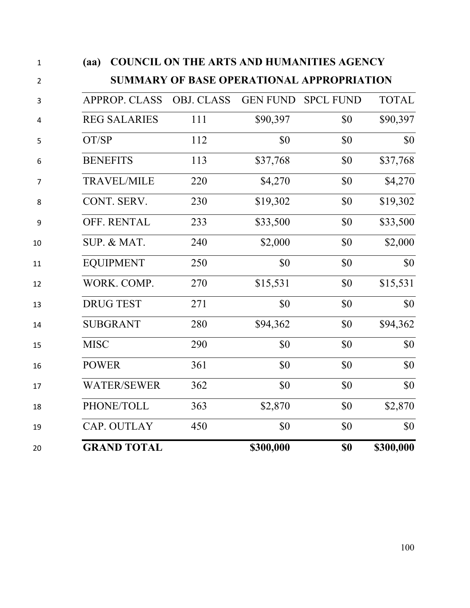| $\mathbf{1}$   | (aa)                 | <b>COUNCIL ON THE ARTS AND HUMANITIES AGENCY</b> |                 |                  |              |
|----------------|----------------------|--------------------------------------------------|-----------------|------------------|--------------|
| $\overline{2}$ |                      | <b>SUMMARY OF BASE OPERATIONAL APPROPRIATION</b> |                 |                  |              |
| 3              | <b>APPROP. CLASS</b> | <b>OBJ. CLASS</b>                                | <b>GEN FUND</b> | <b>SPCL FUND</b> | <b>TOTAL</b> |
| 4              | <b>REG SALARIES</b>  | 111                                              | \$90,397        | \$0              | \$90,397     |
| 5              | OT/SP                | 112                                              | \$0             | \$0              | \$0          |
| 6              | <b>BENEFITS</b>      | 113                                              | \$37,768        | \$0              | \$37,768     |
| $\overline{7}$ | <b>TRAVEL/MILE</b>   | 220                                              | \$4,270         | \$0              | \$4,270      |
| 8              | CONT. SERV.          | 230                                              | \$19,302        | \$0              | \$19,302     |
| 9              | OFF. RENTAL          | 233                                              | \$33,500        | \$0              | \$33,500     |
| 10             | SUP. & MAT.          | 240                                              | \$2,000         | \$0              | \$2,000      |
| 11             | <b>EQUIPMENT</b>     | 250                                              | \$0             | \$0              | \$0          |
| 12             | WORK. COMP.          | 270                                              | \$15,531        | \$0              | \$15,531     |
| 13             | <b>DRUG TEST</b>     | 271                                              | \$0             | \$0              | \$0          |
| 14             | <b>SUBGRANT</b>      | 280                                              | \$94,362        | \$0              | \$94,362     |
| 15             | <b>MISC</b>          | 290                                              | \$0             | \$0              | \$0          |
| 16             | <b>POWER</b>         | 361                                              | \$0             | \$0              | \$0          |
| 17             | <b>WATER/SEWER</b>   | 362                                              | \$0             | \$0              | \$0          |
| 18             | PHONE/TOLL           | 363                                              | \$2,870         | \$0              | \$2,870      |
| 19             | CAP. OUTLAY          | 450                                              | \$0             | \$0              | \$0          |
| 20             | <b>GRAND TOTAL</b>   |                                                  | \$300,000       | \$0              | \$300,000    |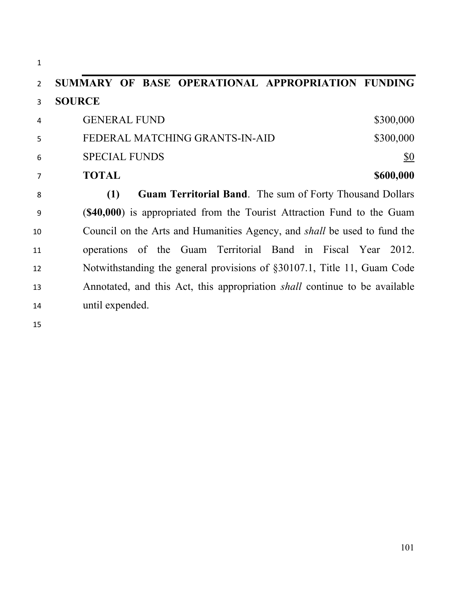| $\mathbf{1}$   |                                                                                   |
|----------------|-----------------------------------------------------------------------------------|
| $\overline{2}$ | SUMMARY OF BASE OPERATIONAL APPROPRIATION FUNDING                                 |
| 3              | <b>SOURCE</b>                                                                     |
| 4              | \$300,000<br><b>GENERAL FUND</b>                                                  |
| 5              | FEDERAL MATCHING GRANTS-IN-AID<br>\$300,000                                       |
| 6              | <b>SPECIAL FUNDS</b><br>\$0                                                       |
| 7              | <b>TOTAL</b><br>\$600,000                                                         |
| 8              | <b>Guam Territorial Band.</b> The sum of Forty Thousand Dollars<br>(1)            |
| 9              | (\$40,000) is appropriated from the Tourist Attraction Fund to the Guam           |
| 10             | Council on the Arts and Humanities Agency, and <i>shall</i> be used to fund the   |
| 11             | operations of the Guam Territorial Band in Fiscal Year<br>2012.                   |
| 12             | Notwithstanding the general provisions of §30107.1, Title 11, Guam Code           |
| 13             | Annotated, and this Act, this appropriation <i>shall</i> continue to be available |
| 14             | until expended.                                                                   |
|                |                                                                                   |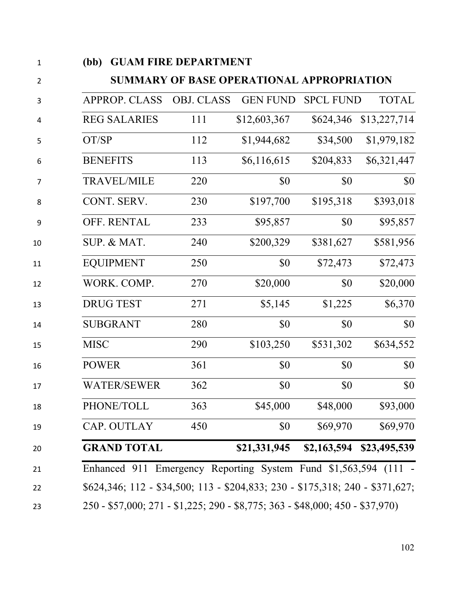|              |                      | <b>GUAM FIRE DEPARTMENT</b> |                                           |                  |              |
|--------------|----------------------|-----------------------------|-------------------------------------------|------------------|--------------|
|              |                      |                             | SUMMARY OF BASE OPERATIONAL APPROPRIATION |                  |              |
|              | <b>APPROP. CLASS</b> | <b>OBJ. CLASS</b>           | <b>GEN FUND</b>                           | <b>SPCL FUND</b> | <b>TOTAL</b> |
|              | <b>REG SALARIES</b>  | 111                         | \$12,603,367                              | \$624,346        | \$13,227,714 |
| OT/SP        |                      | 112                         | \$1,944,682                               | \$34,500         | \$1,979,182  |
|              | <b>BENEFITS</b>      | 113                         | \$6,116,615                               | \$204,833        | \$6,321,447  |
|              | <b>TRAVEL/MILE</b>   | 220                         | \$0                                       | \$0              | \$0          |
|              | CONT. SERV.          | 230                         | \$197,700                                 | \$195,318        | \$393,018    |
|              | OFF. RENTAL          | 233                         | \$95,857                                  | \$0              | \$95,857     |
|              | SUP. & MAT.          | 240                         | \$200,329                                 | \$381,627        | \$581,956    |
|              | <b>EQUIPMENT</b>     | 250                         | \$0                                       | \$72,473         | \$72,473     |
|              | WORK. COMP.          | 270                         | \$20,000                                  | \$0              | \$20,000     |
|              | <b>DRUG TEST</b>     | 271                         | \$5,145                                   | \$1,225          | \$6,370      |
|              | <b>SUBGRANT</b>      | 280                         | \$0                                       | \$0              | \$0          |
| <b>MISC</b>  |                      | 290                         | \$103,250                                 | \$531,302        | \$634,552    |
| <b>POWER</b> |                      | 361                         | \$0                                       | \$0              | \$0          |
|              | <b>WATER/SEWER</b>   | 362                         | \$0                                       | \$0              | \$0          |
|              |                      |                             |                                           |                  |              |
|              | PHONE/TOLL           | 363                         | \$45,000                                  | \$48,000         | \$93,000     |
|              | CAP. OUTLAY          | 450                         | \$0                                       | \$69,970         | \$69,970     |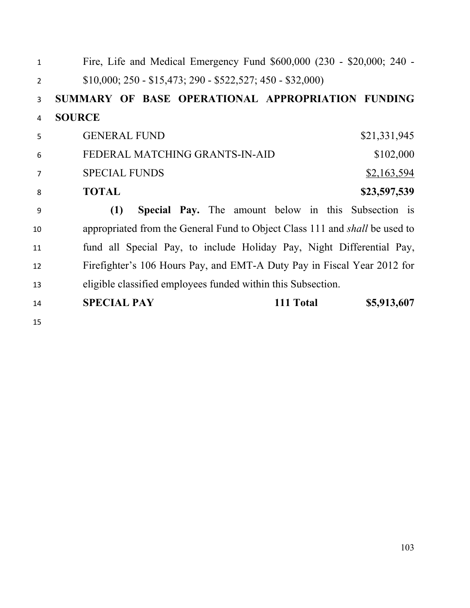| $\mathbf{1}$   | Fire, Life and Medical Emergency Fund \$600,000 (230 - \$20,000; 240 -             |
|----------------|------------------------------------------------------------------------------------|
| $\overline{2}$ | $$10,000; 250 - $15,473; 290 - $522,527; 450 - $32,000)$                           |
| 3              | SUMMARY OF BASE OPERATIONAL APPROPRIATION FUNDING                                  |
| 4              | <b>SOURCE</b>                                                                      |
| 5              | <b>GENERAL FUND</b><br>\$21,331,945                                                |
| 6              | \$102,000<br>FEDERAL MATCHING GRANTS-IN-AID                                        |
| $\overline{7}$ | <b>SPECIAL FUNDS</b><br>\$2,163,594                                                |
| 8              | <b>TOTAL</b><br>\$23,597,539                                                       |
| 9              | <b>Special Pay.</b> The amount below in this Subsection is<br>(1)                  |
| 10             | appropriated from the General Fund to Object Class 111 and <i>shall</i> be used to |
| 11             | fund all Special Pay, to include Holiday Pay, Night Differential Pay,              |
| 12             | Firefighter's 106 Hours Pay, and EMT-A Duty Pay in Fiscal Year 2012 for            |
| 13             | eligible classified employees funded within this Subsection.                       |
| 14             | <b>SPECIAL PAY</b><br>111 Total<br>\$5,913,607                                     |
| 15             |                                                                                    |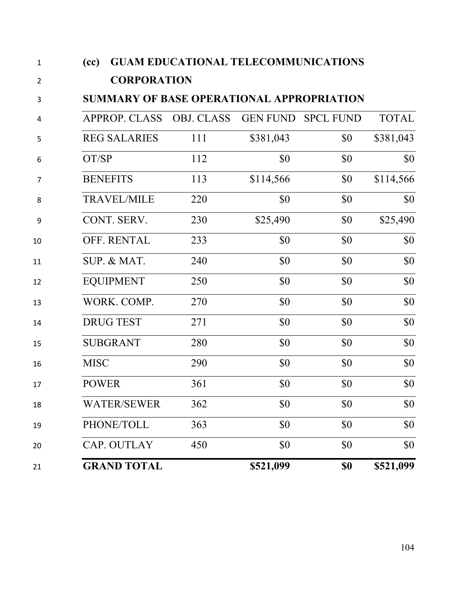| 1              | <b>GUAM EDUCATIONAL TELECOMMUNICATIONS</b><br>(cc) |     |           |                    |              |  |
|----------------|----------------------------------------------------|-----|-----------|--------------------|--------------|--|
| $\overline{2}$ | <b>CORPORATION</b>                                 |     |           |                    |              |  |
| 3              | <b>SUMMARY OF BASE OPERATIONAL APPROPRIATION</b>   |     |           |                    |              |  |
| 4              | APPROP. CLASS OBJ. CLASS                           |     |           | GEN FUND SPCL FUND | <b>TOTAL</b> |  |
| 5              | <b>REG SALARIES</b>                                | 111 | \$381,043 | \$0                | \$381,043    |  |
| 6              | OT/SP                                              | 112 | \$0       | \$0                | \$0          |  |
| 7              | <b>BENEFITS</b>                                    | 113 | \$114,566 | \$0                | \$114,566    |  |
| 8              | <b>TRAVEL/MILE</b>                                 | 220 | \$0       | \$0                | \$0          |  |
| 9              | CONT. SERV.                                        | 230 | \$25,490  | \$0                | \$25,490     |  |
| 10             | OFF. RENTAL                                        | 233 | \$0       | \$0                | \$0          |  |
| 11             | SUP. & MAT.                                        | 240 | \$0       | \$0                | \$0          |  |
| 12             | <b>EQUIPMENT</b>                                   | 250 | \$0       | \$0                | \$0          |  |
| 13             | WORK. COMP.                                        | 270 | \$0       | \$0                | \$0          |  |
| 14             | <b>DRUG TEST</b>                                   | 271 | \$0       | \$0                | \$0          |  |
| 15             | <b>SUBGRANT</b>                                    | 280 | \$0       | \$0                | \$0          |  |
| 16             | <b>MISC</b>                                        | 290 | \$0       | \$0                | \$0          |  |
| 17             | <b>POWER</b>                                       | 361 | \$0       | \$0                | \$0          |  |
| 18             | <b>WATER/SEWER</b>                                 | 362 | \$0       | \$0                | \$0          |  |
| 19             | PHONE/TOLL                                         | 363 | \$0       | \$0                | \$0          |  |
| 20             | CAP. OUTLAY                                        | 450 | \$0       | \$0                | \$0          |  |
| 21             | <b>GRAND TOTAL</b>                                 |     | \$521,099 | \$0                | \$521,099    |  |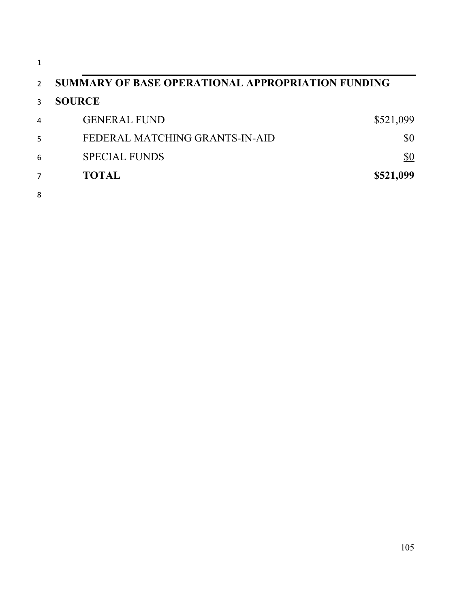| 1              |                                                   |           |
|----------------|---------------------------------------------------|-----------|
| $\overline{2}$ | SUMMARY OF BASE OPERATIONAL APPROPRIATION FUNDING |           |
| 3              | <b>SOURCE</b>                                     |           |
| 4              | <b>GENERAL FUND</b>                               | \$521,099 |
| 5              | FEDERAL MATCHING GRANTS-IN-AID                    | \$0       |
| 6              | <b>SPECIAL FUNDS</b>                              | \$0       |
| 7              | <b>TOTAL</b>                                      | \$521,099 |
| 8              |                                                   |           |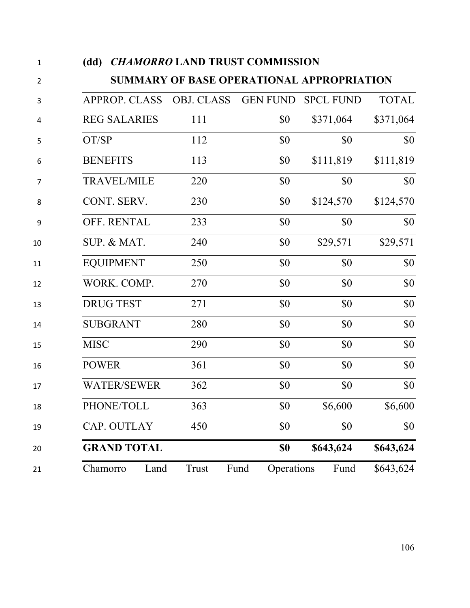| $\mathbf 1$    | <b>CHAMORRO LAND TRUST COMMISSION</b><br>(dd) |                                                  |                    |                  |              |
|----------------|-----------------------------------------------|--------------------------------------------------|--------------------|------------------|--------------|
| $\overline{2}$ |                                               | <b>SUMMARY OF BASE OPERATIONAL APPROPRIATION</b> |                    |                  |              |
| 3              | <b>APPROP. CLASS</b>                          | <b>OBJ. CLASS</b>                                | <b>GEN FUND</b>    | <b>SPCL FUND</b> | <b>TOTAL</b> |
| 4              | <b>REG SALARIES</b>                           | 111                                              | \$0                | \$371,064        | \$371,064    |
| 5              | OT/SP                                         | 112                                              | \$0                | \$0              | \$0          |
| 6              | <b>BENEFITS</b>                               | 113                                              | \$0                | \$111,819        | \$111,819    |
| 7              | <b>TRAVEL/MILE</b>                            | 220                                              | \$0                | \$0              | \$0          |
| 8              | CONT. SERV.                                   | 230                                              | \$0                | \$124,570        | \$124,570    |
| 9              | OFF. RENTAL                                   | 233                                              | \$0                | \$0              | \$0          |
| 10             | SUP. & MAT.                                   | 240                                              | \$0                | \$29,571         | \$29,571     |
| 11             | <b>EQUIPMENT</b>                              | 250                                              | \$0                | \$0              | \$0          |
| 12             | WORK. COMP.                                   | 270                                              | \$0                | \$0              | \$0          |
| 13             | <b>DRUG TEST</b>                              | 271                                              | \$0                | \$0              | \$0          |
| 14             | <b>SUBGRANT</b>                               | 280                                              | \$0                | \$0              | \$0          |
| 15             | <b>MISC</b>                                   | 290                                              | \$0                | \$0              | \$0          |
| 16             | <b>POWER</b>                                  | 361                                              | \$0                | \$0              | \$0          |
| 17             | <b>WATER/SEWER</b>                            | 362                                              | \$0                | \$0              | \$0          |
| 18             | PHONE/TOLL                                    | 363                                              | \$0                | \$6,600          | \$6,600      |
| 19             | CAP. OUTLAY                                   | 450                                              | \$0                | \$0              | \$0          |
| 20             | <b>GRAND TOTAL</b>                            |                                                  | \$0                | \$643,624        | \$643,624    |
| 21             | Chamorro<br>Land                              | Trust                                            | Fund<br>Operations | Fund             | \$643,624    |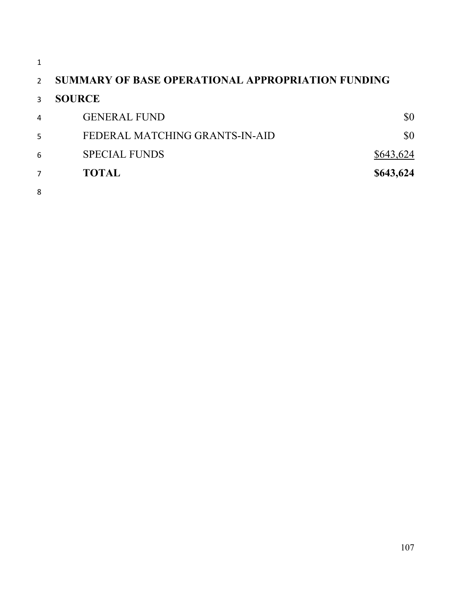| $\overline{2}$ | <b>SUMMARY OF BASE OPERATIONAL APPROPRIATION FUNDING</b> |           |
|----------------|----------------------------------------------------------|-----------|
| 3              | <b>SOURCE</b>                                            |           |
| 4              | <b>GENERAL FUND</b>                                      | \$0       |
| 5              | FEDERAL MATCHING GRANTS-IN-AID                           | \$0       |
| 6              | <b>SPECIAL FUNDS</b>                                     | \$643,624 |
| 7              | <b>TOTAL</b>                                             | \$643,624 |
| 8              |                                                          |           |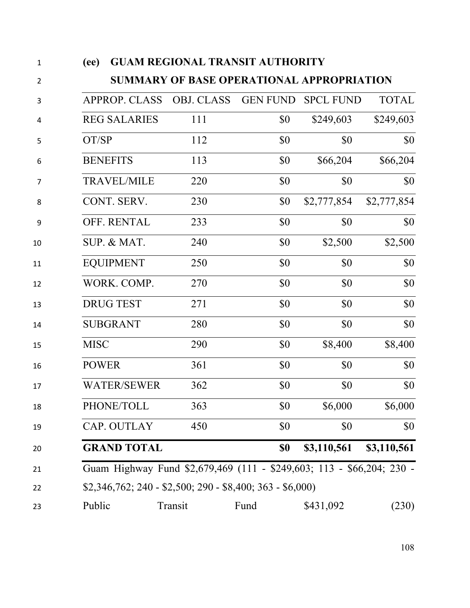| $\mathbf 1$    | (ee)                                                                  | <b>GUAM REGIONAL TRANSIT AUTHORITY</b>    |                 |                  |              |
|----------------|-----------------------------------------------------------------------|-------------------------------------------|-----------------|------------------|--------------|
| $\overline{2}$ |                                                                       | SUMMARY OF BASE OPERATIONAL APPROPRIATION |                 |                  |              |
| 3              | <b>APPROP. CLASS</b>                                                  | <b>OBJ. CLASS</b>                         | <b>GEN FUND</b> | <b>SPCL FUND</b> | <b>TOTAL</b> |
| 4              | <b>REG SALARIES</b>                                                   | 111                                       | \$0             | \$249,603        | \$249,603    |
| 5              | OT/SP                                                                 | 112                                       | \$0             | \$0              | \$0          |
| 6              | <b>BENEFITS</b>                                                       | 113                                       | \$0             | \$66,204         | \$66,204     |
| 7              | <b>TRAVEL/MILE</b>                                                    | 220                                       | \$0             | \$0              | \$0          |
| 8              | CONT. SERV.                                                           | 230                                       | \$0             | \$2,777,854      | \$2,777,854  |
| 9              | OFF. RENTAL                                                           | 233                                       | \$0             | \$0              | \$0          |
| 10             | SUP. & MAT.                                                           | 240                                       | \$0             | \$2,500          | \$2,500      |
| 11             | <b>EQUIPMENT</b>                                                      | 250                                       | \$0             | \$0              | \$0          |
| 12             | WORK. COMP.                                                           | 270                                       | \$0             | \$0              | \$0          |
| 13             | <b>DRUG TEST</b>                                                      | 271                                       | \$0             | \$0              | \$0          |
| 14             | <b>SUBGRANT</b>                                                       | 280                                       | \$0             | \$0              | \$0          |
| 15             | <b>MISC</b>                                                           | 290                                       | \$0             | \$8,400          | \$8,400      |
| 16             | <b>POWER</b>                                                          | 361                                       | \$0             | \$0              | \$0          |
| 17             | <b>WATER/SEWER</b>                                                    | 362                                       | \$0             | \$0              | \$0          |
| 18             | PHONE/TOLL                                                            | 363                                       | \$0             | \$6,000          | \$6,000      |
| 19             | CAP. OUTLAY                                                           | 450                                       | \$0             | \$0              | \$0          |
| 20             | <b>GRAND TOTAL</b>                                                    |                                           | \$0             | \$3,110,561      | \$3,110,561  |
| 21             | Guam Highway Fund \$2,679,469 (111 - \$249,603; 113 - \$66,204; 230 - |                                           |                 |                  |              |
| 22             | $$2,346,762; 240 - $2,500; 290 - $8,400; 363 - $6,000$                |                                           |                 |                  |              |
| 23             | Public                                                                | Transit                                   | Fund            | \$431,092        | (230)        |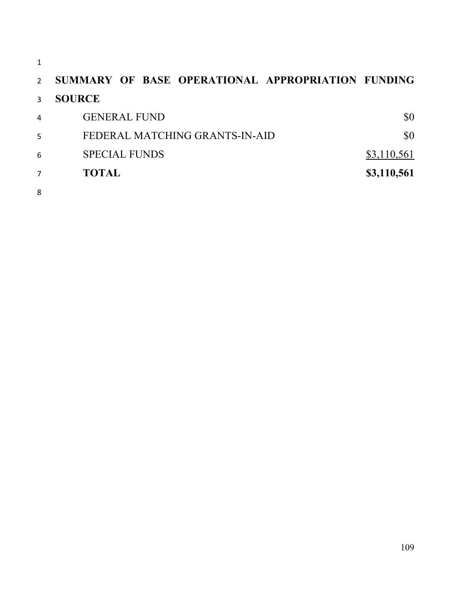| 1             |                                                   |             |
|---------------|---------------------------------------------------|-------------|
| $\mathcal{P}$ | SUMMARY OF BASE OPERATIONAL APPROPRIATION FUNDING |             |
| 3             | <b>SOURCE</b>                                     |             |
| 4             | <b>GENERAL FUND</b>                               | \$0         |
| 5             | FEDERAL MATCHING GRANTS-IN-AID                    | \$0         |
| 6             | <b>SPECIAL FUNDS</b>                              | \$3,110,561 |
| 7             | <b>TOTAL</b>                                      | \$3,110,561 |
| 8             |                                                   |             |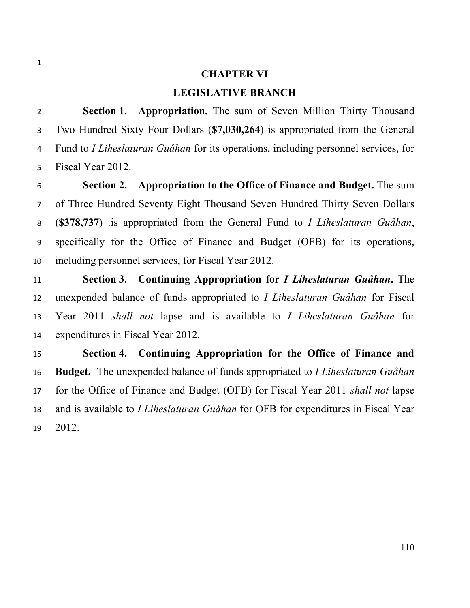#### **CHAPTER VI**

#### **LEGISLATIVE BRANCH**

 **Section 1. Appropriation.** The sum of Seven Million Thirty Thousand Two Hundred Sixty Four Dollars (**\$7,030,264**) is appropriated from the General Fund to *I Liheslaturan Guåhan* for its operations, including personnel services, for Fiscal Year 2012.

 **Section 2. Appropriation to the Office of Finance and Budget.** The sum of Three Hundred Seventy Eight Thousand Seven Hundred Thirty Seven Dollars (**\$378,737**) .is appropriated from the General Fund to *I Liheslaturan Guåhan*, specifically for the Office of Finance and Budget (OFB) for its operations, including personnel services, for Fiscal Year 2012.

 **Section 3. Continuing Appropriation for** *I Liheslaturan Guåhan***.** The unexpended balance of funds appropriated to *I Liheslaturan Guåhan* for Fiscal Year 2011 *shall not* lapse and is available to *I Liheslaturan Guåhan* for expenditures in Fiscal Year 2012.

 **Section 4. Continuing Appropriation for the Office of Finance and Budget.** The unexpended balance of funds appropriated to *I Liheslaturan Guåhan* for the Office of Finance and Budget (OFB) for Fiscal Year 2011 *shall not* lapse and is available to *I Liheslaturan Guåhan* for OFB for expenditures in Fiscal Year 2012.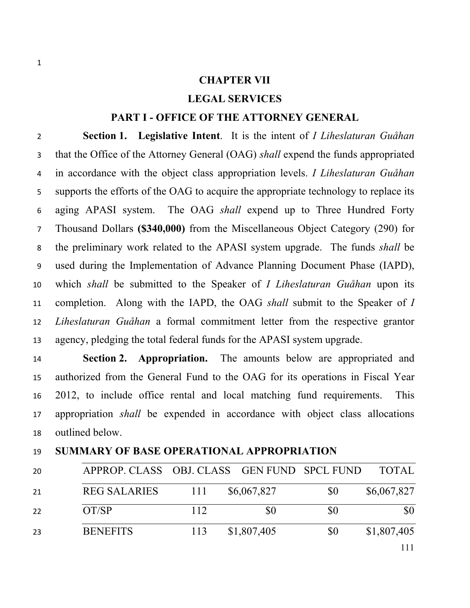#### **CHAPTER VII**

#### **LEGAL SERVICES**

#### **PART I - OFFICE OF THE ATTORNEY GENERAL**

 **Section 1. Legislative Intent**. It is the intent of *I Liheslaturan Guåhan* that the Office of the Attorney General (OAG) *shall* expend the funds appropriated in accordance with the object class appropriation levels. *I Liheslaturan Guåhan* supports the efforts of the OAG to acquire the appropriate technology to replace its aging APASI system. The OAG *shall* expend up to Three Hundred Forty Thousand Dollars **(\$340,000)** from the Miscellaneous Object Category (290) for the preliminary work related to the APASI system upgrade. The funds *shall* be used during the Implementation of Advance Planning Document Phase (IAPD), which *shall* be submitted to the Speaker of *I Liheslaturan Guåhan* upon its completion. Along with the IAPD, the OAG *shall* submit to the Speaker of *I Liheslaturan Guåhan* a formal commitment letter from the respective grantor agency, pledging the total federal funds for the APASI system upgrade.

 **Section 2. Appropriation.** The amounts below are appropriated and authorized from the General Fund to the OAG for its operations in Fiscal Year 2012, to include office rental and local matching fund requirements. This appropriation *shall* be expended in accordance with object class allocations outlined below.

# APPROP. CLASS OBJ. CLASS GEN FUND SPCL FUND TOTAL 21 REG SALARIES 111 \$6,067,827 \$0 \$6,067,827 22 OT/SP 112 \$0 \$0 \$0

23 BENEFITS 113 \$1,807,405 \$0 \$1,807,405

#### **SUMMARY OF BASE OPERATIONAL APPROPRIATION**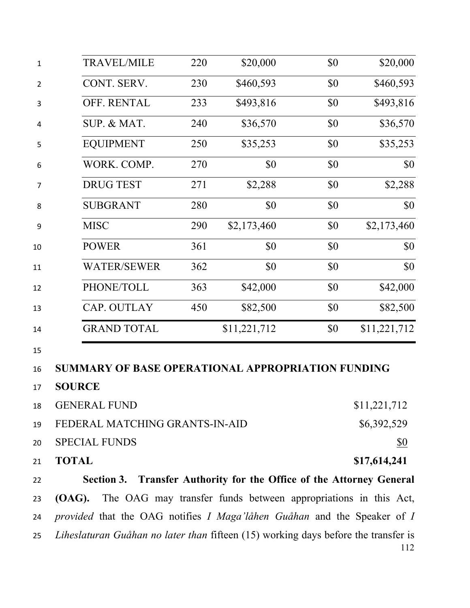| 1              | <b>TRAVEL/MILE</b>                                                                           | 220 | \$20,000                                                       | \$0 | \$20,000     |
|----------------|----------------------------------------------------------------------------------------------|-----|----------------------------------------------------------------|-----|--------------|
| $\overline{2}$ | CONT. SERV.                                                                                  | 230 | \$460,593                                                      | \$0 | \$460,593    |
| 3              | OFF. RENTAL                                                                                  | 233 | \$493,816                                                      | \$0 | \$493,816    |
| 4              | SUP. & MAT.                                                                                  | 240 | \$36,570                                                       | \$0 | \$36,570     |
| 5              | <b>EQUIPMENT</b>                                                                             | 250 | \$35,253                                                       | \$0 | \$35,253     |
| 6              | WORK. COMP.                                                                                  | 270 | \$0                                                            | \$0 | \$0          |
| 7              | <b>DRUG TEST</b>                                                                             | 271 | \$2,288                                                        | \$0 | \$2,288      |
| 8              | <b>SUBGRANT</b>                                                                              | 280 | \$0                                                            | \$0 | \$0          |
| 9              | <b>MISC</b>                                                                                  | 290 | \$2,173,460                                                    | \$0 | \$2,173,460  |
| 10             | <b>POWER</b>                                                                                 | 361 | \$0                                                            | \$0 | \$0          |
| 11             | <b>WATER/SEWER</b>                                                                           | 362 | \$0                                                            | \$0 | \$0          |
| 12             | PHONE/TOLL                                                                                   | 363 | \$42,000                                                       | \$0 | \$42,000     |
| 13             | CAP. OUTLAY                                                                                  | 450 | \$82,500                                                       | \$0 | \$82,500     |
| 14             | <b>GRAND TOTAL</b>                                                                           |     | \$11,221,712                                                   | \$0 | \$11,221,712 |
| 15<br>16<br>17 | SUMMARY OF BASE OPERATIONAL APPROPRIATION FUNDING<br><b>SOURCE</b>                           |     |                                                                |     |              |
| 18             | <b>GENERAL FUND</b>                                                                          |     |                                                                |     | \$11,221,712 |
| 19             | FEDERAL MATCHING GRANTS-IN-AID                                                               |     |                                                                |     | \$6,392,529  |
| 20             | <b>SPECIAL FUNDS</b>                                                                         |     |                                                                |     | <u>\$0</u>   |
| 21             | <b>TOTAL</b>                                                                                 |     |                                                                |     | \$17,614,241 |
| 22             | Section 3. Transfer Authority for the Office of the Attorney General                         |     |                                                                |     |              |
| 23             | (OAG).                                                                                       |     | The OAG may transfer funds between appropriations in this Act, |     |              |
| 24             | <i>provided</i> that the OAG notifies <i>I Maga'låhen Guåhan</i> and the Speaker of <i>I</i> |     |                                                                |     |              |
| 25             | Liheslaturan Guåhan no later than fifteen (15) working days before the transfer is           |     |                                                                |     | 112          |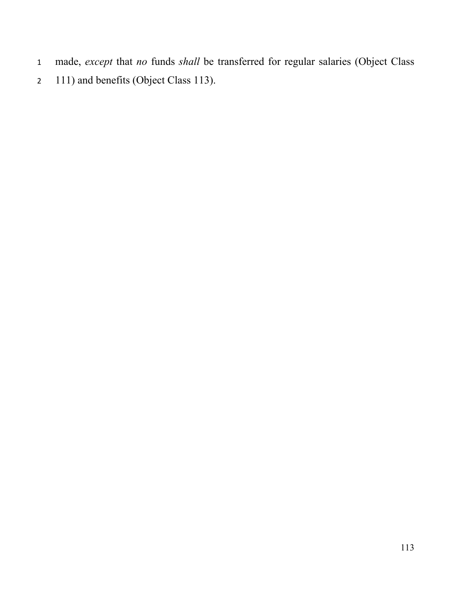- made, *except* that *no* funds *shall* be transferred for regular salaries (Object Class
- 2 111) and benefits (Object Class 113).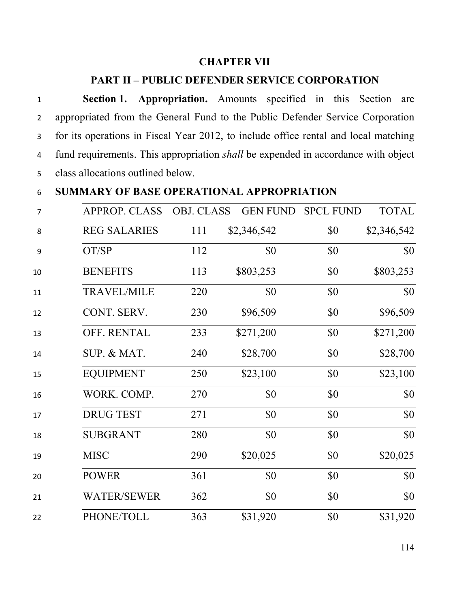#### **CHAPTER VII**

#### **PART II – PUBLIC DEFENDER SERVICE CORPORATION**

 **Section 1. Appropriation.** Amounts specified in this Section are appropriated from the General Fund to the Public Defender Service Corporation for its operations in Fiscal Year 2012, to include office rental and local matching fund requirements. This appropriation *shall* be expended in accordance with object class allocations outlined below.

#### **SUMMARY OF BASE OPERATIONAL APPROPRIATION**

| 7  | <b>APPROP. CLASS</b> | <b>OBJ. CLASS</b> | <b>GEN FUND</b> | <b>SPCL FUND</b> | <b>TOTAL</b> |
|----|----------------------|-------------------|-----------------|------------------|--------------|
| 8  | <b>REG SALARIES</b>  | 111               | \$2,346,542     | \$0              | \$2,346,542  |
| 9  | OT/SP                | 112               | \$0             | \$0              | \$0          |
| 10 | <b>BENEFITS</b>      | 113               | \$803,253       | \$0              | \$803,253    |
| 11 | <b>TRAVEL/MILE</b>   | 220               | \$0             | \$0              | \$0          |
| 12 | CONT. SERV.          | 230               | \$96,509        | \$0              | \$96,509     |
| 13 | OFF. RENTAL          | 233               | \$271,200       | \$0              | \$271,200    |
| 14 | SUP. & MAT.          | 240               | \$28,700        | \$0              | \$28,700     |
| 15 | <b>EQUIPMENT</b>     | 250               | \$23,100        | \$0              | \$23,100     |
| 16 | WORK. COMP.          | 270               | \$0             | \$0              | \$0          |
| 17 | <b>DRUG TEST</b>     | 271               | \$0             | \$0              | \$0          |
| 18 | <b>SUBGRANT</b>      | 280               | \$0             | \$0              | \$0          |
| 19 | <b>MISC</b>          | 290               | \$20,025        | \$0              | \$20,025     |
| 20 | <b>POWER</b>         | 361               | \$0             | \$0              | \$0          |
| 21 | <b>WATER/SEWER</b>   | 362               | \$0             | \$0              | \$0          |
| 22 | PHONE/TOLL           | 363               | \$31,920        | \$0              | \$31,920     |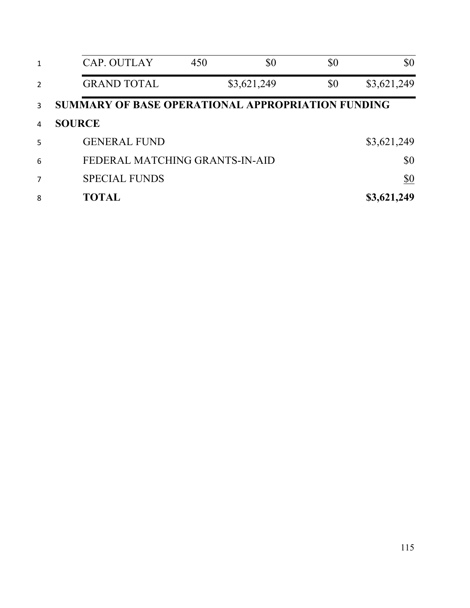| 1 | CAP. OUTLAY                                       | 450 | \$0         | \$0 | \$0           |
|---|---------------------------------------------------|-----|-------------|-----|---------------|
| 2 | <b>GRAND TOTAL</b>                                |     | \$3,621,249 | \$0 | \$3,621,249   |
| 3 | SUMMARY OF BASE OPERATIONAL APPROPRIATION FUNDING |     |             |     |               |
| 4 | <b>SOURCE</b>                                     |     |             |     |               |
| 5 | <b>GENERAL FUND</b>                               |     |             |     | \$3,621,249   |
| 6 | FEDERAL MATCHING GRANTS-IN-AID                    |     |             |     | \$0           |
| 7 | <b>SPECIAL FUNDS</b>                              |     |             |     | $\frac{$0}{}$ |
| 8 | <b>TOTAL</b>                                      |     |             |     | \$3,621,249   |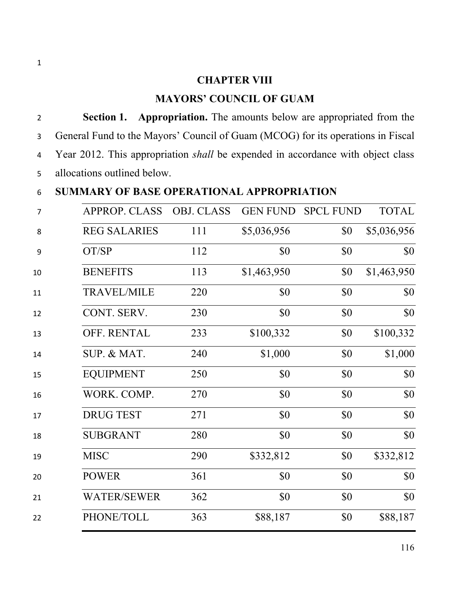#### **CHAPTER VIII**

### **MAYORS' COUNCIL OF GUAM**

 **Section 1. Appropriation.** The amounts below are appropriated from the General Fund to the Mayors' Council of Guam (MCOG) for its operations in Fiscal Year 2012. This appropriation *shall* be expended in accordance with object class allocations outlined below.

### **SUMMARY OF BASE OPERATIONAL APPROPRIATION**

| $\overline{7}$ | <b>APPROP. CLASS</b> | <b>OBJ. CLASS</b> | <b>GEN FUND</b> | <b>SPCL FUND</b> | <b>TOTAL</b> |
|----------------|----------------------|-------------------|-----------------|------------------|--------------|
| 8              | <b>REG SALARIES</b>  | 111               | \$5,036,956     | \$0              | \$5,036,956  |
| 9              | OT/SP                | 112               | \$0             | \$0              | \$0          |
| 10             | <b>BENEFITS</b>      | 113               | \$1,463,950     | \$0              | \$1,463,950  |
| 11             | <b>TRAVEL/MILE</b>   | 220               | \$0             | \$0              | \$0          |
| 12             | CONT. SERV.          | 230               | \$0             | \$0              | \$0          |
| 13             | OFF. RENTAL          | 233               | \$100,332       | \$0              | \$100,332    |
| 14             | SUP. & MAT.          | 240               | \$1,000         | \$0              | \$1,000      |
| 15             | <b>EQUIPMENT</b>     | 250               | \$0             | \$0              | \$0          |
| 16             | WORK. COMP.          | 270               | \$0             | \$0              | \$0          |
| 17             | <b>DRUG TEST</b>     | 271               | \$0             | \$0              | \$0          |
| 18             | <b>SUBGRANT</b>      | 280               | \$0             | \$0              | \$0          |
| 19             | <b>MISC</b>          | 290               | \$332,812       | \$0              | \$332,812    |
| 20             | <b>POWER</b>         | 361               | \$0             | \$0              | \$0          |
| 21             | <b>WATER/SEWER</b>   | 362               | \$0             | \$0              | \$0          |
| 22             | PHONE/TOLL           | 363               | \$88,187        | \$0              | \$88,187     |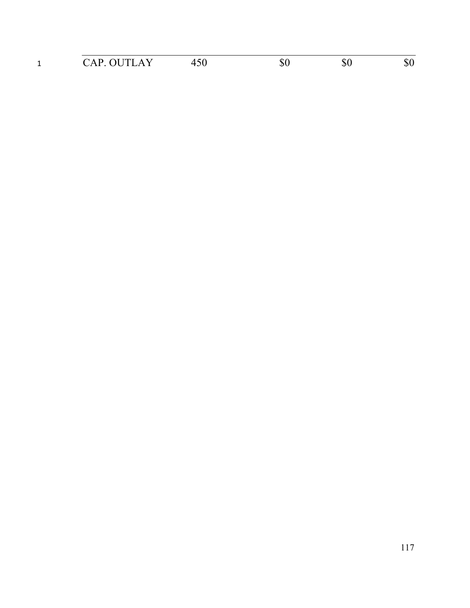| - | $\Lambda$ i it i<br>$\sim$ $\sim$ $\sim$ $\sim$ $\sim$ $\sim$ |  |  |
|---|---------------------------------------------------------------|--|--|
|   |                                                               |  |  |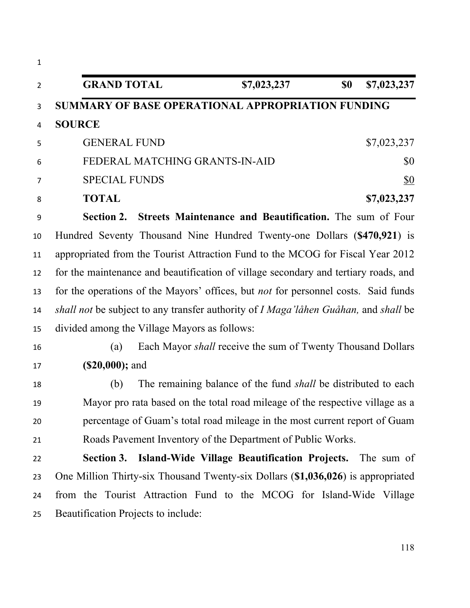| $\mathbf{1}$   |                                                                                                           |
|----------------|-----------------------------------------------------------------------------------------------------------|
| $\overline{2}$ | <b>GRAND TOTAL</b><br>\$7,023,237<br>\$0<br>\$7,023,237                                                   |
| 3              | <b>SUMMARY OF BASE OPERATIONAL APPROPRIATION FUNDING</b>                                                  |
| 4              | <b>SOURCE</b>                                                                                             |
| 5              | <b>GENERAL FUND</b><br>\$7,023,237                                                                        |
| 6              | FEDERAL MATCHING GRANTS-IN-AID<br>\$0                                                                     |
| 7              | <b>SPECIAL FUNDS</b><br><u>\$0</u>                                                                        |
| 8              | <b>TOTAL</b><br>\$7,023,237                                                                               |
| 9              | Section 2. Streets Maintenance and Beautification. The sum of Four                                        |
| 10             | Hundred Seventy Thousand Nine Hundred Twenty-one Dollars (\$470,921) is                                   |
| 11             | appropriated from the Tourist Attraction Fund to the MCOG for Fiscal Year 2012                            |
| 12             | for the maintenance and beautification of village secondary and tertiary roads, and                       |
| 13             | for the operations of the Mayors' offices, but <i>not</i> for personnel costs. Said funds                 |
| 14             | <i>shall not</i> be subject to any transfer authority of <i>I Maga'låhen Guåhan</i> , and <i>shall</i> be |
| 15             | divided among the Village Mayors as follows:                                                              |
| 16             | Each Mayor <i>shall</i> receive the sum of Twenty Thousand Dollars<br>(a)                                 |
| 17             | $(S20,000);$ and                                                                                          |
| 18             | The remaining balance of the fund <i>shall</i> be distributed to each<br>(b)                              |
| 19             | Mayor pro rata based on the total road mileage of the respective village as a                             |
| 20             | percentage of Guam's total road mileage in the most current report of Guam                                |
| 21             | Roads Pavement Inventory of the Department of Public Works.                                               |
| 22             | Section 3. Island-Wide Village Beautification Projects. The sum of                                        |
| 23             | One Million Thirty-six Thousand Twenty-six Dollars (\$1,036,026) is appropriated                          |
| 24             | from the Tourist Attraction Fund to the MCOG for Island-Wide Village                                      |
| 25             | Beautification Projects to include:                                                                       |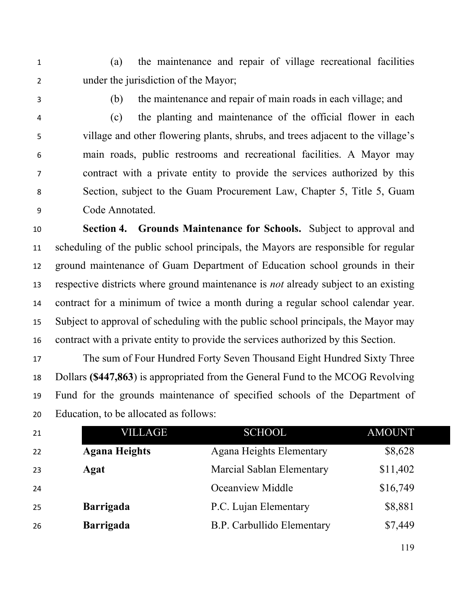(a) the maintenance and repair of village recreational facilities under the jurisdiction of the Mayor;

(b) the maintenance and repair of main roads in each village; and

 (c) the planting and maintenance of the official flower in each village and other flowering plants, shrubs, and trees adjacent to the village's main roads, public restrooms and recreational facilities. A Mayor may contract with a private entity to provide the services authorized by this Section, subject to the Guam Procurement Law, Chapter 5, Title 5, Guam Code Annotated.

 **Section 4. Grounds Maintenance for Schools.** Subject to approval and scheduling of the public school principals, the Mayors are responsible for regular ground maintenance of Guam Department of Education school grounds in their respective districts where ground maintenance is *not* already subject to an existing contract for a minimum of twice a month during a regular school calendar year. Subject to approval of scheduling with the public school principals, the Mayor may contract with a private entity to provide the services authorized by this Section.

 The sum of Four Hundred Forty Seven Thousand Eight Hundred Sixty Three Dollars **(\$447,863**) is appropriated from the General Fund to the MCOG Revolving Fund for the grounds maintenance of specified schools of the Department of Education, to be allocated as follows:

| 21 | VILLAGE              | <b>SCHOOL</b>                   | <b>AMOUNT</b> |
|----|----------------------|---------------------------------|---------------|
| 22 | <b>Agana Heights</b> | <b>Agana Heights Elementary</b> | \$8,628       |
| 23 | Agat                 | Marcial Sablan Elementary       | \$11,402      |
| 24 |                      | Oceanview Middle                | \$16,749      |
| 25 | <b>Barrigada</b>     | P.C. Lujan Elementary           | \$8,881       |
| 26 | <b>Barrigada</b>     | B.P. Carbullido Elementary      | \$7,449       |
|    |                      |                                 |               |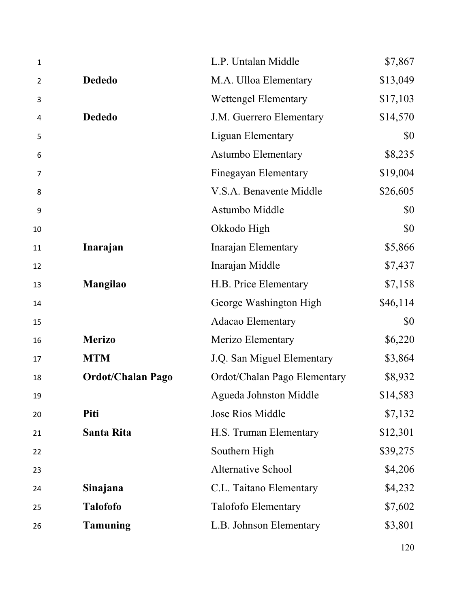| $\mathbf{1}$ |                          | L.P. Untalan Middle          | \$7,867  |
|--------------|--------------------------|------------------------------|----------|
| 2            | <b>Dededo</b>            | M.A. Ulloa Elementary        | \$13,049 |
| 3            |                          | <b>Wettengel Elementary</b>  | \$17,103 |
| 4            | <b>Dededo</b>            | J.M. Guerrero Elementary     | \$14,570 |
| 5            |                          | <b>Liguan Elementary</b>     | \$0      |
| 6            |                          | <b>Astumbo Elementary</b>    | \$8,235  |
| 7            |                          | <b>Finegayan Elementary</b>  | \$19,004 |
| 8            |                          | V.S.A. Benavente Middle      | \$26,605 |
| 9            |                          | Astumbo Middle               | \$0      |
| 10           |                          | Okkodo High                  | \$0      |
| 11           | Inarajan                 | Inarajan Elementary          | \$5,866  |
| 12           |                          | Inarajan Middle              | \$7,437  |
| 13           | Mangilao                 | H.B. Price Elementary        | \$7,158  |
| 14           |                          | George Washington High       | \$46,114 |
| 15           |                          | <b>Adacao Elementary</b>     | \$0      |
| 16           | <b>Merizo</b>            | Merizo Elementary            | \$6,220  |
| 17           | <b>MTM</b>               | J.Q. San Miguel Elementary   | \$3,864  |
| 18           | <b>Ordot/Chalan Pago</b> | Ordot/Chalan Pago Elementary | \$8,932  |
| 19           |                          | Agueda Johnston Middle       | \$14,583 |
| 20           | Piti                     | Jose Rios Middle             | \$7,132  |
| 21           | Santa Rita               | H.S. Truman Elementary       | \$12,301 |
| 22           |                          | Southern High                | \$39,275 |
| 23           |                          | Alternative School           | \$4,206  |
| 24           | Sinajana                 | C.L. Taitano Elementary      | \$4,232  |
| 25           | <b>Talofofo</b>          | Talofofo Elementary          | \$7,602  |
| 26           | <b>Tamuning</b>          | L.B. Johnson Elementary      | \$3,801  |
|              |                          |                              |          |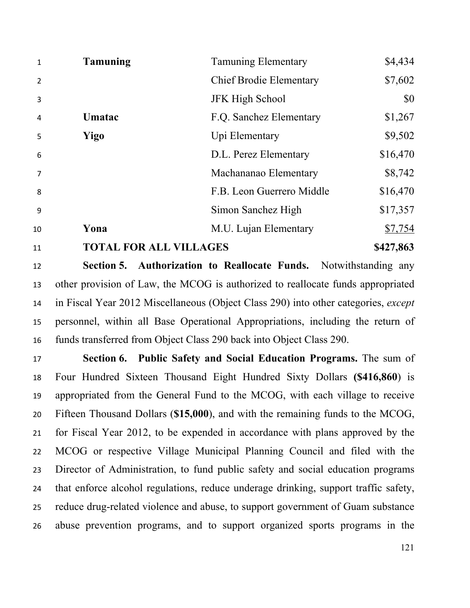| $\mathbf{1}$   | <b>Tamuning</b>               | <b>Tamuning Elementary</b>     | \$4,434   |
|----------------|-------------------------------|--------------------------------|-----------|
| $\overline{2}$ |                               | <b>Chief Brodie Elementary</b> | \$7,602   |
| 3              |                               | <b>JFK High School</b>         | \$0       |
| 4              | Umatac                        | F.Q. Sanchez Elementary        | \$1,267   |
| 5              | Yigo                          | Upi Elementary                 | \$9,502   |
| 6              |                               | D.L. Perez Elementary          | \$16,470  |
| $\overline{7}$ |                               | Machananao Elementary          | \$8,742   |
| 8              |                               | F.B. Leon Guerrero Middle      | \$16,470  |
| 9              |                               | Simon Sanchez High             | \$17,357  |
| 10             | Yona                          | M.U. Lujan Elementary          | \$7,754   |
| 11             | <b>TOTAL FOR ALL VILLAGES</b> |                                | \$427,863 |

 **Section 5. Authorization to Reallocate Funds.** Notwithstanding any other provision of Law, the MCOG is authorized to reallocate funds appropriated in Fiscal Year 2012 Miscellaneous (Object Class 290) into other categories, *except* personnel, within all Base Operational Appropriations, including the return of funds transferred from Object Class 290 back into Object Class 290.

 **Section 6. Public Safety and Social Education Programs.** The sum of Four Hundred Sixteen Thousand Eight Hundred Sixty Dollars **(\$416,860**) is appropriated from the General Fund to the MCOG, with each village to receive Fifteen Thousand Dollars (**\$15,000**), and with the remaining funds to the MCOG, for Fiscal Year 2012, to be expended in accordance with plans approved by the MCOG or respective Village Municipal Planning Council and filed with the Director of Administration, to fund public safety and social education programs that enforce alcohol regulations, reduce underage drinking, support traffic safety, reduce drug-related violence and abuse, to support government of Guam substance abuse prevention programs, and to support organized sports programs in the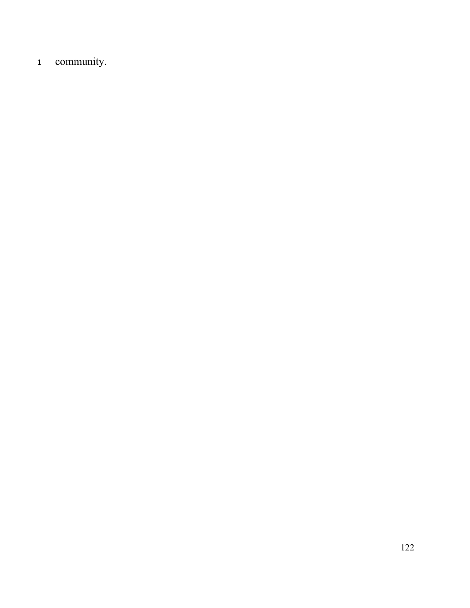community.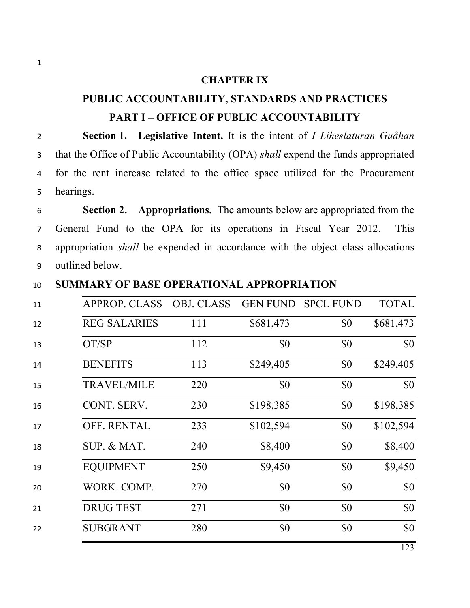#### **CHAPTER IX**

## **PUBLIC ACCOUNTABILITY, STANDARDS AND PRACTICES PART I – OFFICE OF PUBLIC ACCOUNTABILITY**

 **Section 1. Legislative Intent.** It is the intent of *I Liheslaturan Guåhan* that the Office of Public Accountability (OPA) *shall* expend the funds appropriated for the rent increase related to the office space utilized for the Procurement hearings.

 **Section 2. Appropriations.** The amounts below are appropriated from the General Fund to the OPA for its operations in Fiscal Year 2012. This appropriation *shall* be expended in accordance with the object class allocations outlined below.

#### **SUMMARY OF BASE OPERATIONAL APPROPRIATION**

| 11 | <b>APPROP. CLASS</b> | <b>OBJ. CLASS</b> | <b>GEN FUND</b> | <b>SPCL FUND</b> | <b>TOTAL</b> |
|----|----------------------|-------------------|-----------------|------------------|--------------|
| 12 | <b>REG SALARIES</b>  | 111               | \$681,473       | \$0              | \$681,473    |
| 13 | OT/SP                | 112               | \$0             | \$0              | \$0          |
| 14 | <b>BENEFITS</b>      | 113               | \$249,405       | \$0              | \$249,405    |
| 15 | <b>TRAVEL/MILE</b>   | 220               | \$0             | \$0              | \$0          |
| 16 | CONT. SERV.          | 230               | \$198,385       | \$0              | \$198,385    |
| 17 | OFF. RENTAL          | 233               | \$102,594       | \$0              | \$102,594    |
| 18 | SUP. & MAT.          | 240               | \$8,400         | \$0              | \$8,400      |
| 19 | <b>EQUIPMENT</b>     | 250               | \$9,450         | \$0              | \$9,450      |
| 20 | WORK. COMP.          | 270               | \$0             | \$0              | \$0          |
| 21 | <b>DRUG TEST</b>     | 271               | \$0             | \$0              | \$0          |
| 22 | <b>SUBGRANT</b>      | 280               | \$0             | \$0              | \$0          |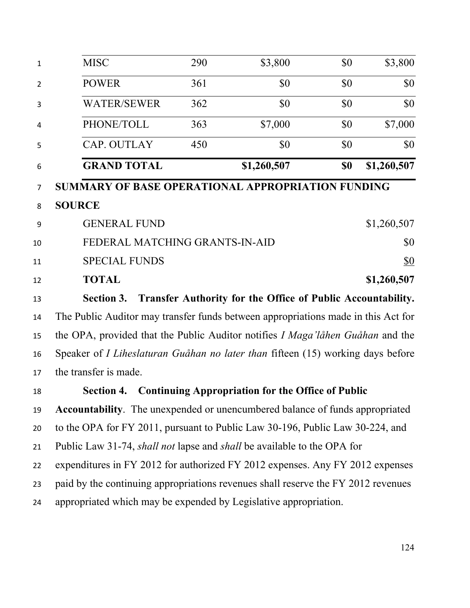| $\mathbf{1}$   | <b>MISC</b>                                                                            | 290 | \$3,800                                                     | \$0 | \$3,800     |  |
|----------------|----------------------------------------------------------------------------------------|-----|-------------------------------------------------------------|-----|-------------|--|
| $\overline{2}$ | <b>POWER</b>                                                                           | 361 | \$0                                                         | \$0 | \$0         |  |
| 3              | <b>WATER/SEWER</b>                                                                     | 362 | \$0                                                         | \$0 | \$0         |  |
| 4              | PHONE/TOLL                                                                             | 363 | \$7,000                                                     | \$0 | \$7,000     |  |
| 5              | CAP. OUTLAY                                                                            | 450 | \$0                                                         | \$0 | \$0         |  |
| 6              | <b>GRAND TOTAL</b>                                                                     |     | \$1,260,507                                                 | \$0 | \$1,260,507 |  |
| 7              | SUMMARY OF BASE OPERATIONAL APPROPRIATION FUNDING                                      |     |                                                             |     |             |  |
| 8              | <b>SOURCE</b>                                                                          |     |                                                             |     |             |  |
| 9              | <b>GENERAL FUND</b>                                                                    |     |                                                             |     | \$1,260,507 |  |
| 10             | FEDERAL MATCHING GRANTS-IN-AID                                                         |     |                                                             |     | \$0         |  |
| 11             | <b>SPECIAL FUNDS</b>                                                                   |     |                                                             |     | <u>\$0</u>  |  |
| 12             | <b>TOTAL</b>                                                                           |     |                                                             |     | \$1,260,507 |  |
| 13             | <b>Section 3.</b>                                                                      |     | Transfer Authority for the Office of Public Accountability. |     |             |  |
| 14             | The Public Auditor may transfer funds between appropriations made in this Act for      |     |                                                             |     |             |  |
| 15             | the OPA, provided that the Public Auditor notifies <i>I Maga'låhen Guåhan</i> and the  |     |                                                             |     |             |  |
| 16             | Speaker of <i>I Liheslaturan Guåhan no later than</i> fifteen (15) working days before |     |                                                             |     |             |  |
| 17             | the transfer is made.                                                                  |     |                                                             |     |             |  |
| 18             | <b>Section 4.</b>                                                                      |     | <b>Continuing Appropriation for the Office of Public</b>    |     |             |  |
| 19             | <b>Accountability</b> . The unexpended or unencumbered balance of funds appropriated   |     |                                                             |     |             |  |
| 20             | to the OPA for FY 2011, pursuant to Public Law 30-196, Public Law 30-224, and          |     |                                                             |     |             |  |
| 21             | Public Law 31-74, <i>shall not</i> lapse and <i>shall</i> be available to the OPA for  |     |                                                             |     |             |  |
| 22             | expenditures in FY 2012 for authorized FY 2012 expenses. Any FY 2012 expenses          |     |                                                             |     |             |  |
| 23             | paid by the continuing appropriations revenues shall reserve the FY 2012 revenues      |     |                                                             |     |             |  |
| 24             | appropriated which may be expended by Legislative appropriation.                       |     |                                                             |     |             |  |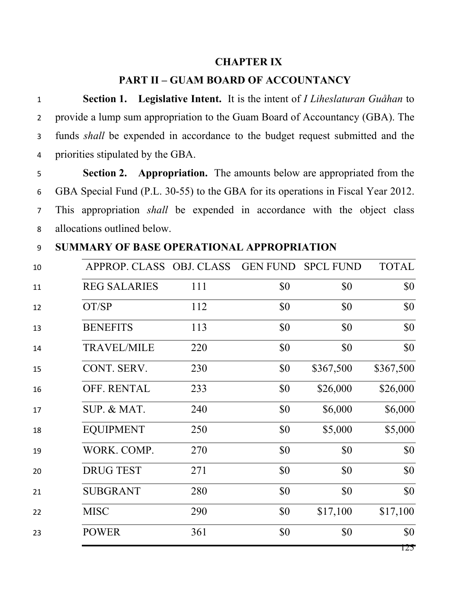#### **CHAPTER IX**

#### **PART II – GUAM BOARD OF ACCOUNTANCY**

 **Section 1. Legislative Intent.** It is the intent of *I Liheslaturan Guåhan* to provide a lump sum appropriation to the Guam Board of Accountancy (GBA). The funds *shall* be expended in accordance to the budget request submitted and the priorities stipulated by the GBA.

 **Section 2. Appropriation.** The amounts below are appropriated from the GBA Special Fund (P.L. 30-55) to the GBA for its operations in Fiscal Year 2012. This appropriation *shall* be expended in accordance with the object class allocations outlined below.

**SUMMARY OF BASE OPERATIONAL APPROPRIATION**

| 10 | APPROP. CLASS OBJ. CLASS |     |     | GEN FUND SPCL FUND | <b>TOTAL</b> |
|----|--------------------------|-----|-----|--------------------|--------------|
| 11 | <b>REG SALARIES</b>      | 111 | \$0 | \$0                | \$0          |
| 12 | OT/SP                    | 112 | \$0 | \$0                | \$0          |
| 13 | <b>BENEFITS</b>          | 113 | \$0 | \$0                | \$0          |
| 14 | <b>TRAVEL/MILE</b>       | 220 | \$0 | \$0                | \$0          |
| 15 | CONT. SERV.              | 230 | \$0 | \$367,500          | \$367,500    |
| 16 | OFF. RENTAL              | 233 | \$0 | \$26,000           | \$26,000     |
| 17 | SUP. & MAT.              | 240 | \$0 | \$6,000            | \$6,000      |
| 18 | <b>EQUIPMENT</b>         | 250 | \$0 | \$5,000            | \$5,000      |
| 19 | WORK. COMP.              | 270 | \$0 | \$0                | \$0          |
| 20 | <b>DRUG TEST</b>         | 271 | \$0 | \$0                | \$0          |
| 21 | <b>SUBGRANT</b>          | 280 | \$0 | \$0                | \$0          |
| 22 | <b>MISC</b>              | 290 | \$0 | \$17,100           | \$17,100     |
| 23 | <b>POWER</b>             | 361 | \$0 | \$0                | \$0          |
|    |                          |     |     |                    | 125          |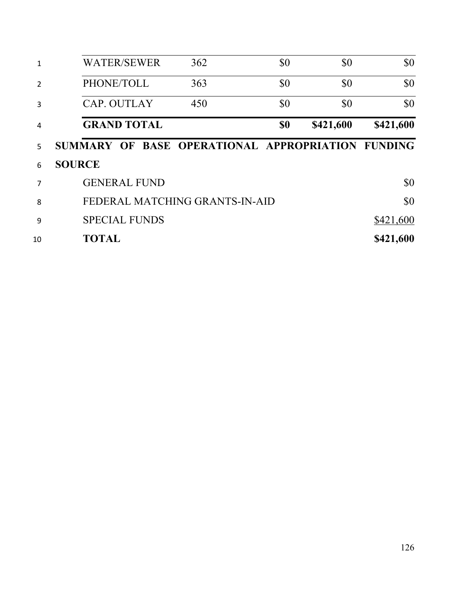| 1              | <b>WATER/SEWER</b>                                | 362 | \$0 | \$0       | \$0       |
|----------------|---------------------------------------------------|-----|-----|-----------|-----------|
| $\overline{2}$ | PHONE/TOLL                                        | 363 | \$0 | \$0       | \$0       |
| 3              | <b>CAP. OUTLAY</b>                                | 450 | \$0 | \$0       | \$0       |
| 4              | <b>GRAND TOTAL</b>                                |     | \$0 | \$421,600 | \$421,600 |
| 5.             | SUMMARY OF BASE OPERATIONAL APPROPRIATION FUNDING |     |     |           |           |
| 6              | <b>SOURCE</b>                                     |     |     |           |           |
| 7              | <b>GENERAL FUND</b>                               |     |     |           | \$0       |
| 8              | FEDERAL MATCHING GRANTS-IN-AID                    |     |     |           | \$0       |
| 9              | <b>SPECIAL FUNDS</b>                              |     |     |           | \$421,600 |
| 10             | <b>TOTAL</b>                                      |     |     |           | \$421,600 |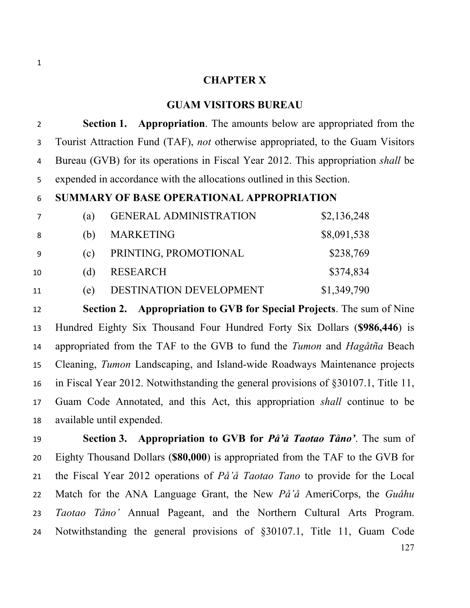#### **CHAPTER X**

#### **GUAM VISITORS BUREAU**

 **Section 1. Appropriation**. The amounts below are appropriated from the Tourist Attraction Fund (TAF), *not* otherwise appropriated, to the Guam Visitors Bureau (GVB) for its operations in Fiscal Year 2012. This appropriation *shall* be expended in accordance with the allocations outlined in this Section.

#### **SUMMARY OF BASE OPERATIONAL APPROPRIATION**

|     | 'a) | <b>GENERAL ADMINISTRATION</b> | \$2,136,248 |
|-----|-----|-------------------------------|-------------|
| 8   | (b) | <b>MARKETING</b>              | \$8,091,538 |
| - 9 | (c) | PRINTING, PROMOTIONAL         | \$238,769   |
| 10  | (d) | RESEARCH                      | \$374,834   |
| 11  | e   | DESTINATION DEVELOPMENT       | \$1,349,790 |

 **Section 2. Appropriation to GVB for Special Projects**. The sum of Nine Hundred Eighty Six Thousand Four Hundred Forty Six Dollars (**\$986,446**) is appropriated from the TAF to the GVB to fund the *Tumon* and *Hagåtña* Beach Cleaning, *Tumon* Landscaping, and Island-wide Roadways Maintenance projects in Fiscal Year 2012. Notwithstanding the general provisions of §30107.1, Title 11, Guam Code Annotated, and this Act, this appropriation *shall* continue to be available until expended.

 **Section 3. Appropriation to GVB for** *På'å Taotao Tåno'*. The sum of Eighty Thousand Dollars (**\$80,000**) is appropriated from the TAF to the GVB for the Fiscal Year 2012 operations of *På'å Taotao Tano* to provide for the Local Match for the ANA Language Grant, the New *På'å* AmeriCorps, the *Guåhu Taotao Tåno'* Annual Pageant, and the Northern Cultural Arts Program. Notwithstanding the general provisions of §30107.1, Title 11, Guam Code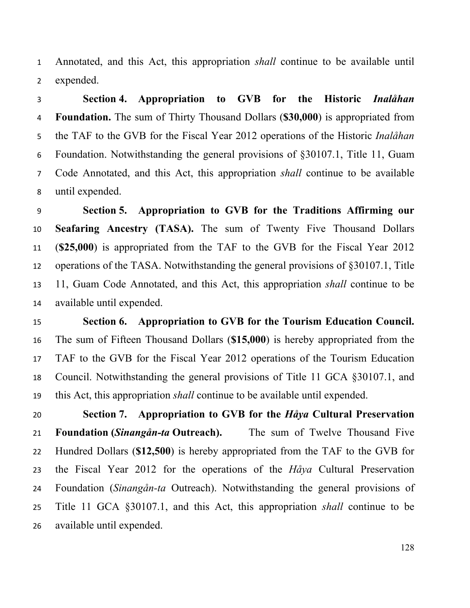Annotated, and this Act, this appropriation *shall* continue to be available until expended.

 **Section 4. Appropriation to GVB for the Historic** *Inalåhan* **Foundation.** The sum of Thirty Thousand Dollars (**\$30,000**) is appropriated from the TAF to the GVB for the Fiscal Year 2012 operations of the Historic *Inalåhan* Foundation. Notwithstanding the general provisions of §30107.1, Title 11, Guam Code Annotated, and this Act, this appropriation *shall* continue to be available until expended.

 **Section 5. Appropriation to GVB for the Traditions Affirming our Seafaring Ancestry (TASA).** The sum of Twenty Five Thousand Dollars (**\$25,000**) is appropriated from the TAF to the GVB for the Fiscal Year 2012 operations of the TASA. Notwithstanding the general provisions of §30107.1, Title 11, Guam Code Annotated, and this Act, this appropriation *shall* continue to be available until expended.

 **Section 6. Appropriation to GVB for the Tourism Education Council.** The sum of Fifteen Thousand Dollars (**\$15,000**) is hereby appropriated from the TAF to the GVB for the Fiscal Year 2012 operations of the Tourism Education Council. Notwithstanding the general provisions of Title 11 GCA §30107.1, and this Act, this appropriation *shall* continue to be available until expended.

 **Section 7. Appropriation to GVB for the** *Håya* **Cultural Preservation Foundation (***Sinangån-ta* **Outreach).** The sum of Twelve Thousand Five Hundred Dollars (**\$12,500**) is hereby appropriated from the TAF to the GVB for the Fiscal Year 2012 for the operations of the *Håya* Cultural Preservation Foundation (*Sinangån-ta* Outreach). Notwithstanding the general provisions of Title 11 GCA §30107.1, and this Act, this appropriation *shall* continue to be available until expended.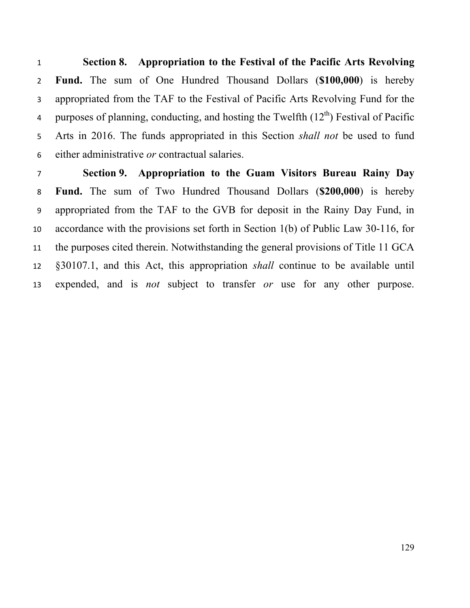**Section 8. Appropriation to the Festival of the Pacific Arts Revolving Fund.** The sum of One Hundred Thousand Dollars (**\$100,000**) is hereby appropriated from the TAF to the Festival of Pacific Arts Revolving Fund for the q purposes of planning, conducting, and hosting the Twelfth  $(12<sup>th</sup>)$  Festival of Pacific Arts in 2016. The funds appropriated in this Section *shall not* be used to fund either administrative *or* contractual salaries.

 **Section 9. Appropriation to the Guam Visitors Bureau Rainy Day Fund.** The sum of Two Hundred Thousand Dollars (**\$200,000**) is hereby appropriated from the TAF to the GVB for deposit in the Rainy Day Fund, in accordance with the provisions set forth in Section 1(b) of Public Law 30-116, for the purposes cited therein. Notwithstanding the general provisions of Title 11 GCA §30107.1, and this Act, this appropriation *shall* continue to be available until expended, and is *not* subject to transfer *or* use for any other purpose.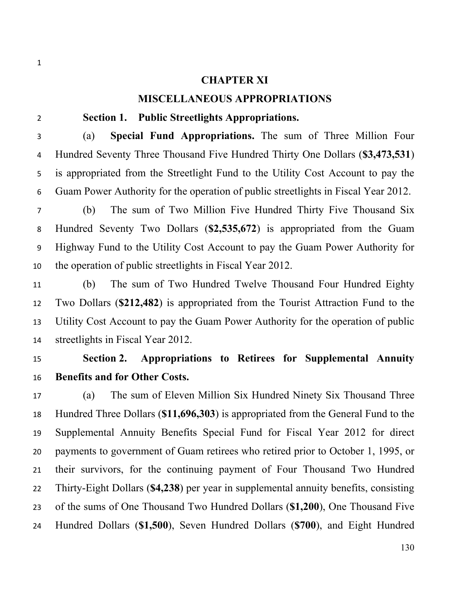#### **CHAPTER XI**

#### **MISCELLANEOUS APPROPRIATIONS**

#### **Section 1. Public Streetlights Appropriations.**

 (a) **Special Fund Appropriations.** The sum of Three Million Four Hundred Seventy Three Thousand Five Hundred Thirty One Dollars (**\$3,473,531**) is appropriated from the Streetlight Fund to the Utility Cost Account to pay the Guam Power Authority for the operation of public streetlights in Fiscal Year 2012.

 (b) The sum of Two Million Five Hundred Thirty Five Thousand Six Hundred Seventy Two Dollars (**\$2,535,672**) is appropriated from the Guam Highway Fund to the Utility Cost Account to pay the Guam Power Authority for the operation of public streetlights in Fiscal Year 2012.

 (b) The sum of Two Hundred Twelve Thousand Four Hundred Eighty Two Dollars (**\$212,482**) is appropriated from the Tourist Attraction Fund to the Utility Cost Account to pay the Guam Power Authority for the operation of public streetlights in Fiscal Year 2012.

## **Section 2. Appropriations to Retirees for Supplemental Annuity Benefits and for Other Costs.**

 (a) The sum of Eleven Million Six Hundred Ninety Six Thousand Three Hundred Three Dollars (**\$11,696,303**) is appropriated from the General Fund to the Supplemental Annuity Benefits Special Fund for Fiscal Year 2012 for direct payments to government of Guam retirees who retired prior to October 1, 1995, or their survivors, for the continuing payment of Four Thousand Two Hundred Thirty-Eight Dollars (**\$4,238**) per year in supplemental annuity benefits, consisting of the sums of One Thousand Two Hundred Dollars (**\$1,200**), One Thousand Five Hundred Dollars (**\$1,500**), Seven Hundred Dollars (**\$700**), and Eight Hundred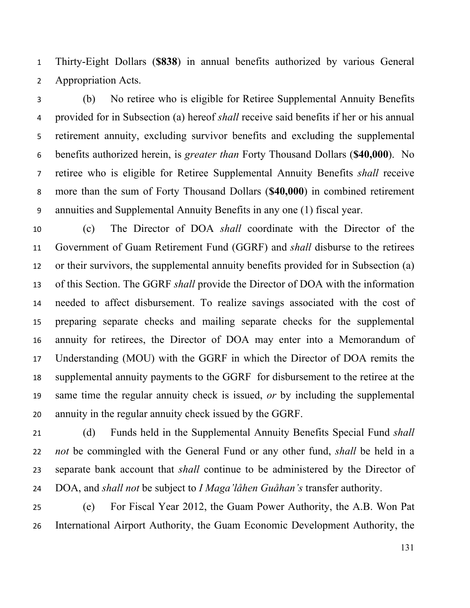Thirty-Eight Dollars (**\$838**) in annual benefits authorized by various General Appropriation Acts.

 (b) No retiree who is eligible for Retiree Supplemental Annuity Benefits provided for in Subsection (a) hereof *shall* receive said benefits if her or his annual retirement annuity, excluding survivor benefits and excluding the supplemental benefits authorized herein, is *greater than* Forty Thousand Dollars (**\$40,000**). No retiree who is eligible for Retiree Supplemental Annuity Benefits *shall* receive more than the sum of Forty Thousand Dollars (**\$40,000**) in combined retirement annuities and Supplemental Annuity Benefits in any one (1) fiscal year.

 (c) The Director of DOA *shall* coordinate with the Director of the Government of Guam Retirement Fund (GGRF) and *shall* disburse to the retirees or their survivors, the supplemental annuity benefits provided for in Subsection (a) of this Section. The GGRF *shall* provide the Director of DOA with the information needed to affect disbursement. To realize savings associated with the cost of preparing separate checks and mailing separate checks for the supplemental annuity for retirees, the Director of DOA may enter into a Memorandum of Understanding (MOU) with the GGRF in which the Director of DOA remits the supplemental annuity payments to the GGRF for disbursement to the retiree at the same time the regular annuity check is issued, *or* by including the supplemental annuity in the regular annuity check issued by the GGRF.

 (d) Funds held in the Supplemental Annuity Benefits Special Fund *shall not* be commingled with the General Fund or any other fund, *shall* be held in a separate bank account that *shall* continue to be administered by the Director of DOA, and *shall not* be subject to *I Maga'låhen Guåhan's* transfer authority.

 (e) For Fiscal Year 2012, the Guam Power Authority, the A.B. Won Pat International Airport Authority, the Guam Economic Development Authority, the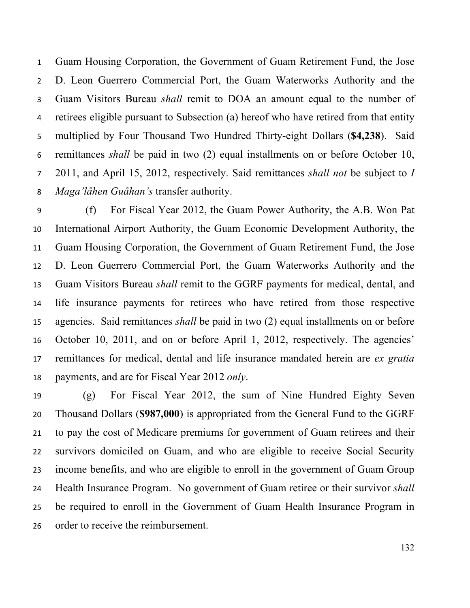Guam Housing Corporation, the Government of Guam Retirement Fund, the Jose D. Leon Guerrero Commercial Port, the Guam Waterworks Authority and the Guam Visitors Bureau *shall* remit to DOA an amount equal to the number of retirees eligible pursuant to Subsection (a) hereof who have retired from that entity multiplied by Four Thousand Two Hundred Thirty-eight Dollars (**\$4,238**). Said remittances *shall* be paid in two (2) equal installments on or before October 10, 2011, and April 15, 2012, respectively. Said remittances *shall not* be subject to *I Maga'låhen Guåhan's* transfer authority.

 (f) For Fiscal Year 2012, the Guam Power Authority, the A.B. Won Pat International Airport Authority, the Guam Economic Development Authority, the Guam Housing Corporation, the Government of Guam Retirement Fund, the Jose D. Leon Guerrero Commercial Port, the Guam Waterworks Authority and the Guam Visitors Bureau *shall* remit to the GGRF payments for medical, dental, and life insurance payments for retirees who have retired from those respective agencies. Said remittances *shall* be paid in two (2) equal installments on or before October 10, 2011, and on or before April 1, 2012, respectively. The agencies' remittances for medical, dental and life insurance mandated herein are *ex gratia* payments, and are for Fiscal Year 2012 *only*.

 (g) For Fiscal Year 2012, the sum of Nine Hundred Eighty Seven Thousand Dollars (**\$987,000**) is appropriated from the General Fund to the GGRF to pay the cost of Medicare premiums for government of Guam retirees and their survivors domiciled on Guam, and who are eligible to receive Social Security income benefits, and who are eligible to enroll in the government of Guam Group Health Insurance Program. No government of Guam retiree or their survivor *shall* be required to enroll in the Government of Guam Health Insurance Program in order to receive the reimbursement.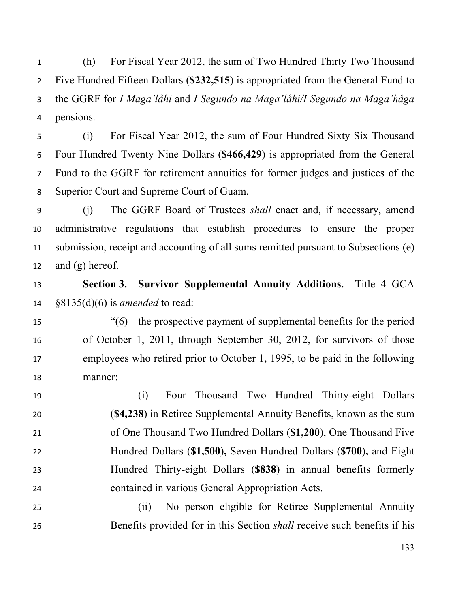(h) For Fiscal Year 2012, the sum of Two Hundred Thirty Two Thousand Five Hundred Fifteen Dollars (**\$232,515**) is appropriated from the General Fund to the GGRF for *I Maga'låhi* and *I Segundo na Maga'låhi/I Segundo na Maga'håga*  pensions.

 (i) For Fiscal Year 2012, the sum of Four Hundred Sixty Six Thousand Four Hundred Twenty Nine Dollars (**\$466,429**) is appropriated from the General Fund to the GGRF for retirement annuities for former judges and justices of the Superior Court and Supreme Court of Guam.

 (j) The GGRF Board of Trustees *shall* enact and, if necessary, amend administrative regulations that establish procedures to ensure the proper submission, receipt and accounting of all sums remitted pursuant to Subsections (e) 12 and  $(g)$  hereof.

 **Section 3. Survivor Supplemental Annuity Additions.** Title 4 GCA §8135(d)(6) is *amended* to read:

 "(6) the prospective payment of supplemental benefits for the period of October 1, 2011, through September 30, 2012, for survivors of those employees who retired prior to October 1, 1995, to be paid in the following manner:

 (i) Four Thousand Two Hundred Thirty-eight Dollars (**\$4,238**) in Retiree Supplemental Annuity Benefits, known as the sum of One Thousand Two Hundred Dollars (**\$1,200**), One Thousand Five Hundred Dollars (**\$1,500**)**,** Seven Hundred Dollars (**\$700**)**,** and Eight Hundred Thirty-eight Dollars (**\$838**) in annual benefits formerly contained in various General Appropriation Acts.

 (ii) No person eligible for Retiree Supplemental Annuity Benefits provided for in this Section *shall* receive such benefits if his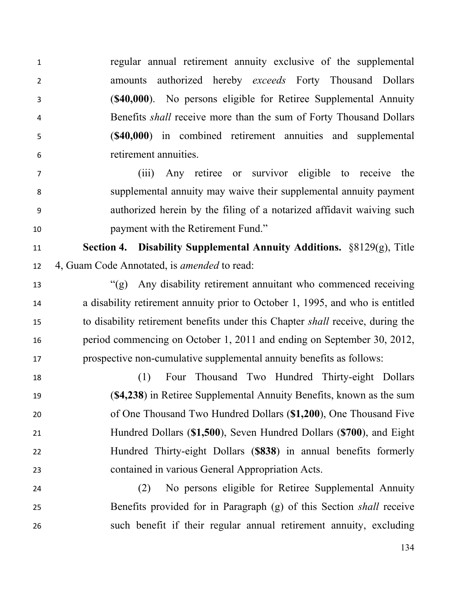regular annual retirement annuity exclusive of the supplemental amounts authorized hereby *exceeds* Forty Thousand Dollars (**\$40,000**). No persons eligible for Retiree Supplemental Annuity Benefits *shall* receive more than the sum of Forty Thousand Dollars (**\$40,000**) in combined retirement annuities and supplemental retirement annuities.

 (iii) Any retiree or survivor eligible to receive the supplemental annuity may waive their supplemental annuity payment authorized herein by the filing of a notarized affidavit waiving such payment with the Retirement Fund."

 **Section 4. Disability Supplemental Annuity Additions.** §8129(g), Title 4, Guam Code Annotated, is *amended* to read:

 "(g) Any disability retirement annuitant who commenced receiving a disability retirement annuity prior to October 1, 1995, and who is entitled to disability retirement benefits under this Chapter *shall* receive, during the period commencing on October 1, 2011 and ending on September 30, 2012, prospective non-cumulative supplemental annuity benefits as follows:

 (1) Four Thousand Two Hundred Thirty-eight Dollars (**\$4,238**) in Retiree Supplemental Annuity Benefits, known as the sum of One Thousand Two Hundred Dollars (**\$1,200**), One Thousand Five Hundred Dollars (**\$1,500**), Seven Hundred Dollars (**\$700**), and Eight Hundred Thirty-eight Dollars (**\$838**) in annual benefits formerly contained in various General Appropriation Acts.

 (2) No persons eligible for Retiree Supplemental Annuity Benefits provided for in Paragraph (g) of this Section *shall* receive such benefit if their regular annual retirement annuity, excluding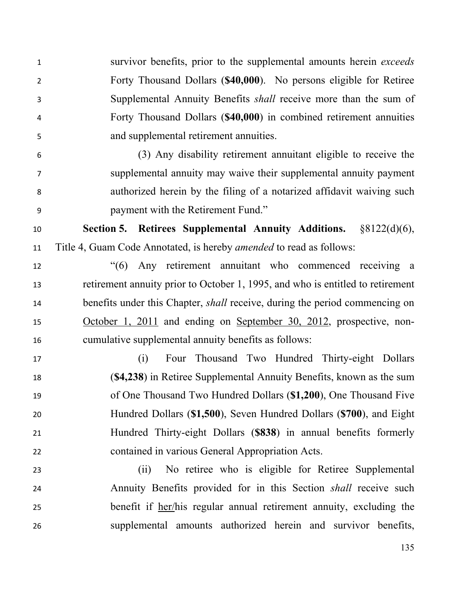survivor benefits, prior to the supplemental amounts herein *exceeds* Forty Thousand Dollars (**\$40,000**). No persons eligible for Retiree Supplemental Annuity Benefits *shall* receive more than the sum of Forty Thousand Dollars (**\$40,000**) in combined retirement annuities and supplemental retirement annuities.

 (3) Any disability retirement annuitant eligible to receive the supplemental annuity may waive their supplemental annuity payment authorized herein by the filing of a notarized affidavit waiving such payment with the Retirement Fund."

 **Section 5. Retirees Supplemental Annuity Additions.** §8122(d)(6), Title 4, Guam Code Annotated, is hereby *amended* to read as follows:

 "(6) Any retirement annuitant who commenced receiving a retirement annuity prior to October 1, 1995, and who is entitled to retirement benefits under this Chapter, *shall* receive, during the period commencing on October 1, 2011 and ending on September 30, 2012, prospective, non-cumulative supplemental annuity benefits as follows:

 (i) Four Thousand Two Hundred Thirty-eight Dollars (**\$4,238**) in Retiree Supplemental Annuity Benefits, known as the sum of One Thousand Two Hundred Dollars (**\$1,200**), One Thousand Five Hundred Dollars (**\$1,500**), Seven Hundred Dollars (**\$700**), and Eight Hundred Thirty-eight Dollars (**\$838**) in annual benefits formerly contained in various General Appropriation Acts.

 (ii) No retiree who is eligible for Retiree Supplemental Annuity Benefits provided for in this Section *shall* receive such benefit if her/his regular annual retirement annuity, excluding the supplemental amounts authorized herein and survivor benefits,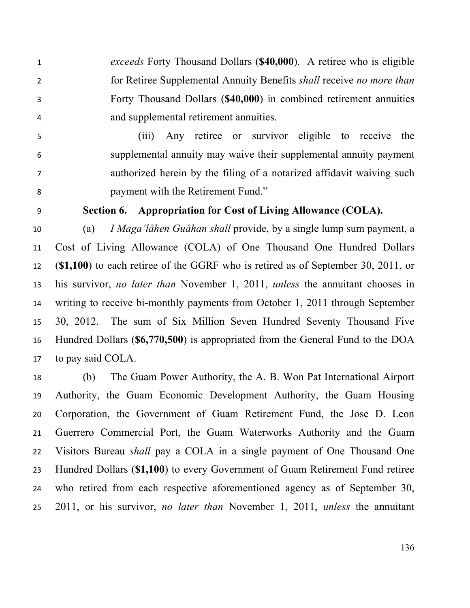*exceeds* Forty Thousand Dollars (**\$40,000**). A retiree who is eligible for Retiree Supplemental Annuity Benefits *shall* receive *no more than*  Forty Thousand Dollars (**\$40,000**) in combined retirement annuities and supplemental retirement annuities.

 (iii) Any retiree or survivor eligible to receive the supplemental annuity may waive their supplemental annuity payment authorized herein by the filing of a notarized affidavit waiving such payment with the Retirement Fund."

#### **Section 6. Appropriation for Cost of Living Allowance (COLA).**

 (a) *I Maga'låhen Guåhan shall* provide, by a single lump sum payment, a Cost of Living Allowance (COLA) of One Thousand One Hundred Dollars (**\$1,100**) to each retiree of the GGRF who is retired as of September 30, 2011, or his survivor, *no later than* November 1, 2011, *unless* the annuitant chooses in writing to receive bi-monthly payments from October 1, 2011 through September 30, 2012. The sum of Six Million Seven Hundred Seventy Thousand Five Hundred Dollars (**\$6,770,500**) is appropriated from the General Fund to the DOA to pay said COLA.

 (b) The Guam Power Authority, the A. B. Won Pat International Airport Authority, the Guam Economic Development Authority, the Guam Housing Corporation, the Government of Guam Retirement Fund, the Jose D. Leon Guerrero Commercial Port, the Guam Waterworks Authority and the Guam Visitors Bureau *shall* pay a COLA in a single payment of One Thousand One Hundred Dollars (**\$1,100**) to every Government of Guam Retirement Fund retiree who retired from each respective aforementioned agency as of September 30, 2011, or his survivor, *no later than* November 1, 2011, *unless* the annuitant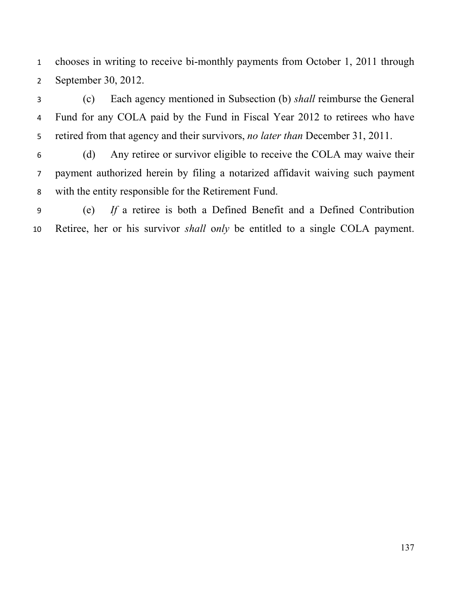chooses in writing to receive bi-monthly payments from October 1, 2011 through September 30, 2012.

 (c) Each agency mentioned in Subsection (b) *shall* reimburse the General Fund for any COLA paid by the Fund in Fiscal Year 2012 to retirees who have retired from that agency and their survivors, *no later than* December 31, 2011.

 (d) Any retiree or survivor eligible to receive the COLA may waive their payment authorized herein by filing a notarized affidavit waiving such payment with the entity responsible for the Retirement Fund.

 (e) *If* a retiree is both a Defined Benefit and a Defined Contribution Retiree, her or his survivor *shall* o*nly* be entitled to a single COLA payment.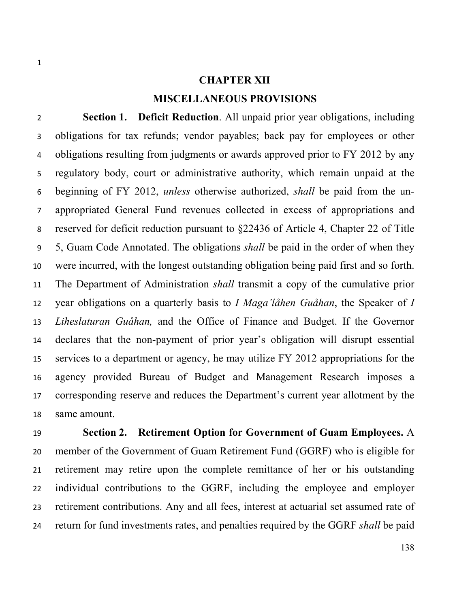## **CHAPTER XII MISCELLANEOUS PROVISIONS**

 **Section 1. Deficit Reduction**. All unpaid prior year obligations, including obligations for tax refunds; vendor payables; back pay for employees or other 4 obligations resulting from judgments or awards approved prior to FY 2012 by any regulatory body, court or administrative authority, which remain unpaid at the beginning of FY 2012, *unless* otherwise authorized, *shall* be paid from the un- appropriated General Fund revenues collected in excess of appropriations and reserved for deficit reduction pursuant to §22436 of Article 4, Chapter 22 of Title 5, Guam Code Annotated. The obligations *shall* be paid in the order of when they were incurred, with the longest outstanding obligation being paid first and so forth. The Department of Administration *shall* transmit a copy of the cumulative prior year obligations on a quarterly basis to *I Maga'låhen Guåhan*, the Speaker of *I Liheslaturan Guåhan,* and the Office of Finance and Budget. If the Governor declares that the non-payment of prior year's obligation will disrupt essential services to a department or agency, he may utilize FY 2012 appropriations for the agency provided Bureau of Budget and Management Research imposes a corresponding reserve and reduces the Department's current year allotment by the same amount.

 **Section 2. Retirement Option for Government of Guam Employees.** A member of the Government of Guam Retirement Fund (GGRF) who is eligible for retirement may retire upon the complete remittance of her or his outstanding individual contributions to the GGRF, including the employee and employer retirement contributions. Any and all fees, interest at actuarial set assumed rate of return for fund investments rates, and penalties required by the GGRF *shall* be paid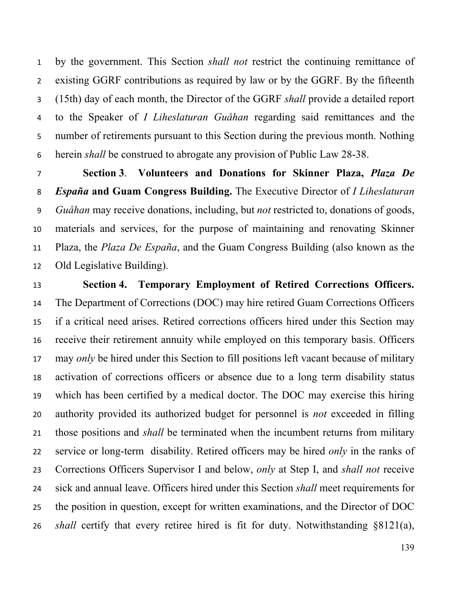by the government. This Section *shall not* restrict the continuing remittance of existing GGRF contributions as required by law or by the GGRF. By the fifteenth (15th) day of each month, the Director of the GGRF *shall* provide a detailed report to the Speaker of *I Liheslaturan Guåhan* regarding said remittances and the number of retirements pursuant to this Section during the previous month. Nothing herein *shall* be construed to abrogate any provision of Public Law 28-38.

 **Section 3**. **Volunteers and Donations for Skinner Plaza,** *Plaza De España* **and Guam Congress Building.** The Executive Director of *I Liheslaturan Guåhan* may receive donations, including, but *not* restricted to, donations of goods, materials and services, for the purpose of maintaining and renovating Skinner Plaza, the *Plaza De España*, and the Guam Congress Building (also known as the Old Legislative Building).

 **Section 4. Temporary Employment of Retired Corrections Officers.** The Department of Corrections (DOC) may hire retired Guam Corrections Officers if a critical need arises. Retired corrections officers hired under this Section may receive their retirement annuity while employed on this temporary basis. Officers may *only* be hired under this Section to fill positions left vacant because of military activation of corrections officers or absence due to a long term disability status which has been certified by a medical doctor. The DOC may exercise this hiring authority provided its authorized budget for personnel is *not* exceeded in filling those positions and *shall* be terminated when the incumbent returns from military service or long-term disability. Retired officers may be hired *only* in the ranks of Corrections Officers Supervisor I and below, *only* at Step I, and *shall not* receive sick and annual leave. Officers hired under this Section *shall* meet requirements for the position in question, except for written examinations, and the Director of DOC *shall* certify that every retiree hired is fit for duty. Notwithstanding §8121(a),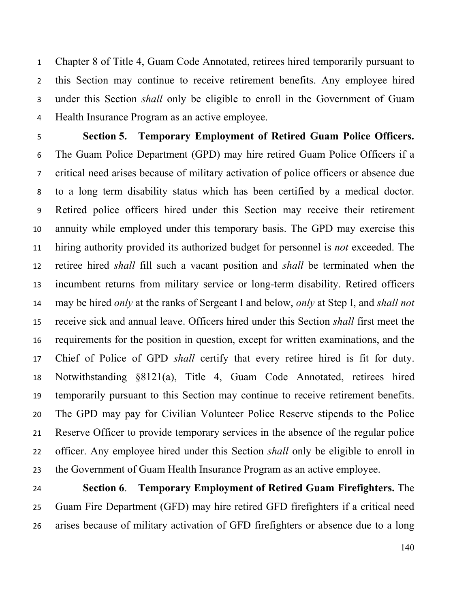Chapter 8 of Title 4, Guam Code Annotated, retirees hired temporarily pursuant to this Section may continue to receive retirement benefits. Any employee hired under this Section *shall* only be eligible to enroll in the Government of Guam Health Insurance Program as an active employee.

 **Section 5. Temporary Employment of Retired Guam Police Officers.** The Guam Police Department (GPD) may hire retired Guam Police Officers if a critical need arises because of military activation of police officers or absence due to a long term disability status which has been certified by a medical doctor. Retired police officers hired under this Section may receive their retirement annuity while employed under this temporary basis. The GPD may exercise this hiring authority provided its authorized budget for personnel is *not* exceeded. The retiree hired *shall* fill such a vacant position and *shall* be terminated when the incumbent returns from military service or long-term disability. Retired officers may be hired *only* at the ranks of Sergeant I and below, *only* at Step I, and *shall not* receive sick and annual leave. Officers hired under this Section *shall* first meet the requirements for the position in question, except for written examinations, and the Chief of Police of GPD *shall* certify that every retiree hired is fit for duty. Notwithstanding §8121(a), Title 4, Guam Code Annotated, retirees hired temporarily pursuant to this Section may continue to receive retirement benefits. The GPD may pay for Civilian Volunteer Police Reserve stipends to the Police Reserve Officer to provide temporary services in the absence of the regular police officer. Any employee hired under this Section *shall* only be eligible to enroll in the Government of Guam Health Insurance Program as an active employee.

 **Section 6**. **Temporary Employment of Retired Guam Firefighters.** The Guam Fire Department (GFD) may hire retired GFD firefighters if a critical need arises because of military activation of GFD firefighters or absence due to a long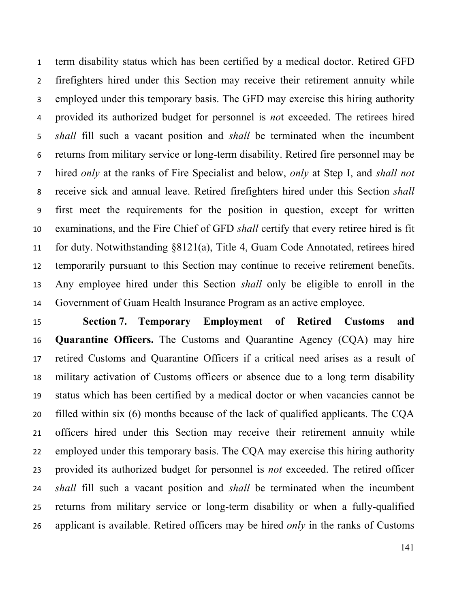term disability status which has been certified by a medical doctor. Retired GFD firefighters hired under this Section may receive their retirement annuity while employed under this temporary basis. The GFD may exercise this hiring authority provided its authorized budget for personnel is *no*t exceeded. The retirees hired *shall* fill such a vacant position and *shall* be terminated when the incumbent returns from military service or long-term disability. Retired fire personnel may be hired *only* at the ranks of Fire Specialist and below, *only* at Step I, and *shall not* receive sick and annual leave. Retired firefighters hired under this Section *shall* first meet the requirements for the position in question, except for written examinations, and the Fire Chief of GFD *shall* certify that every retiree hired is fit for duty. Notwithstanding §8121(a), Title 4, Guam Code Annotated, retirees hired temporarily pursuant to this Section may continue to receive retirement benefits. Any employee hired under this Section *shall* only be eligible to enroll in the Government of Guam Health Insurance Program as an active employee.

 **Section 7. Temporary Employment of Retired Customs and Quarantine Officers.** The Customs and Quarantine Agency (CQA) may hire retired Customs and Quarantine Officers if a critical need arises as a result of military activation of Customs officers or absence due to a long term disability status which has been certified by a medical doctor or when vacancies cannot be filled within six (6) months because of the lack of qualified applicants. The CQA officers hired under this Section may receive their retirement annuity while employed under this temporary basis. The CQA may exercise this hiring authority provided its authorized budget for personnel is *not* exceeded. The retired officer *shall* fill such a vacant position and *shall* be terminated when the incumbent returns from military service or long-term disability or when a fully-qualified applicant is available. Retired officers may be hired *only* in the ranks of Customs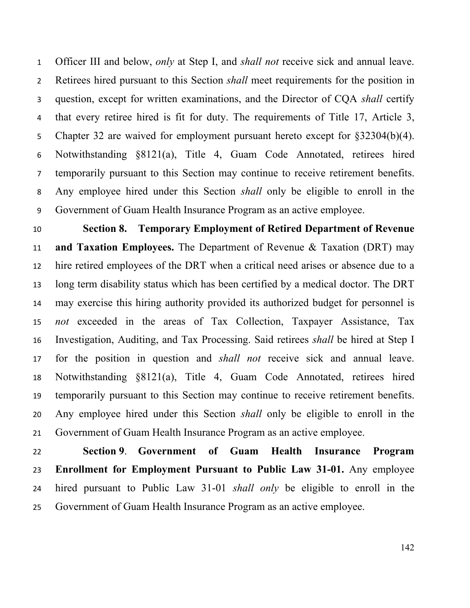Officer III and below, *only* at Step I, and *shall not* receive sick and annual leave. Retirees hired pursuant to this Section *shall* meet requirements for the position in question, except for written examinations, and the Director of CQA *shall* certify that every retiree hired is fit for duty. The requirements of Title 17, Article 3, Chapter 32 are waived for employment pursuant hereto except for §32304(b)(4). Notwithstanding §8121(a), Title 4, Guam Code Annotated, retirees hired temporarily pursuant to this Section may continue to receive retirement benefits. Any employee hired under this Section *shall* only be eligible to enroll in the Government of Guam Health Insurance Program as an active employee.

 **Section 8. Temporary Employment of Retired Department of Revenue and Taxation Employees.** The Department of Revenue & Taxation (DRT) may hire retired employees of the DRT when a critical need arises or absence due to a long term disability status which has been certified by a medical doctor. The DRT may exercise this hiring authority provided its authorized budget for personnel is *not* exceeded in the areas of Tax Collection, Taxpayer Assistance, Tax Investigation, Auditing, and Tax Processing. Said retirees *shall* be hired at Step I for the position in question and *shall not* receive sick and annual leave. Notwithstanding §8121(a), Title 4, Guam Code Annotated, retirees hired temporarily pursuant to this Section may continue to receive retirement benefits. Any employee hired under this Section *shall* only be eligible to enroll in the Government of Guam Health Insurance Program as an active employee.

 **Section 9**. **Government of Guam Health Insurance Program Enrollment for Employment Pursuant to Public Law 31-01.** Any employee hired pursuant to Public Law 31-01 *shall only* be eligible to enroll in the Government of Guam Health Insurance Program as an active employee.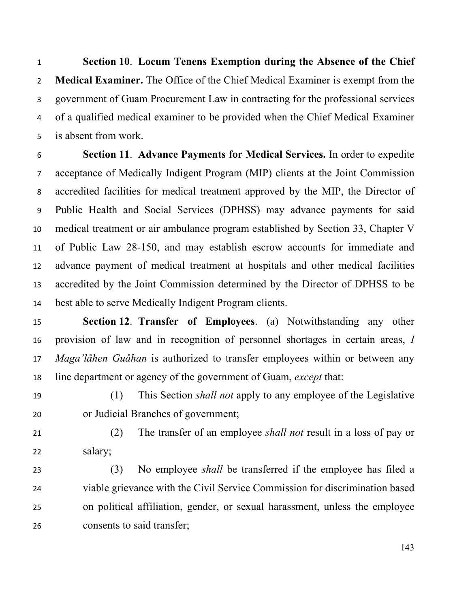**Section 10**. **Locum Tenens Exemption during the Absence of the Chief Medical Examiner.** The Office of the Chief Medical Examiner is exempt from the government of Guam Procurement Law in contracting for the professional services of a qualified medical examiner to be provided when the Chief Medical Examiner is absent from work.

 **Section 11**. **Advance Payments for Medical Services.** In order to expedite acceptance of Medically Indigent Program (MIP) clients at the Joint Commission accredited facilities for medical treatment approved by the MIP, the Director of Public Health and Social Services (DPHSS) may advance payments for said medical treatment or air ambulance program established by Section 33, Chapter V of Public Law 28-150, and may establish escrow accounts for immediate and advance payment of medical treatment at hospitals and other medical facilities accredited by the Joint Commission determined by the Director of DPHSS to be best able to serve Medically Indigent Program clients.

- **Section 12**. **Transfer of Employees**. (a) Notwithstanding any other provision of law and in recognition of personnel shortages in certain areas, *I Maga'låhen Guåhan* is authorized to transfer employees within or between any line department or agency of the government of Guam, *except* that:
- (1) This Section *shall not* apply to any employee of the Legislative or Judicial Branches of government;
- (2) The transfer of an employee *shall not* result in a loss of pay or salary;
- (3) No employee *shall* be transferred if the employee has filed a viable grievance with the Civil Service Commission for discrimination based on political affiliation, gender, or sexual harassment, unless the employee consents to said transfer;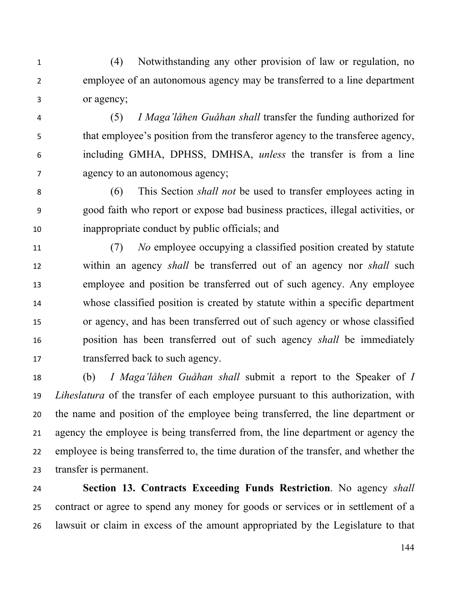(4) Notwithstanding any other provision of law or regulation, no employee of an autonomous agency may be transferred to a line department or agency;

 (5) *I Maga'låhen Guåhan shall* transfer the funding authorized for that employee's position from the transferor agency to the transferee agency, including GMHA, DPHSS, DMHSA, *unless* the transfer is from a line agency to an autonomous agency;

 (6) This Section *shall not* be used to transfer employees acting in good faith who report or expose bad business practices, illegal activities, or inappropriate conduct by public officials; and

 (7) *No* employee occupying a classified position created by statute within an agency *shall* be transferred out of an agency nor *shall* such employee and position be transferred out of such agency. Any employee whose classified position is created by statute within a specific department or agency, and has been transferred out of such agency or whose classified position has been transferred out of such agency *shall* be immediately 17 transferred back to such agency.

 (b) *I Maga'låhen Guåhan shall* submit a report to the Speaker of *I Liheslatura* of the transfer of each employee pursuant to this authorization, with the name and position of the employee being transferred, the line department or agency the employee is being transferred from, the line department or agency the employee is being transferred to, the time duration of the transfer, and whether the transfer is permanent.

 **Section 13. Contracts Exceeding Funds Restriction**. No agency *shall* contract or agree to spend any money for goods or services or in settlement of a lawsuit or claim in excess of the amount appropriated by the Legislature to that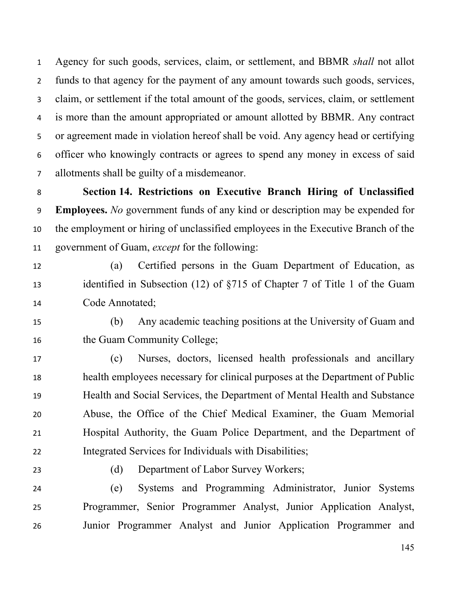Agency for such goods, services, claim, or settlement, and BBMR *shall* not allot funds to that agency for the payment of any amount towards such goods, services, claim, or settlement if the total amount of the goods, services, claim, or settlement is more than the amount appropriated or amount allotted by BBMR. Any contract or agreement made in violation hereof shall be void. Any agency head or certifying officer who knowingly contracts or agrees to spend any money in excess of said allotments shall be guilty of a misdemeanor.

 **Section 14. Restrictions on Executive Branch Hiring of Unclassified Employees.** *No* government funds of any kind or description may be expended for the employment or hiring of unclassified employees in the Executive Branch of the government of Guam, *except* for the following:

 (a) Certified persons in the Guam Department of Education, as identified in Subsection (12) of §715 of Chapter 7 of Title 1 of the Guam Code Annotated;

 (b) Any academic teaching positions at the University of Guam and 16 the Guam Community College;

 (c) Nurses, doctors, licensed health professionals and ancillary health employees necessary for clinical purposes at the Department of Public Health and Social Services, the Department of Mental Health and Substance Abuse, the Office of the Chief Medical Examiner, the Guam Memorial Hospital Authority, the Guam Police Department, and the Department of Integrated Services for Individuals with Disabilities;

(d) Department of Labor Survey Workers;

 (e) Systems and Programming Administrator, Junior Systems Programmer, Senior Programmer Analyst, Junior Application Analyst, Junior Programmer Analyst and Junior Application Programmer and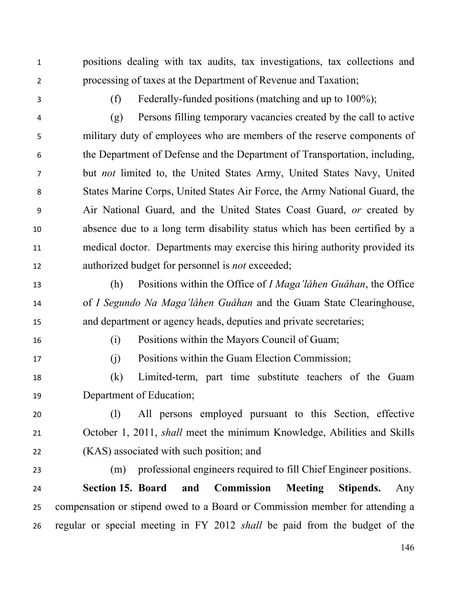positions dealing with tax audits, tax investigations, tax collections and processing of taxes at the Department of Revenue and Taxation;

(f) Federally-funded positions (matching and up to 100%);

 (g) Persons filling temporary vacancies created by the call to active military duty of employees who are members of the reserve components of the Department of Defense and the Department of Transportation, including, but *not* limited to, the United States Army, United States Navy, United States Marine Corps, United States Air Force, the Army National Guard, the Air National Guard, and the United States Coast Guard, *or* created by absence due to a long term disability status which has been certified by a medical doctor. Departments may exercise this hiring authority provided its authorized budget for personnel is *not* exceeded;

 (h) Positions within the Office of *I Maga'låhen Guåhan*, the Office of *I Segundo Na Maga'låhen Guåhan* and the Guam State Clearinghouse, and department or agency heads, deputies and private secretaries;

(i) Positions within the Mayors Council of Guam;

(j) Positions within the Guam Election Commission;

 (k) Limited-term, part time substitute teachers of the Guam Department of Education;

 (l) All persons employed pursuant to this Section, effective October 1, 2011, *shall* meet the minimum Knowledge, Abilities and Skills (KAS) associated with such position; and

(m) professional engineers required to fill Chief Engineer positions.

 **Section 15. Board and Commission Meeting Stipends.** Any compensation or stipend owed to a Board or Commission member for attending a regular or special meeting in FY 2012 *shall* be paid from the budget of the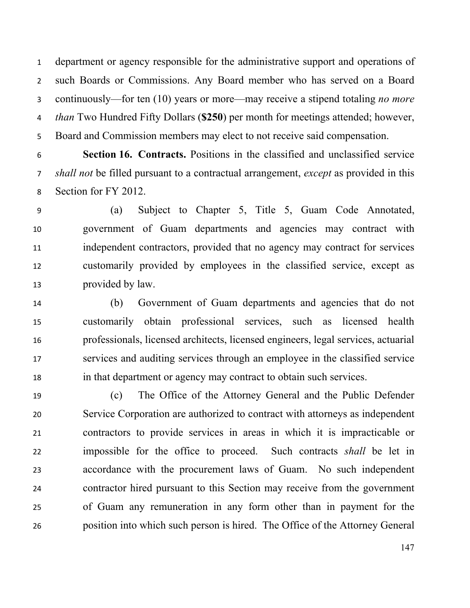department or agency responsible for the administrative support and operations of such Boards or Commissions. Any Board member who has served on a Board continuously—for ten (10) years or more—may receive a stipend totaling *no more than* Two Hundred Fifty Dollars (**\$250**) per month for meetings attended; however, Board and Commission members may elect to not receive said compensation.

 **Section 16. Contracts.** Positions in the classified and unclassified service *shall not* be filled pursuant to a contractual arrangement, *except* as provided in this Section for FY 2012.

 (a) Subject to Chapter 5, Title 5, Guam Code Annotated, government of Guam departments and agencies may contract with independent contractors, provided that no agency may contract for services customarily provided by employees in the classified service, except as provided by law.

 (b) Government of Guam departments and agencies that do not customarily obtain professional services, such as licensed health professionals, licensed architects, licensed engineers, legal services, actuarial services and auditing services through an employee in the classified service in that department or agency may contract to obtain such services.

 (c) The Office of the Attorney General and the Public Defender Service Corporation are authorized to contract with attorneys as independent contractors to provide services in areas in which it is impracticable or impossible for the office to proceed. Such contracts *shall* be let in accordance with the procurement laws of Guam. No such independent contractor hired pursuant to this Section may receive from the government of Guam any remuneration in any form other than in payment for the position into which such person is hired. The Office of the Attorney General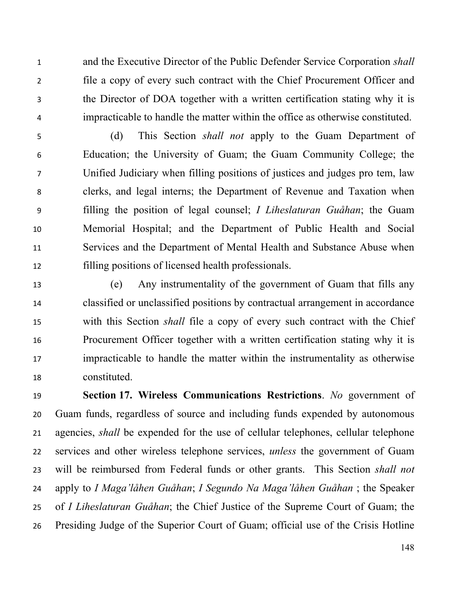and the Executive Director of the Public Defender Service Corporation *shall* file a copy of every such contract with the Chief Procurement Officer and the Director of DOA together with a written certification stating why it is impracticable to handle the matter within the office as otherwise constituted.

 (d) This Section *shall not* apply to the Guam Department of Education; the University of Guam; the Guam Community College; the Unified Judiciary when filling positions of justices and judges pro tem, law clerks, and legal interns; the Department of Revenue and Taxation when filling the position of legal counsel; *I Liheslaturan Guåhan*; the Guam Memorial Hospital; and the Department of Public Health and Social Services and the Department of Mental Health and Substance Abuse when filling positions of licensed health professionals.

 (e) Any instrumentality of the government of Guam that fills any classified or unclassified positions by contractual arrangement in accordance with this Section *shall* file a copy of every such contract with the Chief Procurement Officer together with a written certification stating why it is impracticable to handle the matter within the instrumentality as otherwise constituted.

 **Section 17. Wireless Communications Restrictions**. *No* government of Guam funds, regardless of source and including funds expended by autonomous agencies, *shall* be expended for the use of cellular telephones, cellular telephone services and other wireless telephone services, *unless* the government of Guam will be reimbursed from Federal funds or other grants. This Section *shall not* apply to *I Maga'låhen Guåhan*; *I Segundo Na Maga'låhen Guåhan* ; the Speaker of *I Liheslaturan Guåhan*; the Chief Justice of the Supreme Court of Guam; the Presiding Judge of the Superior Court of Guam; official use of the Crisis Hotline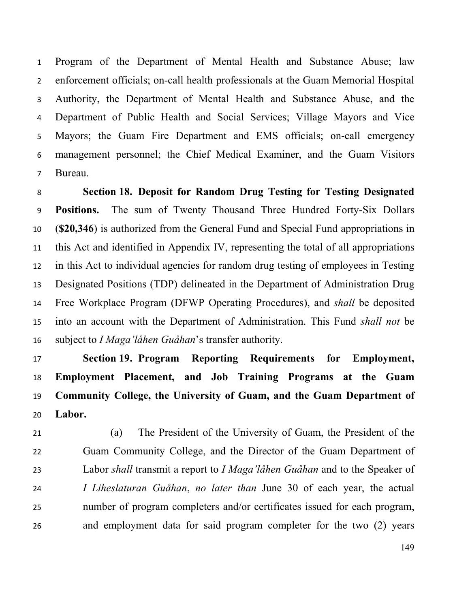Program of the Department of Mental Health and Substance Abuse; law enforcement officials; on-call health professionals at the Guam Memorial Hospital Authority, the Department of Mental Health and Substance Abuse, and the Department of Public Health and Social Services; Village Mayors and Vice Mayors; the Guam Fire Department and EMS officials; on-call emergency management personnel; the Chief Medical Examiner, and the Guam Visitors Bureau.

 **Section 18. Deposit for Random Drug Testing for Testing Designated Positions.** The sum of Twenty Thousand Three Hundred Forty-Six Dollars (**\$20,346**) is authorized from the General Fund and Special Fund appropriations in this Act and identified in Appendix IV, representing the total of all appropriations in this Act to individual agencies for random drug testing of employees in Testing Designated Positions (TDP) delineated in the Department of Administration Drug Free Workplace Program (DFWP Operating Procedures), and *shall* be deposited into an account with the Department of Administration. This Fund *shall not* be subject to *I Maga'låhen Guåhan*'s transfer authority.

 **Section 19. Program Reporting Requirements for Employment, Employment Placement, and Job Training Programs at the Guam Community College, the University of Guam, and the Guam Department of Labor.** 

 (a) The President of the University of Guam, the President of the Guam Community College, and the Director of the Guam Department of Labor *shall* transmit a report to *I Maga'låhen Guåhan* and to the Speaker of *I Liheslaturan Guåhan*, *no later than* June 30 of each year, the actual number of program completers and/or certificates issued for each program, and employment data for said program completer for the two (2) years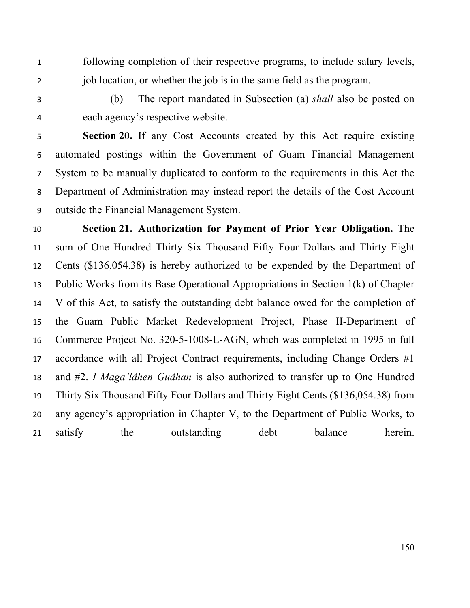- following completion of their respective programs, to include salary levels, job location, or whether the job is in the same field as the program.
- 

 (b) The report mandated in Subsection (a) *shall* also be posted on each agency's respective website.

 **Section 20.** If any Cost Accounts created by this Act require existing automated postings within the Government of Guam Financial Management System to be manually duplicated to conform to the requirements in this Act the Department of Administration may instead report the details of the Cost Account outside the Financial Management System.

 **Section 21. Authorization for Payment of Prior Year Obligation.** The sum of One Hundred Thirty Six Thousand Fifty Four Dollars and Thirty Eight Cents (\$136,054.38) is hereby authorized to be expended by the Department of Public Works from its Base Operational Appropriations in Section 1(k) of Chapter V of this Act, to satisfy the outstanding debt balance owed for the completion of the Guam Public Market Redevelopment Project, Phase II-Department of Commerce Project No. 320-5-1008-L-AGN, which was completed in 1995 in full accordance with all Project Contract requirements, including Change Orders #1 and #2. *I Maga'låhen Guåhan* is also authorized to transfer up to One Hundred Thirty Six Thousand Fifty Four Dollars and Thirty Eight Cents (\$136,054.38) from any agency's appropriation in Chapter V, to the Department of Public Works, to 21 satisfy the outstanding debt balance herein.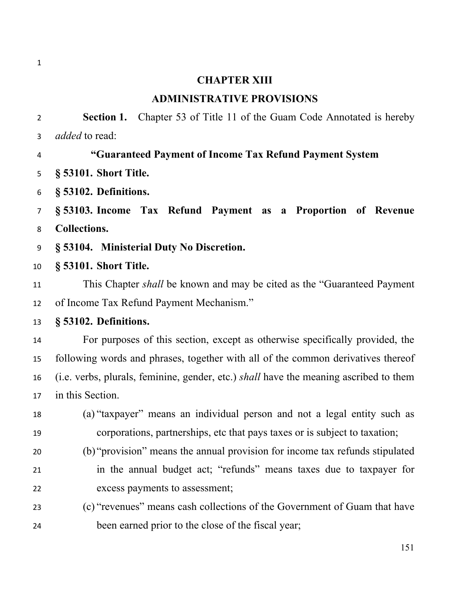#### **CHAPTER XIII**

### **ADMINISTRATIVE PROVISIONS**

 **Section 1.** Chapter 53 of Title 11 of the Guam Code Annotated is hereby *added* to read:

## **"Guaranteed Payment of Income Tax Refund Payment System**

- **§ 53101. Short Title.**
- **§ 53102. Definitions.**

 **§ 53103. Income Tax Refund Payment as a Proportion of Revenue Collections.** 

- **§ 53104. Ministerial Duty No Discretion.**
- **§ 53101. Short Title.**

 This Chapter *shall* be known and may be cited as the "Guaranteed Payment of Income Tax Refund Payment Mechanism."

### **§ 53102. Definitions.**

 For purposes of this section, except as otherwise specifically provided, the following words and phrases, together with all of the common derivatives thereof (i.e. verbs, plurals, feminine, gender, etc.) *shall* have the meaning ascribed to them in this Section.

- (a) "taxpayer" means an individual person and not a legal entity such as corporations, partnerships, etc that pays taxes or is subject to taxation;
- (b) "provision" means the annual provision for income tax refunds stipulated in the annual budget act; "refunds" means taxes due to taxpayer for excess payments to assessment;
- (c) "revenues" means cash collections of the Government of Guam that have been earned prior to the close of the fiscal year;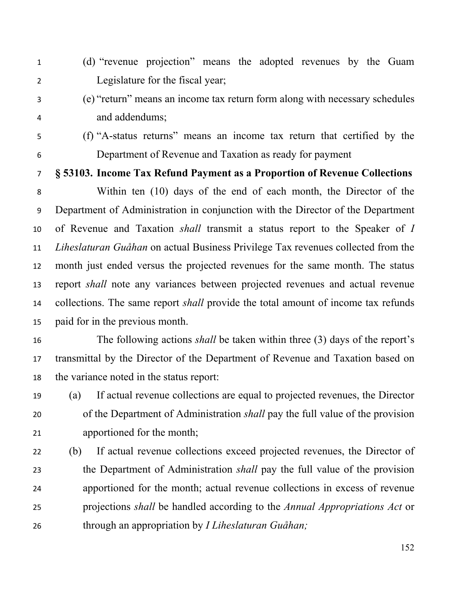- (d) "revenue projection" means the adopted revenues by the Guam Legislature for the fiscal year;
- 

 (e) "return" means an income tax return form along with necessary schedules and addendums;

- 
- 

 (f) "A-status returns" means an income tax return that certified by the Department of Revenue and Taxation as ready for payment

# **§ 53103. Income Tax Refund Payment as a Proportion of Revenue Collections**

 Within ten (10) days of the end of each month, the Director of the Department of Administration in conjunction with the Director of the Department of Revenue and Taxation *shall* transmit a status report to the Speaker of *I Liheslaturan Guåhan* on actual Business Privilege Tax revenues collected from the month just ended versus the projected revenues for the same month. The status report *shall* note any variances between projected revenues and actual revenue collections. The same report *shall* provide the total amount of income tax refunds paid for in the previous month.

 The following actions *shall* be taken within three (3) days of the report's transmittal by the Director of the Department of Revenue and Taxation based on the variance noted in the status report:

 (a) If actual revenue collections are equal to projected revenues, the Director of the Department of Administration *shall* pay the full value of the provision apportioned for the month;

 (b) If actual revenue collections exceed projected revenues, the Director of the Department of Administration *shall* pay the full value of the provision apportioned for the month; actual revenue collections in excess of revenue projections *shall* be handled according to the *Annual Appropriations Act* or through an appropriation by *I Liheslaturan Guåhan;*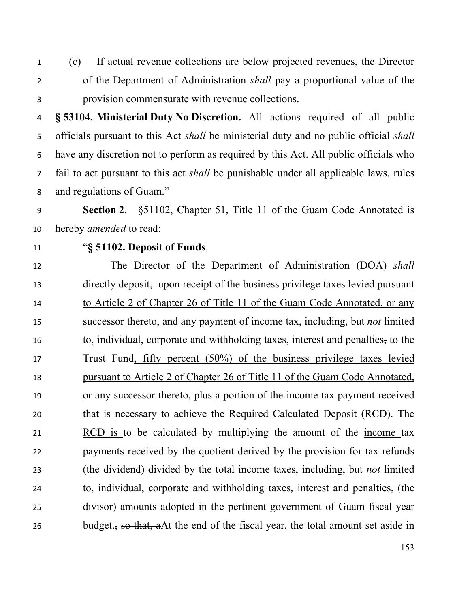(c) If actual revenue collections are below projected revenues, the Director of the Department of Administration *shall* pay a proportional value of the provision commensurate with revenue collections.

 **§ 53104. Ministerial Duty No Discretion.** All actions required of all public officials pursuant to this Act *shall* be ministerial duty and no public official *shall* have any discretion not to perform as required by this Act. All public officials who fail to act pursuant to this act *shall* be punishable under all applicable laws, rules and regulations of Guam."

 **Section 2.** §51102, Chapter 51, Title 11 of the Guam Code Annotated is hereby *amended* to read:

## "**§ 51102. Deposit of Funds**.

 The Director of the Department of Administration (DOA) *shall* directly deposit, upon receipt of the business privilege taxes levied pursuant 14 to Article 2 of Chapter 26 of Title 11 of the Guam Code Annotated, or any successor thereto, and any payment of income tax, including, but *not* limited to, individual, corporate and withholding taxes, interest and penalties, to the Trust Fund, fifty percent (50%) of the business privilege taxes levied pursuant to Article 2 of Chapter 26 of Title 11 of the Guam Code Annotated, 19 or any successor thereto, plus a portion of the income tax payment received that is necessary to achieve the Required Calculated Deposit (RCD). The RCD is to be calculated by multiplying the amount of the income tax payments received by the quotient derived by the provision for tax refunds (the dividend) divided by the total income taxes, including, but *not* limited to, individual, corporate and withholding taxes, interest and penalties, (the divisor) amounts adopted in the pertinent government of Guam fiscal year 26 budget., so that, aAt the end of the fiscal year, the total amount set aside in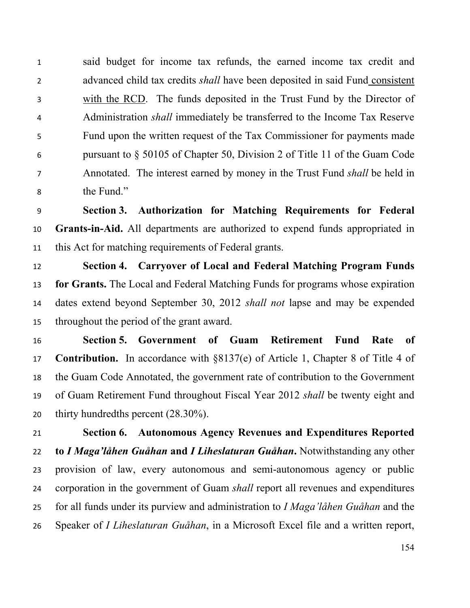said budget for income tax refunds, the earned income tax credit and advanced child tax credits *shall* have been deposited in said Fund consistent with the RCD. The funds deposited in the Trust Fund by the Director of Administration *shall* immediately be transferred to the Income Tax Reserve Fund upon the written request of the Tax Commissioner for payments made pursuant to § 50105 of Chapter 50, Division 2 of Title 11 of the Guam Code Annotated. The interest earned by money in the Trust Fund *shall* be held in the Fund."

 **Section 3. Authorization for Matching Requirements for Federal Grants-in-Aid.** All departments are authorized to expend funds appropriated in this Act for matching requirements of Federal grants.

 **Section 4. Carryover of Local and Federal Matching Program Funds for Grants.** The Local and Federal Matching Funds for programs whose expiration dates extend beyond September 30, 2012 *shall not* lapse and may be expended throughout the period of the grant award.

 **Section 5. Government of Guam Retirement Fund Rate of Contribution.** In accordance with §8137(e) of Article 1, Chapter 8 of Title 4 of the Guam Code Annotated, the government rate of contribution to the Government of Guam Retirement Fund throughout Fiscal Year 2012 *shall* be twenty eight and thirty hundredths percent (28.30%).

 **Section 6. Autonomous Agency Revenues and Expenditures Reported to** *I Maga'låhen Guåhan* **and** *I Liheslaturan Guåhan***.** Notwithstanding any other provision of law, every autonomous and semi-autonomous agency or public corporation in the government of Guam *shall* report all revenues and expenditures for all funds under its purview and administration to *I Maga'låhen Guåhan* and the Speaker of *I Liheslaturan Guåhan*, in a Microsoft Excel file and a written report,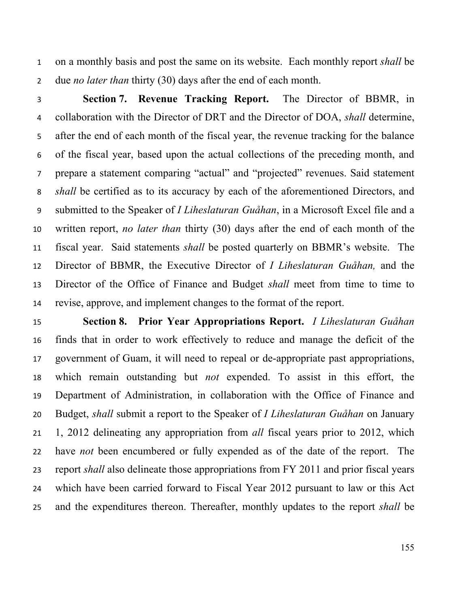on a monthly basis and post the same on its website. Each monthly report *shall* be due *no later than* thirty (30) days after the end of each month.

 **Section 7. Revenue Tracking Report.** The Director of BBMR, in collaboration with the Director of DRT and the Director of DOA, *shall* determine, after the end of each month of the fiscal year, the revenue tracking for the balance of the fiscal year, based upon the actual collections of the preceding month, and prepare a statement comparing "actual" and "projected" revenues. Said statement *shall* be certified as to its accuracy by each of the aforementioned Directors, and submitted to the Speaker of *I Liheslaturan Guåhan*, in a Microsoft Excel file and a written report, *no later than* thirty (30) days after the end of each month of the fiscal year. Said statements *shall* be posted quarterly on BBMR's website. The Director of BBMR, the Executive Director of *I Liheslaturan Guåhan,* and the Director of the Office of Finance and Budget *shall* meet from time to time to revise, approve, and implement changes to the format of the report.

 **Section 8. Prior Year Appropriations Report.** *I Liheslaturan Guåhan*  finds that in order to work effectively to reduce and manage the deficit of the government of Guam, it will need to repeal or de-appropriate past appropriations, which remain outstanding but *not* expended. To assist in this effort, the Department of Administration, in collaboration with the Office of Finance and Budget, *shall* submit a report to the Speaker of *I Liheslaturan Guåhan* on January 1, 2012 delineating any appropriation from *all* fiscal years prior to 2012, which have *not* been encumbered or fully expended as of the date of the report. The report *shall* also delineate those appropriations from FY 2011 and prior fiscal years which have been carried forward to Fiscal Year 2012 pursuant to law or this Act and the expenditures thereon. Thereafter, monthly updates to the report *shall* be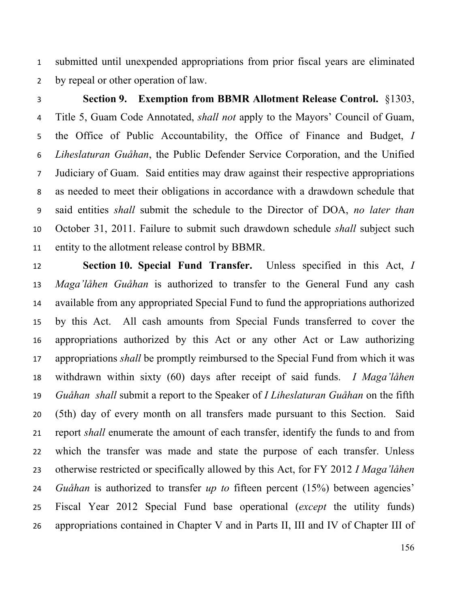submitted until unexpended appropriations from prior fiscal years are eliminated by repeal or other operation of law.

 **Section 9. Exemption from BBMR Allotment Release Control.** §1303, Title 5, Guam Code Annotated, *shall not* apply to the Mayors' Council of Guam, the Office of Public Accountability, the Office of Finance and Budget, *I Liheslaturan Guåhan*, the Public Defender Service Corporation, and the Unified Judiciary of Guam. Said entities may draw against their respective appropriations as needed to meet their obligations in accordance with a drawdown schedule that said entities *shall* submit the schedule to the Director of DOA, *no later than* October 31, 2011. Failure to submit such drawdown schedule *shall* subject such entity to the allotment release control by BBMR.

 **Section 10. Special Fund Transfer.** Unless specified in this Act, *I Maga'låhen Guåhan* is authorized to transfer to the General Fund any cash available from any appropriated Special Fund to fund the appropriations authorized by this Act. All cash amounts from Special Funds transferred to cover the appropriations authorized by this Act or any other Act or Law authorizing appropriations *shall* be promptly reimbursed to the Special Fund from which it was withdrawn within sixty (60) days after receipt of said funds. *I Maga'låhen Guåhan shall* submit a report to the Speaker of *I Liheslaturan Guåhan* on the fifth (5th) day of every month on all transfers made pursuant to this Section. Said report *shall* enumerate the amount of each transfer, identify the funds to and from which the transfer was made and state the purpose of each transfer. Unless otherwise restricted or specifically allowed by this Act, for FY 2012 *I Maga'låhen Guåhan* is authorized to transfer *up to* fifteen percent (15%) between agencies' Fiscal Year 2012 Special Fund base operational (*except* the utility funds) appropriations contained in Chapter V and in Parts II, III and IV of Chapter III of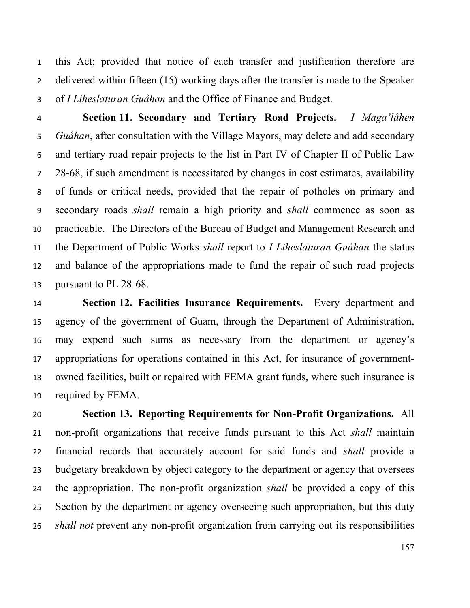this Act; provided that notice of each transfer and justification therefore are delivered within fifteen (15) working days after the transfer is made to the Speaker of *I Liheslaturan Guåhan* and the Office of Finance and Budget.

 **Section 11. Secondary and Tertiary Road Projects.** *I Maga'låhen Guåhan*, after consultation with the Village Mayors, may delete and add secondary and tertiary road repair projects to the list in Part IV of Chapter II of Public Law 28-68, if such amendment is necessitated by changes in cost estimates, availability of funds or critical needs, provided that the repair of potholes on primary and secondary roads *shall* remain a high priority and *shall* commence as soon as practicable. The Directors of the Bureau of Budget and Management Research and the Department of Public Works *shall* report to *I Liheslaturan Guåhan* the status and balance of the appropriations made to fund the repair of such road projects pursuant to PL 28-68.

 **Section 12. Facilities Insurance Requirements.** Every department and agency of the government of Guam, through the Department of Administration, may expend such sums as necessary from the department or agency's appropriations for operations contained in this Act, for insurance of government- owned facilities, built or repaired with FEMA grant funds, where such insurance is required by FEMA.

 **Section 13. Reporting Requirements for Non-Profit Organizations.** All non-profit organizations that receive funds pursuant to this Act *shall* maintain financial records that accurately account for said funds and *shall* provide a budgetary breakdown by object category to the department or agency that oversees the appropriation. The non-profit organization *shall* be provided a copy of this Section by the department or agency overseeing such appropriation, but this duty *shall not* prevent any non-profit organization from carrying out its responsibilities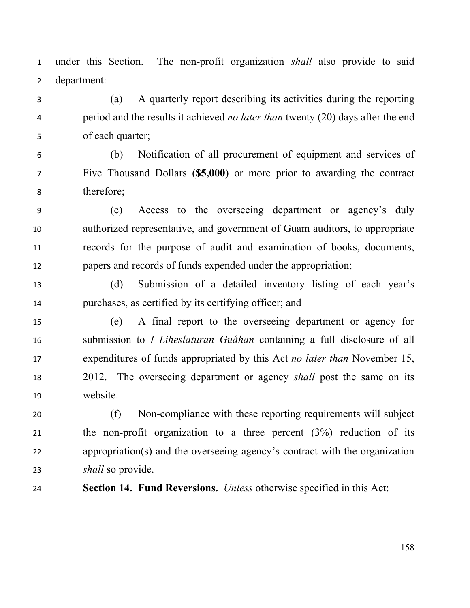under this Section. The non-profit organization *shall* also provide to said department:

- (a) A quarterly report describing its activities during the reporting period and the results it achieved *no later than* twenty (20) days after the end of each quarter;
- (b) Notification of all procurement of equipment and services of Five Thousand Dollars (**\$5,000**) or more prior to awarding the contract therefore;
- (c) Access to the overseeing department or agency's duly authorized representative, and government of Guam auditors, to appropriate records for the purpose of audit and examination of books, documents, papers and records of funds expended under the appropriation;
- (d) Submission of a detailed inventory listing of each year's purchases, as certified by its certifying officer; and
- (e) A final report to the overseeing department or agency for submission to *I Liheslaturan Guåhan* containing a full disclosure of all expenditures of funds appropriated by this Act *no later than* November 15, 2012. The overseeing department or agency *shall* post the same on its website.
- (f) Non-compliance with these reporting requirements will subject the non-profit organization to a three percent (3%) reduction of its appropriation(s) and the overseeing agency's contract with the organization *shall* so provide.
- 

**Section 14. Fund Reversions.** *Unless* otherwise specified in this Act: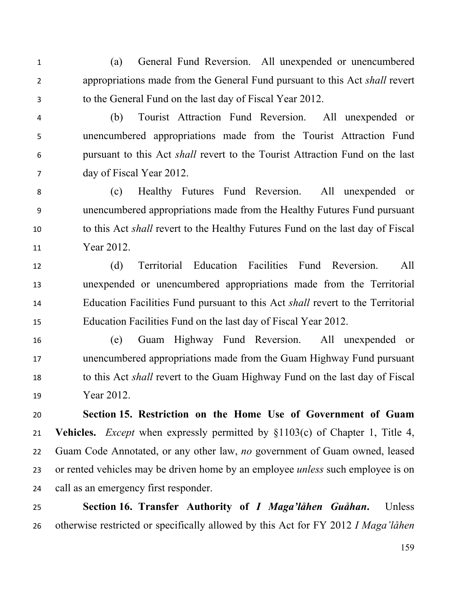(a) General Fund Reversion. All unexpended or unencumbered appropriations made from the General Fund pursuant to this Act *shall* revert to the General Fund on the last day of Fiscal Year 2012.

 (b) Tourist Attraction Fund Reversion. All unexpended or unencumbered appropriations made from the Tourist Attraction Fund pursuant to this Act *shall* revert to the Tourist Attraction Fund on the last day of Fiscal Year 2012.

 (c) Healthy Futures Fund Reversion. All unexpended or unencumbered appropriations made from the Healthy Futures Fund pursuant to this Act *shall* revert to the Healthy Futures Fund on the last day of Fiscal Year 2012.

 (d) Territorial Education Facilities Fund Reversion. All unexpended or unencumbered appropriations made from the Territorial Education Facilities Fund pursuant to this Act *shall* revert to the Territorial Education Facilities Fund on the last day of Fiscal Year 2012.

 (e) Guam Highway Fund Reversion. All unexpended or unencumbered appropriations made from the Guam Highway Fund pursuant to this Act *shall* revert to the Guam Highway Fund on the last day of Fiscal Year 2012.

 **Section 15. Restriction on the Home Use of Government of Guam Vehicles.** *Except* when expressly permitted by §1103(c) of Chapter 1, Title 4, Guam Code Annotated, or any other law, *no* government of Guam owned, leased or rented vehicles may be driven home by an employee *unless* such employee is on call as an emergency first responder.

 **Section 16. Transfer Authority of** *I Maga'låhen Guåhan***.** Unless otherwise restricted or specifically allowed by this Act for FY 2012 *I Maga'låhen*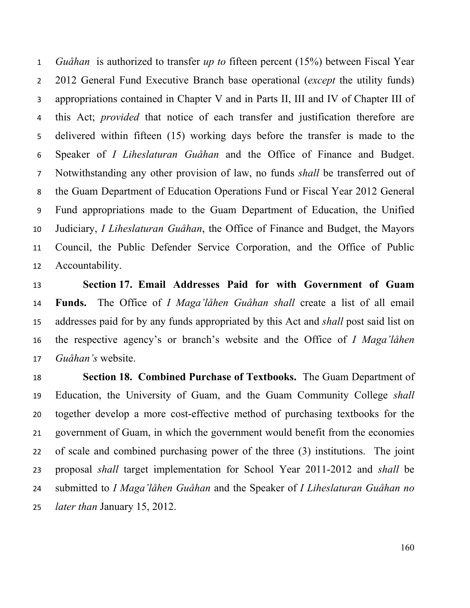*Guåhan* is authorized to transfer *up to* fifteen percent (15%) between Fiscal Year 2012 General Fund Executive Branch base operational (*except* the utility funds) appropriations contained in Chapter V and in Parts II, III and IV of Chapter III of this Act; *provided* that notice of each transfer and justification therefore are delivered within fifteen (15) working days before the transfer is made to the Speaker of *I Liheslaturan Guåhan* and the Office of Finance and Budget. Notwithstanding any other provision of law, no funds *shall* be transferred out of the Guam Department of Education Operations Fund or Fiscal Year 2012 General Fund appropriations made to the Guam Department of Education, the Unified Judiciary, *I Liheslaturan Guåhan*, the Office of Finance and Budget, the Mayors Council, the Public Defender Service Corporation, and the Office of Public Accountability.

 **Section 17. Email Addresses Paid for with Government of Guam Funds.** The Office of *I Maga'låhen Guåhan shall* create a list of all email addresses paid for by any funds appropriated by this Act and *shall* post said list on the respective agency's or branch's website and the Office of *I Maga'låhen Guåhan's* website.

 **Section 18. Combined Purchase of Textbooks.** The Guam Department of Education, the University of Guam, and the Guam Community College *shall* together develop a more cost-effective method of purchasing textbooks for the government of Guam, in which the government would benefit from the economies of scale and combined purchasing power of the three (3) institutions. The joint proposal *shall* target implementation for School Year 2011-2012 and *shall* be submitted to *I Maga'låhen Guåhan* and the Speaker of *I Liheslaturan Guåhan no later than* January 15, 2012.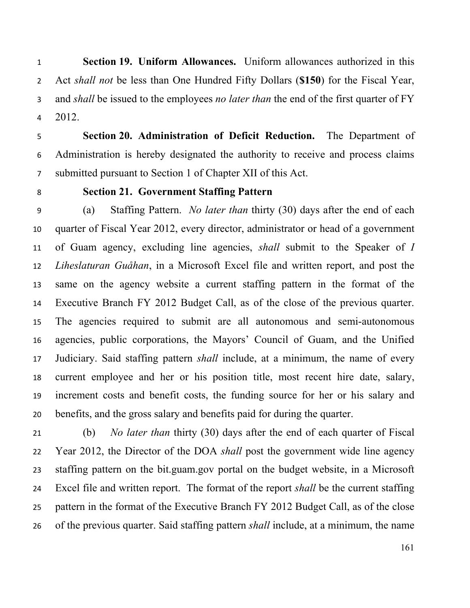**Section 19. Uniform Allowances.** Uniform allowances authorized in this Act *shall not* be less than One Hundred Fifty Dollars (**\$150**) for the Fiscal Year, and *shall* be issued to the employees *no later than* the end of the first quarter of FY 2012.

 **Section 20. Administration of Deficit Reduction.** The Department of Administration is hereby designated the authority to receive and process claims submitted pursuant to Section 1 of Chapter XII of this Act.

## **Section 21. Government Staffing Pattern**

 (a) Staffing Pattern. *No later than* thirty (30) days after the end of each quarter of Fiscal Year 2012, every director, administrator or head of a government of Guam agency, excluding line agencies, *shall* submit to the Speaker of *I Liheslaturan Guåhan*, in a Microsoft Excel file and written report, and post the same on the agency website a current staffing pattern in the format of the Executive Branch FY 2012 Budget Call, as of the close of the previous quarter. The agencies required to submit are all autonomous and semi-autonomous agencies, public corporations, the Mayors' Council of Guam, and the Unified Judiciary. Said staffing pattern *shall* include, at a minimum, the name of every current employee and her or his position title, most recent hire date, salary, increment costs and benefit costs, the funding source for her or his salary and benefits, and the gross salary and benefits paid for during the quarter.

 (b) *No later than* thirty (30) days after the end of each quarter of Fiscal Year 2012, the Director of the DOA *shall* post the government wide line agency staffing pattern on the bit.guam.gov portal on the budget website, in a Microsoft Excel file and written report. The format of the report *shall* be the current staffing pattern in the format of the Executive Branch FY 2012 Budget Call, as of the close of the previous quarter. Said staffing pattern *shall* include, at a minimum, the name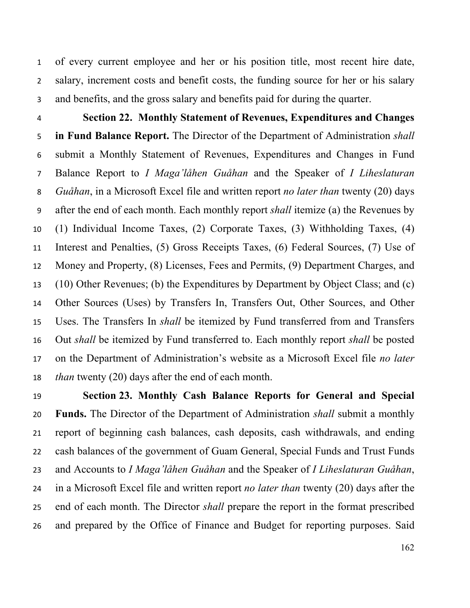of every current employee and her or his position title, most recent hire date, salary, increment costs and benefit costs, the funding source for her or his salary and benefits, and the gross salary and benefits paid for during the quarter.

 **Section 22. Monthly Statement of Revenues, Expenditures and Changes in Fund Balance Report.** The Director of the Department of Administration *shall* submit a Monthly Statement of Revenues, Expenditures and Changes in Fund Balance Report to *I Maga'låhen Guåhan* and the Speaker of *I Liheslaturan Guåhan*, in a Microsoft Excel file and written report *no later than* twenty (20) days after the end of each month. Each monthly report *shall* itemize (a) the Revenues by (1) Individual Income Taxes, (2) Corporate Taxes, (3) Withholding Taxes, (4) Interest and Penalties, (5) Gross Receipts Taxes, (6) Federal Sources, (7) Use of Money and Property, (8) Licenses, Fees and Permits, (9) Department Charges, and (10) Other Revenues; (b) the Expenditures by Department by Object Class; and (c) Other Sources (Uses) by Transfers In, Transfers Out, Other Sources, and Other Uses. The Transfers In *shall* be itemized by Fund transferred from and Transfers Out *shall* be itemized by Fund transferred to. Each monthly report *shall* be posted on the Department of Administration's website as a Microsoft Excel file *no later than* twenty (20) days after the end of each month.

 **Section 23. Monthly Cash Balance Reports for General and Special Funds.** The Director of the Department of Administration *shall* submit a monthly report of beginning cash balances, cash deposits, cash withdrawals, and ending cash balances of the government of Guam General, Special Funds and Trust Funds and Accounts to *I Maga'låhen Guåhan* and the Speaker of *I Liheslaturan Guåhan*, in a Microsoft Excel file and written report *no later than* twenty (20) days after the end of each month. The Director *shall* prepare the report in the format prescribed and prepared by the Office of Finance and Budget for reporting purposes. Said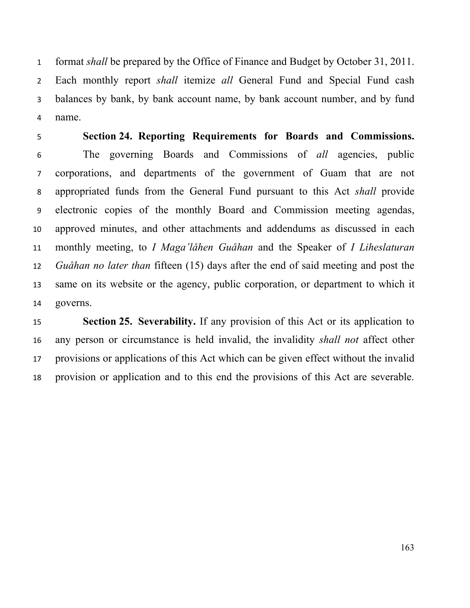format *shall* be prepared by the Office of Finance and Budget by October 31, 2011. Each monthly report *shall* itemize *all* General Fund and Special Fund cash balances by bank, by bank account name, by bank account number, and by fund name.

 **Section 24. Reporting Requirements for Boards and Commissions.** The governing Boards and Commissions of *all* agencies, public corporations, and departments of the government of Guam that are not appropriated funds from the General Fund pursuant to this Act *shall* provide electronic copies of the monthly Board and Commission meeting agendas, approved minutes, and other attachments and addendums as discussed in each monthly meeting, to *I Maga'låhen Guåhan* and the Speaker of *I Liheslaturan Guåhan no later than* fifteen (15) days after the end of said meeting and post the same on its website or the agency, public corporation, or department to which it governs.

 **Section 25. Severability.** If any provision of this Act or its application to any person or circumstance is held invalid, the invalidity *shall not* affect other provisions or applications of this Act which can be given effect without the invalid provision or application and to this end the provisions of this Act are severable.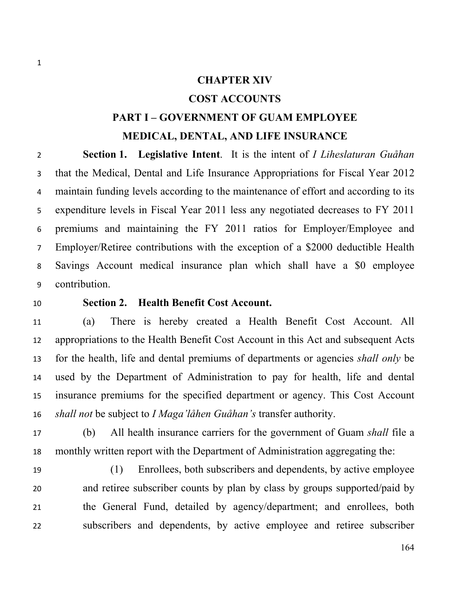### **CHAPTER XIV**

## **COST ACCOUNTS**

# **PART I – GOVERNMENT OF GUAM EMPLOYEE MEDICAL, DENTAL, AND LIFE INSURANCE**

 **Section 1. Legislative Intent**. It is the intent of *I Liheslaturan Guåhan* that the Medical, Dental and Life Insurance Appropriations for Fiscal Year 2012 maintain funding levels according to the maintenance of effort and according to its expenditure levels in Fiscal Year 2011 less any negotiated decreases to FY 2011 premiums and maintaining the FY 2011 ratios for Employer/Employee and Employer/Retiree contributions with the exception of a \$2000 deductible Health Savings Account medical insurance plan which shall have a \$0 employee contribution.

#### **Section 2. Health Benefit Cost Account.**

 (a) There is hereby created a Health Benefit Cost Account. All appropriations to the Health Benefit Cost Account in this Act and subsequent Acts for the health, life and dental premiums of departments or agencies *shall only* be used by the Department of Administration to pay for health, life and dental insurance premiums for the specified department or agency. This Cost Account *shall not* be subject to *I Maga'låhen Guåhan's* transfer authority.

 (b) All health insurance carriers for the government of Guam *shall* file a monthly written report with the Department of Administration aggregating the:

 (1) Enrollees, both subscribers and dependents, by active employee and retiree subscriber counts by plan by class by groups supported/paid by the General Fund, detailed by agency/department; and enrollees, both subscribers and dependents, by active employee and retiree subscriber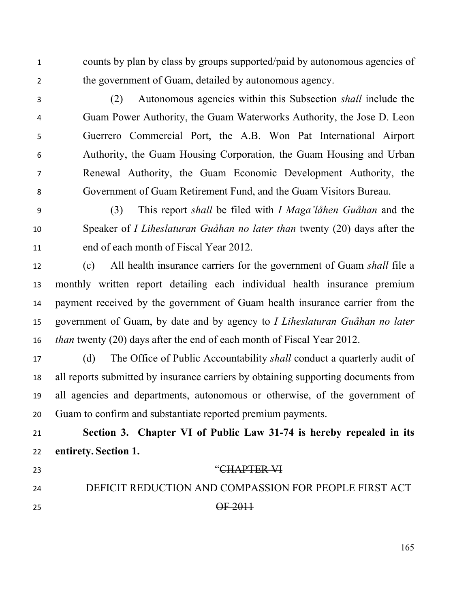counts by plan by class by groups supported/paid by autonomous agencies of the government of Guam, detailed by autonomous agency.

 (2) Autonomous agencies within this Subsection *shall* include the Guam Power Authority, the Guam Waterworks Authority, the Jose D. Leon Guerrero Commercial Port, the A.B. Won Pat International Airport Authority, the Guam Housing Corporation, the Guam Housing and Urban Renewal Authority, the Guam Economic Development Authority, the Government of Guam Retirement Fund, and the Guam Visitors Bureau.

 (3) This report *shall* be filed with *I Maga'låhen Guåhan* and the Speaker of *I Liheslaturan Guåhan no later than* twenty (20) days after the end of each month of Fiscal Year 2012.

 (c) All health insurance carriers for the government of Guam *shall* file a monthly written report detailing each individual health insurance premium payment received by the government of Guam health insurance carrier from the government of Guam, by date and by agency to *I Liheslaturan Guåhan no later than* twenty (20) days after the end of each month of Fiscal Year 2012.

 (d) The Office of Public Accountability *shall* conduct a quarterly audit of all reports submitted by insurance carriers by obtaining supporting documents from all agencies and departments, autonomous or otherwise, of the government of Guam to confirm and substantiate reported premium payments.

 **Section 3. Chapter VI of Public Law 31-74 is hereby repealed in its entirety. Section 1.** 

23 "CHAPTER VI

DEFICIT REDUCTION AND COMPASSION FOR PEOPLE FIRST ACT

OF 2011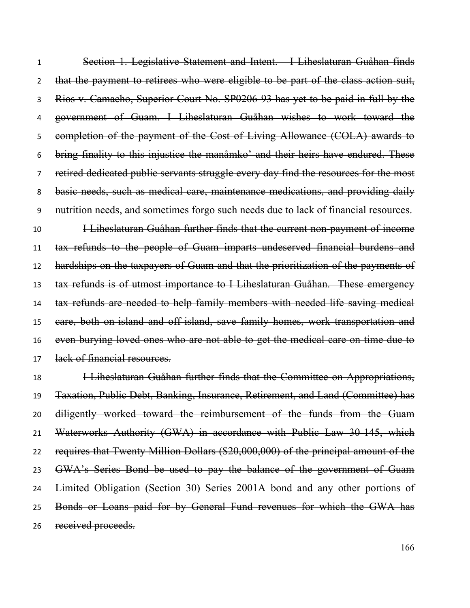Section 1. Legislative Statement and Intent. I Liheslaturan Guåhan finds 2 that the payment to retirees who were eligible to be part of the class action suit, Rios v. Camacho, Superior Court No. SP0206-93 has yet to be paid in full by the government of Guam. I Liheslaturan Guåhan wishes to work toward the completion of the payment of the Cost of Living Allowance (COLA) awards to bring finality to this injustice the manåmko' and their heirs have endured. These retired dedicated public servants struggle every day find the resources for the most basic needs, such as medical care, maintenance medications, and providing daily nutrition needs, and sometimes forgo such needs due to lack of financial resources.

**I Liheslaturan Guåhan further finds that the current non-payment of income**  tax refunds to the people of Guam imparts undeserved financial burdens and hardships on the taxpayers of Guam and that the prioritization of the payments of tax refunds is of utmost importance to I Liheslaturan Guåhan. These emergency 14 tax refunds are needed to help family members with needed life saving medical care, both on-island and off-island, save family homes, work transportation and even burying loved ones who are not able to get the medical care on time due to lack of financial resources.

 I Liheslaturan Guåhan further finds that the Committee on Appropriations, Taxation, Public Debt, Banking, Insurance, Retirement, and Land (Committee) has diligently worked toward the reimbursement of the funds from the Guam Waterworks Authority (GWA) in accordance with Public Law 30-145, which requires that Twenty Million Dollars (\$20,000,000) of the principal amount of the 23 GWA's Series Bond be used to pay the balance of the government of Guam Limited Obligation (Section 30) Series 2001A bond and any other portions of 25 Bonds or Loans paid for by General Fund revenues for which the GWA has received proceeds.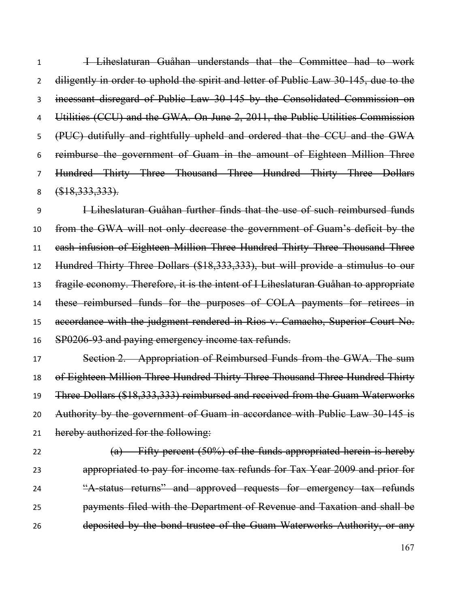I Liheslaturan Guåhan understands that the Committee had to work diligently in order to uphold the spirit and letter of Public Law 30-145, due to the incessant disregard of Public Law 30-145 by the Consolidated Commission on 4 Utilities (CCU) and the GWA. On June 2, 2011, the Public Utilities Commission (PUC) dutifully and rightfully upheld and ordered that the CCU and the GWA reimburse the government of Guam in the amount of Eighteen Million Three Hundred Thirty Three Thousand Three Hundred Thirty Three Dollars 8 (\$18, 333, 333).

 I Liheslaturan Guåhan further finds that the use of such reimbursed funds from the GWA will not only decrease the government of Guam's deficit by the cash infusion of Eighteen Million Three Hundred Thirty Three Thousand Three Hundred Thirty Three Dollars (\$18,333,333), but will provide a stimulus to our fragile economy. Therefore, it is the intent of I Liheslaturan Guåhan to appropriate 14 these reimbursed funds for the purposes of COLA payments for retirees in accordance with the judgment rendered in Rios v. Camacho, Superior Court No. 16 SP0206-93 and paying emergency income tax refunds.

 Section 2. Appropriation of Reimbursed Funds from the GWA. The sum 18 of Eighteen Million Three Hundred Thirty Three Thousand Three Hundred Thirty Three Dollars (\$18,333,333) reimbursed and received from the Guam Waterworks 20 Authority by the government of Guam in accordance with Public Law 30-145 is 21 hereby authorized for the following:

 $(a)$  Fifty-percent (50%) of the funds appropriated herein is hereby appropriated to pay for income tax refunds for Tax Year 2009 and prior for 24 "A-status returns" and approved requests for emergency tax refunds payments filed with the Department of Revenue and Taxation and shall be deposited by the bond trustee of the Guam Waterworks Authority, or any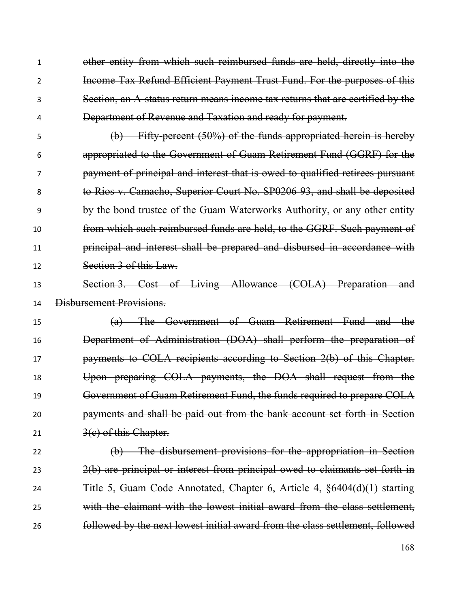other entity from which such reimbursed funds are held, directly into the Income Tax Refund Efficient Payment Trust Fund. For the purposes of this Section, an A-status return means income tax returns that are certified by the Department of Revenue and Taxation and ready for payment.

 (b) Fifty-percent (50%) of the funds appropriated herein is hereby appropriated to the Government of Guam Retirement Fund (GGRF) for the payment of principal and interest that is owed to qualified retirees pursuant to Rios v. Camacho, Superior Court No. SP0206-93, and shall be deposited by the bond trustee of the Guam Waterworks Authority, or any other entity from which such reimbursed funds are held, to the GGRF. Such payment of principal and interest shall be prepared and disbursed in accordance with Section 3 of this Law.

 Section 3. Cost of Living Allowance (COLA) Preparation and Disbursement Provisions.

 (a) The Government of Guam Retirement Fund and the Department of Administration (DOA) shall perform the preparation of **payments to COLA recipients according to Section 2(b) of this Chapter.**  Upon preparing COLA payments, the DOA shall request from the Government of Guam Retirement Fund, the funds required to prepare COLA payments and shall be paid out from the bank account set forth in Section  $3(c)$  of this Chapter.

 (b) The disbursement provisions for the appropriation in Section 23 2(b) are principal or interest from principal owed to claimants set forth in Title 5, Guam Code Annotated, Chapter 6, Article 4, §6404(d)(1) starting with the claimant with the lowest initial award from the class settlement, followed by the next lowest initial award from the class settlement, followed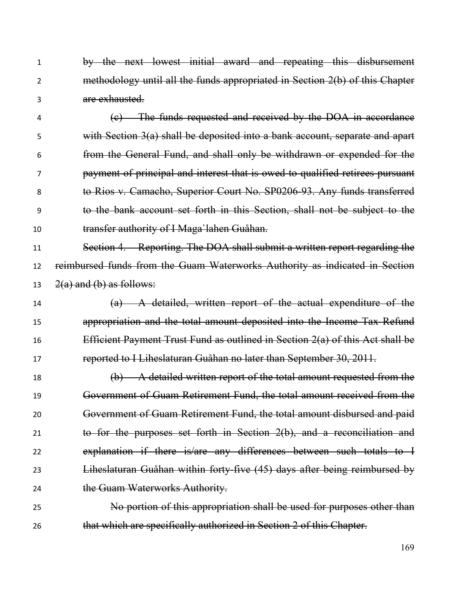by the next lowest initial award and repeating this disbursement methodology until all the funds appropriated in Section 2(b) of this Chapter are exhausted.

 (c) The funds requested and received by the DOA in accordance with Section 3(a) shall be deposited into a bank account, separate and apart from the General Fund, and shall only be withdrawn or expended for the payment of principal and interest that is owed to qualified retirees pursuant to Rios v. Camacho, Superior Court No. SP0206-93. Any funds transferred to the bank account set forth in this Section, shall not be subject to the transfer authority of I Maga`lahen Guåhan.

 Section 4. Reporting. The DOA shall submit a written report regarding the reimbursed funds from the Guam Waterworks Authority as indicated in Section 13  $2(a)$  and (b) as follows:

 (a) A detailed, written report of the actual expenditure of the appropriation and the total amount deposited into the Income Tax Refund Efficient Payment Trust Fund as outlined in Section 2(a) of this Act shall be reported to I Liheslaturan Guåhan no later than September 30, 2011.

 (b) A detailed written report of the total amount requested from the Government of Guam Retirement Fund, the total amount received from the Government of Guam Retirement Fund, the total amount disbursed and paid to for the purposes set forth in Section 2(b), and a reconciliation and explanation if there is/are any differences between such totals to I Liheslaturan Guåhan within forty-five (45) days after being reimbursed by 24 the Guam Waterworks Authority.

 No portion of this appropriation shall be used for purposes other than that which are specifically authorized in Section 2 of this Chapter.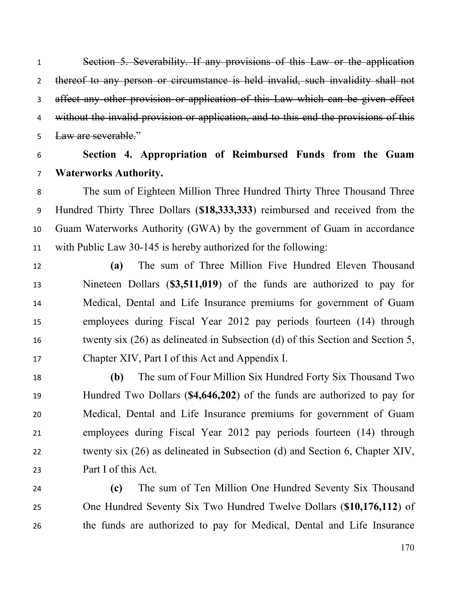Section 5. Severability. If any provisions of this Law or the application thereof to any person or circumstance is held invalid, such invalidity shall not affect any other provision or application of this Law which can be given effect 4 without the invalid provision or application, and to this end the provisions of this Law are severable."

# **Section 4. Appropriation of Reimbursed Funds from the Guam Waterworks Authority.**

 The sum of Eighteen Million Three Hundred Thirty Three Thousand Three Hundred Thirty Three Dollars (**\$18,333,333**) reimbursed and received from the Guam Waterworks Authority (GWA) by the government of Guam in accordance with Public Law 30-145 is hereby authorized for the following:

 **(a)** The sum of Three Million Five Hundred Eleven Thousand Nineteen Dollars (**\$3,511,019**) of the funds are authorized to pay for Medical, Dental and Life Insurance premiums for government of Guam employees during Fiscal Year 2012 pay periods fourteen (14) through twenty six (26) as delineated in Subsection (d) of this Section and Section 5, Chapter XIV, Part I of this Act and Appendix I.

 **(b)** The sum of Four Million Six Hundred Forty Six Thousand Two Hundred Two Dollars (**\$4,646,202**) of the funds are authorized to pay for Medical, Dental and Life Insurance premiums for government of Guam employees during Fiscal Year 2012 pay periods fourteen (14) through twenty six (26) as delineated in Subsection (d) and Section 6, Chapter XIV, Part I of this Act.

 **(c)** The sum of Ten Million One Hundred Seventy Six Thousand One Hundred Seventy Six Two Hundred Twelve Dollars (**\$10,176,112**) of the funds are authorized to pay for Medical, Dental and Life Insurance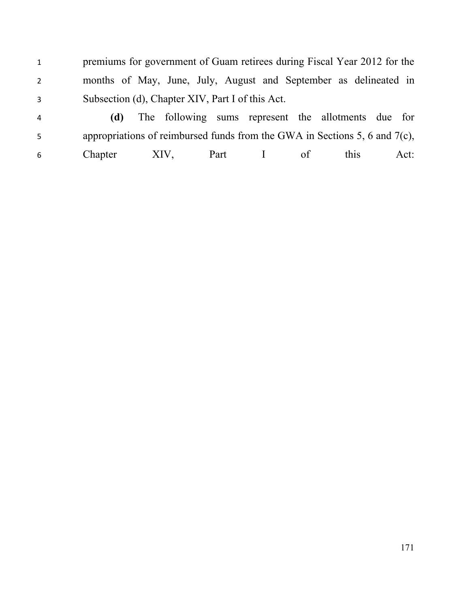1 premiums for government of Guam retirees during Fiscal Year 2012 for the months of May, June, July, August and September as delineated in Subsection (d), Chapter XIV, Part I of this Act.

 **(d)** The following sums represent the allotments due for appropriations of reimbursed funds from the GWA in Sections 5, 6 and 7(c), Chapter XIV, Part I of this Act: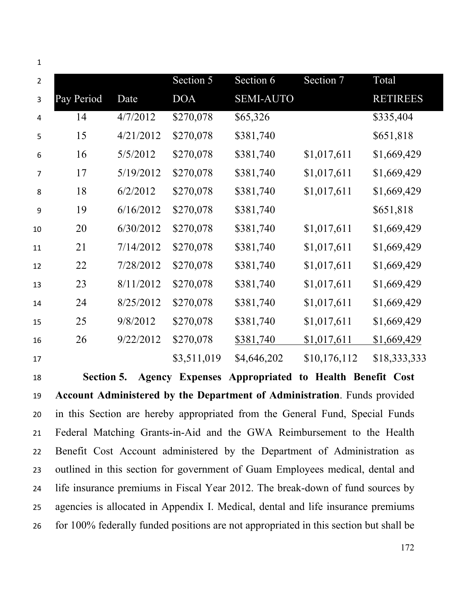| $\mathbf{1}$   |            |           |             |                  |              |                 |  |
|----------------|------------|-----------|-------------|------------------|--------------|-----------------|--|
| $\overline{2}$ |            |           | Section 5   | Section 6        | Section 7    | Total           |  |
| 3              | Pay Period | Date      | <b>DOA</b>  | <b>SEMI-AUTO</b> |              | <b>RETIREES</b> |  |
| $\overline{a}$ | 14         | 4/7/2012  | \$270,078   | \$65,326         |              | \$335,404       |  |
| 5              | 15         | 4/21/2012 | \$270,078   | \$381,740        |              | \$651,818       |  |
| 6              | 16         | 5/5/2012  | \$270,078   | \$381,740        | \$1,017,611  | \$1,669,429     |  |
| 7              | 17         | 5/19/2012 | \$270,078   | \$381,740        | \$1,017,611  | \$1,669,429     |  |
| 8              | 18         | 6/2/2012  | \$270,078   | \$381,740        | \$1,017,611  | \$1,669,429     |  |
| 9              | 19         | 6/16/2012 | \$270,078   | \$381,740        |              | \$651,818       |  |
| 10             | 20         | 6/30/2012 | \$270,078   | \$381,740        | \$1,017,611  | \$1,669,429     |  |
| 11             | 21         | 7/14/2012 | \$270,078   | \$381,740        | \$1,017,611  | \$1,669,429     |  |
| 12             | 22         | 7/28/2012 | \$270,078   | \$381,740        | \$1,017,611  | \$1,669,429     |  |
| 13             | 23         | 8/11/2012 | \$270,078   | \$381,740        | \$1,017,611  | \$1,669,429     |  |
| 14             | 24         | 8/25/2012 | \$270,078   | \$381,740        | \$1,017,611  | \$1,669,429     |  |
| 15             | 25         | 9/8/2012  | \$270,078   | \$381,740        | \$1,017,611  | \$1,669,429     |  |
| 16             | 26         | 9/22/2012 | \$270,078   | \$381,740        | \$1,017,611  | \$1,669,429     |  |
| 17             |            |           | \$3,511,019 | \$4,646,202      | \$10,176,112 | \$18,333,333    |  |

 **Section 5. Agency Expenses Appropriated to Health Benefit Cost Account Administered by the Department of Administration**. Funds provided in this Section are hereby appropriated from the General Fund, Special Funds Federal Matching Grants-in-Aid and the GWA Reimbursement to the Health Benefit Cost Account administered by the Department of Administration as outlined in this section for government of Guam Employees medical, dental and life insurance premiums in Fiscal Year 2012. The break-down of fund sources by agencies is allocated in Appendix I. Medical, dental and life insurance premiums for 100% federally funded positions are not appropriated in this section but shall be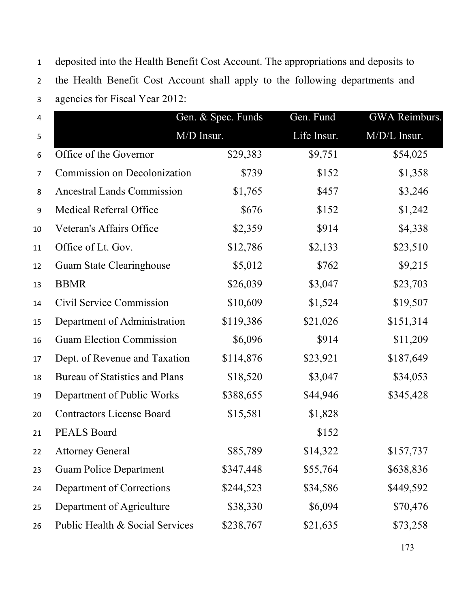deposited into the Health Benefit Cost Account. The appropriations and deposits to the Health Benefit Cost Account shall apply to the following departments and agencies for Fiscal Year 2012:

| $\overline{4}$   |                                   | Gen. & Spec. Funds | Gen. Fund   | GWA Reimburs. |  |
|------------------|-----------------------------------|--------------------|-------------|---------------|--|
| $\overline{5}$   | M/D Insur.                        |                    | Life Insur. | M/D/L Insur.  |  |
| 6                | Office of the Governor            | \$29,383           | \$9,751     | \$54,025      |  |
| $\overline{7}$   | Commission on Decolonization      | \$739              | \$152       | \$1,358       |  |
| 8                | <b>Ancestral Lands Commission</b> | \$1,765            | \$457       | \$3,246       |  |
| $\boldsymbol{9}$ | <b>Medical Referral Office</b>    | \$676              | \$152       | \$1,242       |  |
| 10               | Veteran's Affairs Office          | \$2,359            | \$914       | \$4,338       |  |
| 11               | Office of Lt. Gov.                | \$12,786           | \$2,133     | \$23,510      |  |
| 12               | Guam State Clearinghouse          | \$5,012            | \$762       | \$9,215       |  |
| 13               | <b>BBMR</b>                       | \$26,039           | \$3,047     | \$23,703      |  |
| 14               | Civil Service Commission          | \$10,609           | \$1,524     | \$19,507      |  |
| 15               | Department of Administration      | \$119,386          | \$21,026    | \$151,314     |  |
| 16               | <b>Guam Election Commission</b>   | \$6,096            | \$914       | \$11,209      |  |
| 17               | Dept. of Revenue and Taxation     | \$114,876          | \$23,921    | \$187,649     |  |
| 18               | Bureau of Statistics and Plans    | \$18,520           | \$3,047     | \$34,053      |  |
| 19               | Department of Public Works        | \$388,655          | \$44,946    | \$345,428     |  |
| 20               | <b>Contractors License Board</b>  | \$15,581           | \$1,828     |               |  |
| 21               | <b>PEALS Board</b>                |                    | \$152       |               |  |
| 22               | <b>Attorney General</b>           | \$85,789           | \$14,322    | \$157,737     |  |
| 23               | <b>Guam Police Department</b>     | \$347,448          | \$55,764    | \$638,836     |  |
| 24               | Department of Corrections         | \$244,523          | \$34,586    | \$449,592     |  |
| 25               | Department of Agriculture         | \$38,330           | \$6,094     | \$70,476      |  |
| 26               | Public Health & Social Services   | \$238,767          | \$21,635    | \$73,258      |  |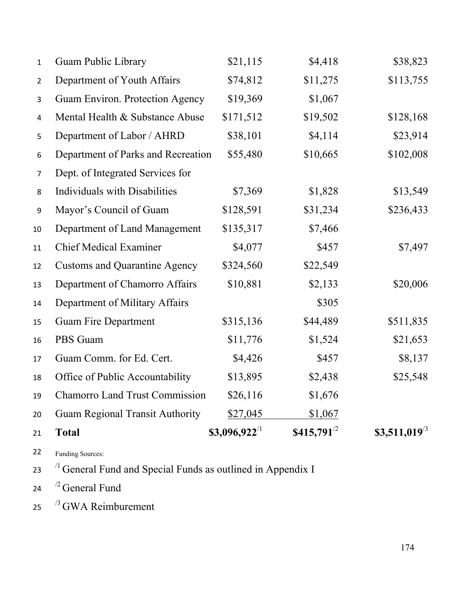| 21             | <b>Total</b>                           | $$3,096,922^{11}$ | $$415,791^{2}$ | \$3,511,019 $\frac{3}{3}$ |
|----------------|----------------------------------------|-------------------|----------------|---------------------------|
| 20             | <b>Guam Regional Transit Authority</b> | \$27,045          | \$1,067        |                           |
| 19             | <b>Chamorro Land Trust Commission</b>  | \$26,116          | \$1,676        |                           |
| 18             | Office of Public Accountability        | \$13,895          | \$2,438        | \$25,548                  |
| 17             | Guam Comm. for Ed. Cert.               | \$4,426           | \$457          | \$8,137                   |
| 16             | PBS Guam                               | \$11,776          | \$1,524        | \$21,653                  |
| 15             | <b>Guam Fire Department</b>            | \$315,136         | \$44,489       | \$511,835                 |
| 14             | Department of Military Affairs         |                   | \$305          |                           |
| 13             | Department of Chamorro Affairs         | \$10,881          | \$2,133        | \$20,006                  |
| 12             | <b>Customs and Quarantine Agency</b>   | \$324,560         | \$22,549       |                           |
| 11             | <b>Chief Medical Examiner</b>          | \$4,077           | \$457          | \$7,497                   |
| 10             | Department of Land Management          | \$135,317         | \$7,466        |                           |
| 9              | Mayor's Council of Guam                | \$128,591         | \$31,234       | \$236,433                 |
| 8              | <b>Individuals with Disabilities</b>   | \$7,369           | \$1,828        | \$13,549                  |
| $\overline{7}$ | Dept. of Integrated Services for       |                   |                |                           |
| 6              | Department of Parks and Recreation     | \$55,480          | \$10,665       | \$102,008                 |
| 5              | Department of Labor / AHRD             | \$38,101          | \$4,114        | \$23,914                  |
| $\pmb{4}$      | Mental Health & Substance Abuse        | \$171,512         | \$19,502       | \$128,168                 |
| 3              | Guam Environ. Protection Agency        | \$19,369          | \$1,067        |                           |
| $\overline{2}$ | Department of Youth Affairs            | \$74,812          | \$11,275       | \$113,755                 |
| 1              | <b>Guam Public Library</b>             | \$21,115          | \$4,418        | \$38,823                  |

Funding Sources:

General Fund and Special Funds as outlined in Appendix I

- 24  $\frac{12}{2}$  General Fund
- 25  $\frac{13}{3}$  GWA Reimburement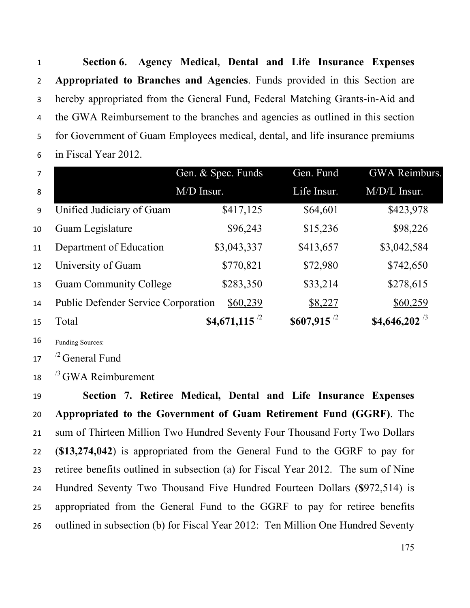**Section 6. Agency Medical, Dental and Life Insurance Expenses Appropriated to Branches and Agencies**. Funds provided in this Section are hereby appropriated from the General Fund, Federal Matching Grants-in-Aid and the GWA Reimbursement to the branches and agencies as outlined in this section for Government of Guam Employees medical, dental, and life insurance premiums in Fiscal Year 2012.

| $\overline{7}$ |                                            | Gen. & Spec. Funds | Gen. Fund               | GWA Reimburs.       |
|----------------|--------------------------------------------|--------------------|-------------------------|---------------------|
| 8              |                                            | M/D Insur.         | Life Insur.             | M/D/L Insur.        |
| 9              | Unified Judiciary of Guam                  | \$417,125          | \$64,601                | \$423,978           |
| 10             | Guam Legislature                           | \$96,243           | \$15,236                | \$98,226            |
| 11             | Department of Education                    | \$3,043,337        | \$413,657               | \$3,042,584         |
| 12             | University of Guam                         | \$770,821          | \$72,980                | \$742,650           |
| 13             | <b>Guam Community College</b>              | \$283,350          | \$33,214                | \$278,615           |
| 14             | <b>Public Defender Service Corporation</b> | \$60,239           | \$8,227                 | \$60,259            |
| 15             | Total                                      | \$4,671,115 $^{2}$ | $$607,915$ <sup>2</sup> | \$4,646,202 $^{73}$ |

Funding Sources:

17  $\frac{72}{2}$  General Fund

 $^{13}$  GWA Reimburement

 **Section 7. Retiree Medical, Dental and Life Insurance Expenses Appropriated to the Government of Guam Retirement Fund (GGRF)**. The sum of Thirteen Million Two Hundred Seventy Four Thousand Forty Two Dollars (**\$13,274,042**) is appropriated from the General Fund to the GGRF to pay for retiree benefits outlined in subsection (a) for Fiscal Year 2012. The sum of Nine Hundred Seventy Two Thousand Five Hundred Fourteen Dollars (**\$**972,514) is appropriated from the General Fund to the GGRF to pay for retiree benefits outlined in subsection (b) for Fiscal Year 2012: Ten Million One Hundred Seventy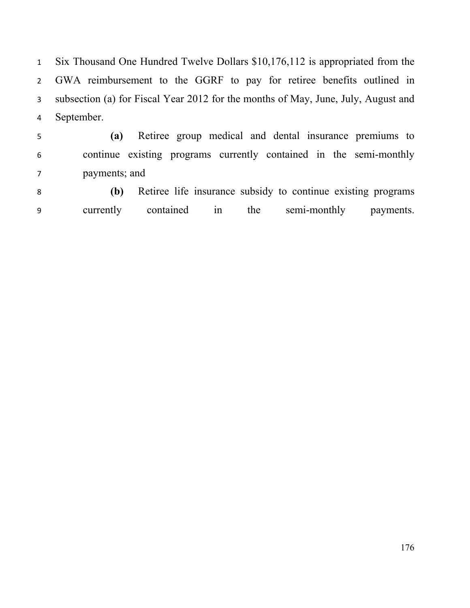Six Thousand One Hundred Twelve Dollars \$10,176,112 is appropriated from the GWA reimbursement to the GGRF to pay for retiree benefits outlined in subsection (a) for Fiscal Year 2012 for the months of May, June, July, August and September.

 **(a)** Retiree group medical and dental insurance premiums to continue existing programs currently contained in the semi-monthly payments; and

 **(b)** Retiree life insurance subsidy to continue existing programs currently contained in the semi-monthly payments.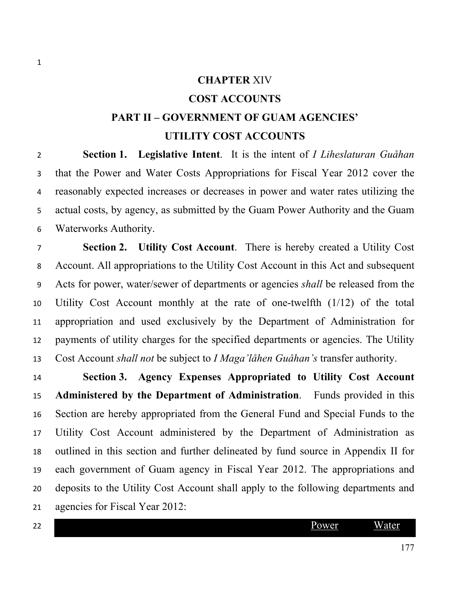### **CHAPTER** XIV

# **COST ACCOUNTS**

# **PART II – GOVERNMENT OF GUAM AGENCIES' UTILITY COST ACCOUNTS**

 **Section 1. Legislative Intent**. It is the intent of *I Liheslaturan Guåhan* that the Power and Water Costs Appropriations for Fiscal Year 2012 cover the reasonably expected increases or decreases in power and water rates utilizing the actual costs, by agency, as submitted by the Guam Power Authority and the Guam Waterworks Authority.

 **Section 2. Utility Cost Account**. There is hereby created a Utility Cost Account. All appropriations to the Utility Cost Account in this Act and subsequent Acts for power, water/sewer of departments or agencies *shall* be released from the Utility Cost Account monthly at the rate of one-twelfth (1/12) of the total appropriation and used exclusively by the Department of Administration for payments of utility charges for the specified departments or agencies. The Utility Cost Account *shall not* be subject to *I Maga'låhen Guåhan's* transfer authority.

 **Section 3. Agency Expenses Appropriated to Utility Cost Account Administered by the Department of Administration**. Funds provided in this Section are hereby appropriated from the General Fund and Special Funds to the Utility Cost Account administered by the Department of Administration as outlined in this section and further delineated by fund source in Appendix II for each government of Guam agency in Fiscal Year 2012. The appropriations and deposits to the Utility Cost Account shall apply to the following departments and agencies for Fiscal Year 2012:

Power Water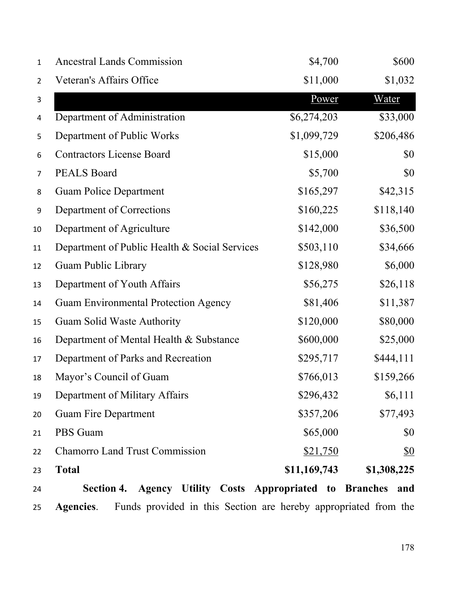| 1              | <b>Ancestral Lands Commission</b>                            | \$4,700      | \$600       |
|----------------|--------------------------------------------------------------|--------------|-------------|
| $\overline{2}$ | Veteran's Affairs Office                                     | \$11,000     | \$1,032     |
| 3              |                                                              | Power        | Water       |
| 4              | Department of Administration                                 | \$6,274,203  | \$33,000    |
| 5              | Department of Public Works                                   | \$1,099,729  | \$206,486   |
| 6              | <b>Contractors License Board</b>                             | \$15,000     | \$0         |
| $\overline{7}$ | <b>PEALS Board</b>                                           | \$5,700      | \$0         |
| 8              | <b>Guam Police Department</b>                                | \$165,297    | \$42,315    |
| 9              | Department of Corrections                                    | \$160,225    | \$118,140   |
| 10             | Department of Agriculture                                    | \$142,000    | \$36,500    |
| 11             | Department of Public Health & Social Services                | \$503,110    | \$34,666    |
| 12             | <b>Guam Public Library</b>                                   | \$128,980    | \$6,000     |
| 13             | Department of Youth Affairs                                  | \$56,275     | \$26,118    |
| 14             | <b>Guam Environmental Protection Agency</b>                  | \$81,406     | \$11,387    |
| 15             | Guam Solid Waste Authority                                   | \$120,000    | \$80,000    |
| 16             | Department of Mental Health & Substance                      | \$600,000    | \$25,000    |
| 17             | Department of Parks and Recreation                           | \$295,717    | \$444,111   |
| 18             | Mayor's Council of Guam                                      | \$766,013    | \$159,266   |
| 19             | Department of Military Affairs                               | \$296,432    | \$6,111     |
| 20             | <b>Guam Fire Department</b>                                  | \$357,206    | \$77,493    |
| 21             | PBS Guam                                                     | \$65,000     | \$0         |
| 22             | <b>Chamorro Land Trust Commission</b>                        | \$21,750     | <u>\$0</u>  |
| 23             | <b>Total</b>                                                 | \$11,169,743 | \$1,308,225 |
| 24             | Section 4. Agency Utility Costs Appropriated to Branches and |              |             |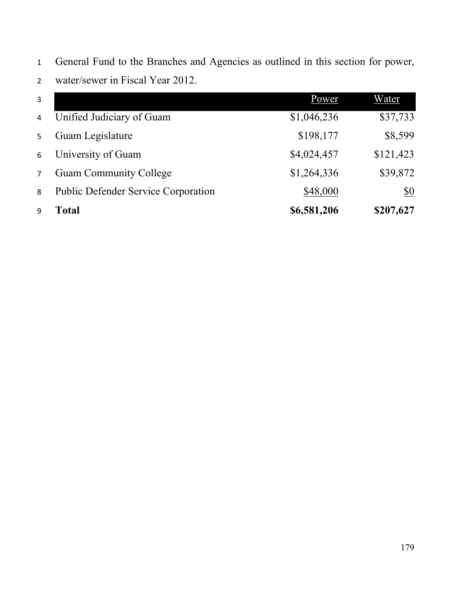| 3              |                                     | Power       | Water      |
|----------------|-------------------------------------|-------------|------------|
| $\overline{4}$ | Unified Judiciary of Guam           | \$1,046,236 | \$37,733   |
| 5              | Guam Legislature                    | \$198,177   | \$8,599    |
| 6              | University of Guam                  | \$4,024,457 | \$121,423  |
| $\overline{7}$ | <b>Guam Community College</b>       | \$1,264,336 | \$39,872   |
| 8              | Public Defender Service Corporation | \$48,000    | <u>\$0</u> |
| 9              | Total                               | \$6,581,206 | \$207,627  |

 General Fund to the Branches and Agencies as outlined in this section for power, water/sewer in Fiscal Year 2012.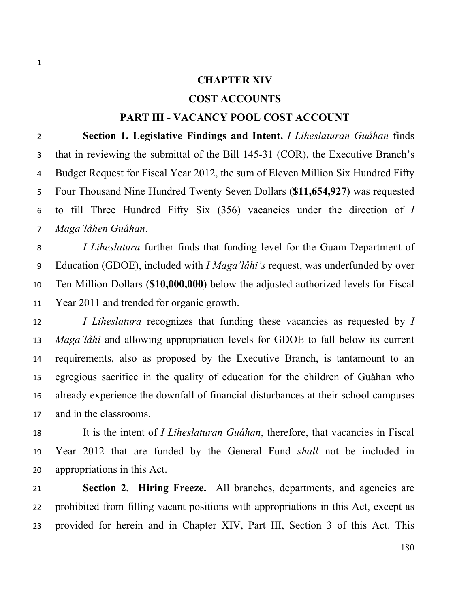### **CHAPTER XIV**

## **COST ACCOUNTS**

## **PART III - VACANCY POOL COST ACCOUNT**

 **Section 1. Legislative Findings and Intent.** *I Liheslaturan Guåhan* finds that in reviewing the submittal of the Bill 145-31 (COR), the Executive Branch's Budget Request for Fiscal Year 2012, the sum of Eleven Million Six Hundred Fifty Four Thousand Nine Hundred Twenty Seven Dollars (**\$11,654,927**) was requested to fill Three Hundred Fifty Six (356) vacancies under the direction of *I Maga'låhen Guåhan*.

 *I Liheslatura* further finds that funding level for the Guam Department of Education (GDOE), included with *I Maga'låhi's* request, was underfunded by over Ten Million Dollars (**\$10,000,000**) below the adjusted authorized levels for Fiscal Year 2011 and trended for organic growth.

 *I Liheslatura* recognizes that funding these vacancies as requested by *I Maga'låhi* and allowing appropriation levels for GDOE to fall below its current requirements, also as proposed by the Executive Branch, is tantamount to an egregious sacrifice in the quality of education for the children of Guåhan who already experience the downfall of financial disturbances at their school campuses and in the classrooms.

 It is the intent of *I Liheslaturan Guåhan*, therefore, that vacancies in Fiscal Year 2012 that are funded by the General Fund *shall* not be included in appropriations in this Act.

 **Section 2. Hiring Freeze.** All branches, departments, and agencies are prohibited from filling vacant positions with appropriations in this Act, except as provided for herein and in Chapter XIV, Part III, Section 3 of this Act. This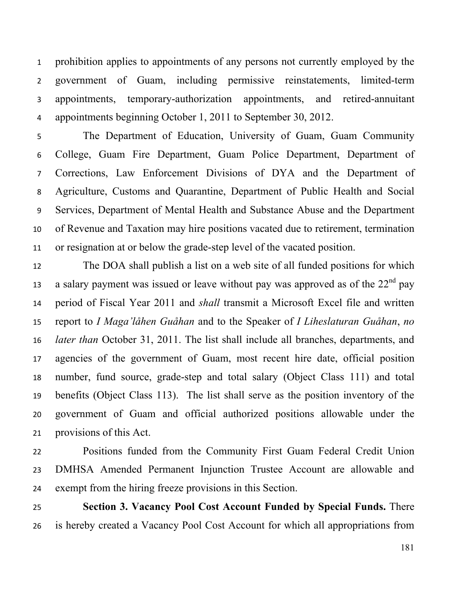prohibition applies to appointments of any persons not currently employed by the government of Guam, including permissive reinstatements, limited-term appointments, temporary-authorization appointments, and retired-annuitant appointments beginning October 1, 2011 to September 30, 2012.

 The Department of Education, University of Guam, Guam Community College, Guam Fire Department, Guam Police Department, Department of Corrections, Law Enforcement Divisions of DYA and the Department of Agriculture, Customs and Quarantine, Department of Public Health and Social Services, Department of Mental Health and Substance Abuse and the Department of Revenue and Taxation may hire positions vacated due to retirement, termination or resignation at or below the grade-step level of the vacated position.

 The DOA shall publish a list on a web site of all funded positions for which a salary payment was issued or leave without pay was approved as of the  $22<sup>nd</sup>$  pay period of Fiscal Year 2011 and *shall* transmit a Microsoft Excel file and written report to *I Maga'låhen Guåhan* and to the Speaker of *I Liheslaturan Guåhan*, *no later than* October 31, 2011. The list shall include all branches, departments, and agencies of the government of Guam, most recent hire date, official position number, fund source, grade-step and total salary (Object Class 111) and total benefits (Object Class 113). The list shall serve as the position inventory of the government of Guam and official authorized positions allowable under the provisions of this Act.

 Positions funded from the Community First Guam Federal Credit Union DMHSA Amended Permanent Injunction Trustee Account are allowable and exempt from the hiring freeze provisions in this Section.

 **Section 3. Vacancy Pool Cost Account Funded by Special Funds.** There is hereby created a Vacancy Pool Cost Account for which all appropriations from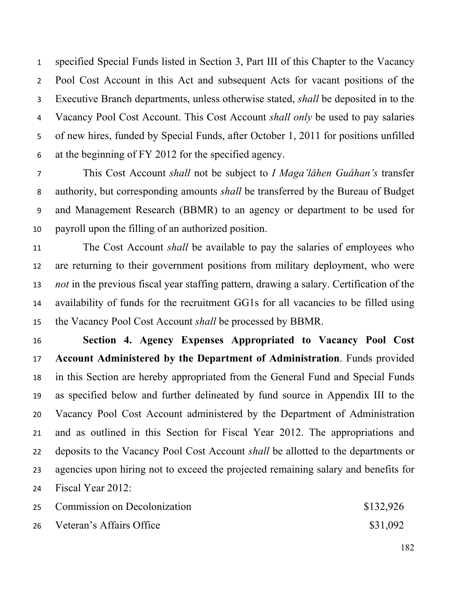specified Special Funds listed in Section 3, Part III of this Chapter to the Vacancy Pool Cost Account in this Act and subsequent Acts for vacant positions of the Executive Branch departments, unless otherwise stated, *shall* be deposited in to the Vacancy Pool Cost Account. This Cost Account *shall only* be used to pay salaries of new hires, funded by Special Funds, after October 1, 2011 for positions unfilled at the beginning of FY 2012 for the specified agency.

 This Cost Account *shall* not be subject to *I Maga'låhen Guåhan's* transfer authority, but corresponding amounts *shall* be transferred by the Bureau of Budget and Management Research (BBMR) to an agency or department to be used for payroll upon the filling of an authorized position.

 The Cost Account *shall* be available to pay the salaries of employees who are returning to their government positions from military deployment, who were *not* in the previous fiscal year staffing pattern, drawing a salary. Certification of the availability of funds for the recruitment GG1s for all vacancies to be filled using the Vacancy Pool Cost Account *shall* be processed by BBMR.

 **Section 4. Agency Expenses Appropriated to Vacancy Pool Cost Account Administered by the Department of Administration**. Funds provided in this Section are hereby appropriated from the General Fund and Special Funds as specified below and further delineated by fund source in Appendix III to the Vacancy Pool Cost Account administered by the Department of Administration and as outlined in this Section for Fiscal Year 2012. The appropriations and deposits to the Vacancy Pool Cost Account *shall* be allotted to the departments or agencies upon hiring not to exceed the projected remaining salary and benefits for Fiscal Year 2012:

25 Commission on Decolonization  $$132,926$ 

26 Veteran's Affairs Office \$31,092